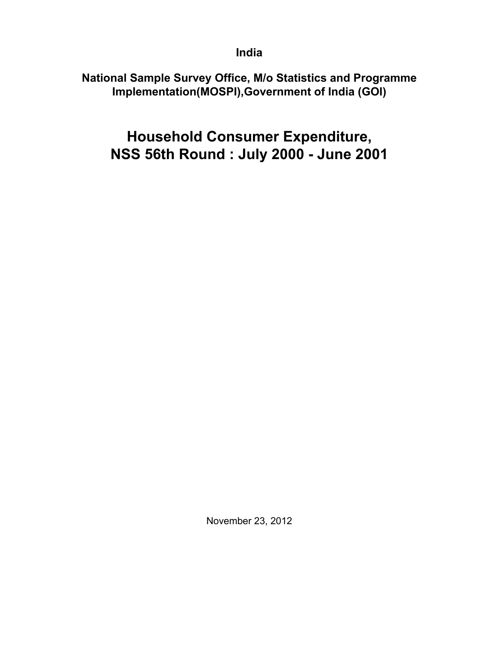**India**

**National Sample Survey Office, M/o Statistics and Programme Implementation(MOSPI),Government of India (GOI)**

**Household Consumer Expenditure, NSS 56th Round : July 2000 - June 2001**

November 23, 2012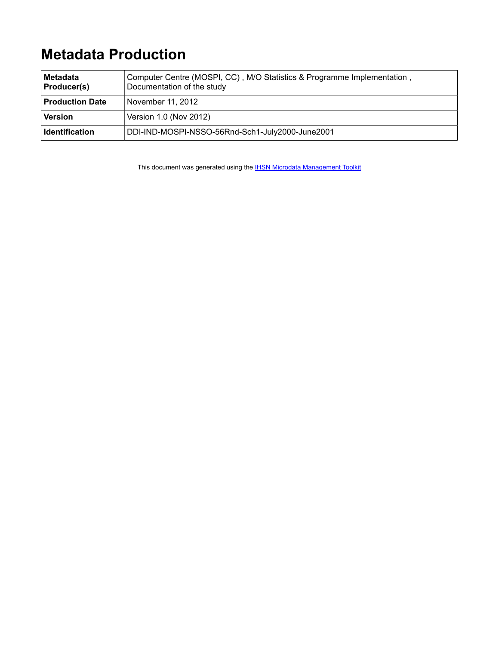# **Metadata Production**

| <b>Metadata</b><br>Producer(s) | Computer Centre (MOSPI, CC), M/O Statistics & Programme Implementation,<br>Documentation of the study |
|--------------------------------|-------------------------------------------------------------------------------------------------------|
| <b>Production Date</b>         | November 11, 2012                                                                                     |
| <b>Version</b>                 | Version 1.0 (Nov 2012)                                                                                |
| <b>Identification</b>          | DDI-IND-MOSPI-NSSO-56Rnd-Sch1-July2000-June2001                                                       |

This document was generated using the **[IHSN Microdata Management Toolkit](http://www.surveynetwork.org/toolkit)**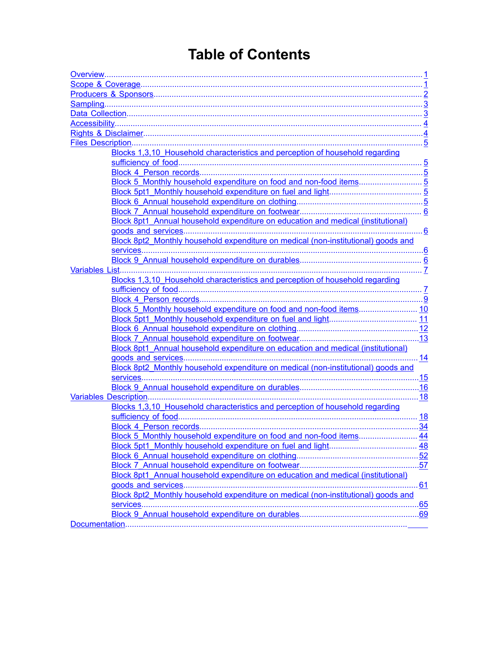# **Table of Contents**

| Blocks 1,3,10 Household characteristics and perception of household regarding     |  |
|-----------------------------------------------------------------------------------|--|
|                                                                                   |  |
|                                                                                   |  |
|                                                                                   |  |
|                                                                                   |  |
|                                                                                   |  |
|                                                                                   |  |
| Block 8pt1_Annual household expenditure on education and medical (institutional)  |  |
|                                                                                   |  |
| Block 8pt2_Monthly household expenditure on medical (non-institutional) goods and |  |
|                                                                                   |  |
|                                                                                   |  |
|                                                                                   |  |
| Blocks 1,3,10 Household characteristics and perception of household regarding     |  |
|                                                                                   |  |
|                                                                                   |  |
|                                                                                   |  |
|                                                                                   |  |
|                                                                                   |  |
|                                                                                   |  |
| Block 8pt1_Annual household expenditure on education and medical (institutional)  |  |
|                                                                                   |  |
| Block 8pt2_Monthly household expenditure on medical (non-institutional) goods and |  |
|                                                                                   |  |
|                                                                                   |  |
|                                                                                   |  |
| Blocks 1,3,10 Household characteristics and perception of household regarding     |  |
|                                                                                   |  |
|                                                                                   |  |
| Block 5 Monthly household expenditure on food and non-food items 44               |  |
|                                                                                   |  |
|                                                                                   |  |
|                                                                                   |  |
| Block 8pt1_Annual household expenditure on education and medical (institutional)  |  |
|                                                                                   |  |
| Block 8pt2 Monthly household expenditure on medical (non-institutional) goods and |  |
|                                                                                   |  |
|                                                                                   |  |
|                                                                                   |  |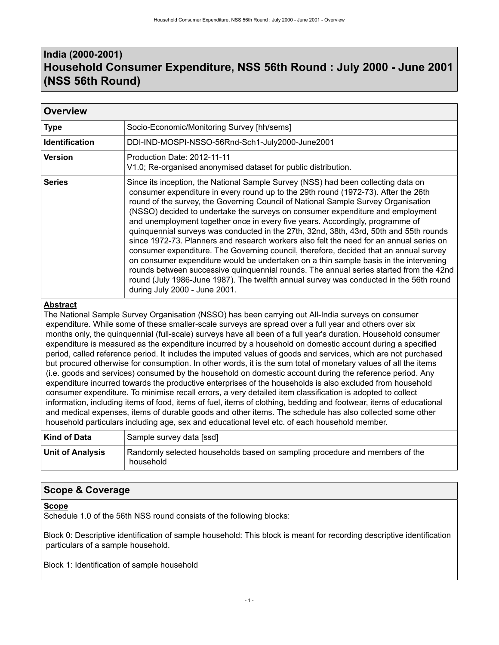# <span id="page-4-0"></span>**India (2000-2001) Household Consumer Expenditure, NSS 56th Round : July 2000 - June 2001 (NSS 56th Round)**

| <b>Overview</b>       |                                                                                                                                                                                                                                                                                                                                                                                                                                                                                                                                                                                                                                                                                                                                                                                                                                                                                                                                                                                                                             |
|-----------------------|-----------------------------------------------------------------------------------------------------------------------------------------------------------------------------------------------------------------------------------------------------------------------------------------------------------------------------------------------------------------------------------------------------------------------------------------------------------------------------------------------------------------------------------------------------------------------------------------------------------------------------------------------------------------------------------------------------------------------------------------------------------------------------------------------------------------------------------------------------------------------------------------------------------------------------------------------------------------------------------------------------------------------------|
| <b>Type</b>           | Socio-Economic/Monitoring Survey [hh/sems]                                                                                                                                                                                                                                                                                                                                                                                                                                                                                                                                                                                                                                                                                                                                                                                                                                                                                                                                                                                  |
| <b>Identification</b> | DDI-IND-MOSPI-NSSO-56Rnd-Sch1-July2000-June2001                                                                                                                                                                                                                                                                                                                                                                                                                                                                                                                                                                                                                                                                                                                                                                                                                                                                                                                                                                             |
| <b>Version</b>        | Production Date: 2012-11-11<br>V1.0; Re-organised anonymised dataset for public distribution.                                                                                                                                                                                                                                                                                                                                                                                                                                                                                                                                                                                                                                                                                                                                                                                                                                                                                                                               |
| <b>Series</b>         | Since its inception, the National Sample Survey (NSS) had been collecting data on<br>consumer expenditure in every round up to the 29th round (1972-73). After the 26th<br>round of the survey, the Governing Council of National Sample Survey Organisation<br>(NSSO) decided to undertake the surveys on consumer expenditure and employment<br>and unemployment together once in every five years. Accordingly, programme of<br>quinquennial surveys was conducted in the 27th, 32nd, 38th, 43rd, 50th and 55th rounds<br>since 1972-73. Planners and research workers also felt the need for an annual series on<br>consumer expenditure. The Governing council, therefore, decided that an annual survey<br>on consumer expenditure would be undertaken on a thin sample basis in the intervening<br>rounds between successive quinquennial rounds. The annual series started from the 42nd<br>round (July 1986-June 1987). The twelfth annual survey was conducted in the 56th round<br>during July 2000 - June 2001. |

### **Abstract**

The National Sample Survey Organisation (NSSO) has been carrying out All-India surveys on consumer expenditure. While some of these smaller-scale surveys are spread over a full year and others over six months only, the quinquennial (full-scale) surveys have all been of a full year's duration. Household consumer expenditure is measured as the expenditure incurred by a household on domestic account during a specified period, called reference period. It includes the imputed values of goods and services, which are not purchased but procured otherwise for consumption. In other words, it is the sum total of monetary values of all the items (i.e. goods and services) consumed by the household on domestic account during the reference period. Any expenditure incurred towards the productive enterprises of the households is also excluded from household consumer expenditure. To minimise recall errors, a very detailed item classification is adopted to collect information, including items of food, items of fuel, items of clothing, bedding and footwear, items of educational and medical expenses, items of durable goods and other items. The schedule has also collected some other household particulars including age, sex and educational level etc. of each household member.

| Kind of Data            | Sample survey data [ssd]                                                                 |
|-------------------------|------------------------------------------------------------------------------------------|
| <b>Unit of Analysis</b> | Randomly selected households based on sampling procedure and members of the<br>household |

### <span id="page-4-1"></span>**Scope & Coverage**

### **Scope**

Schedule 1.0 of the 56th NSS round consists of the following blocks:

Block 0: Descriptive identification of sample household: This block is meant for recording descriptive identification particulars of a sample household.

Block 1: Identification of sample household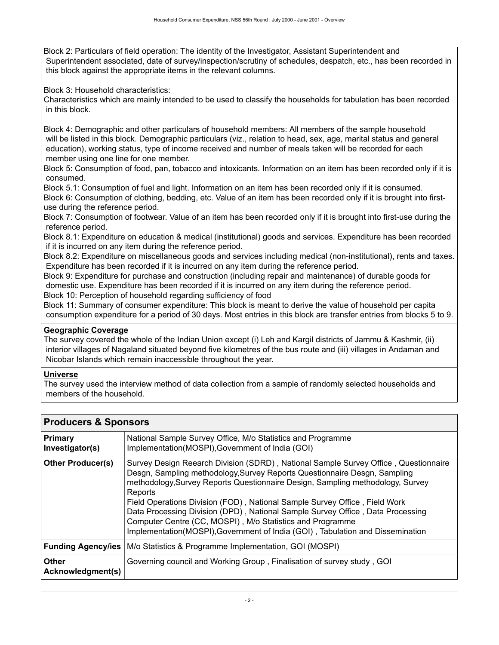Block 2: Particulars of field operation: The identity of the Investigator, Assistant Superintendent and Superintendent associated, date of survey/inspection/scrutiny of schedules, despatch, etc., has been recorded in this block against the appropriate items in the relevant columns.

Block 3: Household characteristics:

Characteristics which are mainly intended to be used to classify the households for tabulation has been recorded in this block.

Block 4: Demographic and other particulars of household members: All members of the sample household will be listed in this block. Demographic particulars (viz., relation to head, sex, age, marital status and general education), working status, type of income received and number of meals taken will be recorded for each member using one line for one member.

Block 5: Consumption of food, pan, tobacco and intoxicants. Information on an item has been recorded only if it is consumed.

Block 5.1: Consumption of fuel and light. Information on an item has been recorded only if it is consumed. Block 6: Consumption of clothing, bedding, etc. Value of an item has been recorded only if it is brought into firstuse during the reference period.

Block 7: Consumption of footwear. Value of an item has been recorded only if it is brought into first-use during the reference period.

Block 8.1: Expenditure on education & medical (institutional) goods and services. Expenditure has been recorded if it is incurred on any item during the reference period.

Block 8.2: Expenditure on miscellaneous goods and services including medical (non-institutional), rents and taxes. Expenditure has been recorded if it is incurred on any item during the reference period.

Block 9: Expenditure for purchase and construction (including repair and maintenance) of durable goods for domestic use. Expenditure has been recorded if it is incurred on any item during the reference period.

Block 10: Perception of household regarding sufficiency of food

Block 11: Summary of consumer expenditure: This block is meant to derive the value of household per capita consumption expenditure for a period of 30 days. Most entries in this block are transfer entries from blocks 5 to 9.

### **Geographic Coverage**

The survey covered the whole of the Indian Union except (i) Leh and Kargil districts of Jammu & Kashmir, (ii) interior villages of Nagaland situated beyond five kilometres of the bus route and (iii) villages in Andaman and Nicobar Islands which remain inaccessible throughout the year.

### **Universe**

The survey used the interview method of data collection from a sample of randomly selected households and members of the household.

| <b>Primary</b><br>Investigator(s) | National Sample Survey Office, M/o Statistics and Programme<br>Implementation(MOSPI), Government of India (GOI)                                                                                                                                                                                                                                                                                                                                                                                                                                                              |
|-----------------------------------|------------------------------------------------------------------------------------------------------------------------------------------------------------------------------------------------------------------------------------------------------------------------------------------------------------------------------------------------------------------------------------------------------------------------------------------------------------------------------------------------------------------------------------------------------------------------------|
| <b>Other Producer(s)</b>          | Survey Design Reearch Division (SDRD), National Sample Survey Office, Questionnaire<br>Desgn, Sampling methodology, Survey Reports Questionnaire Desgn, Sampling<br>methodology, Survey Reports Questionnaire Design, Sampling methodology, Survey<br>Reports<br>Field Operations Division (FOD), National Sample Survey Office, Field Work<br>Data Processing Division (DPD), National Sample Survey Office, Data Processing<br>Computer Centre (CC, MOSPI), M/o Statistics and Programme<br>Implementation(MOSPI), Government of India (GOI), Tabulation and Dissemination |
| <b>Funding Agency/ies</b>         | M/o Statistics & Programme Implementation, GOI (MOSPI)                                                                                                                                                                                                                                                                                                                                                                                                                                                                                                                       |
| <b>Other</b><br>Acknowledgment(s) | Governing council and Working Group, Finalisation of survey study, GOI                                                                                                                                                                                                                                                                                                                                                                                                                                                                                                       |

### <span id="page-5-0"></span>**Producers & Sponsors**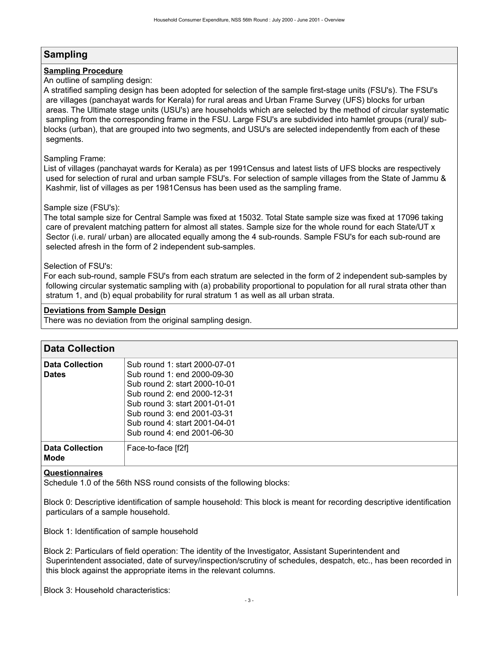### <span id="page-6-0"></span>**Sampling**

### **Sampling Procedure**

### An outline of sampling design:

A stratified sampling design has been adopted for selection of the sample first-stage units (FSU's). The FSU's are villages (panchayat wards for Kerala) for rural areas and Urban Frame Survey (UFS) blocks for urban areas. The Ultimate stage units (USU's) are households which are selected by the method of circular systematic sampling from the corresponding frame in the FSU. Large FSU's are subdivided into hamlet groups (rural)/ subblocks (urban), that are grouped into two segments, and USU's are selected independently from each of these segments.

### Sampling Frame:

List of villages (panchayat wards for Kerala) as per 1991Census and latest lists of UFS blocks are respectively used for selection of rural and urban sample FSU's. For selection of sample villages from the State of Jammu & Kashmir, list of villages as per 1981Census has been used as the sampling frame.

### Sample size (FSU's):

The total sample size for Central Sample was fixed at 15032. Total State sample size was fixed at 17096 taking care of prevalent matching pattern for almost all states. Sample size for the whole round for each State/UT x Sector (i.e. rural/ urban) are allocated equally among the 4 sub-rounds. Sample FSU's for each sub-round are selected afresh in the form of 2 independent sub-samples.

### Selection of FSU's:

For each sub-round, sample FSU's from each stratum are selected in the form of 2 independent sub-samples by following circular systematic sampling with (a) probability proportional to population for all rural strata other than stratum 1, and (b) equal probability for rural stratum 1 as well as all urban strata.

### **Deviations from Sample Design**

There was no deviation from the original sampling design.

<span id="page-6-1"></span>

| <b>Data Collection</b>                 |                                                                                                                                                                                                                                                              |
|----------------------------------------|--------------------------------------------------------------------------------------------------------------------------------------------------------------------------------------------------------------------------------------------------------------|
| <b>Data Collection</b><br><b>Dates</b> | Sub round 1: start 2000-07-01<br>Sub round 1: end 2000-09-30<br>Sub round 2: start 2000-10-01<br>Sub round 2: end 2000-12-31<br>Sub round 3: start 2001-01-01<br>Sub round 3: end 2001-03-31<br>Sub round 4: start 2001-04-01<br>Sub round 4: end 2001-06-30 |
| <b>Data Collection</b><br><b>Mode</b>  | Face-to-face [f2f]                                                                                                                                                                                                                                           |

#### **Questionnaires**

Schedule 1.0 of the 56th NSS round consists of the following blocks:

Block 0: Descriptive identification of sample household: This block is meant for recording descriptive identification particulars of a sample household.

Block 1: Identification of sample household

Block 2: Particulars of field operation: The identity of the Investigator, Assistant Superintendent and Superintendent associated, date of survey/inspection/scrutiny of schedules, despatch, etc., has been recorded in this block against the appropriate items in the relevant columns.

Block 3: Household characteristics: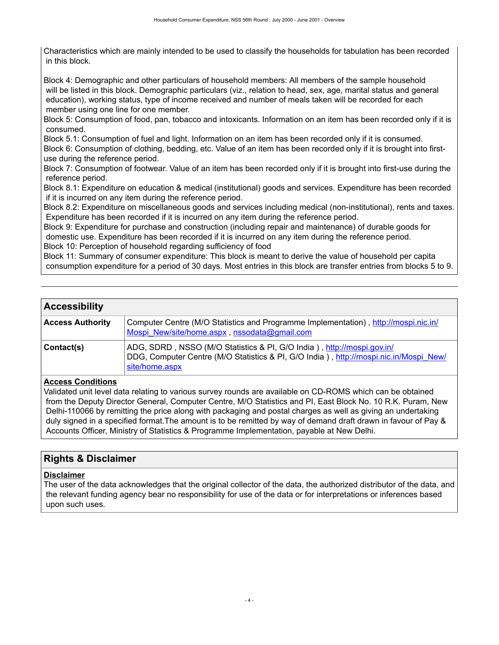Characteristics which are mainly intended to be used to classify the households for tabulation has been recorded in this block.

Block 4: Demographic and other particulars of household members: All members of the sample household will be listed in this block. Demographic particulars (viz., relation to head, sex, age, marital status and general education), working status, type of income received and number of meals taken will be recorded for each member using one line for one member.

Block 5: Consumption of food, pan, tobacco and intoxicants. Information on an item has been recorded only if it is consumed.

Block 5.1: Consumption of fuel and light. Information on an item has been recorded only if it is consumed.

Block 6: Consumption of clothing, bedding, etc. Value of an item has been recorded only if it is brought into firstuse during the reference period.

Block 7: Consumption of footwear. Value of an item has been recorded only if it is brought into first-use during the reference period.

Block 8.1: Expenditure on education & medical (institutional) goods and services. Expenditure has been recorded if it is incurred on any item during the reference period.

Block 8.2: Expenditure on miscellaneous goods and services including medical (non-institutional), rents and taxes. Expenditure has been recorded if it is incurred on any item during the reference period.

Block 9: Expenditure for purchase and construction (including repair and maintenance) of durable goods for domestic use. Expenditure has been recorded if it is incurred on any item during the reference period.

Block 10: Perception of household regarding sufficiency of food

Block 11: Summary of consumer expenditure: This block is meant to derive the value of household per capita consumption expenditure for a period of 30 days. Most entries in this block are transfer entries from blocks 5 to 9.

### <span id="page-7-0"></span>**Accessibility**

| <b>Access Authority</b> | Computer Centre (M/O Statistics and Programme Implementation), http://mospi.nic.in/<br>Mospi New/site/home.aspx, nssodata@gmail.com                                               |
|-------------------------|-----------------------------------------------------------------------------------------------------------------------------------------------------------------------------------|
| Contact(s)              | ADG, SDRD, NSSO (M/O Statistics & PI, G/O India), http://mospi.gov.in/<br>DDG, Computer Centre (M/O Statistics & PI, G/O India), http://mospi.nic.in/Mospi_New/<br>site/home.aspx |

#### **Access Conditions**

Validated unit level data relating to various survey rounds are available on CD-ROMS which can be obtained from the Deputy Director General, Computer Centre, M/O Statistics and PI, East Block No. 10 R.K. Puram, New Delhi-110066 by remitting the price along with packaging and postal charges as well as giving an undertaking duly signed in a specified format.The amount is to be remitted by way of demand draft drawn in favour of Pay & Accounts Officer, Ministry of Statistics & Programme Implementation, payable at New Delhi.

### <span id="page-7-1"></span>**Rights & Disclaimer**

#### **Disclaimer**

The user of the data acknowledges that the original collector of the data, the authorized distributor of the data, and the relevant funding agency bear no responsibility for use of the data or for interpretations or inferences based upon such uses.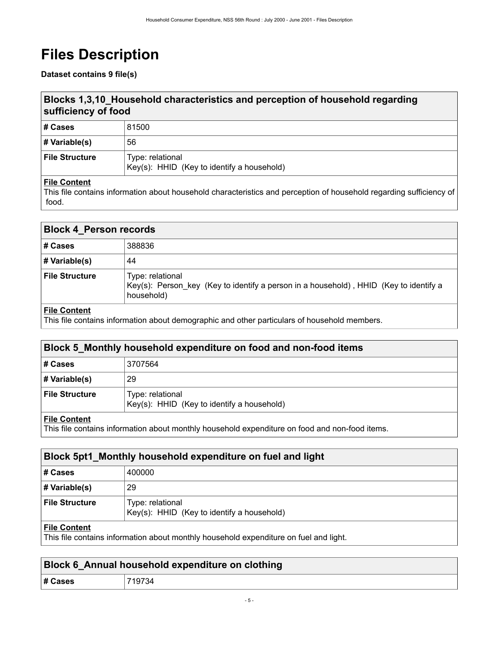# <span id="page-8-0"></span>**Files Description**

**Dataset contains 9 file(s)**

# <span id="page-8-1"></span>**Blocks 1,3,10\_Household characteristics and perception of household regarding sufficiency of food**

| ∣# Cases         | 81500                                                          |
|------------------|----------------------------------------------------------------|
| # Variable(s)    | 56                                                             |
| ∣ File Structure | Type: relational<br>Key(s): HHID (Key to identify a household) |

### **File Content**

This file contains information about household characteristics and perception of household regarding sufficiency of food.

<span id="page-8-2"></span>

| <b>Block 4_Person records</b> |                                                                                                                         |
|-------------------------------|-------------------------------------------------------------------------------------------------------------------------|
| # Cases                       | 388836                                                                                                                  |
| # Variable(s)                 | 44                                                                                                                      |
| <b>File Structure</b>         | Type: relational<br>Key(s): Person key (Key to identify a person in a household), HHID (Key to identify a<br>household) |
| $\blacksquare$                |                                                                                                                         |

#### **File Content**

This file contains information about demographic and other particulars of household members.

### <span id="page-8-3"></span>**Block 5\_Monthly household expenditure on food and non-food items**

| # Cases               | 3707564                                                        |
|-----------------------|----------------------------------------------------------------|
| # Variable(s)         | 29                                                             |
| <b>File Structure</b> | Type: relational<br>Key(s): HHID (Key to identify a household) |

#### **File Content**

This file contains information about monthly household expenditure on food and non-food items.

### <span id="page-8-4"></span>**Block 5pt1\_Monthly household expenditure on fuel and light**

| # Cases               | 400000                                                         |
|-----------------------|----------------------------------------------------------------|
| # Variable(s)         | 29                                                             |
| <b>File Structure</b> | Type: relational<br>Key(s): HHID (Key to identify a household) |

### **File Content**

This file contains information about monthly household expenditure on fuel and light.

<span id="page-8-5"></span>

|         | Block 6_Annual household expenditure on clothing |
|---------|--------------------------------------------------|
| # Cases | 719734                                           |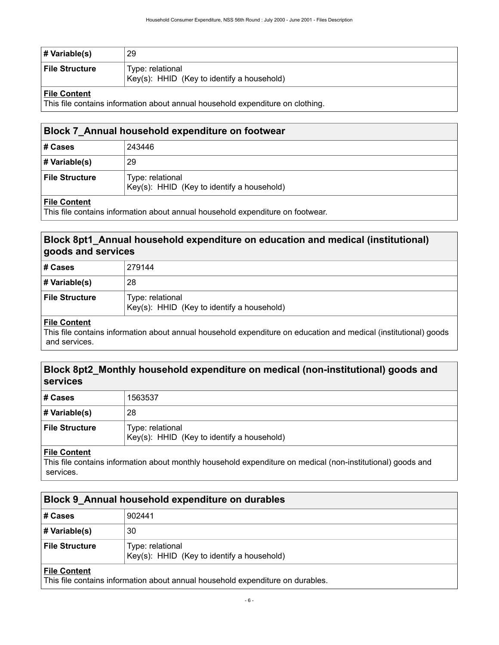| # Variable(s)         | 29                                                             |
|-----------------------|----------------------------------------------------------------|
| <b>File Structure</b> | Type: relational<br>Key(s): HHID (Key to identify a household) |

### **File Content**

This file contains information about annual household expenditure on clothing.

<span id="page-9-0"></span>

| Block 7 Annual household expenditure on footwear |                                                                |  |  |  |  |
|--------------------------------------------------|----------------------------------------------------------------|--|--|--|--|
| # Cases                                          | 243446                                                         |  |  |  |  |
| # Variable(s)                                    | 29                                                             |  |  |  |  |
| <b>File Structure</b>                            | Type: relational<br>Key(s): HHID (Key to identify a household) |  |  |  |  |
|                                                  |                                                                |  |  |  |  |

### **File Content**

This file contains information about annual household expenditure on footwear.

### <span id="page-9-1"></span>**Block 8pt1\_Annual household expenditure on education and medical (institutional) goods and services**

| ∣# Cases         | 279144                                                         |
|------------------|----------------------------------------------------------------|
| # Variable(s)    | 28                                                             |
| ∣ File Structure | Type: relational<br>Key(s): HHID (Key to identify a household) |

### **File Content**

This file contains information about annual household expenditure on education and medical (institutional) goods and services.

### <span id="page-9-2"></span>**Block 8pt2\_Monthly household expenditure on medical (non-institutional) goods and services**

| # Cases               | 1563537                                                        |
|-----------------------|----------------------------------------------------------------|
| # Variable(s)         | 28                                                             |
| <b>File Structure</b> | Type: relational<br>Key(s): HHID (Key to identify a household) |

### **File Content**

This file contains information about monthly household expenditure on medical (non-institutional) goods and services.

<span id="page-9-3"></span>

| Block 9 Annual household expenditure on durables |                                                                |  |  |  |  |
|--------------------------------------------------|----------------------------------------------------------------|--|--|--|--|
| # Cases                                          | 902441                                                         |  |  |  |  |
| $\#$ Variable(s)                                 | 30                                                             |  |  |  |  |
| <b>File Structure</b>                            | Type: relational<br>Key(s): HHID (Key to identify a household) |  |  |  |  |
| <b>File Content</b>                              |                                                                |  |  |  |  |

This file contains information about annual household expenditure on durables.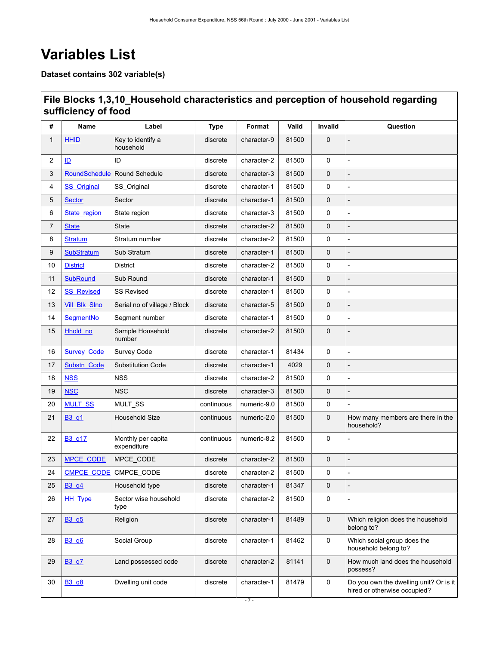# <span id="page-10-0"></span>**Variables List**

**Dataset contains 302 variable(s)**

# <span id="page-10-1"></span>**File Blocks 1,3,10\_Household characteristics and perception of household regarding sufficiency of food**

| #  | Name                           | Label                             | <b>Type</b> | Format      | Valid | Invalid     | Question                                                               |
|----|--------------------------------|-----------------------------------|-------------|-------------|-------|-------------|------------------------------------------------------------------------|
| 1  | <b>HHID</b>                    | Key to identify a<br>household    | discrete    | character-9 | 81500 | $\mathbf 0$ | $\overline{a}$                                                         |
| 2  | ID                             | ID                                | discrete    | character-2 | 81500 | 0           | $\overline{a}$                                                         |
| 3  |                                | RoundSchedule Round Schedule      | discrete    | character-3 | 81500 | 0           |                                                                        |
| 4  | <b>SS</b> Original             | SS_Original                       | discrete    | character-1 | 81500 | 0           | $\overline{a}$                                                         |
| 5  | <b>Sector</b>                  | Sector                            | discrete    | character-1 | 81500 | $\mathbf 0$ |                                                                        |
| 6  | State region                   | State region                      | discrete    | character-3 | 81500 | 0           | $\overline{a}$                                                         |
| 7  | <b>State</b>                   | <b>State</b>                      | discrete    | character-2 | 81500 | 0           | $\overline{a}$                                                         |
| 8  | <b>Stratum</b>                 | Stratum number                    | discrete    | character-2 | 81500 | 0           |                                                                        |
| 9  | <b>SubStratum</b>              | Sub Stratum                       | discrete    | character-1 | 81500 | $\mathbf 0$ |                                                                        |
| 10 | <b>District</b>                | <b>District</b>                   | discrete    | character-2 | 81500 | 0           | $\overline{a}$                                                         |
| 11 | <b>SubRound</b>                | Sub Round                         | discrete    | character-1 | 81500 | 0           |                                                                        |
| 12 | <b>SS Revised</b>              | <b>SS Revised</b>                 | discrete    | character-1 | 81500 | 0           | $\overline{a}$                                                         |
| 13 | <b>Vill Blk Slno</b>           | Serial no of village / Block      | discrete    | character-5 | 81500 | 0           | $\overline{a}$                                                         |
| 14 | SegmentNo                      | Segment number                    | discrete    | character-1 | 81500 | 0           |                                                                        |
| 15 | Hhold no                       | Sample Household<br>number        | discrete    | character-2 | 81500 | $\mathbf 0$ |                                                                        |
| 16 | <b>Survey Code</b>             | Survey Code                       | discrete    | character-1 | 81434 | 0           | $\overline{a}$                                                         |
| 17 | Substn Code                    | <b>Substitution Code</b>          | discrete    | character-1 | 4029  | $\mathbf 0$ | $\overline{a}$                                                         |
| 18 | <b>NSS</b>                     | <b>NSS</b>                        | discrete    | character-2 | 81500 | 0           | $\overline{a}$                                                         |
| 19 | <b>NSC</b>                     | <b>NSC</b>                        | discrete    | character-3 | 81500 | $\mathbf 0$ |                                                                        |
| 20 | <b>MULT_SS</b>                 | MULT_SS                           | continuous  | numeric-9.0 | 81500 | 0           |                                                                        |
| 21 | B <sub>3</sub> q <sub>1</sub>  | Household Size                    | continuous  | numeric-2.0 | 81500 | $\mathbf 0$ | How many members are there in the<br>household?                        |
| 22 | B <sub>3</sub> q <sub>17</sub> | Monthly per capita<br>expenditure | continuous  | numeric-8.2 | 81500 | 0           | $\overline{a}$                                                         |
| 23 | <b>MPCE CODE</b>               | MPCE_CODE                         | discrete    | character-2 | 81500 | $\mathbf 0$ |                                                                        |
| 24 | <b>CMPCE CODE</b>              | CMPCE_CODE                        | discrete    | character-2 | 81500 | 0           | $\overline{a}$                                                         |
| 25 | B <sub>3</sub> q <sub>4</sub>  | Household type                    | discrete    | character-1 | 81347 | 0           |                                                                        |
| 26 | <b>HH_Type</b>                 | Sector wise household<br>type     | discrete    | character-2 | 81500 | 0           |                                                                        |
| 27 | B3 q5                          | Religion                          | discrete    | character-1 | 81489 | 0           | Which religion does the household<br>belong to?                        |
| 28 | <b>B3 q6</b>                   | Social Group                      | discrete    | character-1 | 81462 | 0           | Which social group does the<br>household belong to?                    |
| 29 | <b>B3 q7</b>                   | Land possessed code               | discrete    | character-2 | 81141 | $\mathbf 0$ | How much land does the household<br>possess?                           |
| 30 | B3_q8                          | Dwelling unit code                | discrete    | character-1 | 81479 | 0           | Do you own the dwelling unit? Or is it<br>hired or otherwise occupied? |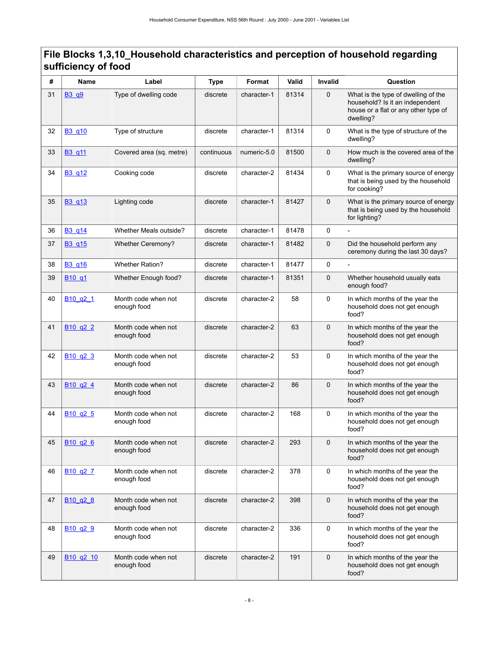| #  | <b>Name</b>                       | Label                              | <b>Type</b> | Format      | Valid | Invalid      | Question                                                                                                                    |
|----|-----------------------------------|------------------------------------|-------------|-------------|-------|--------------|-----------------------------------------------------------------------------------------------------------------------------|
| 31 | B3_q9                             | Type of dwelling code              | discrete    | character-1 | 81314 | $\mathbf 0$  | What is the type of dwelling of the<br>household? Is it an independent<br>house or a flat or any other type of<br>dwelling? |
| 32 | B <sub>3</sub> q <sub>10</sub>    | Type of structure                  | discrete    | character-1 | 81314 | 0            | What is the type of structure of the<br>dwelling?                                                                           |
| 33 | B3_q11                            | Covered area (sq. metre)           | continuous  | numeric-5.0 | 81500 | $\mathbf{0}$ | How much is the covered area of the<br>dwelling?                                                                            |
| 34 | B3_q12                            | Cooking code                       | discrete    | character-2 | 81434 | 0            | What is the primary source of energy<br>that is being used by the household<br>for cooking?                                 |
| 35 | B <sub>3</sub> q <sub>13</sub>    | Lighting code                      | discrete    | character-1 | 81427 | $\mathbf 0$  | What is the primary source of energy<br>that is being used by the household<br>for lighting?                                |
| 36 | B3_q14                            | Whether Meals outside?             | discrete    | character-1 | 81478 | 0            |                                                                                                                             |
| 37 | B <sub>3</sub> q <sub>15</sub>    | Whether Ceremony?                  | discrete    | character-1 | 81482 | $\mathbf{0}$ | Did the household perform any<br>ceremony during the last 30 days?                                                          |
| 38 | B3_q16                            | <b>Whether Ration?</b>             | discrete    | character-1 | 81477 | $\Omega$     |                                                                                                                             |
| 39 | B <sub>10</sub> q <sub>1</sub>    | Whether Enough food?               | discrete    | character-1 | 81351 | $\mathbf 0$  | Whether household usually eats<br>enough food?                                                                              |
| 40 | B <sub>10</sub> q <sub>2</sub> 1  | Month code when not<br>enough food | discrete    | character-2 | 58    | 0            | In which months of the year the<br>household does not get enough<br>food?                                                   |
| 41 | B <sub>10</sub> q <sub>2</sub> 2  | Month code when not<br>enough food | discrete    | character-2 | 63    | $\mathbf 0$  | In which months of the year the<br>household does not get enough<br>food?                                                   |
| 42 | B <sub>10</sub> q <sub>2</sub> 3  | Month code when not<br>enough food | discrete    | character-2 | 53    | $\mathbf 0$  | In which months of the year the<br>household does not get enough<br>food?                                                   |
| 43 | B <sub>10</sub> q <sub>2</sub> 4  | Month code when not<br>enough food | discrete    | character-2 | 86    | 0            | In which months of the year the<br>household does not get enough<br>food?                                                   |
| 44 | B <sub>10</sub> q <sub>2</sub> 5  | Month code when not<br>enough food | discrete    | character-2 | 168   | 0            | In which months of the year the<br>household does not get enough<br>food?                                                   |
| 45 | B10 q26                           | Month code when not<br>enough food | discrete    | character-2 | 293   | 0            | In which months of the year the<br>household does not get enough<br>food?                                                   |
| 46 | B <sub>10</sub> q <sub>2</sub> 7  | Month code when not<br>enough food | discrete    | character-2 | 378   | 0            | In which months of the year the<br>household does not get enough<br>food?                                                   |
| 47 | B <sub>10</sub> q <sub>2</sub> 8  | Month code when not<br>enough food | discrete    | character-2 | 398   | $\mathbf 0$  | In which months of the year the<br>household does not get enough<br>food?                                                   |
| 48 | B <sub>10</sub> q <sub>2</sub> 9  | Month code when not<br>enough food | discrete    | character-2 | 336   | 0            | In which months of the year the<br>household does not get enough<br>food?                                                   |
| 49 | B <sub>10</sub> q <sub>2</sub> 10 | Month code when not<br>enough food | discrete    | character-2 | 191   | $\mathbf 0$  | In which months of the year the<br>household does not get enough<br>food?                                                   |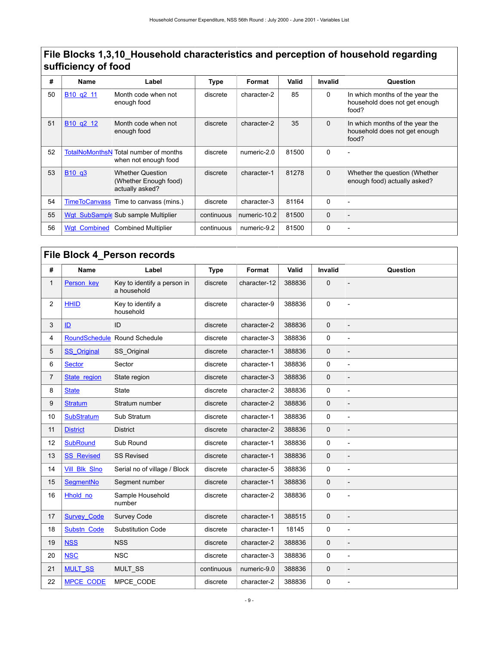| #  | <b>Name</b>                                   | Label                                                                | <b>Type</b> | Format       | Valid | Invalid  | Question                                                                  |
|----|-----------------------------------------------|----------------------------------------------------------------------|-------------|--------------|-------|----------|---------------------------------------------------------------------------|
| 50 | B <sub>10</sub> q <sub>2</sub> <sub>11</sub>  | Month code when not<br>enough food                                   | discrete    | character-2  | 85    | $\Omega$ | In which months of the year the<br>household does not get enough<br>food? |
| 51 | B <sub>10</sub> q <sub>2</sub> 1 <sub>2</sub> | Month code when not<br>enough food                                   | discrete    | character-2  | 35    | $\Omega$ | In which months of the year the<br>household does not get enough<br>food? |
| 52 |                                               | <b>TotalNoMonthsN Total number of months</b><br>when not enough food | discrete    | numeric-2.0  | 81500 | $\Omega$ | $\overline{\phantom{0}}$                                                  |
| 53 | B <sub>10</sub> q <sub>3</sub>                | <b>Whether Question</b><br>(Whether Enough food)<br>actually asked?  | discrete    | character-1  | 81278 | $\Omega$ | Whether the question (Whether<br>enough food) actually asked?             |
| 54 | TimeToCanvass                                 | Time to canvass (mins.)                                              | discrete    | character-3  | 81164 | $\Omega$ |                                                                           |
| 55 |                                               | Wgt SubSample Sub sample Multiplier                                  | continuous  | numeric-10.2 | 81500 | $\Omega$ |                                                                           |
| 56 | <b>Wgt Combined</b>                           | <b>Combined Multiplier</b>                                           | continuous  | numeric-9.2  | 81500 | $\Omega$ |                                                                           |

<span id="page-12-0"></span>

| File Block 4_Person records |                      |                                            |             |              |        |              |                |  |  |  |
|-----------------------------|----------------------|--------------------------------------------|-------------|--------------|--------|--------------|----------------|--|--|--|
| #                           | <b>Name</b>          | Label                                      | <b>Type</b> | Format       | Valid  | Invalid      | Question       |  |  |  |
| 1                           | Person key           | Key to identify a person in<br>a household | discrete    | character-12 | 388836 | $\mathbf 0$  |                |  |  |  |
| 2                           | <b>HHID</b>          | Key to identify a<br>household             | discrete    | character-9  | 388836 | 0            |                |  |  |  |
| 3                           | ID                   | ID                                         | discrete    | character-2  | 388836 | $\mathbf{0}$ |                |  |  |  |
| 4                           | <b>RoundSchedule</b> | Round Schedule                             | discrete    | character-3  | 388836 | 0            | $\overline{a}$ |  |  |  |
| 5                           | <b>SS</b> Original   | SS Original                                | discrete    | character-1  | 388836 | $\mathbf 0$  |                |  |  |  |
| 6                           | <b>Sector</b>        | Sector                                     | discrete    | character-1  | 388836 | 0            | $\overline{a}$ |  |  |  |
| 7                           | State region         | State region                               | discrete    | character-3  | 388836 | 0            |                |  |  |  |
| 8                           | <b>State</b>         | <b>State</b>                               | discrete    | character-2  | 388836 | 0            |                |  |  |  |
| 9                           | <b>Stratum</b>       | Stratum number                             | discrete    | character-2  | 388836 | $\mathbf 0$  |                |  |  |  |
| 10                          | <b>SubStratum</b>    | Sub Stratum                                | discrete    | character-1  | 388836 | 0            |                |  |  |  |
| 11                          | <b>District</b>      | <b>District</b>                            | discrete    | character-2  | 388836 | $\mathbf 0$  |                |  |  |  |
| 12                          | <b>SubRound</b>      | Sub Round                                  | discrete    | character-1  | 388836 | 0            |                |  |  |  |
| 13                          | <b>SS Revised</b>    | <b>SS Revised</b>                          | discrete    | character-1  | 388836 | $\mathbf 0$  |                |  |  |  |
| 14                          | <b>Vill Blk Slno</b> | Serial no of village / Block               | discrete    | character-5  | 388836 | 0            |                |  |  |  |
| 15                          | SegmentNo            | Segment number                             | discrete    | character-1  | 388836 | $\mathbf 0$  |                |  |  |  |
| 16                          | Hhold no             | Sample Household<br>number                 | discrete    | character-2  | 388836 | 0            |                |  |  |  |
| 17                          | <b>Survey Code</b>   | Survey Code                                | discrete    | character-1  | 388515 | $\mathbf 0$  |                |  |  |  |
| 18                          | Substn Code          | <b>Substitution Code</b>                   | discrete    | character-1  | 18145  | 0            | $\overline{a}$ |  |  |  |
| 19                          | <b>NSS</b>           | <b>NSS</b>                                 | discrete    | character-2  | 388836 | $\mathbf 0$  |                |  |  |  |
| 20                          | <b>NSC</b>           | <b>NSC</b>                                 | discrete    | character-3  | 388836 | 0            | $\overline{a}$ |  |  |  |
| 21                          | <b>MULT_SS</b>       | MULT_SS                                    | continuous  | numeric-9.0  | 388836 | 0            |                |  |  |  |
| 22                          | <b>MPCE CODE</b>     | MPCE_CODE                                  | discrete    | character-2  | 388836 | 0            |                |  |  |  |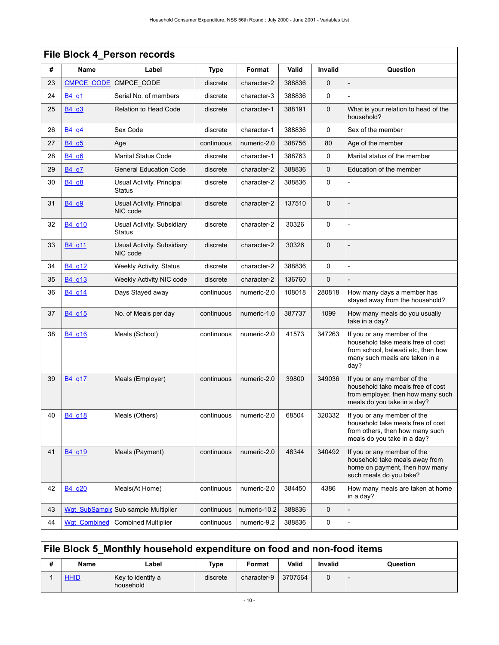|    | File Block 4_Person records    |                                             |             |              |              |                |                                                                                                                                                  |  |  |  |  |
|----|--------------------------------|---------------------------------------------|-------------|--------------|--------------|----------------|--------------------------------------------------------------------------------------------------------------------------------------------------|--|--|--|--|
| #  | <b>Name</b>                    | Label                                       | <b>Type</b> | Format       | <b>Valid</b> | <b>Invalid</b> | Question                                                                                                                                         |  |  |  |  |
| 23 | CMPCE CODE                     | CMPCE_CODE                                  | discrete    | character-2  | 388836       | 0              |                                                                                                                                                  |  |  |  |  |
| 24 | B <sub>4</sub> q <sub>1</sub>  | Serial No. of members                       | discrete    | character-3  | 388836       | 0              |                                                                                                                                                  |  |  |  |  |
| 25 | B <sub>4</sub> q <sub>3</sub>  | <b>Relation to Head Code</b>                | discrete    | character-1  | 388191       | 0              | What is your relation to head of the<br>household?                                                                                               |  |  |  |  |
| 26 | B <sub>4</sub> q <sub>4</sub>  | Sex Code                                    | discrete    | character-1  | 388836       | 0              | Sex of the member                                                                                                                                |  |  |  |  |
| 27 | B4q5                           | Age                                         | continuous  | numeric-2.0  | 388756       | 80             | Age of the member                                                                                                                                |  |  |  |  |
| 28 | B <sub>4</sub> q <sub>6</sub>  | <b>Marital Status Code</b>                  | discrete    | character-1  | 388763       | 0              | Marital status of the member                                                                                                                     |  |  |  |  |
| 29 | B4 q7                          | <b>General Education Code</b>               | discrete    | character-2  | 388836       | 0              | Education of the member                                                                                                                          |  |  |  |  |
| 30 | B <sub>4</sub> q <sub>8</sub>  | Usual Activity. Principal<br><b>Status</b>  | discrete    | character-2  | 388836       | 0              |                                                                                                                                                  |  |  |  |  |
| 31 | B <sub>4</sub> q <sub>9</sub>  | Usual Activity. Principal<br>NIC code       | discrete    | character-2  | 137510       | $\mathbf 0$    |                                                                                                                                                  |  |  |  |  |
| 32 | B4 q10                         | Usual Activity. Subsidiary<br><b>Status</b> | discrete    | character-2  | 30326        | $\mathbf 0$    |                                                                                                                                                  |  |  |  |  |
| 33 | B <sub>4</sub> q <sub>11</sub> | Usual Activity. Subsidiary<br>NIC code      | discrete    | character-2  | 30326        | 0              |                                                                                                                                                  |  |  |  |  |
| 34 | B <sub>4</sub> q <sub>12</sub> | <b>Weekly Activity. Status</b>              | discrete    | character-2  | 388836       | 0              |                                                                                                                                                  |  |  |  |  |
| 35 | B <sub>4</sub> q <sub>13</sub> | Weekly Activity NIC code                    | discrete    | character-2  | 136760       | 0              |                                                                                                                                                  |  |  |  |  |
| 36 | B4 q14                         | Days Stayed away                            | continuous  | numeric-2.0  | 108018       | 280818         | How many days a member has<br>stayed away from the household?                                                                                    |  |  |  |  |
| 37 | B <sub>4</sub> q <sub>15</sub> | No. of Meals per day                        | continuous  | numeric-1.0  | 387737       | 1099           | How many meals do you usually<br>take in a day?                                                                                                  |  |  |  |  |
| 38 | B <sub>4</sub> q <sub>16</sub> | Meals (School)                              | continuous  | numeric-2.0  | 41573        | 347263         | If you or any member of the<br>household take meals free of cost<br>from school, balwadi etc, then how<br>many such meals are taken in a<br>day? |  |  |  |  |
| 39 | B4 g17                         | Meals (Employer)                            | continuous  | numeric-2.0  | 39800        | 349036         | If you or any member of the<br>household take meals free of cost<br>from employer, then how many such<br>meals do you take in a day?             |  |  |  |  |
| 40 | B <sub>4_q18</sub>             | Meals (Others)                              | continuous  | numeric-2.0  | 68504        | 320332         | If you or any member of the<br>household take meals free of cost<br>from others, then how many such<br>meals do you take in a day?               |  |  |  |  |
| 41 | B4 q19                         | Meals (Payment)                             | continuous  | numeric-2.0  | 48344        | 340492         | If you or any member of the<br>household take meals away from<br>home on payment, then how many<br>such meals do you take?                       |  |  |  |  |
| 42 | B4 q20                         | Meals(At Home)                              | continuous  | numeric-2.0  | 384450       | 4386           | How many meals are taken at home<br>in a day?                                                                                                    |  |  |  |  |
| 43 |                                | Wgt_SubSample Sub sample Multiplier         | continuous  | numeric-10.2 | 388836       | 0              |                                                                                                                                                  |  |  |  |  |
| 44 | <b>Wgt Combined</b>            | <b>Combined Multiplier</b>                  | continuous  | numeric-9.2  | 388836       | 0              | $\overline{a}$                                                                                                                                   |  |  |  |  |

# <span id="page-13-0"></span>**File Block 5\_Monthly household expenditure on food and non-food items**

| ., | Name        | ∟abel                          | Type     | Format      | Valid   | Invalid | Question |
|----|-------------|--------------------------------|----------|-------------|---------|---------|----------|
|    | <b>HHID</b> | Key to identify a<br>household | discrete | character-9 | 3707564 |         |          |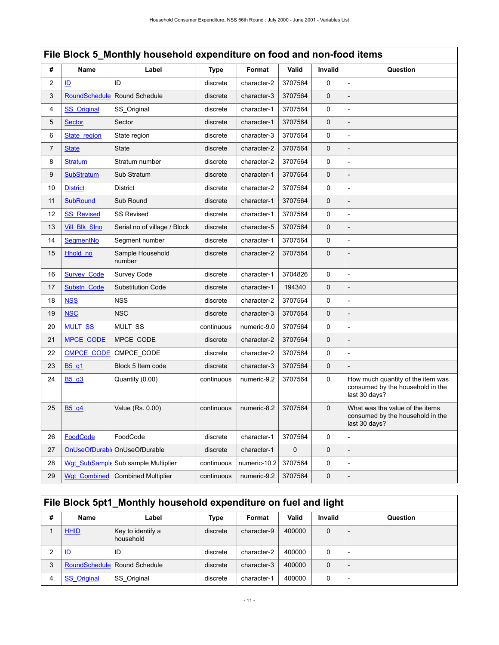# **File Block 5\_Monthly household expenditure on food and non-food items**

| #              | <b>Name</b>                   | Label                               | <b>Type</b> | Format       | Valid       | Invalid      | Question                                                                               |
|----------------|-------------------------------|-------------------------------------|-------------|--------------|-------------|--------------|----------------------------------------------------------------------------------------|
| 2              | ID                            | ID                                  | discrete    | character-2  | 3707564     | $\Omega$     |                                                                                        |
| 3              | <b>RoundSchedule</b>          | Round Schedule                      | discrete    | character-3  | 3707564     | $\mathbf 0$  |                                                                                        |
| 4              | <b>SS</b> Original            | SS Original                         | discrete    | character-1  | 3707564     | 0            | $\overline{a}$                                                                         |
| 5              | <b>Sector</b>                 | Sector                              | discrete    | character-1  | 3707564     | $\mathbf 0$  |                                                                                        |
| 6              | State region                  | State region                        | discrete    | character-3  | 3707564     | 0            | $\overline{a}$                                                                         |
| $\overline{7}$ | <b>State</b>                  | <b>State</b>                        | discrete    | character-2  | 3707564     | $\mathbf 0$  |                                                                                        |
| 8              | <b>Stratum</b>                | Stratum number                      | discrete    | character-2  | 3707564     | 0            | $\overline{a}$                                                                         |
| 9              | <b>SubStratum</b>             | Sub Stratum                         | discrete    | character-1  | 3707564     | $\mathbf 0$  | $\overline{a}$                                                                         |
| 10             | <b>District</b>               | <b>District</b>                     | discrete    | character-2  | 3707564     | 0            | $\overline{a}$                                                                         |
| 11             | <b>SubRound</b>               | Sub Round                           | discrete    | character-1  | 3707564     | $\mathbf 0$  |                                                                                        |
| 12             | <b>SS Revised</b>             | <b>SS Revised</b>                   | discrete    | character-1  | 3707564     | 0            | $\overline{a}$                                                                         |
| 13             | Vill_Blk_Slno                 | Serial no of village / Block        | discrete    | character-5  | 3707564     | $\mathbf 0$  |                                                                                        |
| 14             | SegmentNo                     | Segment number                      | discrete    | character-1  | 3707564     | 0            | $\overline{a}$                                                                         |
| 15             | Hhold no                      | Sample Household<br>number          | discrete    | character-2  | 3707564     | $\mathbf 0$  |                                                                                        |
| 16             | <b>Survey Code</b>            | Survey Code                         | discrete    | character-1  | 3704826     | $\mathbf{0}$ | $\overline{a}$                                                                         |
| 17             | Substn Code                   | <b>Substitution Code</b>            | discrete    | character-1  | 194340      | $\mathbf 0$  |                                                                                        |
| 18             | <b>NSS</b>                    | <b>NSS</b>                          | discrete    | character-2  | 3707564     | 0            | $\overline{a}$                                                                         |
| 19             | <b>NSC</b>                    | <b>NSC</b>                          | discrete    | character-3  | 3707564     | $\mathbf 0$  |                                                                                        |
| 20             | <b>MULT_SS</b>                | MULT_SS                             | continuous  | numeric-9.0  | 3707564     | 0            | $\overline{a}$                                                                         |
| 21             | <b>MPCE CODE</b>              | MPCE CODE                           | discrete    | character-2  | 3707564     | $\mathbf 0$  |                                                                                        |
| 22             | <b>CMPCE CODE</b>             | CMPCE CODE                          | discrete    | character-2  | 3707564     | 0            | $\overline{a}$                                                                         |
| 23             | B <sub>5</sub> q <sub>1</sub> | Block 5 Item code                   | discrete    | character-3  | 3707564     | $\mathbf 0$  | $\overline{a}$                                                                         |
| 24             | B5 q3                         | Quantity (0.00)                     | continuous  | numeric-9.2  | 3707564     | 0            | How much quantity of the item was<br>consumed by the household in the<br>last 30 days? |
| 25             | B5_q4                         | Value (Rs. 0.00)                    | continuous  | numeric-8.2  | 3707564     | $\mathbf 0$  | What was the value of the items<br>consumed by the household in the<br>last 30 days?   |
| 26             | <b>FoodCode</b>               | FoodCode                            | discrete    | character-1  | 3707564     | 0            |                                                                                        |
| 27             |                               | OnUseOfDurabl OnUseOfDurable        | discrete    | character-1  | $\mathbf 0$ | $\mathbf 0$  |                                                                                        |
| 28             |                               | Wgt SubSample Sub sample Multiplier | continuous  | numeric-10.2 | 3707564     | 0            | $\overline{a}$                                                                         |
| 29             | <b>Wgt Combined</b>           | <b>Combined Multiplier</b>          | continuous  | numeric-9.2  | 3707564     | $\mathbf 0$  |                                                                                        |

# <span id="page-14-0"></span>**File Block 5pt1\_Monthly household expenditure on fuel and light**

| # | Name               | Label                          | <b>Type</b> | Format      | Valid  | <b>Invalid</b> | Question |
|---|--------------------|--------------------------------|-------------|-------------|--------|----------------|----------|
|   | <b>HHID</b>        | Key to identify a<br>household | discrete    | character-9 | 400000 | $\mathbf 0$    |          |
|   | ID                 | ID                             | discrete    | character-2 | 400000 | 0              |          |
| 3 |                    | RoundSchedule Round Schedule   | discrete    | character-3 | 400000 | $\mathbf 0$    |          |
|   | <b>SS</b> Original | SS Original                    | discrete    | character-1 | 400000 | 0              |          |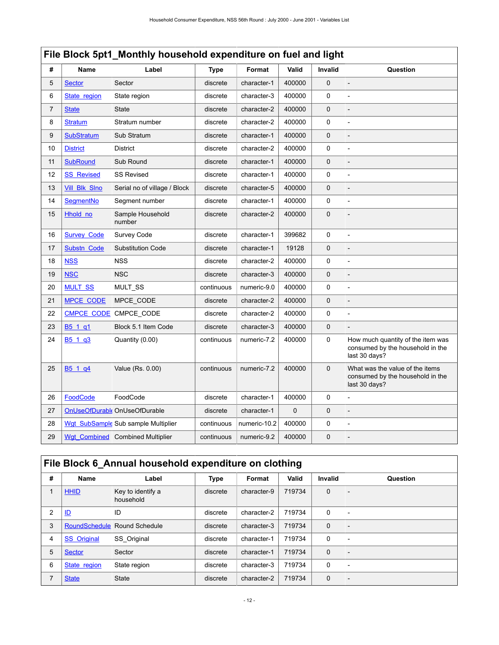| #  | Name               | Label                               | <b>Type</b> | Format       | Valid       | Invalid     | Question                                                                               |  |  |  |  |
|----|--------------------|-------------------------------------|-------------|--------------|-------------|-------------|----------------------------------------------------------------------------------------|--|--|--|--|
| 5  | <b>Sector</b>      | Sector                              | discrete    | character-1  | 400000      | $\mathbf 0$ | $\overline{a}$                                                                         |  |  |  |  |
| 6  | State region       | State region                        | discrete    | character-3  | 400000      | 0           | $\overline{a}$                                                                         |  |  |  |  |
| 7  | <b>State</b>       | <b>State</b>                        | discrete    | character-2  | 400000      | $\mathbf 0$ |                                                                                        |  |  |  |  |
| 8  | <b>Stratum</b>     | Stratum number                      | discrete    | character-2  | 400000      | 0           | $\overline{a}$                                                                         |  |  |  |  |
| 9  | <b>SubStratum</b>  | Sub Stratum                         | discrete    | character-1  | 400000      | $\mathbf 0$ |                                                                                        |  |  |  |  |
| 10 | <b>District</b>    | <b>District</b>                     | discrete    | character-2  | 400000      | 0           |                                                                                        |  |  |  |  |
| 11 | <b>SubRound</b>    | Sub Round                           | discrete    | character-1  | 400000      | $\mathbf 0$ |                                                                                        |  |  |  |  |
| 12 | <b>SS Revised</b>  | <b>SS Revised</b>                   | discrete    | character-1  | 400000      | 0           |                                                                                        |  |  |  |  |
| 13 | Vill_Blk_Slno      | Serial no of village / Block        | discrete    | character-5  | 400000      | 0           |                                                                                        |  |  |  |  |
| 14 | <b>SegmentNo</b>   | Segment number                      | discrete    | character-1  | 400000      | 0           |                                                                                        |  |  |  |  |
| 15 | Hhold no           | Sample Household<br>number          | discrete    | character-2  | 400000      | $\mathbf 0$ |                                                                                        |  |  |  |  |
| 16 | <b>Survey Code</b> | Survey Code                         | discrete    | character-1  | 399682      | 0           | $\overline{a}$                                                                         |  |  |  |  |
| 17 | Substn Code        | <b>Substitution Code</b>            | discrete    | character-1  | 19128       | $\mathbf 0$ |                                                                                        |  |  |  |  |
| 18 | <b>NSS</b>         | <b>NSS</b>                          | discrete    | character-2  | 400000      | 0           | $\overline{a}$                                                                         |  |  |  |  |
| 19 | <b>NSC</b>         | <b>NSC</b>                          | discrete    | character-3  | 400000      | $\mathbf 0$ |                                                                                        |  |  |  |  |
| 20 | <b>MULT SS</b>     | MULT_SS                             | continuous  | numeric-9.0  | 400000      | 0           | $\overline{a}$                                                                         |  |  |  |  |
| 21 | <b>MPCE CODE</b>   | MPCE_CODE                           | discrete    | character-2  | 400000      | $\mathbf 0$ |                                                                                        |  |  |  |  |
| 22 | <b>CMPCE CODE</b>  | CMPCE_CODE                          | discrete    | character-2  | 400000      | 0           |                                                                                        |  |  |  |  |
| 23 | B5_1_q1            | Block 5.1 Item Code                 | discrete    | character-3  | 400000      | 0           |                                                                                        |  |  |  |  |
| 24 | B5_1_q3            | Quantity (0.00)                     | continuous  | numeric-7.2  | 400000      | 0           | How much quantity of the item was<br>consumed by the household in the<br>last 30 days? |  |  |  |  |
| 25 | B5_1_q4            | Value (Rs. 0.00)                    | continuous  | numeric-7.2  | 400000      | $\mathbf 0$ | What was the value of the items<br>consumed by the household in the<br>last 30 days?   |  |  |  |  |
| 26 | FoodCode           | FoodCode                            | discrete    | character-1  | 400000      | 0           | $\overline{a}$                                                                         |  |  |  |  |
| 27 |                    | OnUseOfDurabl OnUseOfDurable        | discrete    | character-1  | $\mathbf 0$ | $\mathbf 0$ |                                                                                        |  |  |  |  |
| 28 |                    | Wgt SubSample Sub sample Multiplier | continuous  | numeric-10.2 | 400000      | 0           |                                                                                        |  |  |  |  |
| 29 | Wgt Combined       | <b>Combined Multiplier</b>          | continuous  | numeric-9.2  | 400000      | $\pmb{0}$   |                                                                                        |  |  |  |  |

# <span id="page-15-0"></span>**File Block 6\_Annual household expenditure on clothing**

| #              | Name                 | Label                          | <b>Type</b> | Format      | Valid  | <b>Invalid</b> | Question                 |
|----------------|----------------------|--------------------------------|-------------|-------------|--------|----------------|--------------------------|
|                | <b>HHID</b>          | Key to identify a<br>household | discrete    | character-9 | 719734 | $\mathbf 0$    | $\overline{\phantom{a}}$ |
| 2              | $\mathbf{D}$         | ID                             | discrete    | character-2 | 719734 | $\mathbf 0$    | $\overline{\phantom{a}}$ |
| 3              | <b>RoundSchedule</b> | Round Schedule                 | discrete    | character-3 | 719734 | $\mathbf 0$    |                          |
| $\overline{4}$ | <b>SS</b> Original   | SS Original                    | discrete    | character-1 | 719734 | 0              | $\overline{\phantom{0}}$ |
| 5              | <b>Sector</b>        | Sector                         | discrete    | character-1 | 719734 | $\mathbf{0}$   |                          |
| 6              | State region         | State region                   | discrete    | character-3 | 719734 | 0              | $\overline{\phantom{0}}$ |
| 7              | <b>State</b>         | <b>State</b>                   | discrete    | character-2 | 719734 | $\mathbf{0}$   |                          |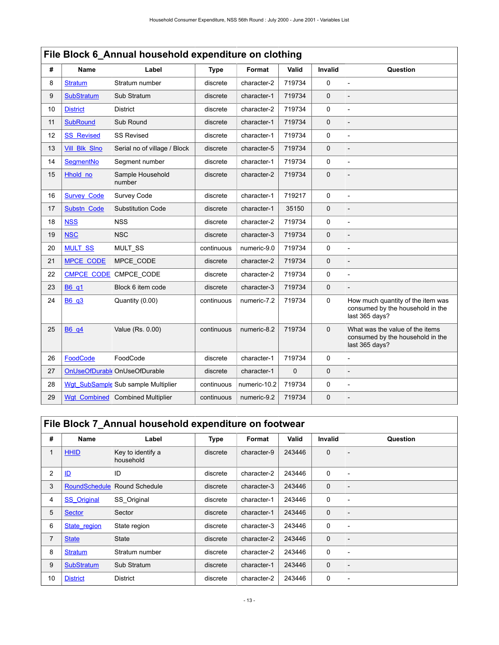|    | File Block 6 Annual household expenditure on clothing |                                     |             |              |             |             |                                                                                         |  |  |  |  |
|----|-------------------------------------------------------|-------------------------------------|-------------|--------------|-------------|-------------|-----------------------------------------------------------------------------------------|--|--|--|--|
| #  | Name                                                  | Label                               | <b>Type</b> | Format       | Valid       | Invalid     | Question                                                                                |  |  |  |  |
| 8  | <b>Stratum</b>                                        | Stratum number                      | discrete    | character-2  | 719734      | 0           |                                                                                         |  |  |  |  |
| 9  | <b>SubStratum</b>                                     | Sub Stratum                         | discrete    | character-1  | 719734      | $\mathbf 0$ |                                                                                         |  |  |  |  |
| 10 | <b>District</b>                                       | <b>District</b>                     | discrete    | character-2  | 719734      | $\mathbf 0$ |                                                                                         |  |  |  |  |
| 11 | <b>SubRound</b>                                       | Sub Round                           | discrete    | character-1  | 719734      | $\pmb{0}$   |                                                                                         |  |  |  |  |
| 12 | <b>SS_Revised</b>                                     | <b>SS Revised</b>                   | discrete    | character-1  | 719734      | 0           |                                                                                         |  |  |  |  |
| 13 | <b>Vill Blk Slno</b>                                  | Serial no of village / Block        | discrete    | character-5  | 719734      | $\pmb{0}$   |                                                                                         |  |  |  |  |
| 14 | SegmentNo                                             | Segment number                      | discrete    | character-1  | 719734      | $\Omega$    |                                                                                         |  |  |  |  |
| 15 | Hhold no                                              | Sample Household<br>number          | discrete    | character-2  | 719734      | $\mathbf 0$ | $\overline{a}$                                                                          |  |  |  |  |
| 16 | <b>Survey Code</b>                                    | Survey Code                         | discrete    | character-1  | 719217      | 0           |                                                                                         |  |  |  |  |
| 17 | Substn Code                                           | <b>Substitution Code</b>            | discrete    | character-1  | 35150       | $\mathbf 0$ |                                                                                         |  |  |  |  |
| 18 | <b>NSS</b>                                            | <b>NSS</b>                          | discrete    | character-2  | 719734      | 0           | $\overline{a}$                                                                          |  |  |  |  |
| 19 | <b>NSC</b>                                            | <b>NSC</b>                          | discrete    | character-3  | 719734      | $\mathbf 0$ |                                                                                         |  |  |  |  |
| 20 | <b>MULT SS</b>                                        | <b>MULT SS</b>                      | continuous  | numeric-9.0  | 719734      | 0           |                                                                                         |  |  |  |  |
| 21 | <b>MPCE CODE</b>                                      | MPCE CODE                           | discrete    | character-2  | 719734      | $\mathbf 0$ |                                                                                         |  |  |  |  |
| 22 | <b>CMPCE CODE</b>                                     | CMPCE_CODE                          | discrete    | character-2  | 719734      | 0           | $\overline{a}$                                                                          |  |  |  |  |
| 23 | <b>B6</b> q1                                          | Block 6 item code                   | discrete    | character-3  | 719734      | $\mathbf 0$ |                                                                                         |  |  |  |  |
| 24 | <b>B6 q3</b>                                          | Quantity (0.00)                     | continuous  | numeric-7.2  | 719734      | $\mathbf 0$ | How much quantity of the item was<br>consumed by the household in the<br>last 365 days? |  |  |  |  |
| 25 | <b>B6</b> q4                                          | Value (Rs. 0.00)                    | continuous  | numeric-8.2  | 719734      | $\mathbf 0$ | What was the value of the items<br>consumed by the household in the<br>last 365 days?   |  |  |  |  |
| 26 | FoodCode                                              | FoodCode                            | discrete    | character-1  | 719734      | 0           |                                                                                         |  |  |  |  |
| 27 |                                                       | OnUseOfDurable OnUseOfDurable       | discrete    | character-1  | $\mathbf 0$ | $\pmb{0}$   |                                                                                         |  |  |  |  |
| 28 |                                                       | Wgt SubSample Sub sample Multiplier | continuous  | numeric-10.2 | 719734      | 0           |                                                                                         |  |  |  |  |
| 29 | <b>Wgt Combined</b>                                   | <b>Combined Multiplier</b>          | continuous  | numeric-9.2  | 719734      | $\pmb{0}$   |                                                                                         |  |  |  |  |

# <span id="page-16-0"></span>**File Block 7\_Annual household expenditure on footwear**

| #  | <b>Name</b>        | Label                          | <b>Type</b> | Format      | Valid  | Invalid      | Question                 |
|----|--------------------|--------------------------------|-------------|-------------|--------|--------------|--------------------------|
| 1  | <b>HHID</b>        | Key to identify a<br>household | discrete    | character-9 | 243446 | $\mathbf{0}$ | $\overline{\phantom{0}}$ |
| 2  | $\mathbf{D}$       | ID                             | discrete    | character-2 | 243446 | $\mathbf 0$  | $\overline{\phantom{0}}$ |
| 3  | RoundSchedule      | Round Schedule                 | discrete    | character-3 | 243446 | $\mathbf{0}$ | $\overline{\phantom{0}}$ |
| 4  | <b>SS</b> Original | SS Original                    | discrete    | character-1 | 243446 | $\mathbf 0$  | $\overline{\phantom{0}}$ |
| 5  | Sector             | Sector                         | discrete    | character-1 | 243446 | $\mathbf{0}$ |                          |
| 6  | State region       | State region                   | discrete    | character-3 | 243446 | $\mathbf 0$  | $\overline{\phantom{a}}$ |
| 7  | <b>State</b>       | <b>State</b>                   | discrete    | character-2 | 243446 | $\mathbf 0$  | $\overline{\phantom{0}}$ |
| 8  | <b>Stratum</b>     | Stratum number                 | discrete    | character-2 | 243446 | $\mathbf 0$  |                          |
| 9  | <b>SubStratum</b>  | Sub Stratum                    | discrete    | character-1 | 243446 | $\mathbf{0}$ | $\overline{\phantom{0}}$ |
| 10 | <b>District</b>    | <b>District</b>                | discrete    | character-2 | 243446 | 0            | $\overline{\phantom{a}}$ |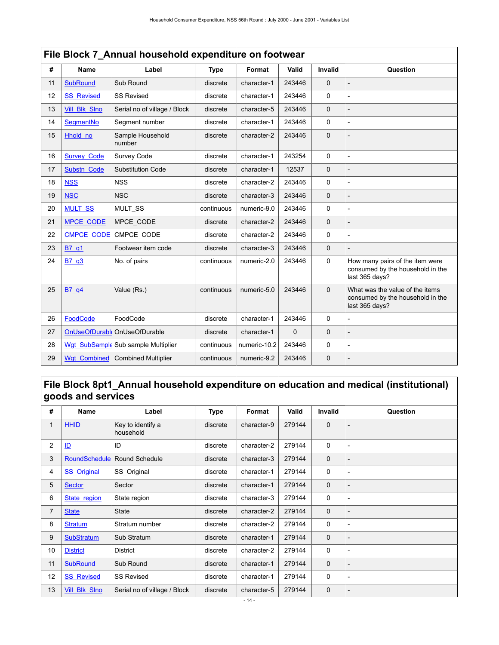|    | File Block 7_Annual household expenditure on footwear |                                     |             |              |              |                |                                                                                       |  |  |  |  |
|----|-------------------------------------------------------|-------------------------------------|-------------|--------------|--------------|----------------|---------------------------------------------------------------------------------------|--|--|--|--|
| #  | <b>Name</b>                                           | Label                               | <b>Type</b> | Format       | Valid        | <b>Invalid</b> | Question                                                                              |  |  |  |  |
| 11 | <b>SubRound</b>                                       | Sub Round                           | discrete    | character-1  | 243446       | $\Omega$       | $\overline{a}$                                                                        |  |  |  |  |
| 12 | <b>SS Revised</b>                                     | <b>SS Revised</b>                   | discrete    | character-1  | 243446       | 0              |                                                                                       |  |  |  |  |
| 13 | <b>Vill Blk Slno</b>                                  | Serial no of village / Block        | discrete    | character-5  | 243446       | $\mathbf{0}$   |                                                                                       |  |  |  |  |
| 14 | SegmentNo                                             | Segment number                      | discrete    | character-1  | 243446       | $\Omega$       |                                                                                       |  |  |  |  |
| 15 | Hhold no                                              | Sample Household<br>number          | discrete    | character-2  | 243446       | $\mathbf 0$    |                                                                                       |  |  |  |  |
| 16 | <b>Survey Code</b>                                    | Survey Code                         | discrete    | character-1  | 243254       | 0              |                                                                                       |  |  |  |  |
| 17 | Substn Code                                           | <b>Substitution Code</b>            | discrete    | character-1  | 12537        | $\mathbf 0$    |                                                                                       |  |  |  |  |
| 18 | <b>NSS</b>                                            | <b>NSS</b>                          | discrete    | character-2  | 243446       | 0              |                                                                                       |  |  |  |  |
| 19 | <b>NSC</b>                                            | <b>NSC</b>                          | discrete    | character-3  | 243446       | $\Omega$       | $\overline{a}$                                                                        |  |  |  |  |
| 20 | <b>MULT SS</b>                                        | MULT_SS                             | continuous  | numeric-9.0  | 243446       | $\mathbf{0}$   | $\overline{a}$                                                                        |  |  |  |  |
| 21 | <b>MPCE CODE</b>                                      | MPCE_CODE                           | discrete    | character-2  | 243446       | $\Omega$       |                                                                                       |  |  |  |  |
| 22 | <b>CMPCE CODE</b>                                     | CMPCE_CODE                          | discrete    | character-2  | 243446       | 0              |                                                                                       |  |  |  |  |
| 23 | B7 q1                                                 | Footwear item code                  | discrete    | character-3  | 243446       | $\mathbf 0$    |                                                                                       |  |  |  |  |
| 24 | B7 q3                                                 | No. of pairs                        | continuous  | numeric-2.0  | 243446       | 0              | How many pairs of the item were<br>consumed by the household in the<br>last 365 days? |  |  |  |  |
| 25 | B7_q4                                                 | Value (Rs.)                         | continuous  | numeric-5.0  | 243446       | $\mathbf 0$    | What was the value of the items<br>consumed by the household in the<br>last 365 days? |  |  |  |  |
| 26 | FoodCode                                              | FoodCode                            | discrete    | character-1  | 243446       | $\mathbf{0}$   | $\overline{a}$                                                                        |  |  |  |  |
| 27 |                                                       | OnUseOfDurabl OnUseOfDurable        | discrete    | character-1  | $\mathbf{0}$ | $\Omega$       |                                                                                       |  |  |  |  |
| 28 |                                                       | Wgt SubSample Sub sample Multiplier | continuous  | numeric-10.2 | 243446       | 0              | $\overline{a}$                                                                        |  |  |  |  |
| 29 | Wqt Combined                                          | <b>Combined Multiplier</b>          | continuous  | numeric-9.2  | 243446       | 0              |                                                                                       |  |  |  |  |

# <span id="page-17-0"></span>**File Block 8pt1\_Annual household expenditure on education and medical (institutional) goods and services**

| #              | Name                 | Label                          | Type     | Format      | Valid  | Invalid      | Question                 |
|----------------|----------------------|--------------------------------|----------|-------------|--------|--------------|--------------------------|
| 1              | <b>HHID</b>          | Key to identify a<br>household | discrete | character-9 | 279144 | $\mathbf 0$  |                          |
| $\overline{2}$ | $\mathbf{L}$         | ID                             | discrete | character-2 | 279144 | $\mathbf 0$  |                          |
| 3              | <b>RoundSchedule</b> | Round Schedule                 | discrete | character-3 | 279144 | $\mathbf 0$  | $\overline{\phantom{a}}$ |
| 4              | <b>SS</b> Original   | SS_Original                    | discrete | character-1 | 279144 | 0            | $\overline{\phantom{a}}$ |
| 5              | <b>Sector</b>        | Sector                         | discrete | character-1 | 279144 | $\mathbf 0$  | $\overline{\phantom{a}}$ |
| 6              | State region         | State region                   | discrete | character-3 | 279144 | 0            | $\overline{\phantom{a}}$ |
| 7              | <b>State</b>         | <b>State</b>                   | discrete | character-2 | 279144 | $\mathbf 0$  | $\overline{\phantom{a}}$ |
| 8              | <b>Stratum</b>       | Stratum number                 | discrete | character-2 | 279144 | $\mathbf 0$  | $\overline{\phantom{a}}$ |
| 9              | <b>SubStratum</b>    | Sub Stratum                    | discrete | character-1 | 279144 | $\mathbf{0}$ |                          |
| 10             | <b>District</b>      | District                       | discrete | character-2 | 279144 | $\mathbf 0$  |                          |
| 11             | <b>SubRound</b>      | Sub Round                      | discrete | character-1 | 279144 | $\mathbf 0$  |                          |
| 12             | <b>SS Revised</b>    | <b>SS Revised</b>              | discrete | character-1 | 279144 | 0            | $\overline{\phantom{a}}$ |
| 13             | Vill Blk Slno        | Serial no of village / Block   | discrete | character-5 | 279144 | $\mathbf 0$  | $\overline{\phantom{a}}$ |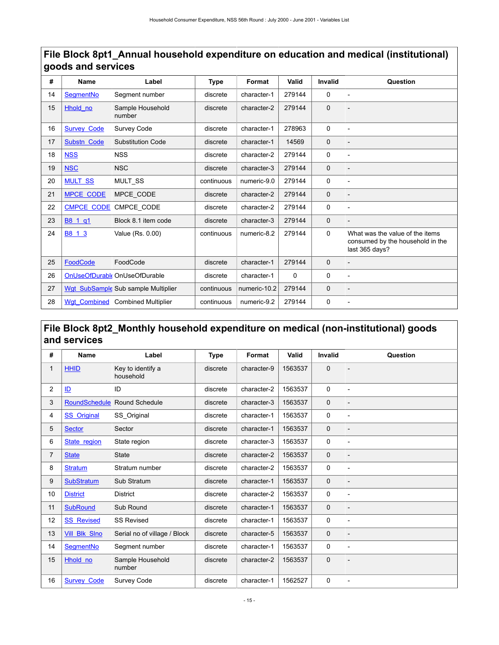| #  | <b>Name</b>         | Label                               | <b>Type</b> | Format       | Valid  | <b>Invalid</b> | Question                                                                              |
|----|---------------------|-------------------------------------|-------------|--------------|--------|----------------|---------------------------------------------------------------------------------------|
| 14 | SegmentNo           | Segment number                      | discrete    | character-1  | 279144 | 0              | $\overline{a}$                                                                        |
| 15 | Hhold no            | Sample Household<br>number          | discrete    | character-2  | 279144 | $\mathbf 0$    |                                                                                       |
| 16 | <b>Survey Code</b>  | Survey Code                         | discrete    | character-1  | 278963 | $\Omega$       |                                                                                       |
| 17 | Substn Code         | <b>Substitution Code</b>            | discrete    | character-1  | 14569  | $\mathbf 0$    |                                                                                       |
| 18 | <b>NSS</b>          | <b>NSS</b>                          | discrete    | character-2  | 279144 | 0              |                                                                                       |
| 19 | <b>NSC</b>          | <b>NSC</b>                          | discrete    | character-3  | 279144 | $\mathbf 0$    |                                                                                       |
| 20 | <b>MULT SS</b>      | MULT_SS                             | continuous  | numeric-9.0  | 279144 | 0              |                                                                                       |
| 21 | <b>MPCE CODE</b>    | MPCE_CODE                           | discrete    | character-2  | 279144 | $\mathbf 0$    |                                                                                       |
| 22 | <b>CMPCE_CODE</b>   | CMPCE_CODE                          | discrete    | character-2  | 279144 | 0              | $\overline{a}$                                                                        |
| 23 | B8_1_q1             | Block 8.1 item code                 | discrete    | character-3  | 279144 | $\mathbf 0$    |                                                                                       |
| 24 | B8 1 3              | Value (Rs. 0.00)                    | continuous  | numeric-8.2  | 279144 | 0              | What was the value of the items<br>consumed by the household in the<br>last 365 days? |
| 25 | FoodCode            | FoodCode                            | discrete    | character-1  | 279144 | $\mathbf 0$    |                                                                                       |
| 26 | OnUseOfDurable      | OnUseOfDurable                      | discrete    | character-1  | 0      | 0              |                                                                                       |
| 27 |                     | Wgt SubSample Sub sample Multiplier | continuous  | numeric-10.2 | 279144 | $\mathbf 0$    | $\overline{a}$                                                                        |
| 28 | <b>Wgt Combined</b> | <b>Combined Multiplier</b>          | continuous  | numeric-9.2  | 279144 | 0              |                                                                                       |

# **File Block 8pt1\_Annual household expenditure on education and medical (institutional) goods and services**

# <span id="page-18-0"></span>**File Block 8pt2\_Monthly household expenditure on medical (non-institutional) goods and services**

| #              | <b>Name</b>          | Label                          | Type     | Format      | Valid   | <b>Invalid</b> | Question       |
|----------------|----------------------|--------------------------------|----------|-------------|---------|----------------|----------------|
| $\mathbf{1}$   | <b>HHID</b>          | Key to identify a<br>household | discrete | character-9 | 1563537 | $\mathbf 0$    |                |
| $\overline{c}$ | ID                   | ID                             | discrete | character-2 | 1563537 | $\mathbf 0$    |                |
| 3              | <b>RoundSchedule</b> | <b>Round Schedule</b>          | discrete | character-3 | 1563537 | $\mathbf{0}$   |                |
| 4              | <b>SS_Original</b>   | SS_Original                    | discrete | character-1 | 1563537 | $\mathbf 0$    |                |
| 5              | <b>Sector</b>        | Sector                         | discrete | character-1 | 1563537 | $\mathbf{0}$   |                |
| 6              | State region         | State region                   | discrete | character-3 | 1563537 | 0              | $\overline{a}$ |
| $\overline{7}$ | <b>State</b>         | <b>State</b>                   | discrete | character-2 | 1563537 | $\mathbf 0$    |                |
| 8              | <b>Stratum</b>       | Stratum number                 | discrete | character-2 | 1563537 | 0              | $\overline{a}$ |
| 9              | <b>SubStratum</b>    | Sub Stratum                    | discrete | character-1 | 1563537 | $\mathbf 0$    |                |
| 10             | <b>District</b>      | District                       | discrete | character-2 | 1563537 | 0              |                |
| 11             | <b>SubRound</b>      | Sub Round                      | discrete | character-1 | 1563537 | $\mathbf{0}$   |                |
| 12             | <b>SS Revised</b>    | <b>SS Revised</b>              | discrete | character-1 | 1563537 | $\mathbf 0$    | $\overline{a}$ |
| 13             | <b>Vill Blk Sino</b> | Serial no of village / Block   | discrete | character-5 | 1563537 | $\mathbf{0}$   |                |
| 14             | SegmentNo            | Segment number                 | discrete | character-1 | 1563537 | $\mathbf 0$    | $\overline{a}$ |
| 15             | Hhold_no             | Sample Household<br>number     | discrete | character-2 | 1563537 | $\mathbf 0$    |                |
| 16             | <b>Survey Code</b>   | Survey Code                    | discrete | character-1 | 1562527 | $\mathbf 0$    |                |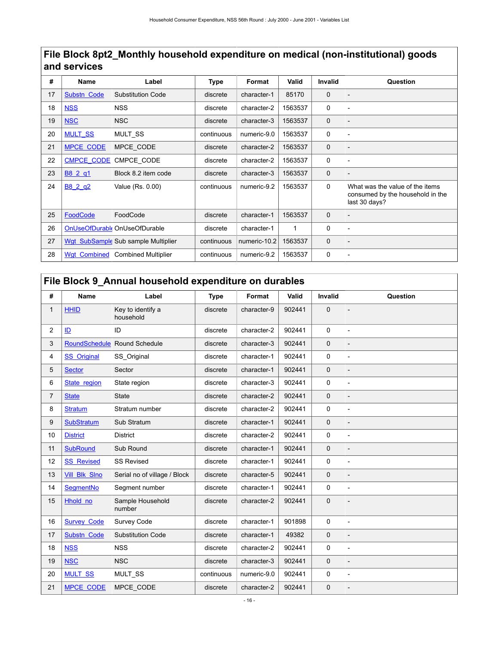### **File Block 8pt2\_Monthly household expenditure on medical (non-institutional) goods and services**

| #  | Name                | Label                               | <b>Type</b> | Format       | Valid   | Invalid      | Question                                                                             |
|----|---------------------|-------------------------------------|-------------|--------------|---------|--------------|--------------------------------------------------------------------------------------|
| 17 | Substn Code         | <b>Substitution Code</b>            | discrete    | character-1  | 85170   | $\mathbf{0}$ |                                                                                      |
| 18 | <b>NSS</b>          | <b>NSS</b>                          | discrete    | character-2  | 1563537 | $\mathbf 0$  |                                                                                      |
| 19 | <b>NSC</b>          | <b>NSC</b>                          | discrete    | character-3  | 1563537 | $\mathbf 0$  |                                                                                      |
| 20 | <b>MULT SS</b>      | <b>MULT SS</b>                      | continuous  | numeric-9.0  | 1563537 | 0            | $\overline{\phantom{0}}$                                                             |
| 21 | <b>MPCE CODE</b>    | MPCE CODE                           | discrete    | character-2  | 1563537 | $\mathbf{0}$ |                                                                                      |
| 22 | <b>CMPCE CODE</b>   | CMPCE CODE                          | discrete    | character-2  | 1563537 | 0            | $\overline{a}$                                                                       |
| 23 | B8 2 q1             | Block 8.2 item code                 | discrete    | character-3  | 1563537 | $\mathbf{0}$ |                                                                                      |
| 24 | B8 2 g2             | Value (Rs. 0.00)                    | continuous  | numeric-9.2  | 1563537 | $\mathbf 0$  | What was the value of the items<br>consumed by the household in the<br>last 30 days? |
| 25 | FoodCode            | FoodCode                            | discrete    | character-1  | 1563537 | $\mathbf{0}$ | $\overline{\phantom{0}}$                                                             |
| 26 | OnUseOfDurable      | OnUseOfDurable                      | discrete    | character-1  | 1       | 0            | -                                                                                    |
| 27 |                     | Wgt SubSample Sub sample Multiplier | continuous  | numeric-10.2 | 1563537 | $\mathbf 0$  |                                                                                      |
| 28 | <b>Wat Combined</b> | <b>Combined Multiplier</b>          | continuous  | numeric-9.2  | 1563537 | 0            |                                                                                      |

### <span id="page-19-0"></span>**File Block 9\_Annual household expenditure on durables**

| #              | Name                 | Label                          | <b>Type</b> | Format      | Valid  | Invalid     | Question       |
|----------------|----------------------|--------------------------------|-------------|-------------|--------|-------------|----------------|
| $\mathbf{1}$   | <b>HHID</b>          | Key to identify a<br>household | discrete    | character-9 | 902441 | $\Omega$    |                |
| $\overline{c}$ | ID                   | ID                             | discrete    | character-2 | 902441 | 0           | $\overline{a}$ |
| 3              | <b>RoundSchedule</b> | Round Schedule                 | discrete    | character-3 | 902441 | $\mathbf 0$ |                |
| 4              | <b>SS</b> Original   | SS Original                    | discrete    | character-1 | 902441 | 0           | $\overline{a}$ |
| 5              | <b>Sector</b>        | Sector                         | discrete    | character-1 | 902441 | $\mathbf 0$ |                |
| 6              | State region         | State region                   | discrete    | character-3 | 902441 | 0           |                |
| 7              | <b>State</b>         | <b>State</b>                   | discrete    | character-2 | 902441 | $\Omega$    | $\overline{a}$ |
| 8              | <b>Stratum</b>       | Stratum number                 | discrete    | character-2 | 902441 | 0           | $\overline{a}$ |
| 9              | <b>SubStratum</b>    | Sub Stratum                    | discrete    | character-1 | 902441 | $\Omega$    |                |
| 10             | <b>District</b>      | <b>District</b>                | discrete    | character-2 | 902441 | 0           |                |
| 11             | <b>SubRound</b>      | Sub Round                      | discrete    | character-1 | 902441 | $\mathbf 0$ |                |
| 12             | <b>SS Revised</b>    | <b>SS Revised</b>              | discrete    | character-1 | 902441 | 0           | $\overline{a}$ |
| 13             | Vill Blk Sino        | Serial no of village / Block   | discrete    | character-5 | 902441 | $\Omega$    | $\overline{a}$ |
| 14             | SegmentNo            | Segment number                 | discrete    | character-1 | 902441 | 0           | $\overline{a}$ |
| 15             | Hhold no             | Sample Household<br>number     | discrete    | character-2 | 902441 | $\mathbf 0$ |                |
| 16             | <b>Survey Code</b>   | Survey Code                    | discrete    | character-1 | 901898 | 0           | $\overline{a}$ |
| 17             | Substn Code          | <b>Substitution Code</b>       | discrete    | character-1 | 49382  | $\mathbf 0$ |                |
| 18             | <b>NSS</b>           | <b>NSS</b>                     | discrete    | character-2 | 902441 | 0           | $\overline{a}$ |
| 19             | <b>NSC</b>           | <b>NSC</b>                     | discrete    | character-3 | 902441 | $\mathbf 0$ |                |
| 20             | <b>MULT SS</b>       | MULT_SS                        | continuous  | numeric-9.0 | 902441 | 0           | $\overline{a}$ |
| 21             | <b>MPCE CODE</b>     | MPCE_CODE                      | discrete    | character-2 | 902441 | $\mathbf 0$ |                |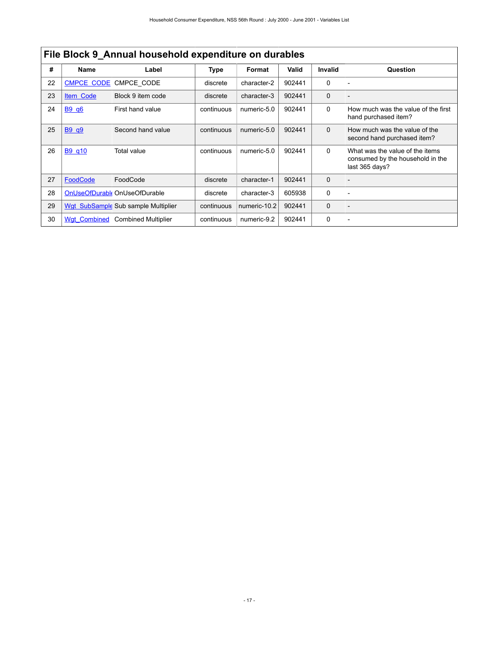|    | File Block 9 Annual household expenditure on durables |                                     |             |              |        |              |                                                                                       |  |
|----|-------------------------------------------------------|-------------------------------------|-------------|--------------|--------|--------------|---------------------------------------------------------------------------------------|--|
| #  | <b>Name</b>                                           | Label                               | <b>Type</b> | Format       | Valid  | Invalid      | Question                                                                              |  |
| 22 | <b>CMPCE CODE</b>                                     | CMPCE CODE                          | discrete    | character-2  | 902441 | $\Omega$     |                                                                                       |  |
| 23 | Item Code                                             | Block 9 item code                   | discrete    | character-3  | 902441 | $\mathbf{0}$ |                                                                                       |  |
| 24 | B9 q6                                                 | First hand value                    | continuous  | numeric-5.0  | 902441 | $\Omega$     | How much was the value of the first<br>hand purchased item?                           |  |
| 25 | <b>B9 q9</b>                                          | Second hand value                   | continuous  | numeric-5.0  | 902441 | $\Omega$     | How much was the value of the<br>second hand purchased item?                          |  |
| 26 | B9 q10                                                | Total value                         | continuous  | numeric-5.0  | 902441 | $\Omega$     | What was the value of the items<br>consumed by the household in the<br>last 365 days? |  |
| 27 | FoodCode                                              | FoodCode                            | discrete    | character-1  | 902441 | $\mathbf 0$  |                                                                                       |  |
| 28 | OnUseOfDurable                                        | OnUseOfDurable                      | discrete    | character-3  | 605938 | 0            |                                                                                       |  |
| 29 |                                                       | Wgt SubSample Sub sample Multiplier | continuous  | numeric-10.2 | 902441 | $\Omega$     |                                                                                       |  |
| 30 | <b>Wat Combined</b>                                   | <b>Combined Multiplier</b>          | continuous  | numeric-9.2  | 902441 | $\Omega$     |                                                                                       |  |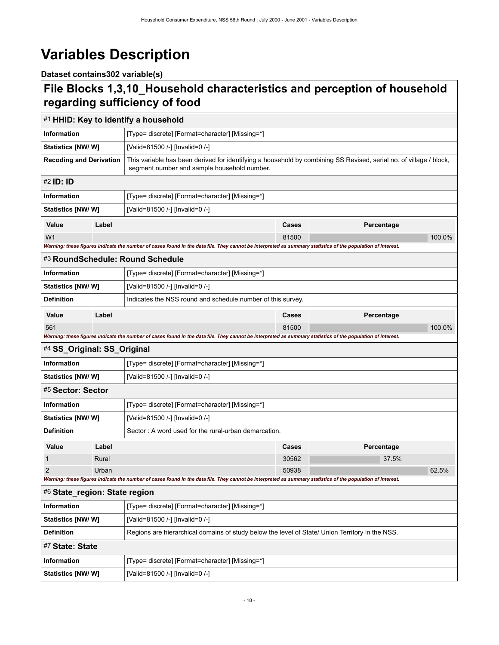# <span id="page-21-0"></span>**Variables Description**

**Dataset contains302 variable(s)**

# <span id="page-21-1"></span>**File Blocks 1,3,10\_Household characteristics and perception of household regarding sufficiency of food**

<span id="page-21-8"></span><span id="page-21-7"></span><span id="page-21-6"></span><span id="page-21-5"></span><span id="page-21-4"></span><span id="page-21-3"></span><span id="page-21-2"></span>

|                                |       | #1 HHID: Key to identify a household                                                                                                                              |              |            |        |  |  |
|--------------------------------|-------|-------------------------------------------------------------------------------------------------------------------------------------------------------------------|--------------|------------|--------|--|--|
| <b>Information</b>             |       | [Type= discrete] [Format=character] [Missing=*]                                                                                                                   |              |            |        |  |  |
| <b>Statistics [NW/W]</b>       |       | [Valid=81500 /-] [Invalid=0 /-]                                                                                                                                   |              |            |        |  |  |
| <b>Recoding and Derivation</b> |       | This variable has been derived for identifying a household by combining SS Revised, serial no. of village / block,<br>segment number and sample household number. |              |            |        |  |  |
| #2 <b>ID: ID</b>               |       |                                                                                                                                                                   |              |            |        |  |  |
| <b>Information</b>             |       | [Type= discrete] [Format=character] [Missing=*]                                                                                                                   |              |            |        |  |  |
| <b>Statistics [NW/ W]</b>      |       | [Valid=81500 /-] [Invalid=0 /-]                                                                                                                                   |              |            |        |  |  |
| Value                          | Label |                                                                                                                                                                   | Cases        | Percentage |        |  |  |
| W <sub>1</sub>                 |       |                                                                                                                                                                   | 81500        |            | 100.0% |  |  |
|                                |       | Warning: these figures indicate the number of cases found in the data file. They cannot be interpreted as summary statistics of the population of interest.       |              |            |        |  |  |
|                                |       | #3 RoundSchedule: Round Schedule                                                                                                                                  |              |            |        |  |  |
| <b>Information</b>             |       | [Type= discrete] [Format=character] [Missing=*]                                                                                                                   |              |            |        |  |  |
| <b>Statistics [NW/ W]</b>      |       | [Valid=81500 /-] [Invalid=0 /-]                                                                                                                                   |              |            |        |  |  |
| <b>Definition</b>              |       | Indicates the NSS round and schedule number of this survey.                                                                                                       |              |            |        |  |  |
| Value                          | Label |                                                                                                                                                                   | <b>Cases</b> | Percentage |        |  |  |
| 561                            |       |                                                                                                                                                                   | 81500        |            | 100.0% |  |  |
|                                |       | Warning: these figures indicate the number of cases found in the data file. They cannot be interpreted as summary statistics of the population of interest.       |              |            |        |  |  |
| #4 SS_Original: SS_Original    |       |                                                                                                                                                                   |              |            |        |  |  |
| <b>Information</b>             |       | [Type= discrete] [Format=character] [Missing=*]                                                                                                                   |              |            |        |  |  |
| <b>Statistics [NW/W]</b>       |       | [Valid=81500 /-] [Invalid=0 /-]                                                                                                                                   |              |            |        |  |  |
| #5 Sector: Sector              |       |                                                                                                                                                                   |              |            |        |  |  |
| <b>Information</b>             |       | [Type= discrete] [Format=character] [Missing=*]                                                                                                                   |              |            |        |  |  |
| Statistics [NW/W]              |       | [Valid=81500 /-] [Invalid=0 /-]                                                                                                                                   |              |            |        |  |  |
| <b>Definition</b>              |       | Sector: A word used for the rural-urban demarcation.                                                                                                              |              |            |        |  |  |
| Value                          | Label |                                                                                                                                                                   | Cases        | Percentage |        |  |  |
| 1                              | Rural |                                                                                                                                                                   | 30562        | 37.5%      |        |  |  |
| 2                              | Urban |                                                                                                                                                                   | 50938        |            | 62.5%  |  |  |
|                                |       | Warning: these figures indicate the number of cases found in the data file. They cannot be interpreted as summary statistics of the population of interest.       |              |            |        |  |  |
| #6 State_region: State region  |       |                                                                                                                                                                   |              |            |        |  |  |
| Information                    |       | [Type= discrete] [Format=character] [Missing=*]                                                                                                                   |              |            |        |  |  |
| Statistics [NW/W]              |       | [Valid=81500 /-] [Invalid=0 /-]                                                                                                                                   |              |            |        |  |  |
| <b>Definition</b>              |       | Regions are hierarchical domains of study below the level of State/ Union Territory in the NSS.                                                                   |              |            |        |  |  |
| #7 State: State                |       |                                                                                                                                                                   |              |            |        |  |  |
| Information                    |       | [Type= discrete] [Format=character] [Missing=*]                                                                                                                   |              |            |        |  |  |
| Statistics [NW/W]              |       | [Valid=81500 /-] [Invalid=0 /-]                                                                                                                                   |              |            |        |  |  |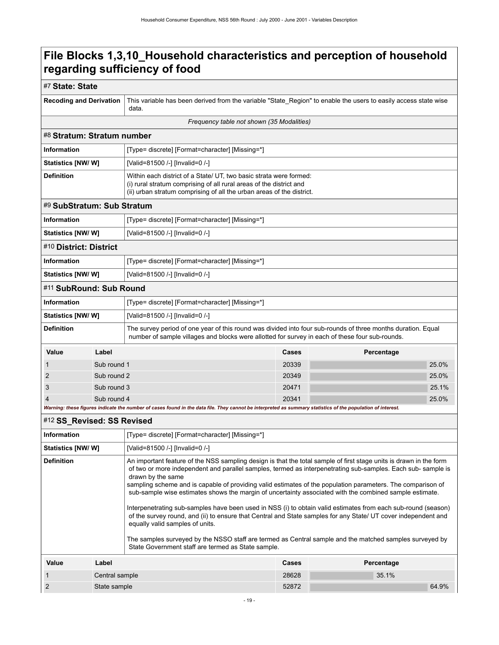### #7 **State: State**

<span id="page-22-4"></span><span id="page-22-3"></span><span id="page-22-2"></span><span id="page-22-1"></span><span id="page-22-0"></span>

| <b>Recoding and Derivation</b>            |                | This variable has been derived from the variable "State_Region" to enable the users to easily access state wise<br>data.                                                                                                                                                                                                                                                                                                                                                                                                                                                                                                                                                                                                                                                                                                                                                                                                |       |            |       |  |
|-------------------------------------------|----------------|-------------------------------------------------------------------------------------------------------------------------------------------------------------------------------------------------------------------------------------------------------------------------------------------------------------------------------------------------------------------------------------------------------------------------------------------------------------------------------------------------------------------------------------------------------------------------------------------------------------------------------------------------------------------------------------------------------------------------------------------------------------------------------------------------------------------------------------------------------------------------------------------------------------------------|-------|------------|-------|--|
| Frequency table not shown (35 Modalities) |                |                                                                                                                                                                                                                                                                                                                                                                                                                                                                                                                                                                                                                                                                                                                                                                                                                                                                                                                         |       |            |       |  |
| #8 Stratum: Stratum number                |                |                                                                                                                                                                                                                                                                                                                                                                                                                                                                                                                                                                                                                                                                                                                                                                                                                                                                                                                         |       |            |       |  |
| <b>Information</b>                        |                | [Type= discrete] [Format=character] [Missing=*]                                                                                                                                                                                                                                                                                                                                                                                                                                                                                                                                                                                                                                                                                                                                                                                                                                                                         |       |            |       |  |
| <b>Statistics [NW/W]</b>                  |                | [Valid=81500 /-] [Invalid=0 /-]                                                                                                                                                                                                                                                                                                                                                                                                                                                                                                                                                                                                                                                                                                                                                                                                                                                                                         |       |            |       |  |
| <b>Definition</b>                         |                | Within each district of a State/ UT, two basic strata were formed:<br>(i) rural stratum comprising of all rural areas of the district and<br>(ii) urban stratum comprising of all the urban areas of the district.                                                                                                                                                                                                                                                                                                                                                                                                                                                                                                                                                                                                                                                                                                      |       |            |       |  |
| #9 SubStratum: Sub Stratum                |                |                                                                                                                                                                                                                                                                                                                                                                                                                                                                                                                                                                                                                                                                                                                                                                                                                                                                                                                         |       |            |       |  |
| <b>Information</b>                        |                | [Type= discrete] [Format=character] [Missing=*]                                                                                                                                                                                                                                                                                                                                                                                                                                                                                                                                                                                                                                                                                                                                                                                                                                                                         |       |            |       |  |
| <b>Statistics [NW/ W]</b>                 |                | [Valid=81500 /-] [Invalid=0 /-]                                                                                                                                                                                                                                                                                                                                                                                                                                                                                                                                                                                                                                                                                                                                                                                                                                                                                         |       |            |       |  |
| #10 District: District                    |                |                                                                                                                                                                                                                                                                                                                                                                                                                                                                                                                                                                                                                                                                                                                                                                                                                                                                                                                         |       |            |       |  |
| <b>Information</b>                        |                | [Type= discrete] [Format=character] [Missing=*]                                                                                                                                                                                                                                                                                                                                                                                                                                                                                                                                                                                                                                                                                                                                                                                                                                                                         |       |            |       |  |
| Statistics [NW/W]                         |                | [Valid=81500 /-] [Invalid=0 /-]                                                                                                                                                                                                                                                                                                                                                                                                                                                                                                                                                                                                                                                                                                                                                                                                                                                                                         |       |            |       |  |
| #11 SubRound: Sub Round                   |                |                                                                                                                                                                                                                                                                                                                                                                                                                                                                                                                                                                                                                                                                                                                                                                                                                                                                                                                         |       |            |       |  |
| <b>Information</b>                        |                | [Type= discrete] [Format=character] [Missing=*]                                                                                                                                                                                                                                                                                                                                                                                                                                                                                                                                                                                                                                                                                                                                                                                                                                                                         |       |            |       |  |
| <b>Statistics [NW/W]</b>                  |                | [Valid=81500 /-] [Invalid=0 /-]                                                                                                                                                                                                                                                                                                                                                                                                                                                                                                                                                                                                                                                                                                                                                                                                                                                                                         |       |            |       |  |
| <b>Definition</b>                         |                | The survey period of one year of this round was divided into four sub-rounds of three months duration. Equal<br>number of sample villages and blocks were allotted for survey in each of these four sub-rounds.                                                                                                                                                                                                                                                                                                                                                                                                                                                                                                                                                                                                                                                                                                         |       |            |       |  |
| Value                                     | Label          |                                                                                                                                                                                                                                                                                                                                                                                                                                                                                                                                                                                                                                                                                                                                                                                                                                                                                                                         | Cases | Percentage |       |  |
| 1                                         | Sub round 1    |                                                                                                                                                                                                                                                                                                                                                                                                                                                                                                                                                                                                                                                                                                                                                                                                                                                                                                                         | 20339 |            | 25.0% |  |
| 2                                         | Sub round 2    |                                                                                                                                                                                                                                                                                                                                                                                                                                                                                                                                                                                                                                                                                                                                                                                                                                                                                                                         | 20349 |            | 25.0% |  |
| 3                                         | Sub round 3    |                                                                                                                                                                                                                                                                                                                                                                                                                                                                                                                                                                                                                                                                                                                                                                                                                                                                                                                         | 20471 |            | 25.1% |  |
|                                           | Sub round 4    | Warning: these figures indicate the number of cases found in the data file. They cannot be interpreted as summary statistics of the population of interest.                                                                                                                                                                                                                                                                                                                                                                                                                                                                                                                                                                                                                                                                                                                                                             | 20341 |            | 25.0% |  |
| #12 SS_Revised: SS Revised                |                |                                                                                                                                                                                                                                                                                                                                                                                                                                                                                                                                                                                                                                                                                                                                                                                                                                                                                                                         |       |            |       |  |
| <b>Information</b>                        |                | [Type= discrete] [Format=character] [Missing=*]                                                                                                                                                                                                                                                                                                                                                                                                                                                                                                                                                                                                                                                                                                                                                                                                                                                                         |       |            |       |  |
| <b>Statistics [NW/ W]</b>                 |                | [Valid=81500 /-] [Invalid=0 /-]                                                                                                                                                                                                                                                                                                                                                                                                                                                                                                                                                                                                                                                                                                                                                                                                                                                                                         |       |            |       |  |
| <b>Definition</b>                         |                | An important feature of the NSS sampling design is that the total sample of first stage units is drawn in the form<br>of two or more independent and parallel samples, termed as interpenetrating sub-samples. Each sub-sample is<br>drawn by the same<br>sampling scheme and is capable of providing valid estimates of the population parameters. The comparison of<br>sub-sample wise estimates shows the margin of uncertainty associated with the combined sample estimate.<br>Interpenetrating sub-samples have been used in NSS (i) to obtain valid estimates from each sub-round (season)<br>of the survey round, and (ii) to ensure that Central and State samples for any State/ UT cover independent and<br>equally valid samples of units.<br>The samples surveyed by the NSSO staff are termed as Central sample and the matched samples surveyed by<br>State Government staff are termed as State sample. |       |            |       |  |
| Value                                     | Label          |                                                                                                                                                                                                                                                                                                                                                                                                                                                                                                                                                                                                                                                                                                                                                                                                                                                                                                                         | Cases | Percentage |       |  |
| 1                                         | Central sample |                                                                                                                                                                                                                                                                                                                                                                                                                                                                                                                                                                                                                                                                                                                                                                                                                                                                                                                         | 28628 | 35.1%      |       |  |
| $\overline{2}$<br>State sample            |                |                                                                                                                                                                                                                                                                                                                                                                                                                                                                                                                                                                                                                                                                                                                                                                                                                                                                                                                         | 52872 |            | 64.9% |  |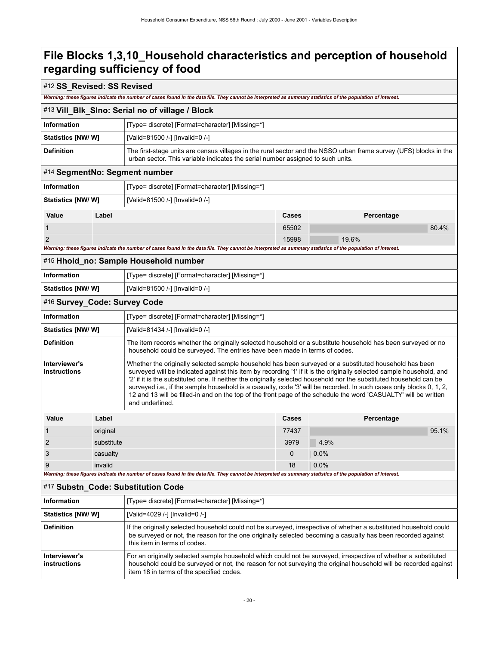#### #12 **SS\_Revised: SS Revised**

*Warning: these figures indicate the number of cases found in the data file. They cannot be interpreted as summary statistics of the population of interest.*

#### <span id="page-23-0"></span>#13 **Vill\_Blk\_Slno: Serial no of village / Block**

| Information               | [Type= discrete] [Format=character] [Missing=*]                                                                                                                                                      |
|---------------------------|------------------------------------------------------------------------------------------------------------------------------------------------------------------------------------------------------|
| <b>Statistics [NW/ W]</b> | [Valid=81500 /-] [Invalid=0 /-]                                                                                                                                                                      |
| <b>Definition</b>         | The first-stage units are census villages in the rural sector and the NSSO urban frame survey (UFS) blocks in the<br>urban sector. This variable indicates the serial number assigned to such units. |

### <span id="page-23-1"></span>#14 **SegmentNo: Segment number**

| Information              |       | [Type= discrete] [Format=character] [Missing=*] |       |            |  |
|--------------------------|-------|-------------------------------------------------|-------|------------|--|
| <b>Statistics [NW/W]</b> |       | [Valid=81500 /-] [Invalid=0 /-]                 |       |            |  |
| Value                    | Label |                                                 | Cases | Percentage |  |
|                          |       |                                                 | 65502 | 80.4%      |  |
| 2                        |       |                                                 | 15998 | 19.6%      |  |

*Warning: these figures indicate the number of cases found in the data file. They cannot be interpreted as summary statistics of the population of interest.*

<span id="page-23-2"></span>

|  |  |  | #15 Hhold_no: Sample Household number |  |
|--|--|--|---------------------------------------|--|
|--|--|--|---------------------------------------|--|

| Information        | [Type= discrete] [Format=character] [Missing=*] |
|--------------------|-------------------------------------------------|
| Statistics [NW/ W] | [Valid=81500 /-] [Invalid=0 /-]                 |

#### <span id="page-23-3"></span>#16 **Survey\_Code: Survey Code**

| <b>Information</b>                   |            | [Type= discrete] [Format=character] [Missing=*]                                                                                                                                                                                                                                                                                                                                                                                                                                                                                                                                                                     |       |            |       |  |
|--------------------------------------|------------|---------------------------------------------------------------------------------------------------------------------------------------------------------------------------------------------------------------------------------------------------------------------------------------------------------------------------------------------------------------------------------------------------------------------------------------------------------------------------------------------------------------------------------------------------------------------------------------------------------------------|-------|------------|-------|--|
| <b>Statistics [NW/ W]</b>            |            | [Valid=81434 /-] [Invalid=0 /-]                                                                                                                                                                                                                                                                                                                                                                                                                                                                                                                                                                                     |       |            |       |  |
| <b>Definition</b>                    |            | The item records whether the originally selected household or a substitute household has been surveyed or no<br>household could be surveyed. The entries have been made in terms of codes.                                                                                                                                                                                                                                                                                                                                                                                                                          |       |            |       |  |
| Interviewer's<br><b>instructions</b> |            | Whether the originally selected sample household has been surveyed or a substituted household has been<br>surveyed will be indicated against this item by recording '1' if it is the originally selected sample household, and<br>'2' if it is the substituted one. If neither the originally selected household nor the substituted household can be<br>surveyed i.e., if the sample household is a casualty, code '3' will be recorded. In such cases only blocks 0, 1, 2,<br>12 and 13 will be filled-in and on the top of the front page of the schedule the word 'CASUALTY' will be written<br>and underlined. |       |            |       |  |
| Value                                | Label      |                                                                                                                                                                                                                                                                                                                                                                                                                                                                                                                                                                                                                     | Cases | Percentage |       |  |
|                                      | original   |                                                                                                                                                                                                                                                                                                                                                                                                                                                                                                                                                                                                                     | 77437 |            | 95.1% |  |
| $\mathcal{P}$                        | substitute |                                                                                                                                                                                                                                                                                                                                                                                                                                                                                                                                                                                                                     | 3979  | 4.9%       |       |  |
| 3                                    | casualty   |                                                                                                                                                                                                                                                                                                                                                                                                                                                                                                                                                                                                                     | 0     | 0.0%       |       |  |

#### <span id="page-23-4"></span>#17 **Substn\_Code: Substitution Code**

| Information                   | [Type= discrete] [Format=character] [Missing=*]                                                                                                                                                                                                                                |
|-------------------------------|--------------------------------------------------------------------------------------------------------------------------------------------------------------------------------------------------------------------------------------------------------------------------------|
| <b>Statistics [NW/W]</b>      | [Valid=4029 /-] [Invalid=0 /-]                                                                                                                                                                                                                                                 |
| <b>Definition</b>             | If the originally selected household could not be surveyed, irrespective of whether a substituted household could<br>be surveyed or not, the reason for the one originally selected becoming a casualty has been recorded against<br>this item in terms of codes.              |
| Interviewer's<br>instructions | For an originally selected sample household which could not be surveyed, irrespective of whether a substituted<br>household could be surveyed or not, the reason for not surveying the original household will be recorded against<br>item 18 in terms of the specified codes. |

9 invalid 18  $\mid$  0.0% invalid 18  $\mid$  0.0%

*Warning: these figures indicate the number of cases found in the data file. They cannot be interpreted as summary statistics of the population of interest.*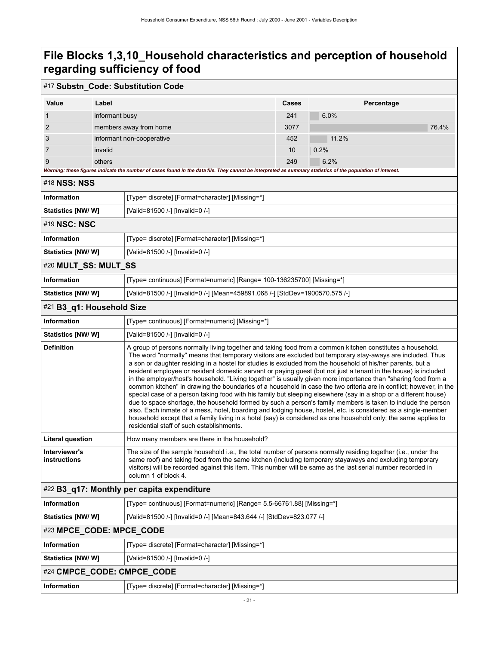### #17 **Substn\_Code: Substitution Code**

| Value | Label                     | Cases | Percentage |
|-------|---------------------------|-------|------------|
|       | informant busy            | 241   | 6.0%       |
| 2     | members away from home    | 3077  | 76.4%      |
| 3     | informant non-cooperative | 452   | 11.2%      |
|       | invalid                   | 10    | 0.2%       |
| 9     | others                    | 249   | 6.2%       |

*Warning: these figures indicate the number of cases found in the data file. They cannot be interpreted as summary statistics of the population of interest.*

<span id="page-24-1"></span><span id="page-24-0"></span>

| #18 NSS: NSS         |                                                                        |  |  |  |
|----------------------|------------------------------------------------------------------------|--|--|--|
| Information          | [Type= discrete] [Format=character] [Missing=*]                        |  |  |  |
| Statistics [NW/W]    | [Valid=81500 /-] [Invalid=0 /-]                                        |  |  |  |
| #19 NSC: NSC         |                                                                        |  |  |  |
| Information          | [Type= discrete] [Format=character] [Missing=*]                        |  |  |  |
| Statistics [NW/W]    | [Valid=81500 /-] [Invalid=0 /-]                                        |  |  |  |
| #20 MULT_SS: MULT_SS |                                                                        |  |  |  |
| <b>Information</b>   | [Type= continuous] [Format=numeric] [Range= 100-136235700] [Missing=*] |  |  |  |
|                      |                                                                        |  |  |  |

### <span id="page-24-2"></span>**Statistics [NW/ W]** [Valid=81500 /-] [Invalid=0 /-] [Mean=459891.068 /-] [StdDev=1900570.575 /-]

### <span id="page-24-3"></span>#21 **B3\_q1: Household Size**

| <b>Information</b>            | [Type= continuous] [Format=numeric] [Missing=*]                                                                                                                                                                                                                                                                                                                                                                                                                                                                                                                                                                                                                                                                                                                                                                                                                                                                                                                                                                                                                                                                                                                                                                         |
|-------------------------------|-------------------------------------------------------------------------------------------------------------------------------------------------------------------------------------------------------------------------------------------------------------------------------------------------------------------------------------------------------------------------------------------------------------------------------------------------------------------------------------------------------------------------------------------------------------------------------------------------------------------------------------------------------------------------------------------------------------------------------------------------------------------------------------------------------------------------------------------------------------------------------------------------------------------------------------------------------------------------------------------------------------------------------------------------------------------------------------------------------------------------------------------------------------------------------------------------------------------------|
| <b>Statistics [NW/W]</b>      | [Valid=81500 /-] [Invalid=0 /-]                                                                                                                                                                                                                                                                                                                                                                                                                                                                                                                                                                                                                                                                                                                                                                                                                                                                                                                                                                                                                                                                                                                                                                                         |
| <b>Definition</b>             | A group of persons normally living together and taking food from a common kitchen constitutes a household.<br>The word "normally" means that temporary visitors are excluded but temporary stay-aways are included. Thus<br>a son or daughter residing in a hostel for studies is excluded from the household of his/her parents, but a<br>resident employee or resident domestic servant or paying quest (but not just a tenant in the house) is included<br>in the employer/host's household. "Living together" is usually given more importance than "sharing food from a<br>common kitchen" in drawing the boundaries of a household in case the two criteria are in conflict; however, in the<br>special case of a person taking food with his family but sleeping elsewhere (say in a shop or a different house)<br>due to space shortage, the household formed by such a person's family members is taken to include the person<br>also. Each inmate of a mess, hotel, boarding and lodging house, hostel, etc. is considered as a single-member<br>household except that a family living in a hotel (say) is considered as one household only; the same applies to<br>residential staff of such establishments. |
| <b>Literal question</b>       | How many members are there in the household?                                                                                                                                                                                                                                                                                                                                                                                                                                                                                                                                                                                                                                                                                                                                                                                                                                                                                                                                                                                                                                                                                                                                                                            |
| Interviewer's<br>instructions | The size of the sample household i.e., the total number of persons normally residing together (i.e., under the<br>same roof) and taking food from the same kitchen (including temporary stayaways and excluding temporary<br>visitors) will be recorded against this item. This number will be same as the last serial number recorded in<br>column 1 of block 4.                                                                                                                                                                                                                                                                                                                                                                                                                                                                                                                                                                                                                                                                                                                                                                                                                                                       |
|                               | #22 B3_q17: Monthly per capita expenditure                                                                                                                                                                                                                                                                                                                                                                                                                                                                                                                                                                                                                                                                                                                                                                                                                                                                                                                                                                                                                                                                                                                                                                              |
| <b>Information</b>            | [Type= continuous] [Format=numeric] [Range= 5.5-66761.88] [Missing=*]                                                                                                                                                                                                                                                                                                                                                                                                                                                                                                                                                                                                                                                                                                                                                                                                                                                                                                                                                                                                                                                                                                                                                   |
| <b>Statistics [NW/W]</b>      | [Valid=81500 /-] [Invalid=0 /-] [Mean=843.644 /-] [StdDev=823.077 /-]                                                                                                                                                                                                                                                                                                                                                                                                                                                                                                                                                                                                                                                                                                                                                                                                                                                                                                                                                                                                                                                                                                                                                   |

# <span id="page-24-5"></span><span id="page-24-4"></span>#23 **MPCE\_CODE: MPCE\_CODE**

<span id="page-24-6"></span>

| Information                | [Type= discrete] [Format=character] [Missing=*] |  |
|----------------------------|-------------------------------------------------|--|
| Statistics [NW/ W]         | [Valid=81500 /-] [Invalid=0 /-]                 |  |
| #24 CMPCE CODE: CMPCE CODE |                                                 |  |
| Information                | [Type= discrete] [Format=character] [Missing=*] |  |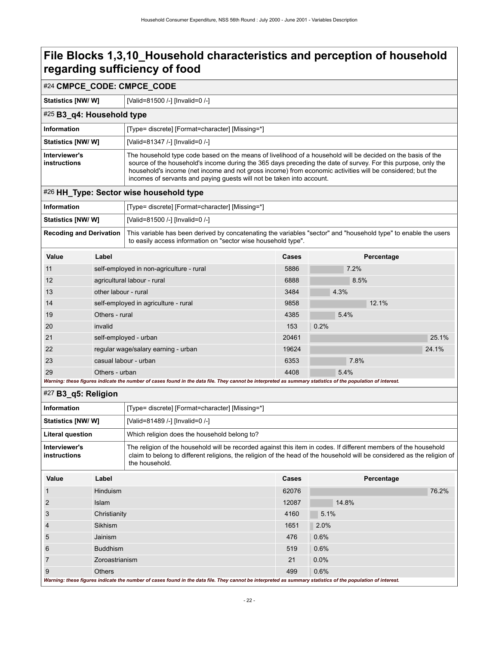### #24 **CMPCE\_CODE: CMPCE\_CODE**

**Statistics [NW/ W]** [Valid=81500 /-] [Invalid=0 /-]

#### <span id="page-25-0"></span>#25 **B3\_q4: Household type Information** [Type= discrete] [Format=character] [Missing=\*] **Statistics [NW/ W]** [Valid=81347 /-] [Invalid=0 /-] **Interviewer's instructions** The household type code based on the means of livelihood of a household will be decided on the basis of the source of the household's income during the 365 days preceding the date of survey. For this purpose, only the household's income (net income and not gross income) from economic activities will be considered; but the incomes of servants and paying guests will not be taken into account.

### <span id="page-25-1"></span>#26 **HH\_Type: Sector wise household type**

| <b>Information</b>             | Type= discrete] [Format=character] [Missing=*]                                                                                                                                   |
|--------------------------------|----------------------------------------------------------------------------------------------------------------------------------------------------------------------------------|
| Statistics [NW/ W]             | [Valid=81500 /-] [Invalid=0 /-]                                                                                                                                                  |
| <b>Recoding and Derivation</b> | This variable has been derived by concatenating the variables "sector" and "household type" to enable the users<br>to easily access information on "sector wise household type". |

| Value | Label                                                                                                                                                                      | Cases | Percentage |
|-------|----------------------------------------------------------------------------------------------------------------------------------------------------------------------------|-------|------------|
| 11    | self-employed in non-agriculture - rural                                                                                                                                   | 5886  | 7.2%       |
| 12    | agricultural labour - rural                                                                                                                                                | 6888  | 8.5%       |
| 13    | other labour - rural                                                                                                                                                       | 3484  | 4.3%       |
| 14    | self-employed in agriculture - rural                                                                                                                                       | 9858  | 12.1%      |
| 19    | Others - rural                                                                                                                                                             | 4385  | 5.4%       |
| 20    | invalid                                                                                                                                                                    | 153   | 0.2%       |
| 21    | self-employed - urban                                                                                                                                                      | 20461 | 25.1%      |
| 22    | regular wage/salary earning - urban                                                                                                                                        | 19624 | 24.1%      |
| 23    | casual labour - urban                                                                                                                                                      | 6353  | 7.8%       |
| 29    | Others - urban<br>Magginer these formed indicate the number of cases found in the date file. Their counst he integrated as cummon ctetistics of the namulation of integrat | 4408  | 5.4%       |

#### *Warning: these figures indicate the number of cases found in the data file. They cannot be interpreted as summary statistics of the population of interest.*

<span id="page-25-2"></span>

|                                                                                                                                                             | #27 B3_q5: Religion |                                                                                                                                                                                                                                                               |       |            |       |
|-------------------------------------------------------------------------------------------------------------------------------------------------------------|---------------------|---------------------------------------------------------------------------------------------------------------------------------------------------------------------------------------------------------------------------------------------------------------|-------|------------|-------|
| <b>Information</b>                                                                                                                                          |                     | [Type= discrete] [Format=character] [Missing=*]                                                                                                                                                                                                               |       |            |       |
| Statistics [NW/W]                                                                                                                                           |                     | [Valid=81489 /-] [Invalid=0 /-]                                                                                                                                                                                                                               |       |            |       |
| Literal question                                                                                                                                            |                     | Which religion does the household belong to?                                                                                                                                                                                                                  |       |            |       |
| Interviewer's<br><b>instructions</b>                                                                                                                        |                     | The religion of the household will be recorded against this item in codes. If different members of the household<br>claim to belong to different religions, the religion of the head of the household will be considered as the religion of<br>the household. |       |            |       |
| Value                                                                                                                                                       | Label               |                                                                                                                                                                                                                                                               | Cases | Percentage |       |
|                                                                                                                                                             | <b>Hinduism</b>     |                                                                                                                                                                                                                                                               | 62076 |            | 76.2% |
| 2                                                                                                                                                           | <b>Islam</b>        |                                                                                                                                                                                                                                                               | 12087 | 14.8%      |       |
| 3                                                                                                                                                           | Christianity        |                                                                                                                                                                                                                                                               | 4160  | 5.1%       |       |
| 4                                                                                                                                                           | Sikhism             |                                                                                                                                                                                                                                                               | 1651  | 2.0%       |       |
| 5                                                                                                                                                           | Jainism             |                                                                                                                                                                                                                                                               | 476   | 0.6%       |       |
| 6                                                                                                                                                           | <b>Buddhism</b>     |                                                                                                                                                                                                                                                               | 519   | 0.6%       |       |
| 7                                                                                                                                                           | Zoroastrianism      |                                                                                                                                                                                                                                                               | 21    | $0.0\%$    |       |
| 9                                                                                                                                                           | <b>Others</b>       |                                                                                                                                                                                                                                                               | 499   | 0.6%       |       |
| Warning: these figures indicate the number of cases found in the data file. They cannot be interpreted as summary statistics of the population of interest. |                     |                                                                                                                                                                                                                                                               |       |            |       |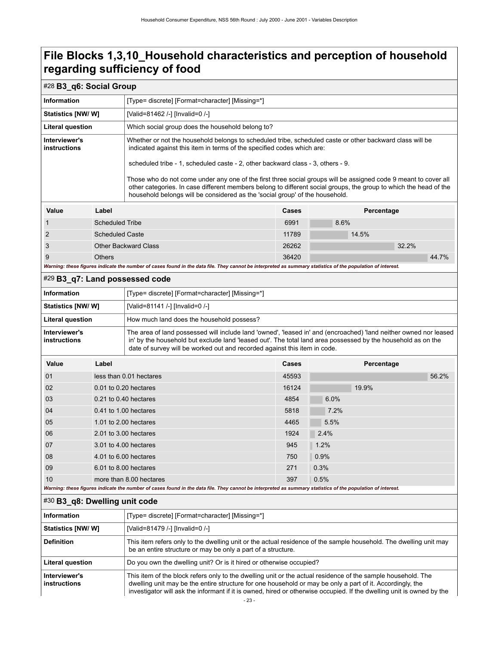<span id="page-26-2"></span><span id="page-26-1"></span><span id="page-26-0"></span>

| #28 B3_q6: Social Group                                                                                                                                                                                                                                                                                                                                                                                                                                                                                                                                                                                                        |                                                                                                                                                                                                                                                                                                                                                    |                                                                                                                                                                                                                                                                                                                |       |                     |
|--------------------------------------------------------------------------------------------------------------------------------------------------------------------------------------------------------------------------------------------------------------------------------------------------------------------------------------------------------------------------------------------------------------------------------------------------------------------------------------------------------------------------------------------------------------------------------------------------------------------------------|----------------------------------------------------------------------------------------------------------------------------------------------------------------------------------------------------------------------------------------------------------------------------------------------------------------------------------------------------|----------------------------------------------------------------------------------------------------------------------------------------------------------------------------------------------------------------------------------------------------------------------------------------------------------------|-------|---------------------|
| <b>Information</b>                                                                                                                                                                                                                                                                                                                                                                                                                                                                                                                                                                                                             |                                                                                                                                                                                                                                                                                                                                                    | [Type= discrete] [Format=character] [Missing=*]                                                                                                                                                                                                                                                                |       |                     |
| <b>Statistics [NW/W]</b>                                                                                                                                                                                                                                                                                                                                                                                                                                                                                                                                                                                                       |                                                                                                                                                                                                                                                                                                                                                    | [Valid=81462 /-] [Invalid=0 /-]                                                                                                                                                                                                                                                                                |       |                     |
| <b>Literal question</b>                                                                                                                                                                                                                                                                                                                                                                                                                                                                                                                                                                                                        | Which social group does the household belong to?                                                                                                                                                                                                                                                                                                   |                                                                                                                                                                                                                                                                                                                |       |                     |
| Interviewer's<br>Whether or not the household belongs to scheduled tribe, scheduled caste or other backward class will be<br>instructions<br>indicated against this item in terms of the specified codes which are:<br>scheduled tribe - 1, scheduled caste - 2, other backward class - 3, others - 9.<br>Those who do not come under any one of the first three social groups will be assigned code 9 meant to cover all<br>other categories. In case different members belong to different social groups, the group to which the head of the<br>household belongs will be considered as the 'social group' of the household. |                                                                                                                                                                                                                                                                                                                                                    |                                                                                                                                                                                                                                                                                                                |       |                     |
| Value                                                                                                                                                                                                                                                                                                                                                                                                                                                                                                                                                                                                                          | Label                                                                                                                                                                                                                                                                                                                                              |                                                                                                                                                                                                                                                                                                                | Cases | Percentage          |
| 1                                                                                                                                                                                                                                                                                                                                                                                                                                                                                                                                                                                                                              | <b>Scheduled Tribe</b>                                                                                                                                                                                                                                                                                                                             |                                                                                                                                                                                                                                                                                                                | 6991  | 8.6%                |
| 2                                                                                                                                                                                                                                                                                                                                                                                                                                                                                                                                                                                                                              | <b>Scheduled Caste</b>                                                                                                                                                                                                                                                                                                                             |                                                                                                                                                                                                                                                                                                                | 11789 | 14.5%               |
| 3                                                                                                                                                                                                                                                                                                                                                                                                                                                                                                                                                                                                                              |                                                                                                                                                                                                                                                                                                                                                    | <b>Other Backward Class</b>                                                                                                                                                                                                                                                                                    | 26262 | 32.2%               |
| 9                                                                                                                                                                                                                                                                                                                                                                                                                                                                                                                                                                                                                              | <b>Others</b>                                                                                                                                                                                                                                                                                                                                      |                                                                                                                                                                                                                                                                                                                | 36420 | 44.7%               |
|                                                                                                                                                                                                                                                                                                                                                                                                                                                                                                                                                                                                                                |                                                                                                                                                                                                                                                                                                                                                    | Warning: these figures indicate the number of cases found in the data file. They cannot be interpreted as summary statistics of the population of interest.                                                                                                                                                    |       |                     |
| #29 B3_q7: Land possessed code                                                                                                                                                                                                                                                                                                                                                                                                                                                                                                                                                                                                 |                                                                                                                                                                                                                                                                                                                                                    |                                                                                                                                                                                                                                                                                                                |       |                     |
| <b>Information</b>                                                                                                                                                                                                                                                                                                                                                                                                                                                                                                                                                                                                             |                                                                                                                                                                                                                                                                                                                                                    | [Type= discrete] [Format=character] [Missing=*]                                                                                                                                                                                                                                                                |       |                     |
| <b>Statistics [NW/W]</b>                                                                                                                                                                                                                                                                                                                                                                                                                                                                                                                                                                                                       |                                                                                                                                                                                                                                                                                                                                                    | [Valid=81141 /-] [Invalid=0 /-]                                                                                                                                                                                                                                                                                |       |                     |
| <b>Literal question</b>                                                                                                                                                                                                                                                                                                                                                                                                                                                                                                                                                                                                        | How much land does the household possess?                                                                                                                                                                                                                                                                                                          |                                                                                                                                                                                                                                                                                                                |       |                     |
| Interviewer's<br>instructions                                                                                                                                                                                                                                                                                                                                                                                                                                                                                                                                                                                                  |                                                                                                                                                                                                                                                                                                                                                    | The area of land possessed will include land 'owned', 'leased in' and (encroached) 'land neither owned nor leased<br>in' by the household but exclude land 'leased out'. The total land area possessed by the household as on the<br>date of survey will be worked out and recorded against this item in code. |       |                     |
| Value                                                                                                                                                                                                                                                                                                                                                                                                                                                                                                                                                                                                                          | Label<br>Cases<br>Percentage                                                                                                                                                                                                                                                                                                                       |                                                                                                                                                                                                                                                                                                                |       |                     |
| 01                                                                                                                                                                                                                                                                                                                                                                                                                                                                                                                                                                                                                             |                                                                                                                                                                                                                                                                                                                                                    | less than 0.01 hectares                                                                                                                                                                                                                                                                                        | 45593 | 56.2%               |
| 02                                                                                                                                                                                                                                                                                                                                                                                                                                                                                                                                                                                                                             |                                                                                                                                                                                                                                                                                                                                                    | 0.01 to 0.20 hectares                                                                                                                                                                                                                                                                                          | 16124 | 19.9%               |
| 03                                                                                                                                                                                                                                                                                                                                                                                                                                                                                                                                                                                                                             |                                                                                                                                                                                                                                                                                                                                                    | 0.21 to 0.40 hectares                                                                                                                                                                                                                                                                                          | 4854  | 6.0%                |
| 04                                                                                                                                                                                                                                                                                                                                                                                                                                                                                                                                                                                                                             |                                                                                                                                                                                                                                                                                                                                                    | 0.41 to 1.00 hectares                                                                                                                                                                                                                                                                                          | 5818  | 7.2%                |
| 05                                                                                                                                                                                                                                                                                                                                                                                                                                                                                                                                                                                                                             |                                                                                                                                                                                                                                                                                                                                                    | 1.01 to 2.00 hectares                                                                                                                                                                                                                                                                                          | 4465  | 5.5%                |
| 06                                                                                                                                                                                                                                                                                                                                                                                                                                                                                                                                                                                                                             |                                                                                                                                                                                                                                                                                                                                                    | 2.01 to 3.00 hectares                                                                                                                                                                                                                                                                                          | 1924  | 2.4%                |
| 07                                                                                                                                                                                                                                                                                                                                                                                                                                                                                                                                                                                                                             |                                                                                                                                                                                                                                                                                                                                                    | 3.01 to 4.00 hectares                                                                                                                                                                                                                                                                                          | 945   | $\blacksquare$ 1.2% |
| 08                                                                                                                                                                                                                                                                                                                                                                                                                                                                                                                                                                                                                             |                                                                                                                                                                                                                                                                                                                                                    | 4.01 to 6.00 hectares                                                                                                                                                                                                                                                                                          | 750   | 0.9%                |
| 09                                                                                                                                                                                                                                                                                                                                                                                                                                                                                                                                                                                                                             |                                                                                                                                                                                                                                                                                                                                                    | 6.01 to 8.00 hectares                                                                                                                                                                                                                                                                                          | 271   | 0.3%                |
| 10                                                                                                                                                                                                                                                                                                                                                                                                                                                                                                                                                                                                                             |                                                                                                                                                                                                                                                                                                                                                    | more than 8.00 hectares                                                                                                                                                                                                                                                                                        | 397   | 0.5%                |
|                                                                                                                                                                                                                                                                                                                                                                                                                                                                                                                                                                                                                                |                                                                                                                                                                                                                                                                                                                                                    | Warning: these figures indicate the number of cases found in the data file. They cannot be interpreted as summary statistics of the population of interest.                                                                                                                                                    |       |                     |
| #30 B3 q8: Dwelling unit code                                                                                                                                                                                                                                                                                                                                                                                                                                                                                                                                                                                                  |                                                                                                                                                                                                                                                                                                                                                    |                                                                                                                                                                                                                                                                                                                |       |                     |
| <b>Information</b>                                                                                                                                                                                                                                                                                                                                                                                                                                                                                                                                                                                                             |                                                                                                                                                                                                                                                                                                                                                    | [Type= discrete] [Format=character] [Missing=*]                                                                                                                                                                                                                                                                |       |                     |
| Statistics [NW/W]                                                                                                                                                                                                                                                                                                                                                                                                                                                                                                                                                                                                              |                                                                                                                                                                                                                                                                                                                                                    | [Valid=81479 /-] [Invalid=0 /-]                                                                                                                                                                                                                                                                                |       |                     |
| <b>Definition</b>                                                                                                                                                                                                                                                                                                                                                                                                                                                                                                                                                                                                              |                                                                                                                                                                                                                                                                                                                                                    | This item refers only to the dwelling unit or the actual residence of the sample household. The dwelling unit may<br>be an entire structure or may be only a part of a structure.                                                                                                                              |       |                     |
| Literal question                                                                                                                                                                                                                                                                                                                                                                                                                                                                                                                                                                                                               |                                                                                                                                                                                                                                                                                                                                                    | Do you own the dwelling unit? Or is it hired or otherwise occupied?                                                                                                                                                                                                                                            |       |                     |
| Interviewer's<br>instructions                                                                                                                                                                                                                                                                                                                                                                                                                                                                                                                                                                                                  | This item of the block refers only to the dwelling unit or the actual residence of the sample household. The<br>dwelling unit may be the entire structure for one household or may be only a part of it. Accordingly, the<br>investigator will ask the informant if it is owned, hired or otherwise occupied. If the dwelling unit is owned by the |                                                                                                                                                                                                                                                                                                                |       |                     |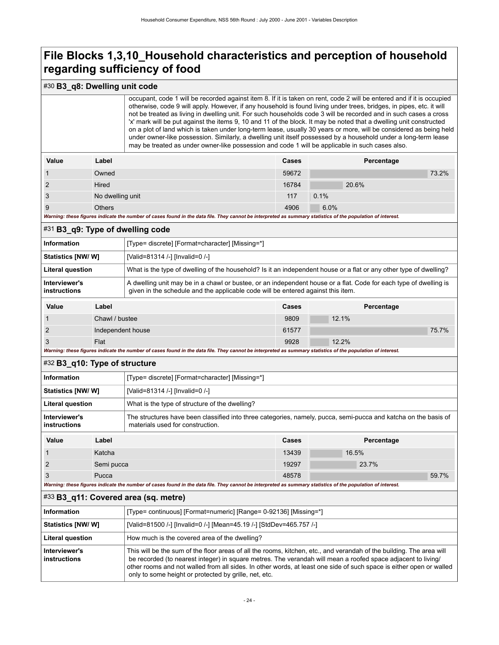### #30 **B3\_q8: Dwelling unit code**

| occupant, code 1 will be recorded against item 8. If it is taken on rent, code 2 will be entered and if it is occupied |
|------------------------------------------------------------------------------------------------------------------------|
| otherwise, code 9 will apply. However, if any household is found living under trees, bridges, in pipes, etc. it will   |
| not be treated as living in dwelling unit. For such households code 3 will be recorded and in such cases a cross       |
| 'x' mark will be put against the items 9, 10 and 11 of the block. It may be noted that a dwelling unit constructed     |
| on a plot of land which is taken under long-term lease, usually 30 years or more, will be considered as being held     |
| under owner-like possession. Similarly, a dwelling unit itself possessed by a household under a long-term lease        |
| may be treated as under owner-like possession and code 1 will be applicable in such cases also.                        |
|                                                                                                                        |

| Value | Label            | <b>Cases</b> | Percentage |       |
|-------|------------------|--------------|------------|-------|
|       | Owned            | 59672        |            | 73.2% |
| 2     | Hired            | 16784        | 20.6%      |       |
| 3     | No dwelling unit | 117          | 0.1%       |       |
| 9     | <b>Others</b>    | 4906         | 6.0%       |       |

Warning: these figures indicate the number of cases found in the data file. They cannot be interpreted as su

### <span id="page-27-0"></span>#31 **B3\_q9: Type of dwelling code**

| <b>Information</b>            | [Type= discrete] [Format=character] [Missing=*]                                                                                                                                                       |
|-------------------------------|-------------------------------------------------------------------------------------------------------------------------------------------------------------------------------------------------------|
| Statistics [NW/ W]            | [Valid=81314 /-] [Invalid=0 /-]                                                                                                                                                                       |
| <b>Literal question</b>       | What is the type of dwelling of the household? Is it an independent house or a flat or any other type of dwelling?                                                                                    |
| Interviewer's<br>instructions | A dwelling unit may be in a chawl or bustee, or an independent house or a flat. Code for each type of dwelling is<br>given in the schedule and the applicable code will be entered against this item. |
|                               |                                                                                                                                                                                                       |

| Value                                                                                                                                                       | Label             | Cases | Percentage |       |
|-------------------------------------------------------------------------------------------------------------------------------------------------------------|-------------------|-------|------------|-------|
|                                                                                                                                                             | Chawl / bustee    | 9809  | 12.1%      |       |
|                                                                                                                                                             | Independent house | 61577 |            | 75.7% |
|                                                                                                                                                             | Flat              | 9928  | 12.2%      |       |
| Warning: these figures indicate the number of cases found in the data file. They cannot be interpreted as summary statistics of the population of interest. |                   |       |            |       |

#### <span id="page-27-1"></span>#32 **B3\_q10: Type of structure**

| Information                   | [Type= discrete] [Format=character] [Missing=*]                                                                                                     |
|-------------------------------|-----------------------------------------------------------------------------------------------------------------------------------------------------|
| Statistics [NW/ W]            | [Valid=81314 /-] [Invalid=0 /-]                                                                                                                     |
| Literal question              | What is the type of structure of the dwelling?                                                                                                      |
| Interviewer's<br>instructions | The structures have been classified into three categories, namely, pucca, semi-pucca and katcha on the basis of<br>materials used for construction. |
|                               |                                                                                                                                                     |

| Value                                                                                                                                                       | Label      | <b>Cases</b> | Percentage |       |
|-------------------------------------------------------------------------------------------------------------------------------------------------------------|------------|--------------|------------|-------|
|                                                                                                                                                             | Katcha     | 13439        | 16.5%      |       |
|                                                                                                                                                             | Semi pucca | 19297        | 23.7%      |       |
|                                                                                                                                                             | Pucca      | 48578        |            | 59.7% |
| Warning: these figures indicate the number of cases found in the data file. They cannot be interpreted as summary statistics of the population of interest. |            |              |            |       |

#### <span id="page-27-2"></span>#33 **B3\_q11: Covered area (sq. metre)**

| Information                   | [Type= continuous] [Format=numeric] [Range= 0-92136] [Missing=*]                                                                                                                                                                                                                                                                                                                                                     |
|-------------------------------|----------------------------------------------------------------------------------------------------------------------------------------------------------------------------------------------------------------------------------------------------------------------------------------------------------------------------------------------------------------------------------------------------------------------|
| <b>Statistics [NW/ W]</b>     | [Valid=81500 /-] [Invalid=0 /-] [Mean=45.19 /-] [StdDev=465.757 /-]                                                                                                                                                                                                                                                                                                                                                  |
| <b>Literal question</b>       | How much is the covered area of the dwelling?                                                                                                                                                                                                                                                                                                                                                                        |
| Interviewer's<br>instructions | This will be the sum of the floor areas of all the rooms, kitchen, etc., and verandah of the building. The area will<br>be recorded (to nearest integer) in square metres. The verandah will mean a roofed space adjacent to living/<br>other rooms and not walled from all sides. In other words, at least one side of such space is either open or walled<br>only to some height or protected by grille, net, etc. |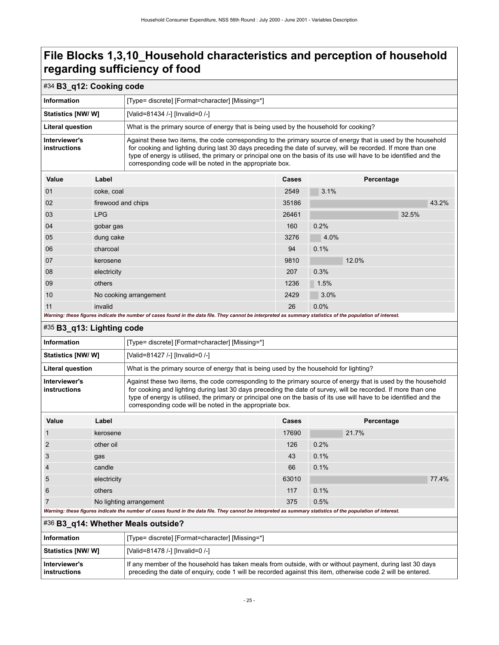<span id="page-28-2"></span><span id="page-28-1"></span><span id="page-28-0"></span>

| #34 B3_q12: Cooking code                                                                                                                                                                                                                                                                                                                                                                                                                           |                    |                                                                                                                                                                                                                                                                                                                                                                                                                   |                                                                                       |            |  |  |  |
|----------------------------------------------------------------------------------------------------------------------------------------------------------------------------------------------------------------------------------------------------------------------------------------------------------------------------------------------------------------------------------------------------------------------------------------------------|--------------------|-------------------------------------------------------------------------------------------------------------------------------------------------------------------------------------------------------------------------------------------------------------------------------------------------------------------------------------------------------------------------------------------------------------------|---------------------------------------------------------------------------------------|------------|--|--|--|
| Information                                                                                                                                                                                                                                                                                                                                                                                                                                        |                    | [Type= discrete] [Format=character] [Missing=*]                                                                                                                                                                                                                                                                                                                                                                   |                                                                                       |            |  |  |  |
| <b>Statistics [NW/ W]</b>                                                                                                                                                                                                                                                                                                                                                                                                                          |                    | [Valid=81434 /-] [Invalid=0 /-]                                                                                                                                                                                                                                                                                                                                                                                   |                                                                                       |            |  |  |  |
| <b>Literal question</b>                                                                                                                                                                                                                                                                                                                                                                                                                            |                    |                                                                                                                                                                                                                                                                                                                                                                                                                   | What is the primary source of energy that is being used by the household for cooking? |            |  |  |  |
| Interviewer's<br>Against these two items, the code corresponding to the primary source of energy that is used by the household<br>for cooking and lighting during last 30 days preceding the date of survey, will be recorded. If more than one<br>instructions<br>type of energy is utilised, the primary or principal one on the basis of its use will have to be identified and the<br>corresponding code will be noted in the appropriate box. |                    |                                                                                                                                                                                                                                                                                                                                                                                                                   |                                                                                       |            |  |  |  |
| Value                                                                                                                                                                                                                                                                                                                                                                                                                                              | Label              |                                                                                                                                                                                                                                                                                                                                                                                                                   | Percentage<br>Cases                                                                   |            |  |  |  |
| 01                                                                                                                                                                                                                                                                                                                                                                                                                                                 | coke, coal         |                                                                                                                                                                                                                                                                                                                                                                                                                   | 2549                                                                                  | 3.1%       |  |  |  |
| 02                                                                                                                                                                                                                                                                                                                                                                                                                                                 | firewood and chips |                                                                                                                                                                                                                                                                                                                                                                                                                   | 35186                                                                                 | 43.2%      |  |  |  |
| 03                                                                                                                                                                                                                                                                                                                                                                                                                                                 | <b>LPG</b>         |                                                                                                                                                                                                                                                                                                                                                                                                                   | 26461                                                                                 | 32.5%      |  |  |  |
| 04                                                                                                                                                                                                                                                                                                                                                                                                                                                 | gobar gas          |                                                                                                                                                                                                                                                                                                                                                                                                                   | 160                                                                                   | 0.2%       |  |  |  |
| 05                                                                                                                                                                                                                                                                                                                                                                                                                                                 | dung cake          |                                                                                                                                                                                                                                                                                                                                                                                                                   | 3276                                                                                  | 4.0%       |  |  |  |
| 06                                                                                                                                                                                                                                                                                                                                                                                                                                                 | charcoal           |                                                                                                                                                                                                                                                                                                                                                                                                                   | 94                                                                                    | 0.1%       |  |  |  |
| 07                                                                                                                                                                                                                                                                                                                                                                                                                                                 | kerosene           |                                                                                                                                                                                                                                                                                                                                                                                                                   | 9810                                                                                  | 12.0%      |  |  |  |
| 08                                                                                                                                                                                                                                                                                                                                                                                                                                                 | electricity        |                                                                                                                                                                                                                                                                                                                                                                                                                   | 207                                                                                   | 0.3%       |  |  |  |
| 09                                                                                                                                                                                                                                                                                                                                                                                                                                                 | others             |                                                                                                                                                                                                                                                                                                                                                                                                                   | 1236                                                                                  | 1.5%       |  |  |  |
| 10                                                                                                                                                                                                                                                                                                                                                                                                                                                 |                    | No cooking arrangement                                                                                                                                                                                                                                                                                                                                                                                            | 2429                                                                                  | 3.0%       |  |  |  |
| 11                                                                                                                                                                                                                                                                                                                                                                                                                                                 | invalid            |                                                                                                                                                                                                                                                                                                                                                                                                                   | 26                                                                                    | 0.0%       |  |  |  |
|                                                                                                                                                                                                                                                                                                                                                                                                                                                    |                    | Warning: these figures indicate the number of cases found in the data file. They cannot be interpreted as summary statistics of the population of interest.                                                                                                                                                                                                                                                       |                                                                                       |            |  |  |  |
| #35 B3_q13: Lighting code                                                                                                                                                                                                                                                                                                                                                                                                                          |                    |                                                                                                                                                                                                                                                                                                                                                                                                                   |                                                                                       |            |  |  |  |
| <b>Information</b>                                                                                                                                                                                                                                                                                                                                                                                                                                 |                    | [Type= discrete] [Format=character] [Missing=*]                                                                                                                                                                                                                                                                                                                                                                   |                                                                                       |            |  |  |  |
| <b>Statistics [NW/ W]</b>                                                                                                                                                                                                                                                                                                                                                                                                                          |                    | [Valid=81427 /-] [Invalid=0 /-]                                                                                                                                                                                                                                                                                                                                                                                   |                                                                                       |            |  |  |  |
| <b>Literal question</b>                                                                                                                                                                                                                                                                                                                                                                                                                            |                    | What is the primary source of energy that is being used by the household for lighting?                                                                                                                                                                                                                                                                                                                            |                                                                                       |            |  |  |  |
| Interviewer's<br>instructions                                                                                                                                                                                                                                                                                                                                                                                                                      |                    | Against these two items, the code corresponding to the primary source of energy that is used by the household<br>for cooking and lighting during last 30 days preceding the date of survey, will be recorded. If more than one<br>type of energy is utilised, the primary or principal one on the basis of its use will have to be identified and the<br>corresponding code will be noted in the appropriate box. |                                                                                       |            |  |  |  |
| Value                                                                                                                                                                                                                                                                                                                                                                                                                                              | Label              |                                                                                                                                                                                                                                                                                                                                                                                                                   | Cases                                                                                 | Percentage |  |  |  |
| $\mathbf{1}$                                                                                                                                                                                                                                                                                                                                                                                                                                       | kerosene           |                                                                                                                                                                                                                                                                                                                                                                                                                   | 17690                                                                                 | 21.7%      |  |  |  |
|                                                                                                                                                                                                                                                                                                                                                                                                                                                    | other oil          |                                                                                                                                                                                                                                                                                                                                                                                                                   | 126                                                                                   | 0.2%       |  |  |  |
| 3                                                                                                                                                                                                                                                                                                                                                                                                                                                  | gas                |                                                                                                                                                                                                                                                                                                                                                                                                                   | 43                                                                                    | 0.1%       |  |  |  |
| 4                                                                                                                                                                                                                                                                                                                                                                                                                                                  | candle             |                                                                                                                                                                                                                                                                                                                                                                                                                   | 66                                                                                    | 0.1%       |  |  |  |
| 5                                                                                                                                                                                                                                                                                                                                                                                                                                                  | electricity        |                                                                                                                                                                                                                                                                                                                                                                                                                   | 63010                                                                                 | 77.4%      |  |  |  |
| 6                                                                                                                                                                                                                                                                                                                                                                                                                                                  | others             |                                                                                                                                                                                                                                                                                                                                                                                                                   | 117                                                                                   | 0.1%       |  |  |  |
| 7<br>No lighting arrangement                                                                                                                                                                                                                                                                                                                                                                                                                       |                    |                                                                                                                                                                                                                                                                                                                                                                                                                   | 375                                                                                   | 0.5%       |  |  |  |
|                                                                                                                                                                                                                                                                                                                                                                                                                                                    |                    | Warning: these figures indicate the number of cases found in the data file. They cannot be interpreted as summary statistics of the population of interest.                                                                                                                                                                                                                                                       |                                                                                       |            |  |  |  |
|                                                                                                                                                                                                                                                                                                                                                                                                                                                    |                    | #36 B3_q14: Whether Meals outside?                                                                                                                                                                                                                                                                                                                                                                                |                                                                                       |            |  |  |  |
| <b>Information</b>                                                                                                                                                                                                                                                                                                                                                                                                                                 |                    | [Type= discrete] [Format=character] [Missing=*]                                                                                                                                                                                                                                                                                                                                                                   |                                                                                       |            |  |  |  |
| <b>Statistics [NW/ W]</b>                                                                                                                                                                                                                                                                                                                                                                                                                          |                    | [Valid=81478 /-] [Invalid=0 /-]                                                                                                                                                                                                                                                                                                                                                                                   |                                                                                       |            |  |  |  |
| Interviewer's<br>instructions                                                                                                                                                                                                                                                                                                                                                                                                                      |                    | If any member of the household has taken meals from outside, with or without payment, during last 30 days<br>preceding the date of enquiry, code 1 will be recorded against this item, otherwise code 2 will be entered.                                                                                                                                                                                          |                                                                                       |            |  |  |  |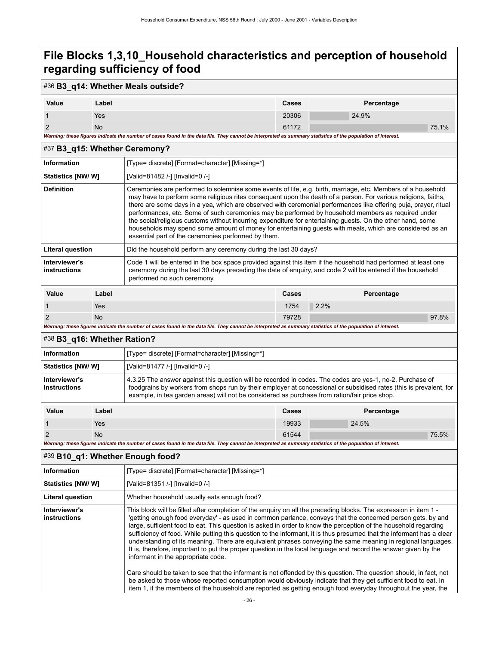### #36 **B3\_q14: Whether Meals outside?**

| Value | Label                                                                                                                                                       | Cases | Percentage |       |
|-------|-------------------------------------------------------------------------------------------------------------------------------------------------------------|-------|------------|-------|
|       | Yes                                                                                                                                                         | 20306 | 24.9%      |       |
|       | No                                                                                                                                                          | 61172 |            | 75.1% |
|       | Warning: these figures indicate the number of cases found in the data file. They cannot be interpreted as summary statistics of the population of interest. |       |            |       |

#### <span id="page-29-0"></span>#37 **B3\_q15: Whether Ceremony?**

|                                      | $#S/B3$ q 15: whether Geremony? |                                                                                                                                                                                                                                                                                                                                                                                                                                                                                                                                                                                                                                                                                                                                            |              |            |  |  |
|--------------------------------------|---------------------------------|--------------------------------------------------------------------------------------------------------------------------------------------------------------------------------------------------------------------------------------------------------------------------------------------------------------------------------------------------------------------------------------------------------------------------------------------------------------------------------------------------------------------------------------------------------------------------------------------------------------------------------------------------------------------------------------------------------------------------------------------|--------------|------------|--|--|
| <b>Information</b>                   |                                 | [Type= discrete] [Format=character] [Missing=*]                                                                                                                                                                                                                                                                                                                                                                                                                                                                                                                                                                                                                                                                                            |              |            |  |  |
| Statistics [NW/W]                    |                                 | [Valid=81482 /-] [Invalid=0 /-]                                                                                                                                                                                                                                                                                                                                                                                                                                                                                                                                                                                                                                                                                                            |              |            |  |  |
| <b>Definition</b>                    |                                 | Ceremonies are performed to solemnise some events of life, e.g. birth, marriage, etc. Members of a household<br>may have to perform some religious rites consequent upon the death of a person. For various religions, faiths,<br>there are some days in a yea, which are observed with ceremonial performances like offering puja, prayer, ritual<br>performances, etc. Some of such ceremonies may be performed by household members as required under<br>the social/religious customs without incurring expenditure for entertaining quests. On the other hand, some<br>households may spend some amount of money for entertaining quests with meals, which are considered as an<br>essential part of the ceremonies performed by them. |              |            |  |  |
| <b>Literal question</b>              |                                 | Did the household perform any ceremony during the last 30 days?                                                                                                                                                                                                                                                                                                                                                                                                                                                                                                                                                                                                                                                                            |              |            |  |  |
| Interviewer's<br><b>instructions</b> |                                 | Code 1 will be entered in the box space provided against this item if the household had performed at least one<br>ceremony during the last 30 days preceding the date of enguiry, and code 2 will be entered if the household<br>performed no such ceremony.                                                                                                                                                                                                                                                                                                                                                                                                                                                                               |              |            |  |  |
| Value                                | Label                           |                                                                                                                                                                                                                                                                                                                                                                                                                                                                                                                                                                                                                                                                                                                                            | <b>Cases</b> | Percentage |  |  |
|                                      | <b>Yes</b>                      |                                                                                                                                                                                                                                                                                                                                                                                                                                                                                                                                                                                                                                                                                                                                            | 1754         | 2.2%       |  |  |
| 2<br><b>No</b>                       |                                 | 79728                                                                                                                                                                                                                                                                                                                                                                                                                                                                                                                                                                                                                                                                                                                                      |              | 97.8%      |  |  |
|                                      |                                 |                                                                                                                                                                                                                                                                                                                                                                                                                                                                                                                                                                                                                                                                                                                                            |              |            |  |  |

*Warning: these figures indicate the number of cases found in the data file. They cannot be interpreted as summary statistics of the population of interest.*

### <span id="page-29-1"></span>#38 **B3\_q16: Whether Ration?**

| <b>Information</b>            |       | [Type= discrete] [Format=character] [Missing=*]                                                                                                                                                                                                                                                                                  |       |            |  |
|-------------------------------|-------|----------------------------------------------------------------------------------------------------------------------------------------------------------------------------------------------------------------------------------------------------------------------------------------------------------------------------------|-------|------------|--|
| <b>Statistics [NW/W]</b>      |       | [Valid=81477 /-] [Invalid=0 /-]                                                                                                                                                                                                                                                                                                  |       |            |  |
| Interviewer's<br>instructions |       | 4.3.25 The answer against this question will be recorded in codes. The codes are yes-1, no-2. Purchase of<br>foodgrains by workers from shops run by their employer at concessional or subsidised rates (this is prevalent, for<br>example, in tea garden areas) will not be considered as purchase from ration/fair price shop. |       |            |  |
| Value                         | Label |                                                                                                                                                                                                                                                                                                                                  | Cases | Percentage |  |
|                               | Yes   |                                                                                                                                                                                                                                                                                                                                  | 19933 | 24.5%      |  |

2 No  $1544$   $75.5\%$ 

*Warning: these figures indicate the number of cases found in the data file. They cannot be interpreted as summary statistics of the population of interest.*

#### <span id="page-29-2"></span>#39 **B10\_q1: Whether Enough food?**

| Information                          | [Type= discrete] [Format=character] [Missing=*]                                                                                                                                                                                                                                                                                                                                                                                                                                                                                                                                                                                                                                                                                                                                                                                                                                                                                                                                                |
|--------------------------------------|------------------------------------------------------------------------------------------------------------------------------------------------------------------------------------------------------------------------------------------------------------------------------------------------------------------------------------------------------------------------------------------------------------------------------------------------------------------------------------------------------------------------------------------------------------------------------------------------------------------------------------------------------------------------------------------------------------------------------------------------------------------------------------------------------------------------------------------------------------------------------------------------------------------------------------------------------------------------------------------------|
| Statistics [NW/ W]                   | [Valid=81351 /-] [Invalid=0 /-]                                                                                                                                                                                                                                                                                                                                                                                                                                                                                                                                                                                                                                                                                                                                                                                                                                                                                                                                                                |
| <b>Literal question</b>              | Whether household usually eats enough food?                                                                                                                                                                                                                                                                                                                                                                                                                                                                                                                                                                                                                                                                                                                                                                                                                                                                                                                                                    |
| Interviewer's<br><b>instructions</b> | This block will be filled after completion of the enguiry on all the preceding blocks. The expression in item 1 -<br>'getting enough food everyday' - as used in common parlance, conveys that the concerned person gets, by and<br>large, sufficient food to eat. This question is asked in order to know the perception of the household regarding<br>sufficiency of food. While putting this question to the informant, it is thus presumed that the informant has a clear<br>understanding of its meaning. There are equivalent phrases conveying the same meaning in regional languages.<br>It is, therefore, important to put the proper question in the local language and record the answer given by the<br>informant in the appropriate code.<br>Care should be taken to see that the informant is not offended by this question. The question should, in fact, not<br>be asked to those whose reported consumption would obviously indicate that they get sufficient food to eat. In |
|                                      | item 1, if the members of the household are reported as getting enough food everyday throughout the year, the                                                                                                                                                                                                                                                                                                                                                                                                                                                                                                                                                                                                                                                                                                                                                                                                                                                                                  |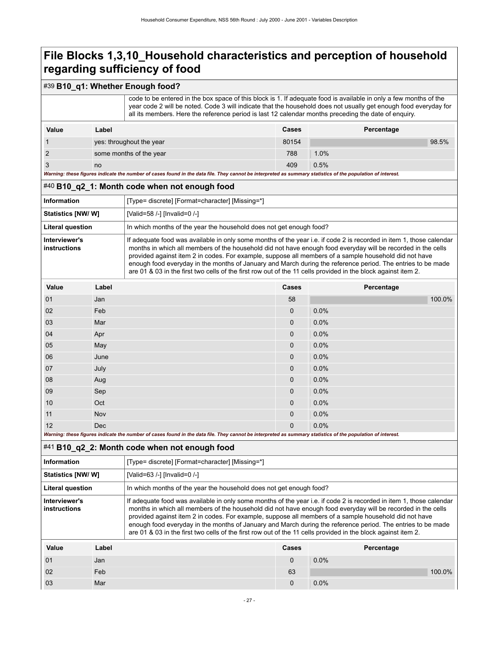### #39 **B10\_q1: Whether Enough food?**

 code to be entered in the box space of this block is 1. If adequate food is available in only a few months of the year code 2 will be noted. Code 3 will indicate that the household does not usually get enough food everyday for all its members. Here the reference period is last 12 calendar months preceding the date of enquiry.

| Value | Label                                                                                                                                                       | Cases | Percentage |       |
|-------|-------------------------------------------------------------------------------------------------------------------------------------------------------------|-------|------------|-------|
|       | yes: throughout the year                                                                                                                                    | 80154 |            | 98.5% |
|       | some months of the year                                                                                                                                     | 788   | 1.0%       |       |
|       | no                                                                                                                                                          | 409   | 0.5%       |       |
|       | Warning: these figures indicate the number of cases found in the data file. They cannot be interpreted as summary statistics of the population of interest. |       |            |       |

#### <span id="page-30-0"></span>#40 **B10\_q2\_1: Month code when not enough food**

| <b>Information</b>            | [Type= discrete] [Format=character] [Missing=*]                                                                                                                                                                                                                                                                                                                                                                                                                                                                                                                              |
|-------------------------------|------------------------------------------------------------------------------------------------------------------------------------------------------------------------------------------------------------------------------------------------------------------------------------------------------------------------------------------------------------------------------------------------------------------------------------------------------------------------------------------------------------------------------------------------------------------------------|
| Statistics [NW/ W]            | [Valid=58 /-] [Invalid=0 /-]                                                                                                                                                                                                                                                                                                                                                                                                                                                                                                                                                 |
| <b>Literal question</b>       | In which months of the year the household does not get enough food?                                                                                                                                                                                                                                                                                                                                                                                                                                                                                                          |
| Interviewer's<br>instructions | If adequate food was available in only some months of the year i.e. if code 2 is recorded in item 1, those calendar<br>months in which all members of the household did not have enough food everyday will be recorded in the cells<br>provided against item 2 in codes. For example, suppose all members of a sample household did not have<br>enough food everyday in the months of January and March during the reference period. The entries to be made<br>are 01 & 03 in the first two cells of the first row out of the 11 cells provided in the block against item 2. |

| Value                                                                                                                                                       | Label      | Cases        | Percentage |  |  |
|-------------------------------------------------------------------------------------------------------------------------------------------------------------|------------|--------------|------------|--|--|
| 01                                                                                                                                                          | Jan        | 58           | 100.0%     |  |  |
| 02                                                                                                                                                          | Feb        | $\mathbf{0}$ | 0.0%       |  |  |
| 03                                                                                                                                                          | Mar        | $\mathbf{0}$ | 0.0%       |  |  |
| 04                                                                                                                                                          | Apr        | $\mathbf{0}$ | 0.0%       |  |  |
| 05                                                                                                                                                          | May        | $\mathbf{0}$ | 0.0%       |  |  |
| 06                                                                                                                                                          | June       | 0            | 0.0%       |  |  |
| 07                                                                                                                                                          | July       | $\mathbf{0}$ | 0.0%       |  |  |
| 08                                                                                                                                                          | Aug        | $\mathbf{0}$ | 0.0%       |  |  |
| 09                                                                                                                                                          | Sep        | $\mathbf{0}$ | 0.0%       |  |  |
| 10                                                                                                                                                          | Oct        | $\mathbf{0}$ | 0.0%       |  |  |
| 11                                                                                                                                                          | Nov        | 0            | 0.0%       |  |  |
| 12                                                                                                                                                          | <b>Dec</b> | $\mathbf{0}$ | 0.0%       |  |  |
| Warning: these figures indicate the number of cases found in the data file. They cannot be interpreted as summary statistics of the population of interest. |            |              |            |  |  |

#### <span id="page-30-1"></span>#41 **B10\_q2\_2: Month code when not enough food**

| Information                   |       | [Type= discrete] [Format=character] [Missing=*]                                                                                                                                                                                                                                                                                                                                                                                                                                                                                                                              |       |            |  |
|-------------------------------|-------|------------------------------------------------------------------------------------------------------------------------------------------------------------------------------------------------------------------------------------------------------------------------------------------------------------------------------------------------------------------------------------------------------------------------------------------------------------------------------------------------------------------------------------------------------------------------------|-------|------------|--|
| Statistics [NW/W]             |       | [Valid=63 /-] [Invalid=0 /-]                                                                                                                                                                                                                                                                                                                                                                                                                                                                                                                                                 |       |            |  |
| Literal question              |       | In which months of the year the household does not get enough food?                                                                                                                                                                                                                                                                                                                                                                                                                                                                                                          |       |            |  |
| Interviewer's<br>instructions |       | If adequate food was available in only some months of the year i.e. if code 2 is recorded in item 1, those calendar<br>months in which all members of the household did not have enough food everyday will be recorded in the cells<br>provided against item 2 in codes. For example, suppose all members of a sample household did not have<br>enough food everyday in the months of January and March during the reference period. The entries to be made<br>are 01 & 03 in the first two cells of the first row out of the 11 cells provided in the block against item 2. |       |            |  |
| Value                         | Label |                                                                                                                                                                                                                                                                                                                                                                                                                                                                                                                                                                              | Cases | Percentage |  |

02 Feb 63 100.0%

01 Jan 0 0.0%

03 Mar 100 Mar 10 Mar 10 Mar 10 Mar 10 Mar 10 Mar 10 Mar 10 Mar 10 Mar 10 Mar 10 Mar 10 Mar 10 Mar 10 Mar 10 M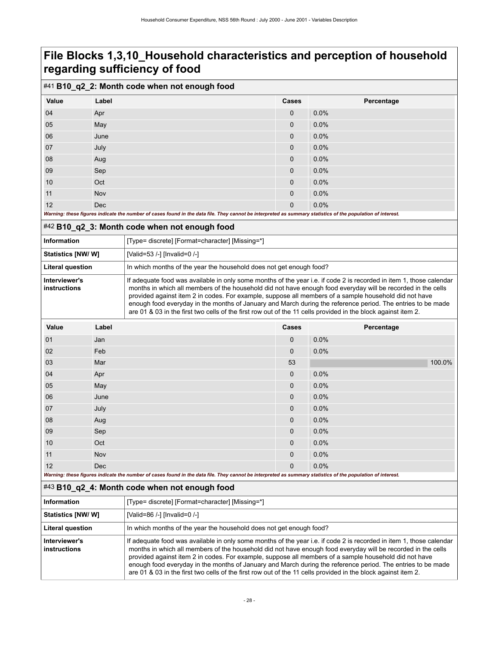### #41 **B10\_q2\_2: Month code when not enough food**

| Value                                                                                                                                                       | Label      | Cases        | Percentage |  |  |
|-------------------------------------------------------------------------------------------------------------------------------------------------------------|------------|--------------|------------|--|--|
| 04                                                                                                                                                          | Apr        | 0            | 0.0%       |  |  |
| 05                                                                                                                                                          | May        | $\mathbf{0}$ | 0.0%       |  |  |
| 06                                                                                                                                                          | June       | 0            | 0.0%       |  |  |
| 07                                                                                                                                                          | July       | 0            | 0.0%       |  |  |
| 08                                                                                                                                                          | Aug        | 0            | 0.0%       |  |  |
| 09                                                                                                                                                          | Sep        | 0            | 0.0%       |  |  |
| 10                                                                                                                                                          | Oct        | 0            | 0.0%       |  |  |
| 11                                                                                                                                                          | Nov        | 0            | 0.0%       |  |  |
| 12                                                                                                                                                          | <b>Dec</b> | $\mathbf{0}$ | 0.0%       |  |  |
| Warning: these figures indicate the number of cases found in the data file. They cannot be interpreted as summary statistics of the population of interest. |            |              |            |  |  |

### <span id="page-31-0"></span>#42 **B10\_q2\_3: Month code when not enough food**

| <b>Information</b>            | [Type= discrete] [Format=character] [Missing=*]                                                                                                                                                                                                                                                                                                                                                                                                                                                                                                                              |
|-------------------------------|------------------------------------------------------------------------------------------------------------------------------------------------------------------------------------------------------------------------------------------------------------------------------------------------------------------------------------------------------------------------------------------------------------------------------------------------------------------------------------------------------------------------------------------------------------------------------|
| <b>Statistics [NW/W]</b>      | [Valid=53 /-] [Invalid=0 /-]                                                                                                                                                                                                                                                                                                                                                                                                                                                                                                                                                 |
| <b>Literal question</b>       | In which months of the year the household does not get enough food?                                                                                                                                                                                                                                                                                                                                                                                                                                                                                                          |
| Interviewer's<br>instructions | If adequate food was available in only some months of the year i.e. if code 2 is recorded in item 1, those calendar<br>months in which all members of the household did not have enough food everyday will be recorded in the cells<br>provided against item 2 in codes. For example, suppose all members of a sample household did not have<br>enough food everyday in the months of January and March during the reference period. The entries to be made<br>are 01 & 03 in the first two cells of the first row out of the 11 cells provided in the block against item 2. |

| Value                                                                                                                                                       | Label      | Cases        | Percentage |  |  |
|-------------------------------------------------------------------------------------------------------------------------------------------------------------|------------|--------------|------------|--|--|
| 01                                                                                                                                                          | Jan        | $\mathbf 0$  | 0.0%       |  |  |
| 02                                                                                                                                                          | Feb        | $\mathbf 0$  | 0.0%       |  |  |
| 03                                                                                                                                                          | Mar        | 53           | 100.0%     |  |  |
| 04                                                                                                                                                          | Apr        | $\mathbf 0$  | 0.0%       |  |  |
| 05                                                                                                                                                          | May        | $\mathbf 0$  | 0.0%       |  |  |
| 06                                                                                                                                                          | June       | $\mathbf{0}$ | 0.0%       |  |  |
| 07                                                                                                                                                          | July       | $\mathbf 0$  | 0.0%       |  |  |
| 08                                                                                                                                                          | Aug        | $\mathbf 0$  | 0.0%       |  |  |
| 09                                                                                                                                                          | Sep        | $\mathbf 0$  | 0.0%       |  |  |
| 10                                                                                                                                                          | Oct        | $\mathbf{0}$ | 0.0%       |  |  |
| 11                                                                                                                                                          | Nov        | $\mathbf 0$  | 0.0%       |  |  |
| 12                                                                                                                                                          | <b>Dec</b> | $\mathbf{0}$ | 0.0%       |  |  |
| Warning: these figures indicate the number of cases found in the data file. They cannot be interpreted as summary statistics of the population of interest. |            |              |            |  |  |

#### <span id="page-31-1"></span>#43 **B10\_q2\_4: Month code when not enough food**

| Information                   | [Type= discrete] [Format=character] [Missing=*]                                                                                                                                                                                                                                                                                                                                                                                                                                                                                                                              |
|-------------------------------|------------------------------------------------------------------------------------------------------------------------------------------------------------------------------------------------------------------------------------------------------------------------------------------------------------------------------------------------------------------------------------------------------------------------------------------------------------------------------------------------------------------------------------------------------------------------------|
| <b>Statistics [NW/ W]</b>     | [Valid=86 /-] [Invalid=0 /-]                                                                                                                                                                                                                                                                                                                                                                                                                                                                                                                                                 |
| <b>Literal question</b>       | In which months of the year the household does not get enough food?                                                                                                                                                                                                                                                                                                                                                                                                                                                                                                          |
| Interviewer's<br>instructions | If adequate food was available in only some months of the year i.e. if code 2 is recorded in item 1, those calendar<br>months in which all members of the household did not have enough food everyday will be recorded in the cells<br>provided against item 2 in codes. For example, suppose all members of a sample household did not have<br>enough food everyday in the months of January and March during the reference period. The entries to be made<br>are 01 & 03 in the first two cells of the first row out of the 11 cells provided in the block against item 2. |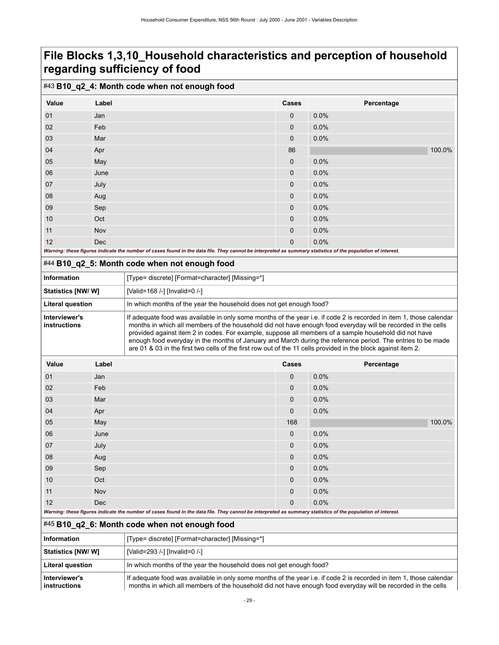### #43 **B10\_q2\_4: Month code when not enough food**

| Value                                                                                                                                                       | Label      | Cases        | Percentage |
|-------------------------------------------------------------------------------------------------------------------------------------------------------------|------------|--------------|------------|
|                                                                                                                                                             |            |              |            |
| 01                                                                                                                                                          | Jan        | $\mathbf{0}$ | 0.0%       |
| 02                                                                                                                                                          | Feb        | $\mathbf 0$  | 0.0%       |
| 03                                                                                                                                                          | Mar        | $\mathbf{0}$ | 0.0%       |
| 04                                                                                                                                                          | Apr        | 86           | 100.0%     |
| 05                                                                                                                                                          | May        | $\mathbf 0$  | 0.0%       |
| 06                                                                                                                                                          | June       | $\mathbf 0$  | 0.0%       |
| 07                                                                                                                                                          | July       | $\mathbf{0}$ | 0.0%       |
| 08                                                                                                                                                          | Aug        | $\mathbf 0$  | 0.0%       |
| 09                                                                                                                                                          | Sep        | $\mathbf 0$  | 0.0%       |
| 10                                                                                                                                                          | Oct        | $\mathbf{0}$ | 0.0%       |
| 11                                                                                                                                                          | Nov        | $\mathbf 0$  | 0.0%       |
| 12                                                                                                                                                          | <b>Dec</b> | $\mathbf{0}$ | 0.0%       |
| Warning: these figures indicate the number of cases found in the data file. They cannot be interpreted as summary statistics of the population of interest. |            |              |            |

### <span id="page-32-0"></span>#44 **B10\_q2\_5: Month code when not enough food**

| <b>Information</b>            | [Type= discrete] [Format=character] [Missing=*]                                                                                                                                                                                                                                                                                                                                                                                                                                                                                                                              |
|-------------------------------|------------------------------------------------------------------------------------------------------------------------------------------------------------------------------------------------------------------------------------------------------------------------------------------------------------------------------------------------------------------------------------------------------------------------------------------------------------------------------------------------------------------------------------------------------------------------------|
| Statistics [NW/ W]            | [Valid=168 /-] [Invalid=0 /-]                                                                                                                                                                                                                                                                                                                                                                                                                                                                                                                                                |
| <b>Literal question</b>       | In which months of the year the household does not get enough food?                                                                                                                                                                                                                                                                                                                                                                                                                                                                                                          |
| Interviewer's<br>instructions | If adequate food was available in only some months of the year i.e. if code 2 is recorded in item 1, those calendar<br>months in which all members of the household did not have enough food everyday will be recorded in the cells<br>provided against item 2 in codes. For example, suppose all members of a sample household did not have<br>enough food everyday in the months of January and March during the reference period. The entries to be made<br>are 01 & 03 in the first two cells of the first row out of the 11 cells provided in the block against item 2. |

| Value | Label | Cases       | Percentage |
|-------|-------|-------------|------------|
| 01    | Jan   | $\mathbf 0$ | 0.0%       |
| 02    | Feb   | $\mathbf 0$ | 0.0%       |
| 03    | Mar   | $\mathbf 0$ | 0.0%       |
| 04    | Apr   | $\mathbf 0$ | 0.0%       |
| 05    | May   | 168         | 100.0%     |
| 06    | June  | $\mathbf 0$ | 0.0%       |
| 07    | July  | $\mathbf 0$ | 0.0%       |
| 08    | Aug   | $\mathbf 0$ | 0.0%       |
| 09    | Sep   | $\mathbf 0$ | 0.0%       |
| $10$  | Oct   | $\mathbf 0$ | 0.0%       |
| 11    | Nov   | $\mathbf 0$ | 0.0%       |
| 12    | Dec   | $\mathbf 0$ | 0.0%       |

*Warning: these figures indicate the number of cases found in the data file. They cannot be interpreted as summary statistics of the population of interest.*

#### <span id="page-32-1"></span>#45 **B10\_q2\_6: Month code when not enough food**

| Information                   | [Type= discrete] [Format=character] [Missing=*]                                                                                                                                                                                     |  |
|-------------------------------|-------------------------------------------------------------------------------------------------------------------------------------------------------------------------------------------------------------------------------------|--|
| <b>Statistics [NW/ W]</b>     | [Valid=293 /-] [Invalid=0 /-]                                                                                                                                                                                                       |  |
| <b>Literal question</b>       | In which months of the year the household does not get enough food?                                                                                                                                                                 |  |
| Interviewer's<br>instructions | If adequate food was available in only some months of the year i.e. if code 2 is recorded in item 1, those calendar<br>months in which all members of the household did not have enough food everyday will be recorded in the cells |  |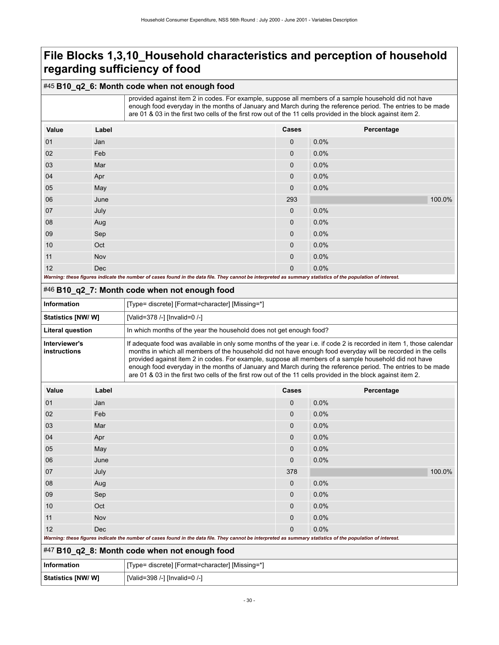### #45 **B10\_q2\_6: Month code when not enough food**

|                                                                                                                                                             |            | provided against item 2 in codes. For example, suppose all members of a sample household did not have<br>enough food everyday in the months of January and March during the reference period. The entries to be made<br>are 01 & 03 in the first two cells of the first row out of the 11 cells provided in the block against item 2. |              |            |
|-------------------------------------------------------------------------------------------------------------------------------------------------------------|------------|---------------------------------------------------------------------------------------------------------------------------------------------------------------------------------------------------------------------------------------------------------------------------------------------------------------------------------------|--------------|------------|
| Value                                                                                                                                                       | Label      |                                                                                                                                                                                                                                                                                                                                       | <b>Cases</b> | Percentage |
| 01                                                                                                                                                          | Jan        |                                                                                                                                                                                                                                                                                                                                       | $\Omega$     | 0.0%       |
| 02                                                                                                                                                          | Feb        |                                                                                                                                                                                                                                                                                                                                       | $\Omega$     | 0.0%       |
| 03                                                                                                                                                          | Mar        |                                                                                                                                                                                                                                                                                                                                       | $\Omega$     | 0.0%       |
| 04                                                                                                                                                          | Apr        |                                                                                                                                                                                                                                                                                                                                       | $\Omega$     | 0.0%       |
| 05                                                                                                                                                          | May        |                                                                                                                                                                                                                                                                                                                                       | 0            | 0.0%       |
| 06                                                                                                                                                          | June       |                                                                                                                                                                                                                                                                                                                                       | 293          | 100.0%     |
| 07                                                                                                                                                          | July       |                                                                                                                                                                                                                                                                                                                                       | $\mathbf{0}$ | 0.0%       |
| 08                                                                                                                                                          | Aug        |                                                                                                                                                                                                                                                                                                                                       | $\Omega$     | 0.0%       |
| 09                                                                                                                                                          | Sep        |                                                                                                                                                                                                                                                                                                                                       | $\mathbf{0}$ | 0.0%       |
| 10                                                                                                                                                          | Oct        |                                                                                                                                                                                                                                                                                                                                       | $\Omega$     | 0.0%       |
| 11                                                                                                                                                          | Nov        |                                                                                                                                                                                                                                                                                                                                       | $\Omega$     | 0.0%       |
| 12                                                                                                                                                          | <b>Dec</b> |                                                                                                                                                                                                                                                                                                                                       | $\Omega$     | 0.0%       |
| Warning: these figures indicate the number of cases found in the data file. They cannot be interpreted as summary statistics of the population of interest. |            |                                                                                                                                                                                                                                                                                                                                       |              |            |

<span id="page-33-0"></span>

| 12                                                                                                                                                                                                                                                                                                                                                                                                                                                                                                                                                                                                            | Dec   | Warning: these figures indicate the number of cases found in the data file. They cannot be interpreted as summary statistics of the population of interest. | $\mathbf{0}$ | $0.0\%$    |        |
|---------------------------------------------------------------------------------------------------------------------------------------------------------------------------------------------------------------------------------------------------------------------------------------------------------------------------------------------------------------------------------------------------------------------------------------------------------------------------------------------------------------------------------------------------------------------------------------------------------------|-------|-------------------------------------------------------------------------------------------------------------------------------------------------------------|--------------|------------|--------|
|                                                                                                                                                                                                                                                                                                                                                                                                                                                                                                                                                                                                               |       | #46 B10_q2_7: Month code when not enough food                                                                                                               |              |            |        |
| <b>Information</b>                                                                                                                                                                                                                                                                                                                                                                                                                                                                                                                                                                                            |       | [Type= discrete] [Format=character] [Missing=*]                                                                                                             |              |            |        |
| Statistics [NW/ W]                                                                                                                                                                                                                                                                                                                                                                                                                                                                                                                                                                                            |       | [Valid=378 /-] [Invalid=0 /-]                                                                                                                               |              |            |        |
| Literal question                                                                                                                                                                                                                                                                                                                                                                                                                                                                                                                                                                                              |       | In which months of the year the household does not get enough food?                                                                                         |              |            |        |
| Interviewer's<br>If adequate food was available in only some months of the year i.e. if code 2 is recorded in item 1, those calendar<br>months in which all members of the household did not have enough food everyday will be recorded in the cells<br>instructions<br>provided against item 2 in codes. For example, suppose all members of a sample household did not have<br>enough food everyday in the months of January and March during the reference period. The entries to be made<br>are 01 & 03 in the first two cells of the first row out of the 11 cells provided in the block against item 2. |       |                                                                                                                                                             |              |            |        |
| Value                                                                                                                                                                                                                                                                                                                                                                                                                                                                                                                                                                                                         | Label |                                                                                                                                                             | Cases        | Percentage |        |
| 01                                                                                                                                                                                                                                                                                                                                                                                                                                                                                                                                                                                                            | Jan   |                                                                                                                                                             | $\mathbf 0$  | 0.0%       |        |
| 02                                                                                                                                                                                                                                                                                                                                                                                                                                                                                                                                                                                                            | Feb   |                                                                                                                                                             | $\mathbf 0$  | 0.0%       |        |
| 03                                                                                                                                                                                                                                                                                                                                                                                                                                                                                                                                                                                                            | Mar   |                                                                                                                                                             | 0            | 0.0%       |        |
| 04                                                                                                                                                                                                                                                                                                                                                                                                                                                                                                                                                                                                            | Apr   |                                                                                                                                                             | 0            | 0.0%       |        |
| 05                                                                                                                                                                                                                                                                                                                                                                                                                                                                                                                                                                                                            | May   |                                                                                                                                                             | 0            | 0.0%       |        |
| 06                                                                                                                                                                                                                                                                                                                                                                                                                                                                                                                                                                                                            | June  |                                                                                                                                                             | $\mathbf 0$  | 0.0%       |        |
| 07                                                                                                                                                                                                                                                                                                                                                                                                                                                                                                                                                                                                            | July  |                                                                                                                                                             | 378          |            | 100.0% |
| 08                                                                                                                                                                                                                                                                                                                                                                                                                                                                                                                                                                                                            | Aug   |                                                                                                                                                             | $\mathbf{0}$ | 0.0%       |        |
| 09                                                                                                                                                                                                                                                                                                                                                                                                                                                                                                                                                                                                            | Sep   |                                                                                                                                                             | 0            | 0.0%       |        |
| 10                                                                                                                                                                                                                                                                                                                                                                                                                                                                                                                                                                                                            | Oct   |                                                                                                                                                             | 0            | 0.0%       |        |
| 11                                                                                                                                                                                                                                                                                                                                                                                                                                                                                                                                                                                                            | Nov   |                                                                                                                                                             | 0            | 0.0%       |        |
| 12                                                                                                                                                                                                                                                                                                                                                                                                                                                                                                                                                                                                            | Dec   |                                                                                                                                                             | $\Omega$     | 0.0%       |        |
|                                                                                                                                                                                                                                                                                                                                                                                                                                                                                                                                                                                                               |       | Warning: these figures indicate the number of cases found in the data file. They cannot be interpreted as summary statistics of the population of interest. |              |            |        |
|                                                                                                                                                                                                                                                                                                                                                                                                                                                                                                                                                                                                               |       | $#47$ D40, a0, 0. Members and subscription as $f \circ \circ d$                                                                                             |              |            |        |

<span id="page-33-1"></span>

|  |  | #47 B10_q2_8: Month code when not enough food |
|--|--|-----------------------------------------------|
|--|--|-----------------------------------------------|

| Information       | Type= discrete] [Format=character] [Missing=*] |
|-------------------|------------------------------------------------|
| Statistics [NW/W] | [Valid=398 /-] [Invalid=0 /-]                  |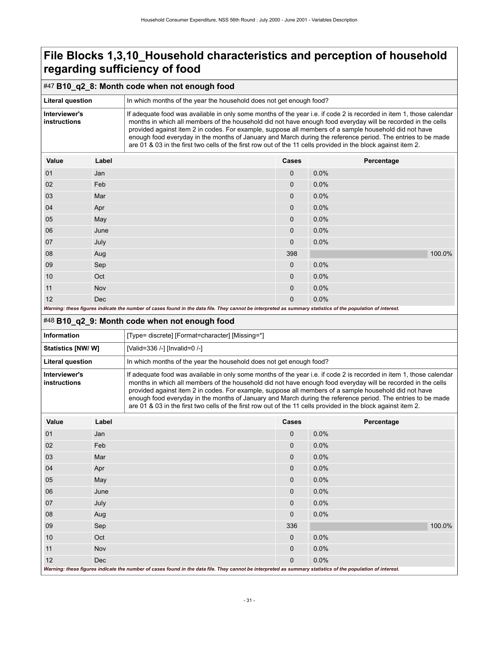### #47 **B10\_q2\_8: Month code when not enough food**

| <b>Literal question</b>       | In which months of the year the household does not get enough food?                                                                                                                                                                                                                                                                                                                                                                                                                                                                                                          |  |
|-------------------------------|------------------------------------------------------------------------------------------------------------------------------------------------------------------------------------------------------------------------------------------------------------------------------------------------------------------------------------------------------------------------------------------------------------------------------------------------------------------------------------------------------------------------------------------------------------------------------|--|
| Interviewer's<br>instructions | If adequate food was available in only some months of the year i.e. if code 2 is recorded in item 1, those calendar<br>months in which all members of the household did not have enough food everyday will be recorded in the cells<br>provided against item 2 in codes. For example, suppose all members of a sample household did not have<br>enough food everyday in the months of January and March during the reference period. The entries to be made<br>are 01 & 03 in the first two cells of the first row out of the 11 cells provided in the block against item 2. |  |
|                               |                                                                                                                                                                                                                                                                                                                                                                                                                                                                                                                                                                              |  |

| Value | Label | <b>Cases</b> | Percentage                                                                                                              |        |
|-------|-------|--------------|-------------------------------------------------------------------------------------------------------------------------|--------|
| 01    | Jan   | $\mathbf{0}$ | 0.0%                                                                                                                    |        |
| 02    | Feb   | $\mathbf 0$  | 0.0%                                                                                                                    |        |
| 03    | Mar   | $\mathbf 0$  | 0.0%                                                                                                                    |        |
| 04    | Apr   | $\mathbf{0}$ | 0.0%                                                                                                                    |        |
| 05    | May   | $\mathbf{0}$ | 0.0%                                                                                                                    |        |
| 06    | June  | $\mathbf 0$  | 0.0%                                                                                                                    |        |
| 07    | July  | $\mathbf 0$  | 0.0%                                                                                                                    |        |
| 08    | Aug   | 398          |                                                                                                                         | 100.0% |
| 09    | Sep   | $\mathbf 0$  | 0.0%                                                                                                                    |        |
| 10    | Oct   | $\mathbf{0}$ | 0.0%                                                                                                                    |        |
| 11    | Nov   | $\mathbf 0$  | 0.0%                                                                                                                    |        |
| 12    | Dec   | $\mathbf 0$  | 0.0%<br>the contract of the contract of the contract of the contract of the contract of the contract of the contract of |        |

| Warning: these figures indicate the number of cases found in the data file. They cannot be interpreted as summary statistics of the population of interest. |  |
|-------------------------------------------------------------------------------------------------------------------------------------------------------------|--|
|-------------------------------------------------------------------------------------------------------------------------------------------------------------|--|

### <span id="page-34-0"></span>#48 **B10\_q2\_9: Month code when not enough food**

| Information                   | [Type= discrete] [Format=character] [Missing=*]                                                                                                                                                                                                                                                                                                                                                                                                                                                                                                                              |
|-------------------------------|------------------------------------------------------------------------------------------------------------------------------------------------------------------------------------------------------------------------------------------------------------------------------------------------------------------------------------------------------------------------------------------------------------------------------------------------------------------------------------------------------------------------------------------------------------------------------|
| Statistics [NW/ W]            | [Valid=336 /-] [Invalid=0 /-]                                                                                                                                                                                                                                                                                                                                                                                                                                                                                                                                                |
| <b>Literal question</b>       | In which months of the year the household does not get enough food?                                                                                                                                                                                                                                                                                                                                                                                                                                                                                                          |
| Interviewer's<br>instructions | If adequate food was available in only some months of the year i.e. if code 2 is recorded in item 1, those calendar<br>months in which all members of the household did not have enough food everyday will be recorded in the cells<br>provided against item 2 in codes. For example, suppose all members of a sample household did not have<br>enough food everyday in the months of January and March during the reference period. The entries to be made<br>are 01 & 03 in the first two cells of the first row out of the 11 cells provided in the block against item 2. |

| Value                                                                                                                                                       | Label      | Cases        | Percentage |  |  |
|-------------------------------------------------------------------------------------------------------------------------------------------------------------|------------|--------------|------------|--|--|
| 01                                                                                                                                                          | Jan        | $\mathbf{0}$ | 0.0%       |  |  |
| 02                                                                                                                                                          | Feb        | $\mathbf 0$  | 0.0%       |  |  |
| 03                                                                                                                                                          | Mar        | $\mathbf{0}$ | 0.0%       |  |  |
| 04                                                                                                                                                          | Apr        | $\mathbf 0$  | 0.0%       |  |  |
| 05                                                                                                                                                          | May        | $\mathbf 0$  | 0.0%       |  |  |
| 06                                                                                                                                                          | June       | $\mathbf 0$  | 0.0%       |  |  |
| 07                                                                                                                                                          | July       | $\mathbf{0}$ | 0.0%       |  |  |
| 08                                                                                                                                                          | Aug        | $\mathbf 0$  | 0.0%       |  |  |
| 09                                                                                                                                                          | Sep        | 336          | 100.0%     |  |  |
| 10                                                                                                                                                          | Oct        | $\mathbf 0$  | 0.0%       |  |  |
| 11                                                                                                                                                          | Nov        | $\mathbf{0}$ | 0.0%       |  |  |
| 12                                                                                                                                                          | <b>Dec</b> | $\mathbf{0}$ | 0.0%       |  |  |
| Warning: these figures indicate the number of cases found in the data file. They cannot be interpreted as summary statistics of the population of interest. |            |              |            |  |  |

*Warning: these figures indicate the number of cases found in the data file. They cannot be interpreted as summary statistics of the population of interest.*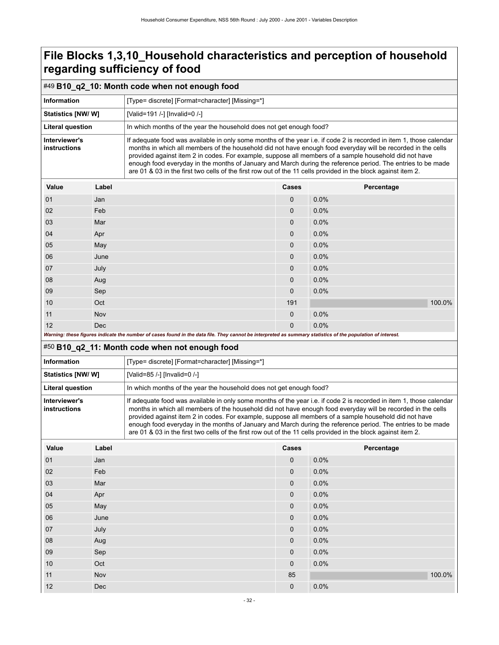<span id="page-35-0"></span>

| #49 B10_q2_10: Month code when not enough food                                                                                                              |       |                                                                                                                                                                                                                                                                                                                                                                                                                                                                                                                                                                              |             |            |        |  |
|-------------------------------------------------------------------------------------------------------------------------------------------------------------|-------|------------------------------------------------------------------------------------------------------------------------------------------------------------------------------------------------------------------------------------------------------------------------------------------------------------------------------------------------------------------------------------------------------------------------------------------------------------------------------------------------------------------------------------------------------------------------------|-------------|------------|--------|--|
| <b>Information</b>                                                                                                                                          |       | [Type= discrete] [Format=character] [Missing=*]                                                                                                                                                                                                                                                                                                                                                                                                                                                                                                                              |             |            |        |  |
| <b>Statistics [NW/W]</b>                                                                                                                                    |       | [Valid=191 /-] [Invalid=0 /-]                                                                                                                                                                                                                                                                                                                                                                                                                                                                                                                                                |             |            |        |  |
| <b>Literal question</b>                                                                                                                                     |       | In which months of the year the household does not get enough food?                                                                                                                                                                                                                                                                                                                                                                                                                                                                                                          |             |            |        |  |
| Interviewer's<br>instructions                                                                                                                               |       | If adequate food was available in only some months of the year i.e. if code 2 is recorded in item 1, those calendar<br>months in which all members of the household did not have enough food everyday will be recorded in the cells<br>provided against item 2 in codes. For example, suppose all members of a sample household did not have<br>enough food everyday in the months of January and March during the reference period. The entries to be made<br>are 01 & 03 in the first two cells of the first row out of the 11 cells provided in the block against item 2. |             |            |        |  |
| Value                                                                                                                                                       | Label |                                                                                                                                                                                                                                                                                                                                                                                                                                                                                                                                                                              | Cases       | Percentage |        |  |
| 01                                                                                                                                                          | Jan   |                                                                                                                                                                                                                                                                                                                                                                                                                                                                                                                                                                              | $\mathbf 0$ | 0.0%       |        |  |
| 02                                                                                                                                                          | Feb   |                                                                                                                                                                                                                                                                                                                                                                                                                                                                                                                                                                              | 0           | 0.0%       |        |  |
| 03                                                                                                                                                          | Mar   |                                                                                                                                                                                                                                                                                                                                                                                                                                                                                                                                                                              | $\Omega$    | 0.0%       |        |  |
| 04                                                                                                                                                          | Apr   |                                                                                                                                                                                                                                                                                                                                                                                                                                                                                                                                                                              | 0           | 0.0%       |        |  |
| 05                                                                                                                                                          | May   |                                                                                                                                                                                                                                                                                                                                                                                                                                                                                                                                                                              | $\Omega$    | 0.0%       |        |  |
| 06                                                                                                                                                          | June  |                                                                                                                                                                                                                                                                                                                                                                                                                                                                                                                                                                              | 0           | 0.0%       |        |  |
| 07                                                                                                                                                          | July  |                                                                                                                                                                                                                                                                                                                                                                                                                                                                                                                                                                              | $\Omega$    | 0.0%       |        |  |
| 08                                                                                                                                                          | Aug   |                                                                                                                                                                                                                                                                                                                                                                                                                                                                                                                                                                              | $\Omega$    | 0.0%       |        |  |
| 09                                                                                                                                                          | Sep   |                                                                                                                                                                                                                                                                                                                                                                                                                                                                                                                                                                              | 0           | 0.0%       |        |  |
| 10                                                                                                                                                          | Oct   |                                                                                                                                                                                                                                                                                                                                                                                                                                                                                                                                                                              | 191         |            | 100.0% |  |
| 11                                                                                                                                                          | Nov   |                                                                                                                                                                                                                                                                                                                                                                                                                                                                                                                                                                              | 0           | 0.0%       |        |  |
| 12<br>Dec                                                                                                                                                   |       | $\Omega$                                                                                                                                                                                                                                                                                                                                                                                                                                                                                                                                                                     | 0.0%        |            |        |  |
| Warning: these figures indicate the number of cases found in the data file. They cannot be interpreted as summary statistics of the population of interest. |       |                                                                                                                                                                                                                                                                                                                                                                                                                                                                                                                                                                              |             |            |        |  |
| #50 B10_q2_11: Month code when not enough food                                                                                                              |       |                                                                                                                                                                                                                                                                                                                                                                                                                                                                                                                                                                              |             |            |        |  |
| Information                                                                                                                                                 |       | [Type= discrete] [Format=character] [Missing=*]                                                                                                                                                                                                                                                                                                                                                                                                                                                                                                                              |             |            |        |  |
| <b>Statistics [NW/ W]</b>                                                                                                                                   |       | TValid=85 /-1 [Invalid=0 /-1                                                                                                                                                                                                                                                                                                                                                                                                                                                                                                                                                 |             |            |        |  |

<span id="page-35-1"></span>Literal question **In which months of the year the household does not get enough food? Interviewer's instructions** If adequate food was available in only some months of the year i.e. if code 2 is recorded in item 1, those calendar months in which all members of the household did not have enough food everyday will be recorded in the cells provided against item 2 in codes. For example, suppose all members of a sample household did not have enough food everyday in the months of January and March during the reference period. The entries to be made are 01 & 03 in the first two cells of the first row out of the 11 cells provided in the block against item 2.

| Value | Label | Cases | Percentage |
|-------|-------|-------|------------|
| 01    | Jan   | 0     | 0.0%       |
| 02    | Feb   | 0     | 0.0%       |
| 03    | Mar   | 0     | 0.0%       |
| 04    | Apr   | 0     | 0.0%       |
| 05    | May   | 0     | 0.0%       |
| 06    | June  | 0     | 0.0%       |
| 07    | July  | 0     | 0.0%       |
| 08    | Aug   | 0     | 0.0%       |
| 09    | Sep   | 0     | 0.0%       |
| 10    | Oct   | 0     | 0.0%       |
| 11    | Nov   | 85    | 100.0%     |
| 12    | Dec   | 0     | 0.0%       |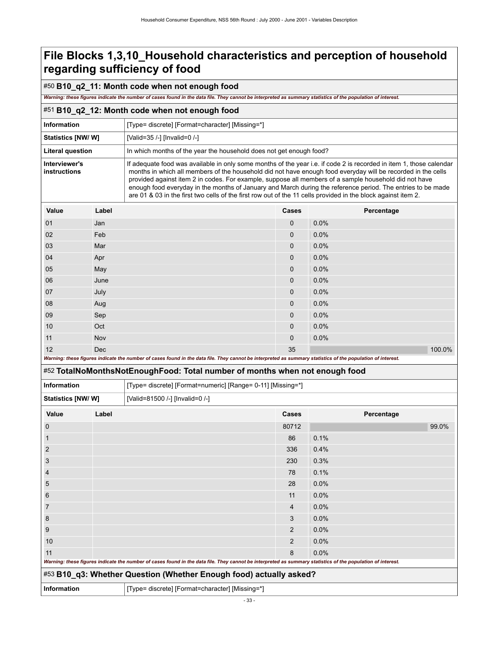### **File Blocks 1,3,10\_Household characteristics and perception of household regarding sufficiency of food**

#### #50 **B10\_q2\_11: Month code when not enough food**

*Warning: these figures indicate the number of cases found in the data file. They cannot be interpreted as summary statistics of the population of interest.*

#### #51 **B10\_q2\_12: Month code when not enough food**

| <b>Information</b>                        | [Type= discrete] [Format=character] [Missing=*]                                                                                                                                                                                                                                                                                                                                                                                                                                                                                                                              |
|-------------------------------------------|------------------------------------------------------------------------------------------------------------------------------------------------------------------------------------------------------------------------------------------------------------------------------------------------------------------------------------------------------------------------------------------------------------------------------------------------------------------------------------------------------------------------------------------------------------------------------|
| <b>Statistics [NW/W]</b>                  | [Valid=35 /-] [Invalid=0 /-]                                                                                                                                                                                                                                                                                                                                                                                                                                                                                                                                                 |
| Literal question                          | In which months of the year the household does not get enough food?                                                                                                                                                                                                                                                                                                                                                                                                                                                                                                          |
| Interviewer's<br>instructions             | If adequate food was available in only some months of the year i.e. if code 2 is recorded in item 1, those calendar<br>months in which all members of the household did not have enough food everyday will be recorded in the cells<br>provided against item 2 in codes. For example, suppose all members of a sample household did not have<br>enough food everyday in the months of January and March during the reference period. The entries to be made<br>are 01 & 03 in the first two cells of the first row out of the 11 cells provided in the block against item 2. |
| $\mathcal{L}_{\mathbf{a}}$<br><b>Ahal</b> | 0.000<br><b>Dovoontogo</b>                                                                                                                                                                                                                                                                                                                                                                                                                                                                                                                                                   |

| Value | Label                                                                                                                                                       | <b>Cases</b> | Percentage |
|-------|-------------------------------------------------------------------------------------------------------------------------------------------------------------|--------------|------------|
| 01    | Jan                                                                                                                                                         | $\mathbf{0}$ | 0.0%       |
| 02    | Feb                                                                                                                                                         | $\mathbf{0}$ | 0.0%       |
| 03    | Mar                                                                                                                                                         | $\mathbf{0}$ | 0.0%       |
| 04    | Apr                                                                                                                                                         | 0            | 0.0%       |
| 05    | May                                                                                                                                                         | 0            | 0.0%       |
| 06    | June                                                                                                                                                        | $\mathbf{0}$ | 0.0%       |
| 07    | July                                                                                                                                                        | $\mathbf{0}$ | 0.0%       |
| 08    | Aug                                                                                                                                                         | $\mathbf{0}$ | 0.0%       |
| 09    | Sep                                                                                                                                                         | 0            | 0.0%       |
| 10    | Oct                                                                                                                                                         | $\mathbf{0}$ | 0.0%       |
| 11    | Nov                                                                                                                                                         | $\mathbf{0}$ | 0.0%       |
| 12    | <b>Dec</b>                                                                                                                                                  | 35           | 100.0%     |
|       | Warning: these figures indicate the number of cases found in the data file. They cannot be interpreted as summary statistics of the population of interest. |              |            |

### #52 **TotalNoMonthsNotEnoughFood: Total number of months when not enough food**

| <b>Information</b>       |       | [Type= discrete] [Format=numeric] [Range= 0-11] [Missing=*]                                                                                                 |       |            |       |
|--------------------------|-------|-------------------------------------------------------------------------------------------------------------------------------------------------------------|-------|------------|-------|
| <b>Statistics [NW/W]</b> |       | [Valid=81500 /-] [Invalid=0 /-]                                                                                                                             |       |            |       |
| Value                    | Label |                                                                                                                                                             | Cases | Percentage |       |
| $\mathbf 0$              |       |                                                                                                                                                             | 80712 |            | 99.0% |
| $\mathbf 1$              |       |                                                                                                                                                             | 86    | 0.1%       |       |
| 2                        |       |                                                                                                                                                             | 336   | 0.4%       |       |
| 3                        |       |                                                                                                                                                             | 230   | 0.3%       |       |
| 4                        |       |                                                                                                                                                             | 78    | 0.1%       |       |
| 5                        |       |                                                                                                                                                             | 28    | 0.0%       |       |
| 6                        |       |                                                                                                                                                             | 11    | 0.0%       |       |
| 7                        |       |                                                                                                                                                             | 4     | 0.0%       |       |
| 8                        |       |                                                                                                                                                             | 3     | 0.0%       |       |
| 9                        |       |                                                                                                                                                             | 2     | 0.0%       |       |
| 10                       |       |                                                                                                                                                             | 2     | 0.0%       |       |
| 11                       |       |                                                                                                                                                             | 8     | 0.0%       |       |
|                          |       | Warning: these figures indicate the number of cases found in the data file. They cannot be interpreted as summary statistics of the population of interest. |       |            |       |
|                          |       | #53 B10_q3: Whether Question (Whether Enough food) actually asked?                                                                                          |       |            |       |
| <b>Information</b>       |       | [Type= discrete] [Format=character] [Missing=*]                                                                                                             |       |            |       |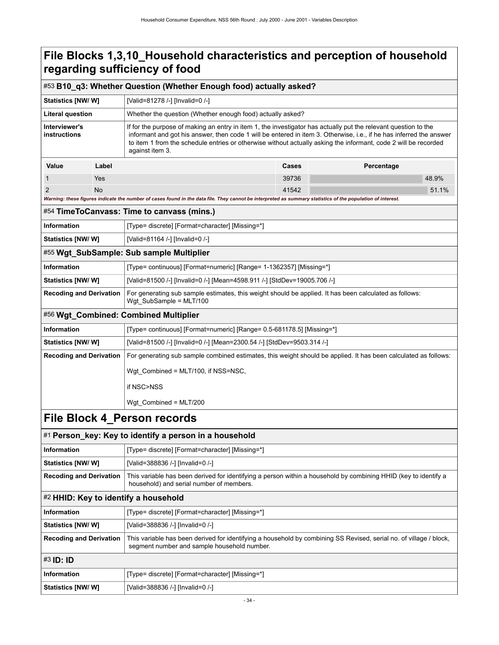## **File Blocks 1,3,10\_Household characteristics and perception of household regarding sufficiency of food**

|                                |                                                                                                                                                                                               | #53 B10_q3: Whether Question (Whether Enough food) actually asked?                                                                                                                                                                                                                                                                                                           |       |            |  |
|--------------------------------|-----------------------------------------------------------------------------------------------------------------------------------------------------------------------------------------------|------------------------------------------------------------------------------------------------------------------------------------------------------------------------------------------------------------------------------------------------------------------------------------------------------------------------------------------------------------------------------|-------|------------|--|
| Statistics [NW/ W]             |                                                                                                                                                                                               | [Valid=81278 /-] [Invalid=0 /-]                                                                                                                                                                                                                                                                                                                                              |       |            |  |
| Literal question               |                                                                                                                                                                                               | Whether the question (Whether enough food) actually asked?                                                                                                                                                                                                                                                                                                                   |       |            |  |
| Interviewer's<br>instructions  |                                                                                                                                                                                               | If for the purpose of making an entry in item 1, the investigator has actually put the relevant question to the<br>informant and got his answer, then code 1 will be entered in item 3. Otherwise, i.e., if he has inferred the answer<br>to item 1 from the schedule entries or otherwise without actually asking the informant, code 2 will be recorded<br>against item 3. |       |            |  |
| Value                          | Label                                                                                                                                                                                         |                                                                                                                                                                                                                                                                                                                                                                              | Cases | Percentage |  |
| 1                              | Yes                                                                                                                                                                                           |                                                                                                                                                                                                                                                                                                                                                                              | 39736 | 48.9%      |  |
| $\overline{2}$                 | No                                                                                                                                                                                            |                                                                                                                                                                                                                                                                                                                                                                              | 41542 | 51.1%      |  |
|                                |                                                                                                                                                                                               | Warning: these figures indicate the number of cases found in the data file. They cannot be interpreted as summary statistics of the population of interest.                                                                                                                                                                                                                  |       |            |  |
|                                |                                                                                                                                                                                               | #54 TimeToCanvass: Time to canvass (mins.)                                                                                                                                                                                                                                                                                                                                   |       |            |  |
| <b>Information</b>             |                                                                                                                                                                                               | [Type= discrete] [Format=character] [Missing=*]                                                                                                                                                                                                                                                                                                                              |       |            |  |
| Statistics [NW/W]              |                                                                                                                                                                                               | [Valid=81164 /-] [Invalid=0 /-]                                                                                                                                                                                                                                                                                                                                              |       |            |  |
|                                |                                                                                                                                                                                               | #55 Wgt_SubSample: Sub sample Multiplier                                                                                                                                                                                                                                                                                                                                     |       |            |  |
| <b>Information</b>             |                                                                                                                                                                                               | [Type= continuous] [Format=numeric] [Range= 1-1362357] [Missing=*]                                                                                                                                                                                                                                                                                                           |       |            |  |
| <b>Statistics [NW/W]</b>       |                                                                                                                                                                                               | [Valid=81500 /-] [Invalid=0 /-] [Mean=4598.911 /-] [StdDev=19005.706 /-]                                                                                                                                                                                                                                                                                                     |       |            |  |
| <b>Recoding and Derivation</b> |                                                                                                                                                                                               | For generating sub sample estimates, this weight should be applied. It has been calculated as follows:<br>Wgt_SubSample = MLT/100                                                                                                                                                                                                                                            |       |            |  |
|                                |                                                                                                                                                                                               | #56 Wgt_Combined: Combined Multiplier                                                                                                                                                                                                                                                                                                                                        |       |            |  |
| <b>Information</b>             |                                                                                                                                                                                               | [Type= continuous] [Format=numeric] [Range= 0.5-681178.5] [Missing=*]                                                                                                                                                                                                                                                                                                        |       |            |  |
| Statistics [NW/ W]             |                                                                                                                                                                                               | [Valid=81500 /-] [Invalid=0 /-] [Mean=2300.54 /-] [StdDev=9503.314 /-]                                                                                                                                                                                                                                                                                                       |       |            |  |
| <b>Recoding and Derivation</b> |                                                                                                                                                                                               | For generating sub sample combined estimates, this weight should be applied. It has been calculated as follows:                                                                                                                                                                                                                                                              |       |            |  |
|                                |                                                                                                                                                                                               | Wgt_Combined = MLT/100, if NSS=NSC,                                                                                                                                                                                                                                                                                                                                          |       |            |  |
|                                |                                                                                                                                                                                               | if NSC>NSS                                                                                                                                                                                                                                                                                                                                                                   |       |            |  |
|                                |                                                                                                                                                                                               | Wgt_Combined = MLT/200                                                                                                                                                                                                                                                                                                                                                       |       |            |  |
|                                |                                                                                                                                                                                               | File Block 4_Person records                                                                                                                                                                                                                                                                                                                                                  |       |            |  |
|                                |                                                                                                                                                                                               | #1 Person_key: Key to identify a person in a household                                                                                                                                                                                                                                                                                                                       |       |            |  |
| Information                    |                                                                                                                                                                                               | [Type= discrete] [Format=character] [Missing=*]                                                                                                                                                                                                                                                                                                                              |       |            |  |
| <b>Statistics [NW/W]</b>       |                                                                                                                                                                                               | [Valid=388836 /-] [Invalid=0 /-]                                                                                                                                                                                                                                                                                                                                             |       |            |  |
|                                | <b>Recoding and Derivation</b><br>This variable has been derived for identifying a person within a household by combining HHID (key to identify a<br>household) and serial number of members. |                                                                                                                                                                                                                                                                                                                                                                              |       |            |  |
|                                |                                                                                                                                                                                               | #2 HHID: Key to identify a household                                                                                                                                                                                                                                                                                                                                         |       |            |  |
| Information                    |                                                                                                                                                                                               | [Type= discrete] [Format=character] [Missing=*]                                                                                                                                                                                                                                                                                                                              |       |            |  |

| Statistics [NW/W]              | [Valid=388836 /-] [Invalid=0 /-]                                                                                                                                  |  |  |  |
|--------------------------------|-------------------------------------------------------------------------------------------------------------------------------------------------------------------|--|--|--|
| <b>Recoding and Derivation</b> | This variable has been derived for identifying a person within a household by combining HHID (key to identify a<br>household) and serial number of members.       |  |  |  |
|                                | #2 HHID: Key to identify a household                                                                                                                              |  |  |  |
| <b>Information</b>             | [Type= discrete] [Format=character] [Missing=*]                                                                                                                   |  |  |  |
| <b>Statistics [NW/ W]</b>      | [Valid=388836 /-] [Invalid=0 /-]                                                                                                                                  |  |  |  |
| <b>Recoding and Derivation</b> | This variable has been derived for identifying a household by combining SS Revised, serial no. of village / block,<br>segment number and sample household number. |  |  |  |
| $#3$ ID: ID                    |                                                                                                                                                                   |  |  |  |
| <b>Information</b>             | [Type= discrete] [Format=character] [Missing=*]                                                                                                                   |  |  |  |
| Statistics [NW/W]              | [Valid=388836 /-] [Invalid=0 /-]                                                                                                                                  |  |  |  |
| $-34-$                         |                                                                                                                                                                   |  |  |  |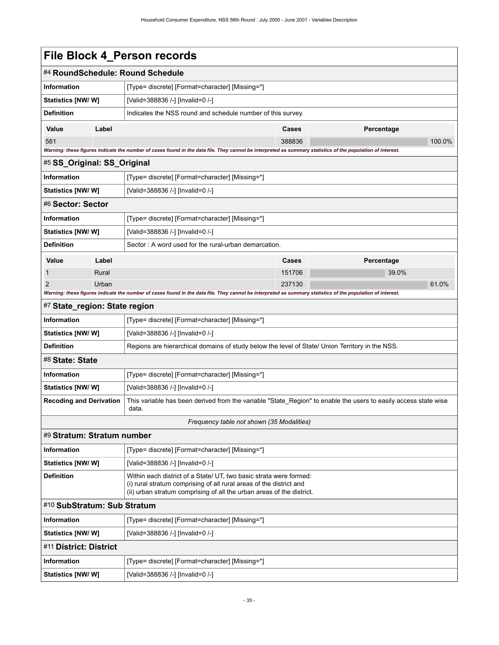| #4 RoundSchedule: Round Schedule<br><b>Information</b><br>[Type= discrete] [Format=character] [Missing=*]<br><b>Statistics [NW/ W]</b><br>[Valid=388836 /-] [Invalid=0 /-]<br><b>Definition</b><br>Indicates the NSS round and schedule number of this survey.<br>Label<br>Value<br>Cases<br>Percentage<br>561<br>388836<br>100.0%<br>Warning: these figures indicate the number of cases found in the data file. They cannot be interpreted as summary statistics of the population of interest.<br>#5 SS_Original: SS_Original<br><b>Information</b><br>[Type= discrete] [Format=character] [Missing=*]<br><b>Statistics [NW/ W]</b><br>[Valid=388836 /-] [Invalid=0 /-]<br>#6 Sector: Sector<br><b>Information</b><br>[Type= discrete] [Format=character] [Missing=*]<br>Statistics [NW/W]<br>[Valid=388836 /-] [Invalid=0 /-]<br><b>Definition</b><br>Sector: A word used for the rural-urban demarcation.<br>Label<br>Cases<br>Percentage<br>Value<br>39.0%<br>1<br>Rural<br>151706<br>61.0%<br>2<br>Urban<br>237130<br>Warning: these figures indicate the number of cases found in the data file. They cannot be interpreted as summary statistics of the population of interest.<br>#7 State_region: State region<br><b>Information</b><br>[Type= discrete] [Format=character] [Missing=*]<br>Statistics [NW/W]<br>[Valid=388836 /-] [Invalid=0 /-]<br><b>Definition</b><br>Regions are hierarchical domains of study below the level of State/ Union Territory in the NSS.<br>#8 State: State<br><b>Information</b><br>[Type= discrete] [Format=character] [Missing=*]<br><b>Statistics [NW/W]</b><br>[Valid=388836 /-] [Invalid=0 /-]<br>This variable has been derived from the variable "State_Region" to enable the users to easily access state wise<br><b>Recoding and Derivation</b><br>data.<br>Frequency table not shown (35 Modalities)<br>#9 Stratum: Stratum number<br><b>Information</b><br>[Type= discrete] [Format=character] [Missing=*]<br>Statistics [NW/W]<br>[Valid=388836 /-] [Invalid=0 /-]<br><b>Definition</b><br>Within each district of a State/ UT, two basic strata were formed:<br>(i) rural stratum comprising of all rural areas of the district and<br>(ii) urban stratum comprising of all the urban areas of the district.<br>#10 SubStratum: Sub Stratum<br><b>Information</b><br>[Type= discrete] [Format=character] [Missing=*]<br>Statistics [NW/W]<br>[Valid=388836 /-] [Invalid=0 /-]<br>#11 District: District |                   |                                  |  |  |  |
|------------------------------------------------------------------------------------------------------------------------------------------------------------------------------------------------------------------------------------------------------------------------------------------------------------------------------------------------------------------------------------------------------------------------------------------------------------------------------------------------------------------------------------------------------------------------------------------------------------------------------------------------------------------------------------------------------------------------------------------------------------------------------------------------------------------------------------------------------------------------------------------------------------------------------------------------------------------------------------------------------------------------------------------------------------------------------------------------------------------------------------------------------------------------------------------------------------------------------------------------------------------------------------------------------------------------------------------------------------------------------------------------------------------------------------------------------------------------------------------------------------------------------------------------------------------------------------------------------------------------------------------------------------------------------------------------------------------------------------------------------------------------------------------------------------------------------------------------------------------------------------------------------------------------------------------------------------------------------------------------------------------------------------------------------------------------------------------------------------------------------------------------------------------------------------------------------------------------------------------------------------------------------------------------------------------------------------------------------------------------------------------------------------------------------------------------------------------|-------------------|----------------------------------|--|--|--|
|                                                                                                                                                                                                                                                                                                                                                                                                                                                                                                                                                                                                                                                                                                                                                                                                                                                                                                                                                                                                                                                                                                                                                                                                                                                                                                                                                                                                                                                                                                                                                                                                                                                                                                                                                                                                                                                                                                                                                                                                                                                                                                                                                                                                                                                                                                                                                                                                                                                                  |                   |                                  |  |  |  |
|                                                                                                                                                                                                                                                                                                                                                                                                                                                                                                                                                                                                                                                                                                                                                                                                                                                                                                                                                                                                                                                                                                                                                                                                                                                                                                                                                                                                                                                                                                                                                                                                                                                                                                                                                                                                                                                                                                                                                                                                                                                                                                                                                                                                                                                                                                                                                                                                                                                                  |                   |                                  |  |  |  |
|                                                                                                                                                                                                                                                                                                                                                                                                                                                                                                                                                                                                                                                                                                                                                                                                                                                                                                                                                                                                                                                                                                                                                                                                                                                                                                                                                                                                                                                                                                                                                                                                                                                                                                                                                                                                                                                                                                                                                                                                                                                                                                                                                                                                                                                                                                                                                                                                                                                                  |                   |                                  |  |  |  |
|                                                                                                                                                                                                                                                                                                                                                                                                                                                                                                                                                                                                                                                                                                                                                                                                                                                                                                                                                                                                                                                                                                                                                                                                                                                                                                                                                                                                                                                                                                                                                                                                                                                                                                                                                                                                                                                                                                                                                                                                                                                                                                                                                                                                                                                                                                                                                                                                                                                                  |                   |                                  |  |  |  |
|                                                                                                                                                                                                                                                                                                                                                                                                                                                                                                                                                                                                                                                                                                                                                                                                                                                                                                                                                                                                                                                                                                                                                                                                                                                                                                                                                                                                                                                                                                                                                                                                                                                                                                                                                                                                                                                                                                                                                                                                                                                                                                                                                                                                                                                                                                                                                                                                                                                                  |                   |                                  |  |  |  |
|                                                                                                                                                                                                                                                                                                                                                                                                                                                                                                                                                                                                                                                                                                                                                                                                                                                                                                                                                                                                                                                                                                                                                                                                                                                                                                                                                                                                                                                                                                                                                                                                                                                                                                                                                                                                                                                                                                                                                                                                                                                                                                                                                                                                                                                                                                                                                                                                                                                                  |                   |                                  |  |  |  |
|                                                                                                                                                                                                                                                                                                                                                                                                                                                                                                                                                                                                                                                                                                                                                                                                                                                                                                                                                                                                                                                                                                                                                                                                                                                                                                                                                                                                                                                                                                                                                                                                                                                                                                                                                                                                                                                                                                                                                                                                                                                                                                                                                                                                                                                                                                                                                                                                                                                                  |                   |                                  |  |  |  |
|                                                                                                                                                                                                                                                                                                                                                                                                                                                                                                                                                                                                                                                                                                                                                                                                                                                                                                                                                                                                                                                                                                                                                                                                                                                                                                                                                                                                                                                                                                                                                                                                                                                                                                                                                                                                                                                                                                                                                                                                                                                                                                                                                                                                                                                                                                                                                                                                                                                                  |                   |                                  |  |  |  |
|                                                                                                                                                                                                                                                                                                                                                                                                                                                                                                                                                                                                                                                                                                                                                                                                                                                                                                                                                                                                                                                                                                                                                                                                                                                                                                                                                                                                                                                                                                                                                                                                                                                                                                                                                                                                                                                                                                                                                                                                                                                                                                                                                                                                                                                                                                                                                                                                                                                                  |                   |                                  |  |  |  |
|                                                                                                                                                                                                                                                                                                                                                                                                                                                                                                                                                                                                                                                                                                                                                                                                                                                                                                                                                                                                                                                                                                                                                                                                                                                                                                                                                                                                                                                                                                                                                                                                                                                                                                                                                                                                                                                                                                                                                                                                                                                                                                                                                                                                                                                                                                                                                                                                                                                                  |                   |                                  |  |  |  |
|                                                                                                                                                                                                                                                                                                                                                                                                                                                                                                                                                                                                                                                                                                                                                                                                                                                                                                                                                                                                                                                                                                                                                                                                                                                                                                                                                                                                                                                                                                                                                                                                                                                                                                                                                                                                                                                                                                                                                                                                                                                                                                                                                                                                                                                                                                                                                                                                                                                                  |                   |                                  |  |  |  |
|                                                                                                                                                                                                                                                                                                                                                                                                                                                                                                                                                                                                                                                                                                                                                                                                                                                                                                                                                                                                                                                                                                                                                                                                                                                                                                                                                                                                                                                                                                                                                                                                                                                                                                                                                                                                                                                                                                                                                                                                                                                                                                                                                                                                                                                                                                                                                                                                                                                                  |                   |                                  |  |  |  |
|                                                                                                                                                                                                                                                                                                                                                                                                                                                                                                                                                                                                                                                                                                                                                                                                                                                                                                                                                                                                                                                                                                                                                                                                                                                                                                                                                                                                                                                                                                                                                                                                                                                                                                                                                                                                                                                                                                                                                                                                                                                                                                                                                                                                                                                                                                                                                                                                                                                                  |                   |                                  |  |  |  |
|                                                                                                                                                                                                                                                                                                                                                                                                                                                                                                                                                                                                                                                                                                                                                                                                                                                                                                                                                                                                                                                                                                                                                                                                                                                                                                                                                                                                                                                                                                                                                                                                                                                                                                                                                                                                                                                                                                                                                                                                                                                                                                                                                                                                                                                                                                                                                                                                                                                                  |                   |                                  |  |  |  |
|                                                                                                                                                                                                                                                                                                                                                                                                                                                                                                                                                                                                                                                                                                                                                                                                                                                                                                                                                                                                                                                                                                                                                                                                                                                                                                                                                                                                                                                                                                                                                                                                                                                                                                                                                                                                                                                                                                                                                                                                                                                                                                                                                                                                                                                                                                                                                                                                                                                                  |                   |                                  |  |  |  |
|                                                                                                                                                                                                                                                                                                                                                                                                                                                                                                                                                                                                                                                                                                                                                                                                                                                                                                                                                                                                                                                                                                                                                                                                                                                                                                                                                                                                                                                                                                                                                                                                                                                                                                                                                                                                                                                                                                                                                                                                                                                                                                                                                                                                                                                                                                                                                                                                                                                                  |                   |                                  |  |  |  |
|                                                                                                                                                                                                                                                                                                                                                                                                                                                                                                                                                                                                                                                                                                                                                                                                                                                                                                                                                                                                                                                                                                                                                                                                                                                                                                                                                                                                                                                                                                                                                                                                                                                                                                                                                                                                                                                                                                                                                                                                                                                                                                                                                                                                                                                                                                                                                                                                                                                                  |                   |                                  |  |  |  |
|                                                                                                                                                                                                                                                                                                                                                                                                                                                                                                                                                                                                                                                                                                                                                                                                                                                                                                                                                                                                                                                                                                                                                                                                                                                                                                                                                                                                                                                                                                                                                                                                                                                                                                                                                                                                                                                                                                                                                                                                                                                                                                                                                                                                                                                                                                                                                                                                                                                                  |                   |                                  |  |  |  |
|                                                                                                                                                                                                                                                                                                                                                                                                                                                                                                                                                                                                                                                                                                                                                                                                                                                                                                                                                                                                                                                                                                                                                                                                                                                                                                                                                                                                                                                                                                                                                                                                                                                                                                                                                                                                                                                                                                                                                                                                                                                                                                                                                                                                                                                                                                                                                                                                                                                                  |                   |                                  |  |  |  |
|                                                                                                                                                                                                                                                                                                                                                                                                                                                                                                                                                                                                                                                                                                                                                                                                                                                                                                                                                                                                                                                                                                                                                                                                                                                                                                                                                                                                                                                                                                                                                                                                                                                                                                                                                                                                                                                                                                                                                                                                                                                                                                                                                                                                                                                                                                                                                                                                                                                                  |                   |                                  |  |  |  |
|                                                                                                                                                                                                                                                                                                                                                                                                                                                                                                                                                                                                                                                                                                                                                                                                                                                                                                                                                                                                                                                                                                                                                                                                                                                                                                                                                                                                                                                                                                                                                                                                                                                                                                                                                                                                                                                                                                                                                                                                                                                                                                                                                                                                                                                                                                                                                                                                                                                                  |                   |                                  |  |  |  |
|                                                                                                                                                                                                                                                                                                                                                                                                                                                                                                                                                                                                                                                                                                                                                                                                                                                                                                                                                                                                                                                                                                                                                                                                                                                                                                                                                                                                                                                                                                                                                                                                                                                                                                                                                                                                                                                                                                                                                                                                                                                                                                                                                                                                                                                                                                                                                                                                                                                                  |                   |                                  |  |  |  |
|                                                                                                                                                                                                                                                                                                                                                                                                                                                                                                                                                                                                                                                                                                                                                                                                                                                                                                                                                                                                                                                                                                                                                                                                                                                                                                                                                                                                                                                                                                                                                                                                                                                                                                                                                                                                                                                                                                                                                                                                                                                                                                                                                                                                                                                                                                                                                                                                                                                                  |                   |                                  |  |  |  |
|                                                                                                                                                                                                                                                                                                                                                                                                                                                                                                                                                                                                                                                                                                                                                                                                                                                                                                                                                                                                                                                                                                                                                                                                                                                                                                                                                                                                                                                                                                                                                                                                                                                                                                                                                                                                                                                                                                                                                                                                                                                                                                                                                                                                                                                                                                                                                                                                                                                                  |                   |                                  |  |  |  |
|                                                                                                                                                                                                                                                                                                                                                                                                                                                                                                                                                                                                                                                                                                                                                                                                                                                                                                                                                                                                                                                                                                                                                                                                                                                                                                                                                                                                                                                                                                                                                                                                                                                                                                                                                                                                                                                                                                                                                                                                                                                                                                                                                                                                                                                                                                                                                                                                                                                                  |                   |                                  |  |  |  |
|                                                                                                                                                                                                                                                                                                                                                                                                                                                                                                                                                                                                                                                                                                                                                                                                                                                                                                                                                                                                                                                                                                                                                                                                                                                                                                                                                                                                                                                                                                                                                                                                                                                                                                                                                                                                                                                                                                                                                                                                                                                                                                                                                                                                                                                                                                                                                                                                                                                                  |                   |                                  |  |  |  |
|                                                                                                                                                                                                                                                                                                                                                                                                                                                                                                                                                                                                                                                                                                                                                                                                                                                                                                                                                                                                                                                                                                                                                                                                                                                                                                                                                                                                                                                                                                                                                                                                                                                                                                                                                                                                                                                                                                                                                                                                                                                                                                                                                                                                                                                                                                                                                                                                                                                                  |                   |                                  |  |  |  |
|                                                                                                                                                                                                                                                                                                                                                                                                                                                                                                                                                                                                                                                                                                                                                                                                                                                                                                                                                                                                                                                                                                                                                                                                                                                                                                                                                                                                                                                                                                                                                                                                                                                                                                                                                                                                                                                                                                                                                                                                                                                                                                                                                                                                                                                                                                                                                                                                                                                                  |                   |                                  |  |  |  |
|                                                                                                                                                                                                                                                                                                                                                                                                                                                                                                                                                                                                                                                                                                                                                                                                                                                                                                                                                                                                                                                                                                                                                                                                                                                                                                                                                                                                                                                                                                                                                                                                                                                                                                                                                                                                                                                                                                                                                                                                                                                                                                                                                                                                                                                                                                                                                                                                                                                                  |                   |                                  |  |  |  |
|                                                                                                                                                                                                                                                                                                                                                                                                                                                                                                                                                                                                                                                                                                                                                                                                                                                                                                                                                                                                                                                                                                                                                                                                                                                                                                                                                                                                                                                                                                                                                                                                                                                                                                                                                                                                                                                                                                                                                                                                                                                                                                                                                                                                                                                                                                                                                                                                                                                                  |                   |                                  |  |  |  |
|                                                                                                                                                                                                                                                                                                                                                                                                                                                                                                                                                                                                                                                                                                                                                                                                                                                                                                                                                                                                                                                                                                                                                                                                                                                                                                                                                                                                                                                                                                                                                                                                                                                                                                                                                                                                                                                                                                                                                                                                                                                                                                                                                                                                                                                                                                                                                                                                                                                                  |                   |                                  |  |  |  |
|                                                                                                                                                                                                                                                                                                                                                                                                                                                                                                                                                                                                                                                                                                                                                                                                                                                                                                                                                                                                                                                                                                                                                                                                                                                                                                                                                                                                                                                                                                                                                                                                                                                                                                                                                                                                                                                                                                                                                                                                                                                                                                                                                                                                                                                                                                                                                                                                                                                                  |                   |                                  |  |  |  |
|                                                                                                                                                                                                                                                                                                                                                                                                                                                                                                                                                                                                                                                                                                                                                                                                                                                                                                                                                                                                                                                                                                                                                                                                                                                                                                                                                                                                                                                                                                                                                                                                                                                                                                                                                                                                                                                                                                                                                                                                                                                                                                                                                                                                                                                                                                                                                                                                                                                                  |                   |                                  |  |  |  |
|                                                                                                                                                                                                                                                                                                                                                                                                                                                                                                                                                                                                                                                                                                                                                                                                                                                                                                                                                                                                                                                                                                                                                                                                                                                                                                                                                                                                                                                                                                                                                                                                                                                                                                                                                                                                                                                                                                                                                                                                                                                                                                                                                                                                                                                                                                                                                                                                                                                                  |                   |                                  |  |  |  |
| <b>Information</b><br>[Type= discrete] [Format=character] [Missing=*]                                                                                                                                                                                                                                                                                                                                                                                                                                                                                                                                                                                                                                                                                                                                                                                                                                                                                                                                                                                                                                                                                                                                                                                                                                                                                                                                                                                                                                                                                                                                                                                                                                                                                                                                                                                                                                                                                                                                                                                                                                                                                                                                                                                                                                                                                                                                                                                            |                   |                                  |  |  |  |
|                                                                                                                                                                                                                                                                                                                                                                                                                                                                                                                                                                                                                                                                                                                                                                                                                                                                                                                                                                                                                                                                                                                                                                                                                                                                                                                                                                                                                                                                                                                                                                                                                                                                                                                                                                                                                                                                                                                                                                                                                                                                                                                                                                                                                                                                                                                                                                                                                                                                  | Statistics [NW/W] | [Valid=388836 /-] [Invalid=0 /-] |  |  |  |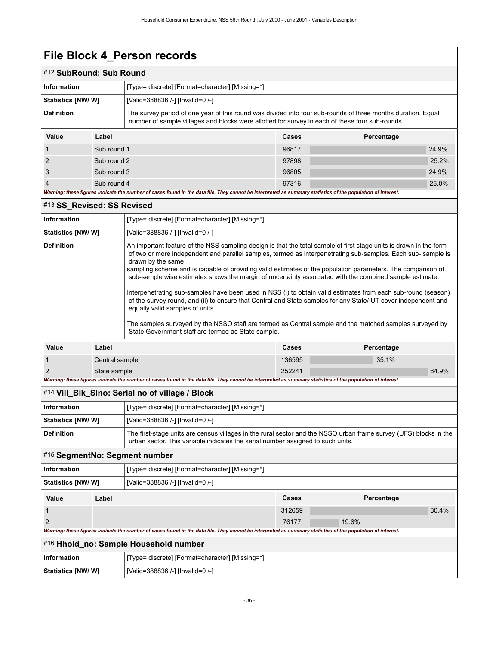#### #12 **SubRound: Sub Round**

| oupinounu. Oub nounu |             |                                                                                                                                                                                                                 |       |            |  |  |  |
|----------------------|-------------|-----------------------------------------------------------------------------------------------------------------------------------------------------------------------------------------------------------------|-------|------------|--|--|--|
| Information          |             | [Type= discrete] [Format=character] [Missing=*]                                                                                                                                                                 |       |            |  |  |  |
| Statistics [NW/W]    |             | [Valid=388836 /-] [Invalid=0 /-]                                                                                                                                                                                |       |            |  |  |  |
| <b>Definition</b>    |             | The survey period of one year of this round was divided into four sub-rounds of three months duration. Equal<br>number of sample villages and blocks were allotted for survey in each of these four sub-rounds. |       |            |  |  |  |
| Value                | Label       |                                                                                                                                                                                                                 | Cases | Percentage |  |  |  |
|                      |             | Sub round 1                                                                                                                                                                                                     |       | 24.9%      |  |  |  |
| $\mathcal{P}$        | Sub round 2 |                                                                                                                                                                                                                 | 97898 | 25.2%      |  |  |  |
| 3                    | Sub round 3 |                                                                                                                                                                                                                 | 96805 | 24.9%      |  |  |  |
| $\overline{4}$       | Sub round 4 |                                                                                                                                                                                                                 | 97316 | 25.0%      |  |  |  |

#### *Warning: these figures indicate the number of cases found in the data file. They cannot be interpreted as summary statistics of the population of interest.*

#### #13 **SS\_Revised: SS Revised**

| <b>Information</b>                                                                                                                                                                                                                                                                                                                                                                                                                                                                                                                                                                                                                                                                                                                                                                                                                                                                                                                           | [Type= discrete] [Format=character] [Missing=*]       |  |        |  |       |       |
|----------------------------------------------------------------------------------------------------------------------------------------------------------------------------------------------------------------------------------------------------------------------------------------------------------------------------------------------------------------------------------------------------------------------------------------------------------------------------------------------------------------------------------------------------------------------------------------------------------------------------------------------------------------------------------------------------------------------------------------------------------------------------------------------------------------------------------------------------------------------------------------------------------------------------------------------|-------------------------------------------------------|--|--------|--|-------|-------|
|                                                                                                                                                                                                                                                                                                                                                                                                                                                                                                                                                                                                                                                                                                                                                                                                                                                                                                                                              | Statistics [NW/W]<br>[Valid=388836 /-] [Invalid=0 /-] |  |        |  |       |       |
| <b>Definition</b><br>An important feature of the NSS sampling design is that the total sample of first stage units is drawn in the form<br>of two or more independent and parallel samples, termed as interpenetrating sub-samples. Each sub-sample is<br>drawn by the same<br>sampling scheme and is capable of providing valid estimates of the population parameters. The comparison of<br>sub-sample wise estimates shows the margin of uncertainty associated with the combined sample estimate.<br>Interpenetrating sub-samples have been used in NSS (i) to obtain valid estimates from each sub-round (season)<br>of the survey round, and (ii) to ensure that Central and State samples for any State/ UT cover independent and<br>equally valid samples of units.<br>The samples surveyed by the NSSO staff are termed as Central sample and the matched samples surveyed by<br>State Government staff are termed as State sample. |                                                       |  |        |  |       |       |
| Value                                                                                                                                                                                                                                                                                                                                                                                                                                                                                                                                                                                                                                                                                                                                                                                                                                                                                                                                        | Label<br><b>Cases</b><br>Percentage                   |  |        |  |       |       |
| $\mathbf{1}$                                                                                                                                                                                                                                                                                                                                                                                                                                                                                                                                                                                                                                                                                                                                                                                                                                                                                                                                 | Central sample                                        |  | 136595 |  | 35.1% |       |
| 2                                                                                                                                                                                                                                                                                                                                                                                                                                                                                                                                                                                                                                                                                                                                                                                                                                                                                                                                            | State sample                                          |  |        |  |       | 64.9% |
| Warning: these figures indicate the number of cases found in the data file. They cannot be interpreted as summary statistics of the population of interest.                                                                                                                                                                                                                                                                                                                                                                                                                                                                                                                                                                                                                                                                                                                                                                                  |                                                       |  |        |  |       |       |

#### #14 **Vill\_Blk\_Slno: Serial no of village / Block**

| <b>Information</b>                                                    |       | [Type= discrete] [Format=character] [Missing=*]                                                                                                                                                      |              |            |       |  |
|-----------------------------------------------------------------------|-------|------------------------------------------------------------------------------------------------------------------------------------------------------------------------------------------------------|--------------|------------|-------|--|
| Statistics [NW/W]                                                     |       | [Valid=388836 /-] [Invalid=0 /-]                                                                                                                                                                     |              |            |       |  |
| <b>Definition</b>                                                     |       | The first-stage units are census villages in the rural sector and the NSSO urban frame survey (UFS) blocks in the<br>urban sector. This variable indicates the serial number assigned to such units. |              |            |       |  |
| #15 SegmentNo: Segment number                                         |       |                                                                                                                                                                                                      |              |            |       |  |
| <b>Information</b><br>[Type= discrete] [Format=character] [Missing=*] |       |                                                                                                                                                                                                      |              |            |       |  |
| Statistics [NW/W]<br>[Valid=388836 /-] [Invalid=0 /-]                 |       |                                                                                                                                                                                                      |              |            |       |  |
| Value                                                                 | Label |                                                                                                                                                                                                      | <b>Cases</b> | Percentage |       |  |
|                                                                       |       |                                                                                                                                                                                                      | 312659       |            | 80.4% |  |
| 2                                                                     |       |                                                                                                                                                                                                      | 76177        | 19.6%      |       |  |
|                                                                       |       | Warning: these figures indicate the number of cases found in the data file. They cannot be interpreted as summary statistics of the population of interest.                                          |              |            |       |  |
| #16 Hhold_no: Sample Household number                                 |       |                                                                                                                                                                                                      |              |            |       |  |
| <b>Information</b>                                                    |       | [Type= discrete] [Format=character] [Missing=*]                                                                                                                                                      |              |            |       |  |
| Statistics [NW/W]                                                     |       | [Valid=388836 /-] [Invalid=0 /-]                                                                                                                                                                     |              |            |       |  |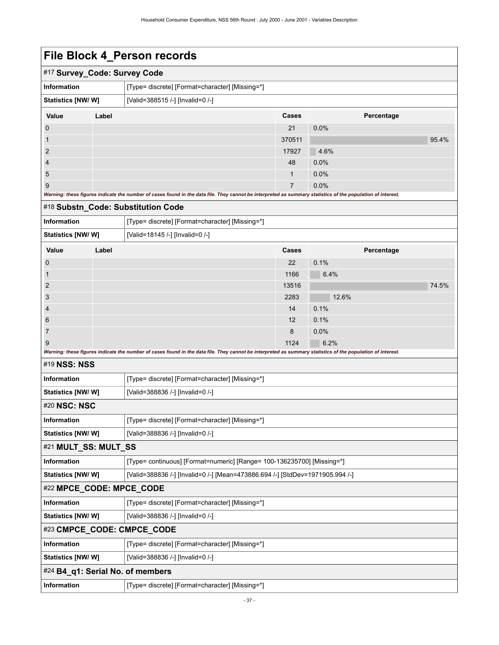|                           |                              | . <b>DIODINT_I</b> UIDOII I COOI GO                                                                                                                         |                |            |       |
|---------------------------|------------------------------|-------------------------------------------------------------------------------------------------------------------------------------------------------------|----------------|------------|-------|
|                           | #17 Survey_Code: Survey Code |                                                                                                                                                             |                |            |       |
| Information               |                              | [Type= discrete] [Format=character] [Missing=*]                                                                                                             |                |            |       |
| Statistics [NW/W]         |                              | [Valid=388515 /-] [Invalid=0 /-]                                                                                                                            |                |            |       |
| Value                     | Label                        |                                                                                                                                                             | Cases          | Percentage |       |
| 0                         |                              |                                                                                                                                                             | 21             | 0.0%       |       |
| 1                         |                              |                                                                                                                                                             | 370511         |            | 95.4% |
| 2                         |                              |                                                                                                                                                             | 17927          | 4.6%       |       |
| 4                         |                              |                                                                                                                                                             | 48             | 0.0%       |       |
| 5                         |                              |                                                                                                                                                             | $\mathbf{1}$   | 0.0%       |       |
| 9                         |                              | Warning: these figures indicate the number of cases found in the data file. They cannot be interpreted as summary statistics of the population of interest. | $\overline{7}$ | 0.0%       |       |
|                           |                              | #18 Substn_Code: Substitution Code                                                                                                                          |                |            |       |
| <b>Information</b>        |                              | [Type= discrete] [Format=character] [Missing=*]                                                                                                             |                |            |       |
| Statistics [NW/W]         |                              | [Valid=18145 /-] [Invalid=0 /-]                                                                                                                             |                |            |       |
| Value                     | Label                        |                                                                                                                                                             | Cases          | Percentage |       |
| 0                         |                              |                                                                                                                                                             | 22             | 0.1%       |       |
| 1                         |                              |                                                                                                                                                             | 1166           | 6.4%       |       |
| 2                         |                              |                                                                                                                                                             | 13516          |            | 74.5% |
| 3                         |                              |                                                                                                                                                             | 2283           | 12.6%      |       |
| 4                         |                              |                                                                                                                                                             | 14             | 0.1%       |       |
| 6                         |                              |                                                                                                                                                             | 12             | 0.1%       |       |
| 7                         |                              |                                                                                                                                                             | 8              | $0.0\%$    |       |
| 9                         |                              | Warning: these figures indicate the number of cases found in the data file. They cannot be interpreted as summary statistics of the population of interest. | 1124           | 6.2%       |       |
| #19 NSS: NSS              |                              |                                                                                                                                                             |                |            |       |
| Information               |                              | [Type= discrete] [Format=character] [Missing=*]                                                                                                             |                |            |       |
| <b>Statistics [NW/ W]</b> |                              | [Valid=388836 /-] [Invalid=0 /-]                                                                                                                            |                |            |       |
| #20 NSC: NSC              |                              |                                                                                                                                                             |                |            |       |
| <b>Information</b>        |                              | [Type= discrete] [Format=character] [Missing=*]                                                                                                             |                |            |       |
| Statistics [NW/W]         |                              | [Valid=388836 /-] [Invalid=0 /-]                                                                                                                            |                |            |       |
|                           | #21 MULT_SS: MULT_SS         |                                                                                                                                                             |                |            |       |
| Information               |                              | [Type= continuous] [Format=numeric] [Range= 100-136235700] [Missing=*]                                                                                      |                |            |       |
| Statistics [NW/W]         |                              | [Valid=388836 /-] [Invalid=0 /-] [Mean=473886.694 /-] [StdDev=1971905.994 /-]                                                                               |                |            |       |
|                           | #22 MPCE_CODE: MPCE_CODE     |                                                                                                                                                             |                |            |       |
| Information               |                              | [Type= discrete] [Format=character] [Missing=*]                                                                                                             |                |            |       |
| Statistics [NW/ W]        |                              | [Valid=388836 /-] [Invalid=0 /-]                                                                                                                            |                |            |       |
|                           |                              | #23 CMPCE_CODE: CMPCE_CODE                                                                                                                                  |                |            |       |
| Information               |                              | [Type= discrete] [Format=character] [Missing=*]                                                                                                             |                |            |       |
| Statistics [NW/W]         |                              | [Valid=388836 /-] [Invalid=0 /-]                                                                                                                            |                |            |       |
|                           |                              | #24 B4_q1: Serial No. of members                                                                                                                            |                |            |       |
| Information               |                              | [Type= discrete] [Format=character] [Missing=*]                                                                                                             |                |            |       |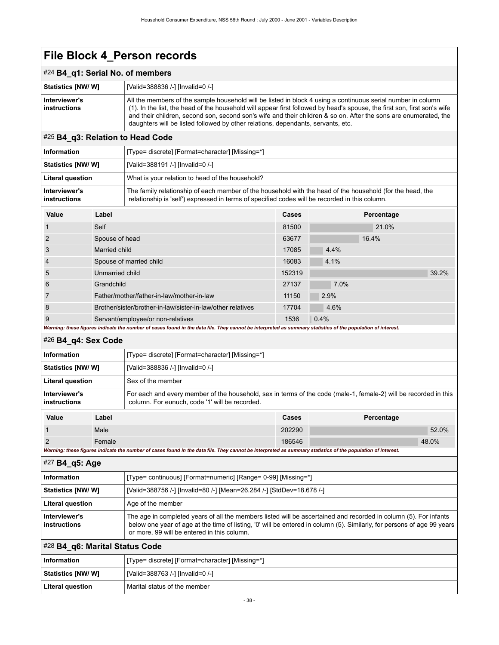### #24 **B4\_q1: Serial No. of members**

| <b>Statistics [NW/ W]</b>            | [Valid=388836 /-] [Invalid=0 /-]                                                                                                                                                                                                                                                                                                                                                                                                                 |
|--------------------------------------|--------------------------------------------------------------------------------------------------------------------------------------------------------------------------------------------------------------------------------------------------------------------------------------------------------------------------------------------------------------------------------------------------------------------------------------------------|
| Interviewer's<br><b>instructions</b> | All the members of the sample household will be listed in block 4 using a continuous serial number in column<br>(1). In the list, the head of the household will appear first followed by head's spouse, the first son, first son's wife<br>and their children, second son, second son's wife and their children & so on. After the sons are enumerated, the<br>daughters will be listed followed by other relations, dependants, servants, etc. |

### #25 **B4\_q3: Relation to Head Code**

| <b>Information</b>            | [Type= discrete] [Format=character] [Missing=*]                                                                                                                                                             |
|-------------------------------|-------------------------------------------------------------------------------------------------------------------------------------------------------------------------------------------------------------|
| <b>Statistics [NW/ W]</b>     | [Valid=388191 /-] [Invalid=0 /-]                                                                                                                                                                            |
| Literal question              | What is your relation to head of the household?                                                                                                                                                             |
| Interviewer's<br>instructions | The family relationship of each member of the household with the head of the household (for the head, the<br>relationship is 'self') expressed in terms of specified codes will be recorded in this column. |

| Value | Label                                                                                                                                                       | Cases  | Percentage |       |
|-------|-------------------------------------------------------------------------------------------------------------------------------------------------------------|--------|------------|-------|
|       | Self                                                                                                                                                        | 81500  | 21.0%      |       |
| 2     | Spouse of head                                                                                                                                              | 63677  | 16.4%      |       |
| 3     | Married child                                                                                                                                               | 17085  | 4.4%       |       |
| 4     | Spouse of married child                                                                                                                                     | 16083  | 4.1%       |       |
| 5     | Unmarried child                                                                                                                                             | 152319 |            | 39.2% |
| 6     | Grandchild                                                                                                                                                  | 27137  | 7.0%       |       |
|       | Father/mother/father-in-law/mother-in-law                                                                                                                   | 11150  | 2.9%       |       |
| 8     | Brother/sister/brother-in-law/sister-in-law/other relatives                                                                                                 | 17704  | 4.6%       |       |
| 9     | Servant/employee/or non-relatives                                                                                                                           | 1536   | 0.4%       |       |
|       | Warning: these figures indicate the number of cases found in the data file. They cannot be interpreted as summary statistics of the population of interest. |        |            |       |

### #26 **B4\_q4: Sex Code**

| <b>Information</b>                                                                                                                                          |        | [Type= discrete] [Format=character] [Missing=*]                                                                                                                    |        |            |       |
|-------------------------------------------------------------------------------------------------------------------------------------------------------------|--------|--------------------------------------------------------------------------------------------------------------------------------------------------------------------|--------|------------|-------|
| Statistics [NW/ W]                                                                                                                                          |        | [Valid=388836 /-] [Invalid=0 /-]                                                                                                                                   |        |            |       |
| <b>Literal question</b>                                                                                                                                     |        | Sex of the member                                                                                                                                                  |        |            |       |
| Interviewer's<br>instructions                                                                                                                               |        | For each and every member of the household, sex in terms of the code (male-1, female-2) will be recorded in this<br>column. For eunuch, code '1' will be recorded. |        |            |       |
| Value                                                                                                                                                       | Label  |                                                                                                                                                                    | Cases  | Percentage |       |
|                                                                                                                                                             | Male   |                                                                                                                                                                    | 202290 |            | 52.0% |
| $\overline{2}$                                                                                                                                              | Female |                                                                                                                                                                    | 186546 | 48.0%      |       |
| Warning: these figures indicate the number of cases found in the data file. They cannot be interpreted as summary statistics of the population of interest. |        |                                                                                                                                                                    |        |            |       |

#### #27 **B4\_q5: Age**

| Information                   | [Type= continuous] [Format=numeric] [Range= 0-99] [Missing=*]                                                                                                                                                                                                                              |  |  |
|-------------------------------|--------------------------------------------------------------------------------------------------------------------------------------------------------------------------------------------------------------------------------------------------------------------------------------------|--|--|
| Statistics [NW/ W]            | [Valid=388756 /-] [Invalid=80 /-] [Mean=26.284 /-] [StdDev=18.678 /-]                                                                                                                                                                                                                      |  |  |
| <b>Literal question</b>       | Age of the member                                                                                                                                                                                                                                                                          |  |  |
| Interviewer's<br>instructions | The age in completed years of all the members listed will be ascertained and recorded in column (5). For infants<br>below one year of age at the time of listing. 'O' will be entered in column (5). Similarly, for persons of age 99 years<br>or more, 99 will be entered in this column. |  |  |

# #28 **B4\_q6: Marital Status Code**

| ∣ Information           | [Type= discrete] [Format=character] [Missing=*] |
|-------------------------|-------------------------------------------------|
| Statistics [NW/ W]      | [Valid=388763 /-] [Invalid=0 /-]                |
| <b>Literal question</b> | Marital status of the member                    |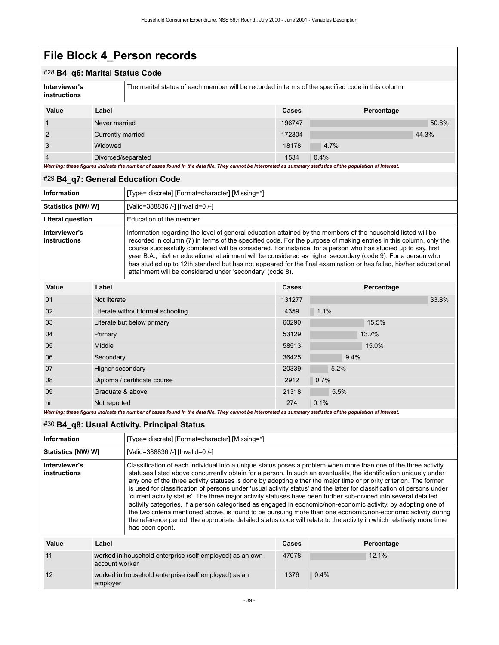### #28 **B4\_q6: Marital Status Code**

| Interviewer's<br><b>instructions</b> |                   | The marital status of each member will be recorded in terms of the specified code in this column. |        |            |       |
|--------------------------------------|-------------------|---------------------------------------------------------------------------------------------------|--------|------------|-------|
| Value                                | Label             |                                                                                                   | Cases  | Percentage |       |
| $\overline{1}$                       | Never married     |                                                                                                   | 196747 |            | 50.6% |
| $\overline{2}$                       | Currently married |                                                                                                   | 172304 |            | 44.3% |
| 3                                    | Widowed           |                                                                                                   | 18178  | 4.7%       |       |

4 Divorced/separated 1534 0.4%

*Warning: these figures indicate the number of cases found in the data file. They cannot be interpreted as summary statistics of the population of interest.*

#### #29 **B4\_q7: General Education Code**

| <b>Information</b>                   | [Type= discrete] [Format=character] [Missing=*]                                                                                                                                                                                                                                                                                                                                                                                                                                                                                                                                                                                                     |
|--------------------------------------|-----------------------------------------------------------------------------------------------------------------------------------------------------------------------------------------------------------------------------------------------------------------------------------------------------------------------------------------------------------------------------------------------------------------------------------------------------------------------------------------------------------------------------------------------------------------------------------------------------------------------------------------------------|
| Statistics [NW/ W]                   | [Valid=388836 /-] [Invalid=0 /-]                                                                                                                                                                                                                                                                                                                                                                                                                                                                                                                                                                                                                    |
| <b>Literal question</b>              | Education of the member                                                                                                                                                                                                                                                                                                                                                                                                                                                                                                                                                                                                                             |
| Interviewer's<br><b>instructions</b> | Information regarding the level of general education attained by the members of the household listed will be<br>recorded in column (7) in terms of the specified code. For the purpose of making entries in this column, only the<br>course successfully completed will be considered. For instance, for a person who has studied up to say, first<br>year B.A., his/her educational attainment will be considered as higher secondary (code 9). For a person who<br>has studied up to 12th standard but has not appeared for the final examination or has failed, his/her educational<br>attainment will be considered under 'secondary' (code 8). |

| Value          | Label                                                                                                                                                       | Cases  | Percentage |
|----------------|-------------------------------------------------------------------------------------------------------------------------------------------------------------|--------|------------|
| 01             | Not literate                                                                                                                                                | 131277 | 33.8%      |
| 02             | Literate without formal schooling                                                                                                                           | 4359   | 1.1%       |
| 03             | Literate but below primary                                                                                                                                  | 60290  | 15.5%      |
| 04             | Primary                                                                                                                                                     | 53129  | 13.7%      |
| 05             | Middle                                                                                                                                                      | 58513  | 15.0%      |
| 06             | Secondary                                                                                                                                                   | 36425  | 9.4%       |
| 07             | Higher secondary                                                                                                                                            | 20339  | 5.2%       |
| 08             | Diploma / certificate course                                                                                                                                | 2912   | 0.7%       |
| 09             | Graduate & above                                                                                                                                            | 21318  | 5.5%       |
| n <sub>r</sub> | Not reported                                                                                                                                                | 274    | 0.1%       |
|                | Warning: these figures indicate the number of cases found in the data file. They cannot be interpreted as summary statistics of the population of interest. |        |            |

### #30 **B4\_q8: Usual Activity. Principal Status**

12 worked in household enterprise (self employed) as an

employer

| <b>Information</b>                                                               |       | [Type= discrete] [Format=character] [Missing=*]                                                                                                                                                                                                                                                                                                                                                                                                                                                                                                                                                                                                                                                                                                                                                                                                                                                                                                                                       |       |            |  |
|----------------------------------------------------------------------------------|-------|---------------------------------------------------------------------------------------------------------------------------------------------------------------------------------------------------------------------------------------------------------------------------------------------------------------------------------------------------------------------------------------------------------------------------------------------------------------------------------------------------------------------------------------------------------------------------------------------------------------------------------------------------------------------------------------------------------------------------------------------------------------------------------------------------------------------------------------------------------------------------------------------------------------------------------------------------------------------------------------|-------|------------|--|
| <b>Statistics [NW/ W]</b>                                                        |       | [Valid=388836 /-] [Invalid=0 /-]                                                                                                                                                                                                                                                                                                                                                                                                                                                                                                                                                                                                                                                                                                                                                                                                                                                                                                                                                      |       |            |  |
| Interviewer's<br>instructions                                                    |       | Classification of each individual into a unique status poses a problem when more than one of the three activity<br>statuses listed above concurrently obtain for a person. In such an eventuality, the identification uniquely under<br>any one of the three activity statuses is done by adopting either the major time or priority criterion. The former<br>is used for classification of persons under 'usual activity status' and the latter for classification of persons under<br>'current activity status'. The three major activity statuses have been further sub-divided into several detailed<br>activity categories. If a person categorised as engaged in economic/non-economic activity, by adopting one of<br>the two criteria mentioned above, is found to be pursuing more than one economic/non-economic activity during<br>the reference period, the appropriate detailed status code will relate to the activity in which relatively more time<br>has been spent. |       |            |  |
| Value                                                                            | Label |                                                                                                                                                                                                                                                                                                                                                                                                                                                                                                                                                                                                                                                                                                                                                                                                                                                                                                                                                                                       | Cases | Percentage |  |
| 11<br>worked in household enterprise (self employed) as an own<br>account worker |       | 47078                                                                                                                                                                                                                                                                                                                                                                                                                                                                                                                                                                                                                                                                                                                                                                                                                                                                                                                                                                                 | 12.1% |            |  |

1376 0.4%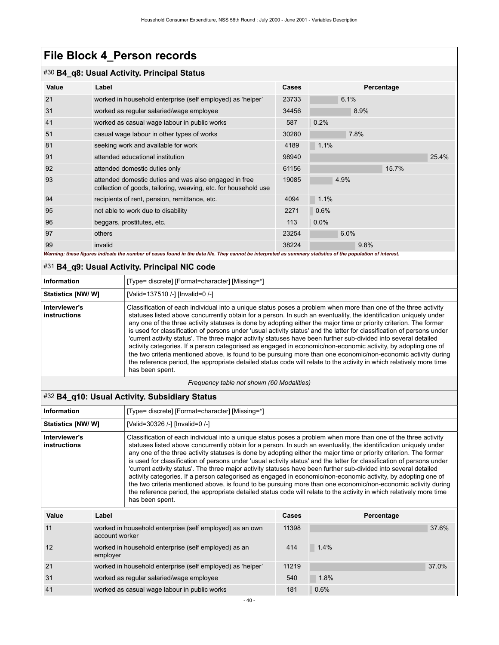### #30 **B4\_q8: Usual Activity. Principal Status**

| Value | Label                                                                                                                                                       | <b>Cases</b> | Percentage |       |
|-------|-------------------------------------------------------------------------------------------------------------------------------------------------------------|--------------|------------|-------|
| 21    | worked in household enterprise (self employed) as 'helper'                                                                                                  | 23733        | 6.1%       |       |
| 31    | worked as regular salaried/wage employee                                                                                                                    | 34456        | 8.9%       |       |
| 41    | worked as casual wage labour in public works                                                                                                                | 587          | 0.2%       |       |
| 51    | casual wage labour in other types of works                                                                                                                  | 30280        | 7.8%       |       |
| 81    | seeking work and available for work                                                                                                                         | 4189         | 1.1%       |       |
| 91    | attended educational institution                                                                                                                            | 98940        |            | 25.4% |
| 92    | attended domestic duties only                                                                                                                               | 61156        | 15.7%      |       |
| 93    | attended domestic duties and was also engaged in free<br>collection of goods, tailoring, weaving, etc. for household use                                    | 19085        | 4.9%       |       |
| 94    | recipients of rent, pension, remittance, etc.                                                                                                               | 4094         | 1.1%       |       |
| 95    | not able to work due to disability                                                                                                                          | 2271         | 0.6%       |       |
| 96    | beggars, prostitutes, etc.                                                                                                                                  | 113          | $0.0\%$    |       |
| 97    | others                                                                                                                                                      | 23254        | 6.0%       |       |
| 99    | invalid                                                                                                                                                     | 38224        | 9.8%       |       |
|       | Warning: these figures indicate the number of cases found in the data file. They cannot be interpreted as summary statistics of the population of interest. |              |            |       |

#### #31 **B4\_q9: Usual Activity. Principal NIC code**

| <b>Information</b>            | [Type= discrete] [Format=character] [Missing=*]                                                                                                                                                                                                                                                                                                                                                                                                                                                                                                                                                                                                                                                                                                                                                                                                                                                                                                                                       |
|-------------------------------|---------------------------------------------------------------------------------------------------------------------------------------------------------------------------------------------------------------------------------------------------------------------------------------------------------------------------------------------------------------------------------------------------------------------------------------------------------------------------------------------------------------------------------------------------------------------------------------------------------------------------------------------------------------------------------------------------------------------------------------------------------------------------------------------------------------------------------------------------------------------------------------------------------------------------------------------------------------------------------------|
| <b>Statistics [NW/W]</b>      | [Valid=137510 /-] [Invalid=0 /-]                                                                                                                                                                                                                                                                                                                                                                                                                                                                                                                                                                                                                                                                                                                                                                                                                                                                                                                                                      |
| Interviewer's<br>instructions | Classification of each individual into a unique status poses a problem when more than one of the three activity<br>statuses listed above concurrently obtain for a person. In such an eventuality, the identification uniquely under<br>any one of the three activity statuses is done by adopting either the major time or priority criterion. The former<br>is used for classification of persons under 'usual activity status' and the latter for classification of persons under<br>'current activity status'. The three major activity statuses have been further sub-divided into several detailed<br>activity categories. If a person categorised as engaged in economic/non-economic activity, by adopting one of<br>the two criteria mentioned above, is found to be pursuing more than one economic/non-economic activity during<br>the reference period, the appropriate detailed status code will relate to the activity in which relatively more time<br>has been spent. |

*Frequency table not shown (60 Modalities)*

### #32 **B4\_q10: Usual Activity. Subsidiary Status**

| <b>Information</b>                                   |                                              | [Type= discrete] [Format=character] [Missing=*]                                                                                                                                                                                                                                                                                                                                                                                                                                                                                                                                                                                                                                                                                                                                                                                                                                                                                                                                       |       |            |       |
|------------------------------------------------------|----------------------------------------------|---------------------------------------------------------------------------------------------------------------------------------------------------------------------------------------------------------------------------------------------------------------------------------------------------------------------------------------------------------------------------------------------------------------------------------------------------------------------------------------------------------------------------------------------------------------------------------------------------------------------------------------------------------------------------------------------------------------------------------------------------------------------------------------------------------------------------------------------------------------------------------------------------------------------------------------------------------------------------------------|-------|------------|-------|
| Statistics [NW/W]<br>[Valid=30326 /-] [Invalid=0 /-] |                                              |                                                                                                                                                                                                                                                                                                                                                                                                                                                                                                                                                                                                                                                                                                                                                                                                                                                                                                                                                                                       |       |            |       |
| Interviewer's<br><b>instructions</b>                 |                                              | Classification of each individual into a unique status poses a problem when more than one of the three activity<br>statuses listed above concurrently obtain for a person. In such an eventuality, the identification uniquely under<br>any one of the three activity statuses is done by adopting either the major time or priority criterion. The former<br>is used for classification of persons under 'usual activity status' and the latter for classification of persons under<br>'current activity status'. The three major activity statuses have been further sub-divided into several detailed<br>activity categories. If a person categorised as engaged in economic/non-economic activity, by adopting one of<br>the two criteria mentioned above, is found to be pursuing more than one economic/non-economic activity during<br>the reference period, the appropriate detailed status code will relate to the activity in which relatively more time<br>has been spent. |       |            |       |
| Value                                                | Label                                        |                                                                                                                                                                                                                                                                                                                                                                                                                                                                                                                                                                                                                                                                                                                                                                                                                                                                                                                                                                                       | Cases | Percentage |       |
| 11                                                   |                                              | worked in household enterprise (self employed) as an own<br>account worker                                                                                                                                                                                                                                                                                                                                                                                                                                                                                                                                                                                                                                                                                                                                                                                                                                                                                                            |       |            | 37.6% |
| 12                                                   | employer                                     | worked in household enterprise (self employed) as an                                                                                                                                                                                                                                                                                                                                                                                                                                                                                                                                                                                                                                                                                                                                                                                                                                                                                                                                  | 414   | 1.4%       |       |
| 21                                                   |                                              | worked in household enterprise (self employed) as 'helper'                                                                                                                                                                                                                                                                                                                                                                                                                                                                                                                                                                                                                                                                                                                                                                                                                                                                                                                            | 11219 |            | 37.0% |
| 31                                                   | worked as regular salaried/wage employee     |                                                                                                                                                                                                                                                                                                                                                                                                                                                                                                                                                                                                                                                                                                                                                                                                                                                                                                                                                                                       | 540   | 1.8%       |       |
| 41                                                   | worked as casual wage labour in public works |                                                                                                                                                                                                                                                                                                                                                                                                                                                                                                                                                                                                                                                                                                                                                                                                                                                                                                                                                                                       | 181   | 0.6%       |       |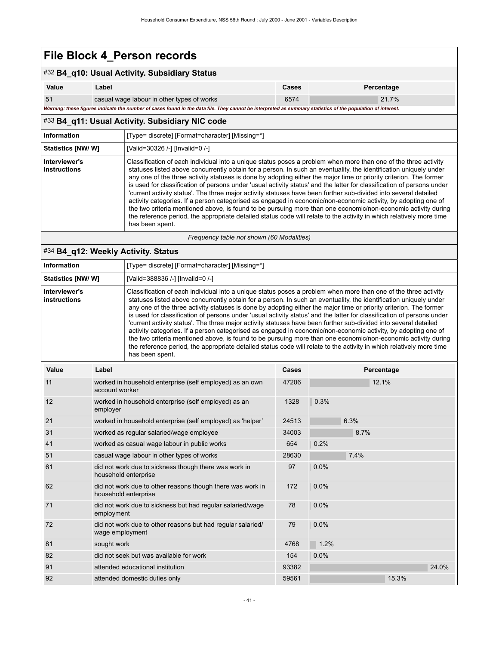### #32 **B4\_q10: Usual Activity. Subsidiary Status**

| Value                                                                                                                                                       | ∟abel                                      | Cases | Percentage |  |  |
|-------------------------------------------------------------------------------------------------------------------------------------------------------------|--------------------------------------------|-------|------------|--|--|
| 51                                                                                                                                                          | casual wage labour in other types of works | 6574  | 21.7%      |  |  |
| Warning: these figures indicate the number of cases found in the data file. They cannot be interpreted as summary statistics of the population of interest. |                                            |       |            |  |  |

### #33 **B4\_q11: Usual Activity. Subsidiary NIC code**

| Information                               | [Type= discrete] [Format=character] [Missing=*]                                                                                                                                                                                                                                                                                                                                                                                                                                                                                                                                                                                                                                                                                                                                                                                                                                                                                                                                       |
|-------------------------------------------|---------------------------------------------------------------------------------------------------------------------------------------------------------------------------------------------------------------------------------------------------------------------------------------------------------------------------------------------------------------------------------------------------------------------------------------------------------------------------------------------------------------------------------------------------------------------------------------------------------------------------------------------------------------------------------------------------------------------------------------------------------------------------------------------------------------------------------------------------------------------------------------------------------------------------------------------------------------------------------------|
| Statistics [NW/W]                         | [Valid=30326 /-] [Invalid=0 /-]                                                                                                                                                                                                                                                                                                                                                                                                                                                                                                                                                                                                                                                                                                                                                                                                                                                                                                                                                       |
| Interviewer's<br>instructions             | Classification of each individual into a unique status poses a problem when more than one of the three activity<br>statuses listed above concurrently obtain for a person. In such an eventuality, the identification uniquely under<br>any one of the three activity statuses is done by adopting either the major time or priority criterion. The former<br>is used for classification of persons under 'usual activity status' and the latter for classification of persons under<br>'current activity status'. The three major activity statuses have been further sub-divided into several detailed<br>activity categories. If a person categorised as engaged in economic/non-economic activity, by adopting one of<br>the two criteria mentioned above, is found to be pursuing more than one economic/non-economic activity during<br>the reference period, the appropriate detailed status code will relate to the activity in which relatively more time<br>has been spent. |
| Frequency table not shown (60 Modalities) |                                                                                                                                                                                                                                                                                                                                                                                                                                                                                                                                                                                                                                                                                                                                                                                                                                                                                                                                                                                       |

### #34 **B4\_q12: Weekly Activity. Status**

| <b>Information</b>                   | [Type= discrete] [Format=character] [Missing=*]                                                                                                                                                                                                                                                                                                                                                                                                                                                                                                                                                                                                                                                                                                                                                                                                                                                                                                                                       |
|--------------------------------------|---------------------------------------------------------------------------------------------------------------------------------------------------------------------------------------------------------------------------------------------------------------------------------------------------------------------------------------------------------------------------------------------------------------------------------------------------------------------------------------------------------------------------------------------------------------------------------------------------------------------------------------------------------------------------------------------------------------------------------------------------------------------------------------------------------------------------------------------------------------------------------------------------------------------------------------------------------------------------------------|
| <b>Statistics [NW/ W]</b>            | [Valid=388836 /-] [Invalid=0 /-]                                                                                                                                                                                                                                                                                                                                                                                                                                                                                                                                                                                                                                                                                                                                                                                                                                                                                                                                                      |
| Interviewer's<br><b>instructions</b> | Classification of each individual into a unique status poses a problem when more than one of the three activity<br>statuses listed above concurrently obtain for a person. In such an eventuality, the identification uniquely under<br>any one of the three activity statuses is done by adopting either the major time or priority criterion. The former<br>is used for classification of persons under 'usual activity status' and the latter for classification of persons under<br>'current activity status'. The three major activity statuses have been further sub-divided into several detailed<br>activity categories. If a person categorised as engaged in economic/non-economic activity, by adopting one of<br>the two criteria mentioned above, is found to be pursuing more than one economic/non-economic activity during<br>the reference period, the appropriate detailed status code will relate to the activity in which relatively more time<br>has been spent. |

| Value | Label                                                                              | Cases | Percentage |
|-------|------------------------------------------------------------------------------------|-------|------------|
| 11    | worked in household enterprise (self employed) as an own<br>account worker         | 47206 | 12.1%      |
| 12    | worked in household enterprise (self employed) as an<br>employer                   | 1328  | 0.3%       |
| 21    | worked in household enterprise (self employed) as 'helper'                         | 24513 | 6.3%       |
| 31    | worked as regular salaried/wage employee                                           | 34003 | 8.7%       |
| 41    | worked as casual wage labour in public works                                       | 654   | 0.2%       |
| 51    | casual wage labour in other types of works                                         | 28630 | 7.4%       |
| 61    | did not work due to sickness though there was work in<br>household enterprise      | 97    | 0.0%       |
| 62    | did not work due to other reasons though there was work in<br>household enterprise | 172   | 0.0%       |
| 71    | did not work due to sickness but had regular salaried/wage<br>employment           | 78    | 0.0%       |
| 72    | did not work due to other reasons but had regular salaried/<br>wage employment     | 79    | 0.0%       |
| 81    | sought work                                                                        | 4768  | 1.2%       |
| 82    | did not seek but was available for work                                            | 154   | 0.0%       |
| 91    | attended educational institution                                                   | 93382 | 24.0%      |
| 92    | attended domestic duties only                                                      | 59561 | 15.3%      |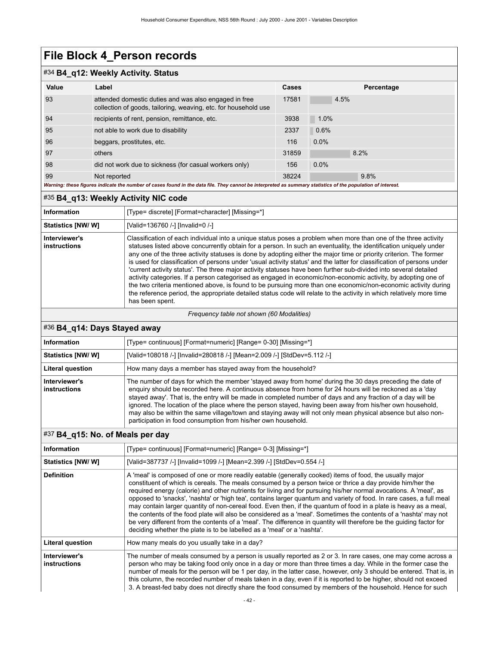### #34 **B4\_q12: Weekly Activity. Status**

| Value                                                                                                                                                       | Label                                                                                                                    | Cases | Percentage |
|-------------------------------------------------------------------------------------------------------------------------------------------------------------|--------------------------------------------------------------------------------------------------------------------------|-------|------------|
| 93                                                                                                                                                          | attended domestic duties and was also engaged in free<br>collection of goods, tailoring, weaving, etc. for household use | 17581 | 4.5%       |
| 94                                                                                                                                                          | recipients of rent, pension, remittance, etc.                                                                            | 3938  | 1.0%       |
| 95                                                                                                                                                          | not able to work due to disability                                                                                       | 2337  | 0.6%       |
| 96                                                                                                                                                          | beggars, prostitutes, etc.                                                                                               | 116   | 0.0%       |
| 97                                                                                                                                                          | others                                                                                                                   | 31859 | 8.2%       |
| 98                                                                                                                                                          | did not work due to sickness (for casual workers only)                                                                   | 156   | 0.0%       |
| 99                                                                                                                                                          | Not reported                                                                                                             | 38224 | 9.8%       |
| Warning: these figures indicate the number of cases found in the data file. They cannot be interpreted as summary statistics of the population of interest. |                                                                                                                          |       |            |

### #35 **B4\_q13: Weekly Activity NIC code**

| <b>Information</b>            | [Type= discrete] [Format=character] [Missing=*]                                                                                                                                                                                                                                                                                                                                                                                                                                                                                                                                                                                                                                                                                                                                                                                                                                                                                                                                       |
|-------------------------------|---------------------------------------------------------------------------------------------------------------------------------------------------------------------------------------------------------------------------------------------------------------------------------------------------------------------------------------------------------------------------------------------------------------------------------------------------------------------------------------------------------------------------------------------------------------------------------------------------------------------------------------------------------------------------------------------------------------------------------------------------------------------------------------------------------------------------------------------------------------------------------------------------------------------------------------------------------------------------------------|
| <b>Statistics [NW/W]</b>      | [Valid=136760 /-] [Invalid=0 /-]                                                                                                                                                                                                                                                                                                                                                                                                                                                                                                                                                                                                                                                                                                                                                                                                                                                                                                                                                      |
| Interviewer's<br>instructions | Classification of each individual into a unique status poses a problem when more than one of the three activity<br>statuses listed above concurrently obtain for a person. In such an eventuality, the identification uniquely under<br>any one of the three activity statuses is done by adopting either the major time or priority criterion. The former<br>is used for classification of persons under 'usual activity status' and the latter for classification of persons under<br>'current activity status'. The three major activity statuses have been further sub-divided into several detailed<br>activity categories. If a person categorised as engaged in economic/non-economic activity, by adopting one of<br>the two criteria mentioned above, is found to be pursuing more than one economic/non-economic activity during<br>the reference period, the appropriate detailed status code will relate to the activity in which relatively more time<br>has been spent. |

#### *Frequency table not shown (60 Modalities)*

### #36 **B4\_q14: Days Stayed away**

| <b>Information</b>            | [Type= continuous] [Format=numeric] [Range= 0-30] [Missing=*]                                                                                                                                                                                                                                                                                                                                                                                                                                                                                                                                                                  |
|-------------------------------|--------------------------------------------------------------------------------------------------------------------------------------------------------------------------------------------------------------------------------------------------------------------------------------------------------------------------------------------------------------------------------------------------------------------------------------------------------------------------------------------------------------------------------------------------------------------------------------------------------------------------------|
| <b>Statistics [NW/W]</b>      | [Valid=108018 /-] [Invalid=280818 /-] [Mean=2.009 /-] [StdDev=5.112 /-]                                                                                                                                                                                                                                                                                                                                                                                                                                                                                                                                                        |
| <b>Literal question</b>       | How many days a member has stayed away from the household?                                                                                                                                                                                                                                                                                                                                                                                                                                                                                                                                                                     |
| Interviewer's<br>instructions | The number of days for which the member 'stayed away from home' during the 30 days preceding the date of<br>enquiry should be recorded here. A continuous absence from home for 24 hours will be reckoned as a 'day<br>stayed away'. That is, the entry will be made in completed number of days and any fraction of a day will be<br>ignored. The location of the place where the person stayed, having been away from his/her own household,<br>may also be within the same village/town and staying away will not only mean physical absence but also non-<br>participation in food consumption from his/her own household. |

### #37 **B4\_q15: No. of Meals per day**

| Information                          | [Type= continuous] [Format=numeric] [Range= 0-3] [Missing=*]                                                                                                                                                                                                                                                                                                                                                                                                                                                                                                                                                                                                                                                                                                                                                                                                                                                 |
|--------------------------------------|--------------------------------------------------------------------------------------------------------------------------------------------------------------------------------------------------------------------------------------------------------------------------------------------------------------------------------------------------------------------------------------------------------------------------------------------------------------------------------------------------------------------------------------------------------------------------------------------------------------------------------------------------------------------------------------------------------------------------------------------------------------------------------------------------------------------------------------------------------------------------------------------------------------|
| <b>Statistics [NW/ W]</b>            | [Valid=387737 /-] [Invalid=1099 /-] [Mean=2.399 /-] [StdDev=0.554 /-]                                                                                                                                                                                                                                                                                                                                                                                                                                                                                                                                                                                                                                                                                                                                                                                                                                        |
| <b>Definition</b>                    | A 'meal' is composed of one or more readily eatable (generally cooked) items of food, the usually major<br>constituent of which is cereals. The meals consumed by a person twice or thrice a day provide him/her the<br>required energy (calorie) and other nutrients for living and for pursuing his/her normal avocations. A 'meal', as<br>opposed to 'snacks', 'nashta' or 'high tea', contains larger quantum and variety of food. In rare cases, a full meal<br>may contain larger quantity of non-cereal food. Even then, if the quantum of food in a plate is heavy as a meal,<br>the contents of the food plate will also be considered as a 'meal'. Sometimes the contents of a 'nashta' may not<br>be very different from the contents of a 'meal'. The difference in quantity will therefore be the quiding factor for<br>deciding whether the plate is to be labelled as a 'meal' or a 'nashta'. |
| <b>Literal question</b>              | How many meals do you usually take in a day?                                                                                                                                                                                                                                                                                                                                                                                                                                                                                                                                                                                                                                                                                                                                                                                                                                                                 |
| Interviewer's<br><b>instructions</b> | The number of meals consumed by a person is usually reported as 2 or 3. In rare cases, one may come across a<br>person who may be taking food only once in a day or more than three times a day. While in the former case the<br>number of meals for the person will be 1 per day, in the latter case, however, only 3 should be entered. That is, in<br>this column, the recorded number of meals taken in a day, even if it is reported to be higher, should not exceed<br>3. A breast-fed baby does not directly share the food consumed by members of the household. Hence for such                                                                                                                                                                                                                                                                                                                      |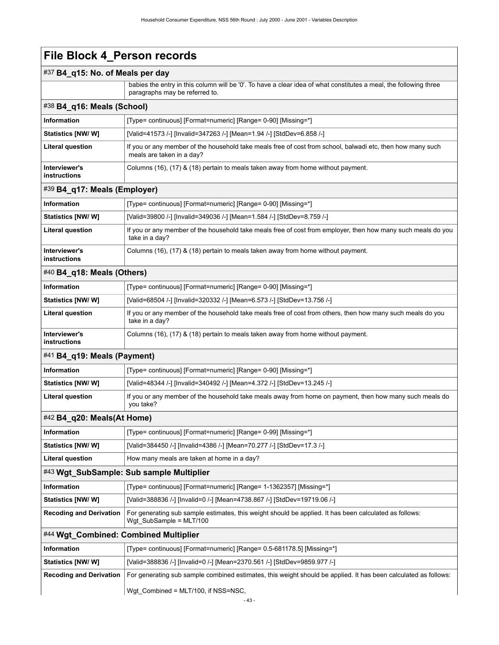### #37 **B4\_q15: No. of Meals per day**

 babies the entry in this column will be '0'. To have a clear idea of what constitutes a meal, the following three paragraphs may be referred to.

| $\#38$ B4 q16: Meals (School) |                                                                                                                                         |  |
|-------------------------------|-----------------------------------------------------------------------------------------------------------------------------------------|--|
| Information                   | [Type= continuous] [Format=numeric] [Range= 0-90] [Missing=*]                                                                           |  |
| <b>Statistics [NW/ W]</b>     | [Valid=41573 /-] [Invalid=347263 /-] [Mean=1.94 /-] [StdDev=6.858 /-]                                                                   |  |
| <b>Literal question</b>       | If you or any member of the household take meals free of cost from school, balwadi etc, then how many such<br>meals are taken in a day? |  |
| Interviewer's<br>instructions | Columns (16), (17) & (18) pertain to meals taken away from home without payment.                                                        |  |

#### #39 **B4\_q17: Meals (Employer)**

| <b>Information</b>            | [Type= continuous] [Format=numeric] [Range= 0-90] [Missing=*]                                                                  |
|-------------------------------|--------------------------------------------------------------------------------------------------------------------------------|
| <b>Statistics [NW/ W]</b>     | [Valid=39800 /-] [Invalid=349036 /-] [Mean=1.584 /-] [StdDev=8.759 /-]                                                         |
| <b>Literal question</b>       | If you or any member of the household take meals free of cost from employer, then how many such meals do you<br>take in a day? |
| Interviewer's<br>instructions | Columns (16), (17) & (18) pertain to meals taken away from home without payment.                                               |

### #40 **B4\_q18: Meals (Others)**

| <b>Information</b>            | [Type= continuous] [Format=numeric] [Range= 0-90] [Missing=*]                                                                |
|-------------------------------|------------------------------------------------------------------------------------------------------------------------------|
| <b>Statistics [NW/ W]</b>     | [Valid=68504 /-] [Invalid=320332 /-] [Mean=6.573 /-] [StdDev=13.756 /-]                                                      |
| <b>Literal question</b>       | If you or any member of the household take meals free of cost from others, then how many such meals do you<br>take in a day? |
| Interviewer's<br>instructions | Columns (16), (17) & (18) pertain to meals taken away from home without payment.                                             |

### #41 **B4\_q19: Meals (Payment)**

| Information               | [Type= continuous] [Format=numeric] [Range= 0-90] [Missing=*]                                                        |
|---------------------------|----------------------------------------------------------------------------------------------------------------------|
| <b>Statistics [NW/ W]</b> | [Valid=48344 /-] [Invalid=340492 /-] [Mean=4.372 /-] [StdDev=13.245 /-]                                              |
| <b>Literal question</b>   | If you or any member of the household take meals away from home on payment, then how many such meals do<br>vou take? |

### #42 **B4\_q20: Meals(At Home)**

| <b>Information</b>                       | [Type= continuous] [Format=numeric] [Range= 0-99] [Missing=*]                                                                       |  |
|------------------------------------------|-------------------------------------------------------------------------------------------------------------------------------------|--|
| Statistics [NW/ W]                       | [Valid=384450 /-] [Invalid=4386 /-] [Mean=70.277 /-] [StdDev=17.3 /-]                                                               |  |
| <b>Literal question</b>                  | How many meals are taken at home in a day?                                                                                          |  |
| #43 Wgt_SubSample: Sub sample Multiplier |                                                                                                                                     |  |
| <b>Information</b>                       | [Type= continuous] [Format=numeric] [Range= 1-1362357] [Missing=*]                                                                  |  |
| <b>Statistics [NW/W]</b>                 | [Valid=388836 /-] [Invalid=0 /-] [Mean=4738.867 /-] [StdDev=19719.06 /-]                                                            |  |
| <b>Recoding and Derivation</b>           | For generating sub sample estimates, this weight should be applied. It has been calculated as follows:<br>Wgt SubSample = $MLT/100$ |  |
| #44 Wgt Combined: Combined Multiplier    |                                                                                                                                     |  |

| Information                    | [Type= continuous] [Format=numeric] [Range= 0.5-681178.5] [Missing=*]                                           |
|--------------------------------|-----------------------------------------------------------------------------------------------------------------|
| <b>Statistics [NW/W]</b>       | [Valid=388836 /-] [Invalid=0 /-] [Mean=2370.561 /-] [StdDev=9859.977 /-]                                        |
| <b>Recoding and Derivation</b> | For generating sub sample combined estimates, this weight should be applied. It has been calculated as follows: |
|                                | Wgt Combined = MLT/100, if NSS=NSC,                                                                             |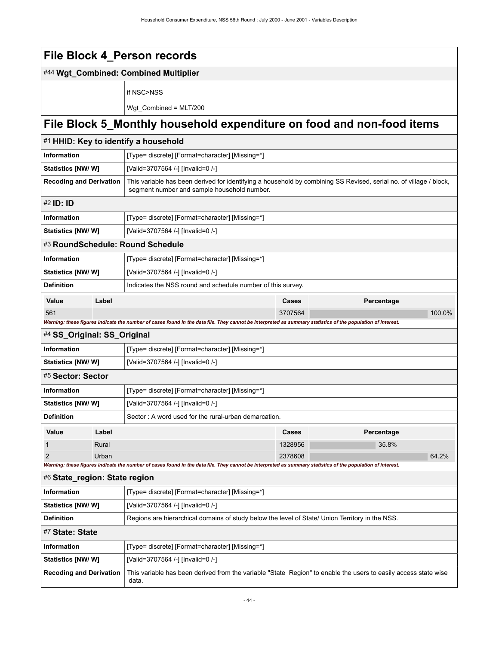|                                |       | File Block 4_Person records                                                                                                                                       |         |            |  |  |
|--------------------------------|-------|-------------------------------------------------------------------------------------------------------------------------------------------------------------------|---------|------------|--|--|
|                                |       | #44 Wgt_Combined: Combined Multiplier                                                                                                                             |         |            |  |  |
|                                |       | if NSC>NSS                                                                                                                                                        |         |            |  |  |
|                                |       | Wgt_Combined = MLT/200                                                                                                                                            |         |            |  |  |
|                                |       |                                                                                                                                                                   |         |            |  |  |
|                                |       | File Block 5_Monthly household expenditure on food and non-food items                                                                                             |         |            |  |  |
|                                |       | #1 HHID: Key to identify a household                                                                                                                              |         |            |  |  |
| <b>Information</b>             |       | [Type= discrete] [Format=character] [Missing=*]                                                                                                                   |         |            |  |  |
| <b>Statistics [NW/W]</b>       |       | [Valid=3707564 /-] [Invalid=0 /-]                                                                                                                                 |         |            |  |  |
| <b>Recoding and Derivation</b> |       | This variable has been derived for identifying a household by combining SS Revised, serial no. of village / block,<br>segment number and sample household number. |         |            |  |  |
| #2 <b>ID: ID</b>               |       |                                                                                                                                                                   |         |            |  |  |
| Information                    |       | [Type= discrete] [Format=character] [Missing=*]                                                                                                                   |         |            |  |  |
| <b>Statistics [NW/W]</b>       |       | [Valid=3707564 /-] [Invalid=0 /-]                                                                                                                                 |         |            |  |  |
|                                |       | #3 RoundSchedule: Round Schedule                                                                                                                                  |         |            |  |  |
| Information                    |       | [Type= discrete] [Format=character] [Missing=*]                                                                                                                   |         |            |  |  |
| <b>Statistics [NW/W]</b>       |       | [Valid=3707564 /-] [Invalid=0 /-]                                                                                                                                 |         |            |  |  |
| <b>Definition</b>              |       | Indicates the NSS round and schedule number of this survey.                                                                                                       |         |            |  |  |
| Value                          | Label |                                                                                                                                                                   | Cases   | Percentage |  |  |
| 561                            |       |                                                                                                                                                                   | 3707564 | 100.0%     |  |  |
|                                |       | Warning: these figures indicate the number of cases found in the data file. They cannot be interpreted as summary statistics of the population of interest.       |         |            |  |  |
| #4 SS_Original: SS_Original    |       |                                                                                                                                                                   |         |            |  |  |
| <b>Information</b>             |       | [Type= discrete] [Format=character] [Missing=*]                                                                                                                   |         |            |  |  |
| Statistics [NW/W]              |       | [Valid=3707564 /-] [Invalid=0 /-]                                                                                                                                 |         |            |  |  |
| #5 Sector: Sector              |       |                                                                                                                                                                   |         |            |  |  |
| <b>Information</b>             |       | [Type= discrete] [Format=character] [Missing=*]                                                                                                                   |         |            |  |  |
| Statistics [NW/W]              |       | [Valid=3707564 /-] [Invalid=0 /-]                                                                                                                                 |         |            |  |  |
| <b>Definition</b>              |       | Sector: A word used for the rural-urban demarcation.                                                                                                              |         |            |  |  |
| Value                          | Label |                                                                                                                                                                   | Cases   | Percentage |  |  |
| 1                              | Rural |                                                                                                                                                                   | 1328956 | 35.8%      |  |  |
| $\overline{2}$                 | Urban | Warning: these figures indicate the number of cases found in the data file. They cannot be interpreted as summary statistics of the population of interest.       | 2378608 | 64.2%      |  |  |
| #6 State_region: State region  |       |                                                                                                                                                                   |         |            |  |  |
| Information                    |       | [Type= discrete] [Format=character] [Missing=*]                                                                                                                   |         |            |  |  |
| <b>Statistics [NW/W]</b>       |       | [Valid=3707564 /-] [Invalid=0 /-]                                                                                                                                 |         |            |  |  |
| <b>Definition</b>              |       | Regions are hierarchical domains of study below the level of State/ Union Territory in the NSS.                                                                   |         |            |  |  |
| #7 State: State                |       |                                                                                                                                                                   |         |            |  |  |
| Information                    |       | [Type= discrete] [Format=character] [Missing=*]                                                                                                                   |         |            |  |  |
| Statistics [NW/W]              |       | [Valid=3707564 /-] [Invalid=0 /-]                                                                                                                                 |         |            |  |  |
| <b>Recoding and Derivation</b> |       | This variable has been derived from the variable "State_Region" to enable the users to easily access state wise<br>data.                                          |         |            |  |  |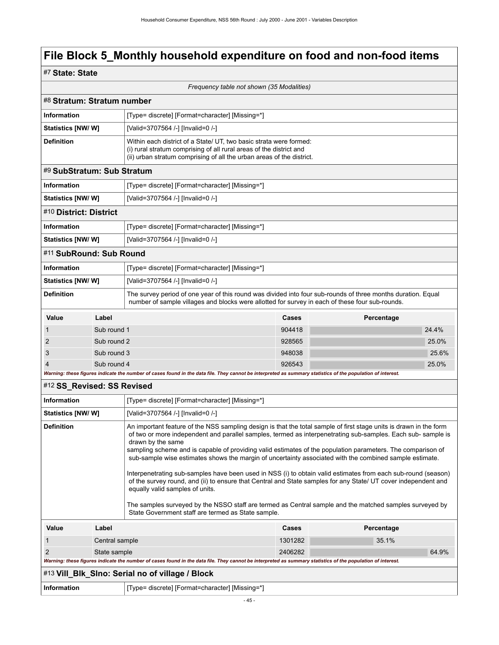### #7 **State: State**

|                            |                                                                                                                                                                                                                                                                                                                                                                                                                                                                                                       | Frequency table not shown (35 Modalities)                                                                                                                                                                                                                                                                                                                                     |         |            |       |
|----------------------------|-------------------------------------------------------------------------------------------------------------------------------------------------------------------------------------------------------------------------------------------------------------------------------------------------------------------------------------------------------------------------------------------------------------------------------------------------------------------------------------------------------|-------------------------------------------------------------------------------------------------------------------------------------------------------------------------------------------------------------------------------------------------------------------------------------------------------------------------------------------------------------------------------|---------|------------|-------|
| #8 Stratum: Stratum number |                                                                                                                                                                                                                                                                                                                                                                                                                                                                                                       |                                                                                                                                                                                                                                                                                                                                                                               |         |            |       |
| Information                |                                                                                                                                                                                                                                                                                                                                                                                                                                                                                                       | [Type= discrete] [Format=character] [Missing=*]                                                                                                                                                                                                                                                                                                                               |         |            |       |
| Statistics [NW/ W]         |                                                                                                                                                                                                                                                                                                                                                                                                                                                                                                       | [Valid=3707564 /-] [Invalid=0 /-]                                                                                                                                                                                                                                                                                                                                             |         |            |       |
| <b>Definition</b>          |                                                                                                                                                                                                                                                                                                                                                                                                                                                                                                       | Within each district of a State/ UT, two basic strata were formed:<br>(i) rural stratum comprising of all rural areas of the district and<br>(ii) urban stratum comprising of all the urban areas of the district.                                                                                                                                                            |         |            |       |
| #9 SubStratum: Sub Stratum |                                                                                                                                                                                                                                                                                                                                                                                                                                                                                                       |                                                                                                                                                                                                                                                                                                                                                                               |         |            |       |
| <b>Information</b>         |                                                                                                                                                                                                                                                                                                                                                                                                                                                                                                       | [Type= discrete] [Format=character] [Missing=*]                                                                                                                                                                                                                                                                                                                               |         |            |       |
| Statistics [NW/W]          |                                                                                                                                                                                                                                                                                                                                                                                                                                                                                                       | [Valid=3707564 /-] [Invalid=0 /-]                                                                                                                                                                                                                                                                                                                                             |         |            |       |
| #10 District: District     |                                                                                                                                                                                                                                                                                                                                                                                                                                                                                                       |                                                                                                                                                                                                                                                                                                                                                                               |         |            |       |
| <b>Information</b>         |                                                                                                                                                                                                                                                                                                                                                                                                                                                                                                       | [Type= discrete] [Format=character] [Missing=*]                                                                                                                                                                                                                                                                                                                               |         |            |       |
| <b>Statistics [NW/W]</b>   |                                                                                                                                                                                                                                                                                                                                                                                                                                                                                                       | [Valid=3707564 /-] [Invalid=0 /-]                                                                                                                                                                                                                                                                                                                                             |         |            |       |
| #11 SubRound: Sub Round    |                                                                                                                                                                                                                                                                                                                                                                                                                                                                                                       |                                                                                                                                                                                                                                                                                                                                                                               |         |            |       |
| Information                |                                                                                                                                                                                                                                                                                                                                                                                                                                                                                                       | [Type= discrete] [Format=character] [Missing=*]                                                                                                                                                                                                                                                                                                                               |         |            |       |
| Statistics [NW/ W]         |                                                                                                                                                                                                                                                                                                                                                                                                                                                                                                       | [Valid=3707564 /-] [Invalid=0 /-]                                                                                                                                                                                                                                                                                                                                             |         |            |       |
| <b>Definition</b>          |                                                                                                                                                                                                                                                                                                                                                                                                                                                                                                       | The survey period of one year of this round was divided into four sub-rounds of three months duration. Equal<br>number of sample villages and blocks were allotted for survey in each of these four sub-rounds.                                                                                                                                                               |         |            |       |
| Value                      | Label                                                                                                                                                                                                                                                                                                                                                                                                                                                                                                 |                                                                                                                                                                                                                                                                                                                                                                               | Cases   | Percentage |       |
| 1                          | Sub round 1                                                                                                                                                                                                                                                                                                                                                                                                                                                                                           |                                                                                                                                                                                                                                                                                                                                                                               | 904418  |            | 24.4% |
| 2                          | Sub round 2                                                                                                                                                                                                                                                                                                                                                                                                                                                                                           |                                                                                                                                                                                                                                                                                                                                                                               | 928565  |            | 25.0% |
| 3                          | Sub round 3                                                                                                                                                                                                                                                                                                                                                                                                                                                                                           |                                                                                                                                                                                                                                                                                                                                                                               | 948038  |            | 25.6% |
| $\overline{4}$             | Sub round 4                                                                                                                                                                                                                                                                                                                                                                                                                                                                                           |                                                                                                                                                                                                                                                                                                                                                                               | 926543  |            | 25.0% |
| #12 SS_Revised: SS Revised |                                                                                                                                                                                                                                                                                                                                                                                                                                                                                                       | Warning: these figures indicate the number of cases found in the data file. They cannot be interpreted as summary statistics of the population of interest.                                                                                                                                                                                                                   |         |            |       |
| <b>Information</b>         |                                                                                                                                                                                                                                                                                                                                                                                                                                                                                                       |                                                                                                                                                                                                                                                                                                                                                                               |         |            |       |
|                            |                                                                                                                                                                                                                                                                                                                                                                                                                                                                                                       | [Type= discrete] [Format=character] [Missing=*]                                                                                                                                                                                                                                                                                                                               |         |            |       |
| Statistics [NW/ W]         |                                                                                                                                                                                                                                                                                                                                                                                                                                                                                                       | [Valid=3707564 /-] [Invalid=0 /-]                                                                                                                                                                                                                                                                                                                                             |         |            |       |
|                            | <b>Definition</b><br>An important feature of the NSS sampling design is that the total sample of first stage units is drawn in the form<br>of two or more independent and parallel samples, termed as interpenetrating sub-samples. Each sub-sample is<br>drawn by the same<br>sampling scheme and is capable of providing valid estimates of the population parameters. The comparison of<br>sub-sample wise estimates shows the margin of uncertainty associated with the combined sample estimate. |                                                                                                                                                                                                                                                                                                                                                                               |         |            |       |
|                            |                                                                                                                                                                                                                                                                                                                                                                                                                                                                                                       | Interpenetrating sub-samples have been used in NSS (i) to obtain valid estimates from each sub-round (season)<br>of the survey round, and (ii) to ensure that Central and State samples for any State/ UT cover independent and<br>equally valid samples of units.<br>The samples surveyed by the NSSO staff are termed as Central sample and the matched samples surveyed by |         |            |       |
|                            |                                                                                                                                                                                                                                                                                                                                                                                                                                                                                                       | State Government staff are termed as State sample.                                                                                                                                                                                                                                                                                                                            |         |            |       |
| Value                      | Label                                                                                                                                                                                                                                                                                                                                                                                                                                                                                                 |                                                                                                                                                                                                                                                                                                                                                                               | Cases   | Percentage |       |
| $\mathbf{1}$               | Central sample                                                                                                                                                                                                                                                                                                                                                                                                                                                                                        |                                                                                                                                                                                                                                                                                                                                                                               | 1301282 | 35.1%      |       |
| 2                          | State sample                                                                                                                                                                                                                                                                                                                                                                                                                                                                                          | Warning: these figures indicate the number of cases found in the data file. They cannot be interpreted as summary statistics of the population of interest.                                                                                                                                                                                                                   | 2406282 |            | 64.9% |
|                            |                                                                                                                                                                                                                                                                                                                                                                                                                                                                                                       | #13 Vill_BIk_SIno: Serial no of village / Block                                                                                                                                                                                                                                                                                                                               |         |            |       |
| Information                |                                                                                                                                                                                                                                                                                                                                                                                                                                                                                                       | [Type= discrete] [Format=character] [Missing=*]                                                                                                                                                                                                                                                                                                                               |         |            |       |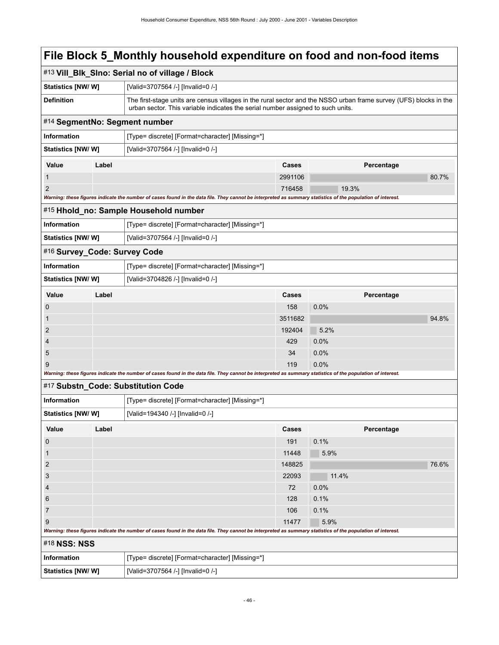|                                       | #13 Vill_Blk_Slno: Serial no of village / Block                                                                                                                                                      |                                                 |            |       |  |
|---------------------------------------|------------------------------------------------------------------------------------------------------------------------------------------------------------------------------------------------------|-------------------------------------------------|------------|-------|--|
| Statistics [NW/W]                     | [Valid=3707564 /-] [Invalid=0 /-]                                                                                                                                                                    |                                                 |            |       |  |
| <b>Definition</b>                     | The first-stage units are census villages in the rural sector and the NSSO urban frame survey (UFS) blocks in the<br>urban sector. This variable indicates the serial number assigned to such units. |                                                 |            |       |  |
| #14 SegmentNo: Segment number         |                                                                                                                                                                                                      |                                                 |            |       |  |
| <b>Information</b>                    | [Type= discrete] [Format=character] [Missing=*]                                                                                                                                                      |                                                 |            |       |  |
| Statistics [NW/W]                     | [Valid=3707564 /-] [Invalid=0 /-]                                                                                                                                                                    |                                                 |            |       |  |
| Value<br>Label                        |                                                                                                                                                                                                      | Cases                                           | Percentage |       |  |
| $\mathbf{1}$                          |                                                                                                                                                                                                      | 2991106                                         |            | 80.7% |  |
| 2                                     |                                                                                                                                                                                                      | 716458                                          | 19.3%      |       |  |
|                                       | Warning: these figures indicate the number of cases found in the data file. They cannot be interpreted as summary statistics of the population of interest.                                          |                                                 |            |       |  |
| #15 Hhold_no: Sample Household number |                                                                                                                                                                                                      |                                                 |            |       |  |
| Information                           | [Type= discrete] [Format=character] [Missing=*]                                                                                                                                                      |                                                 |            |       |  |
| <b>Statistics [NW/ W]</b>             | [Valid=3707564 /-] [Invalid=0 /-]                                                                                                                                                                    |                                                 |            |       |  |
| #16 Survey_Code: Survey Code          |                                                                                                                                                                                                      |                                                 |            |       |  |
| <b>Information</b>                    |                                                                                                                                                                                                      | [Type= discrete] [Format=character] [Missing=*] |            |       |  |
| <b>Statistics [NW/ W]</b>             | [Valid=3704826 /-] [Invalid=0 /-]                                                                                                                                                                    |                                                 |            |       |  |
| Value<br>Label                        |                                                                                                                                                                                                      | Cases                                           | Percentage |       |  |
| 0                                     |                                                                                                                                                                                                      | 158                                             | 0.0%       |       |  |
| 1                                     |                                                                                                                                                                                                      | 3511682                                         |            | 94.8% |  |
| $\overline{2}$                        |                                                                                                                                                                                                      | 192404                                          | 5.2%       |       |  |
| 4                                     |                                                                                                                                                                                                      | 429                                             | 0.0%       |       |  |
| 5                                     |                                                                                                                                                                                                      | 34                                              | 0.0%       |       |  |
| 9                                     |                                                                                                                                                                                                      | 119                                             | 0.0%       |       |  |
|                                       | Warning: these figures indicate the number of cases found in the data file. They cannot be interpreted as summary statistics of the population of interest.                                          |                                                 |            |       |  |
| #17 Substn_Code: Substitution Code    |                                                                                                                                                                                                      |                                                 |            |       |  |
| Information                           | [Type= discrete] [Format=character] [Missing=*]                                                                                                                                                      |                                                 |            |       |  |
| Statistics [NW/ W]                    | [Valid=194340 /-] [Invalid=0 /-]                                                                                                                                                                     |                                                 |            |       |  |
| Value<br>Label                        |                                                                                                                                                                                                      | Cases                                           | Percentage |       |  |
| $\boldsymbol{0}$                      |                                                                                                                                                                                                      | 191                                             | 0.1%       |       |  |
| $\mathbf{1}$                          |                                                                                                                                                                                                      | 11448                                           | 5.9%       |       |  |
| $\overline{2}$                        |                                                                                                                                                                                                      | 148825                                          |            | 76.6% |  |
| 3                                     |                                                                                                                                                                                                      | 22093                                           | 11.4%      |       |  |
| 4                                     |                                                                                                                                                                                                      | 72                                              | 0.0%       |       |  |
| 6                                     |                                                                                                                                                                                                      | 128                                             | 0.1%       |       |  |
| $\overline{7}$                        |                                                                                                                                                                                                      | 106                                             | 0.1%       |       |  |
| 9                                     | Warning: these figures indicate the number of cases found in the data file. They cannot be interpreted as summary statistics of the population of interest.                                          | 11477                                           | 5.9%       |       |  |
| #18 NSS: NSS                          |                                                                                                                                                                                                      |                                                 |            |       |  |
| <b>Information</b>                    | [Type= discrete] [Format=character] [Missing=*]                                                                                                                                                      |                                                 |            |       |  |
| Statistics [NW/W]                     | [Valid=3707564 /-] [Invalid=0 /-]                                                                                                                                                                    |                                                 |            |       |  |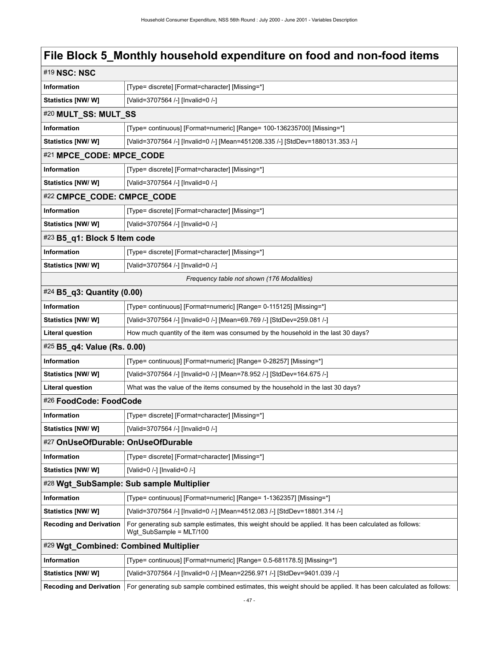| #19 NSC: NSC                          |                                                                                                                                   |  |  |  |
|---------------------------------------|-----------------------------------------------------------------------------------------------------------------------------------|--|--|--|
| Information                           | [Type= discrete] [Format=character] [Missing=*]                                                                                   |  |  |  |
| Statistics [NW/ W]                    | [Valid=3707564 /-] [Invalid=0 /-]                                                                                                 |  |  |  |
| #20 MULT_SS: MULT_SS                  |                                                                                                                                   |  |  |  |
| Information                           | [Type= continuous] [Format=numeric] [Range= 100-136235700] [Missing=*]                                                            |  |  |  |
| <b>Statistics [NW/W]</b>              | [Valid=3707564 /-] [Invalid=0 /-] [Mean=451208.335 /-] [StdDev=1880131.353 /-]                                                    |  |  |  |
| #21 MPCE_CODE: MPCE_CODE              |                                                                                                                                   |  |  |  |
| Information                           | [Type= discrete] [Format=character] [Missing=*]                                                                                   |  |  |  |
| Statistics [NW/W]                     | [Valid=3707564 /-] [Invalid=0 /-]                                                                                                 |  |  |  |
| #22 CMPCE_CODE: CMPCE_CODE            |                                                                                                                                   |  |  |  |
| Information                           | [Type= discrete] [Format=character] [Missing=*]                                                                                   |  |  |  |
| Statistics [NW/W]                     | [Valid=3707564 /-] [Invalid=0 /-]                                                                                                 |  |  |  |
| #23 B5_q1: Block 5 Item code          |                                                                                                                                   |  |  |  |
| Information                           | [Type= discrete] [Format=character] [Missing=*]                                                                                   |  |  |  |
| <b>Statistics [NW/W]</b>              | [Valid=3707564 /-] [Invalid=0 /-]                                                                                                 |  |  |  |
|                                       | Frequency table not shown (176 Modalities)                                                                                        |  |  |  |
| #24 B5_q3: Quantity (0.00)            |                                                                                                                                   |  |  |  |
| Information                           | [Type= continuous] [Format=numeric] [Range= 0-115125] [Missing=*]                                                                 |  |  |  |
| Statistics [NW/W]                     | [Valid=3707564 /-] [Invalid=0 /-] [Mean=69.769 /-] [StdDev=259.081 /-]                                                            |  |  |  |
| <b>Literal question</b>               | How much quantity of the item was consumed by the household in the last 30 days?                                                  |  |  |  |
| #25 B5_q4: Value (Rs. 0.00)           |                                                                                                                                   |  |  |  |
| Information                           | [Type= continuous] [Format=numeric] [Range= 0-28257] [Missing=*]                                                                  |  |  |  |
| <b>Statistics [NW/W]</b>              | [Valid=3707564 /-] [Invalid=0 /-] [Mean=78.952 /-] [StdDev=164.675 /-]                                                            |  |  |  |
| <b>Literal question</b>               | What was the value of the items consumed by the household in the last 30 days?                                                    |  |  |  |
| #26 FoodCode: FoodCode                |                                                                                                                                   |  |  |  |
| Information                           | [Type= discrete] [Format=character] [Missing=*]                                                                                   |  |  |  |
| Statistics [NW/W]                     | [Valid=3707564 /-] [Invalid=0 /-]                                                                                                 |  |  |  |
| #27 OnUseOfDurable: OnUseOfDurable    |                                                                                                                                   |  |  |  |
| Information                           | [Type= discrete] [Format=character] [Missing=*]                                                                                   |  |  |  |
| Statistics [NW/W]                     | [Valid=0 /-] [Invalid=0 /-]                                                                                                       |  |  |  |
|                                       | #28 Wgt_SubSample: Sub sample Multiplier                                                                                          |  |  |  |
| <b>Information</b>                    | [Type= continuous] [Format=numeric] [Range= 1-1362357] [Missing=*]                                                                |  |  |  |
| Statistics [NW/W]                     | [Valid=3707564 /-] [Invalid=0 /-] [Mean=4512.083 /-] [StdDev=18801.314 /-]                                                        |  |  |  |
| <b>Recoding and Derivation</b>        | For generating sub sample estimates, this weight should be applied. It has been calculated as follows:<br>Wgt SubSample = MLT/100 |  |  |  |
| #29 Wgt_Combined: Combined Multiplier |                                                                                                                                   |  |  |  |
| Information                           | [Type= continuous] [Format=numeric] [Range= 0.5-681178.5] [Missing=*]                                                             |  |  |  |
| Statistics [NW/W]                     | [Valid=3707564 /-] [Invalid=0 /-] [Mean=2256.971 /-] [StdDev=9401.039 /-]                                                         |  |  |  |
| <b>Recoding and Derivation</b>        | For generating sub sample combined estimates, this weight should be applied. It has been calculated as follows:                   |  |  |  |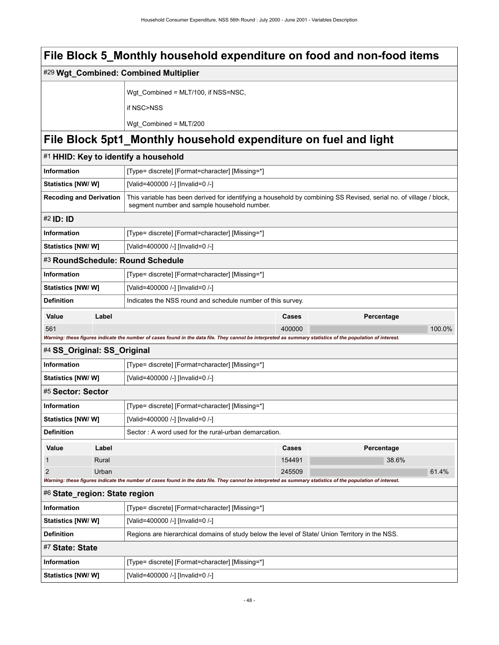|                                |       | #29 Wgt_Combined: Combined Multiplier                                                                                                                             |              |            |        |
|--------------------------------|-------|-------------------------------------------------------------------------------------------------------------------------------------------------------------------|--------------|------------|--------|
|                                |       | Wgt_Combined = MLT/100, if NSS=NSC,                                                                                                                               |              |            |        |
|                                |       | if NSC>NSS                                                                                                                                                        |              |            |        |
|                                |       | Wgt Combined = MLT/200                                                                                                                                            |              |            |        |
|                                |       | File Block 5pt1_Monthly household expenditure on fuel and light                                                                                                   |              |            |        |
|                                |       | #1 HHID: Key to identify a household                                                                                                                              |              |            |        |
| Information                    |       | [Type= discrete] [Format=character] [Missing=*]                                                                                                                   |              |            |        |
| Statistics [NW/ W]             |       | [Valid=400000 /-] [Invalid=0 /-]                                                                                                                                  |              |            |        |
| <b>Recoding and Derivation</b> |       | This variable has been derived for identifying a household by combining SS Revised, serial no. of village / block,<br>segment number and sample household number. |              |            |        |
| #2 <b>ID: ID</b>               |       |                                                                                                                                                                   |              |            |        |
| Information                    |       | [Type= discrete] [Format=character] [Missing=*]                                                                                                                   |              |            |        |
| Statistics [NW/ W]             |       | [Valid=400000 /-] [Invalid=0 /-]                                                                                                                                  |              |            |        |
|                                |       | #3 RoundSchedule: Round Schedule                                                                                                                                  |              |            |        |
| Information                    |       | [Type= discrete] [Format=character] [Missing=*]                                                                                                                   |              |            |        |
| <b>Statistics [NW/ W]</b>      |       | [Valid=400000 /-] [Invalid=0 /-]                                                                                                                                  |              |            |        |
| <b>Definition</b>              |       | Indicates the NSS round and schedule number of this survey.                                                                                                       |              |            |        |
| Value                          | Label |                                                                                                                                                                   | <b>Cases</b> | Percentage |        |
| 561                            |       |                                                                                                                                                                   | 400000       |            | 100.0% |
|                                |       | Warning: these figures indicate the number of cases found in the data file. They cannot be interpreted as summary statistics of the population of interest.       |              |            |        |
| #4 SS_Original: SS_Original    |       |                                                                                                                                                                   |              |            |        |
| <b>Information</b>             |       | [Type= discrete] [Format=character] [Missing=*]                                                                                                                   |              |            |        |
| <b>Statistics [NW/ W]</b>      |       | [Valid=400000 /-] [Invalid=0 /-]                                                                                                                                  |              |            |        |
| #5 Sector: Sector              |       |                                                                                                                                                                   |              |            |        |
| <b>Information</b>             |       | [Type= discrete] [Format=character] [Missing=*]                                                                                                                   |              |            |        |
| Statistics [NW/W]              |       | [Valid=400000 /-] [Invalid=0 /-]                                                                                                                                  |              |            |        |
| <b>Definition</b>              |       | Sector: A word used for the rural-urban demarcation.                                                                                                              |              |            |        |
| Value                          | Label |                                                                                                                                                                   | Cases        | Percentage |        |
| $\mathbf{1}$                   | Rural |                                                                                                                                                                   | 154491       | 38.6%      |        |
| $\overline{2}$                 | Urban | Warning: these figures indicate the number of cases found in the data file. They cannot be interpreted as summary statistics of the population of interest.       | 245509       |            | 61.4%  |
| #6 State_region: State region  |       |                                                                                                                                                                   |              |            |        |
| <b>Information</b>             |       | [Type= discrete] [Format=character] [Missing=*]                                                                                                                   |              |            |        |
| <b>Statistics [NW/ W]</b>      |       | [Valid=400000 /-] [Invalid=0 /-]                                                                                                                                  |              |            |        |
| <b>Definition</b>              |       | Regions are hierarchical domains of study below the level of State/ Union Territory in the NSS.                                                                   |              |            |        |
| #7 State: State                |       |                                                                                                                                                                   |              |            |        |
| Information                    |       | [Type= discrete] [Format=character] [Missing=*]                                                                                                                   |              |            |        |
| <b>Statistics [NW/ W]</b>      |       | [Valid=400000 /-] [Invalid=0 /-]                                                                                                                                  |              |            |        |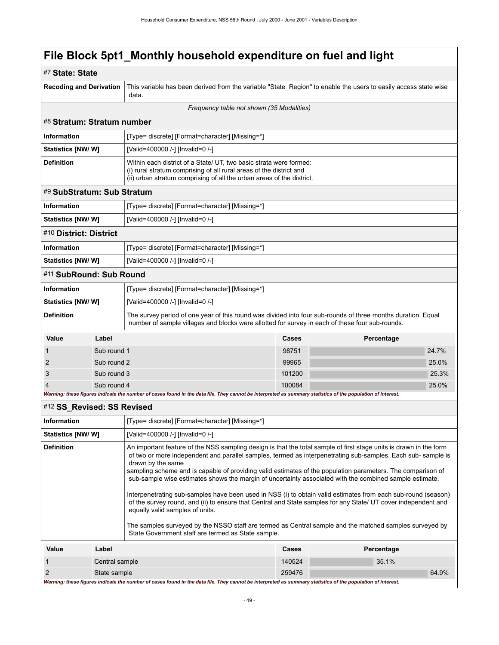| #7 State: State                                                                                                                                                                                                                                                                                                                                                                                                                                                                                                                                                                                                                                                                                                                                                                                                                                                                                                                              |                |                                                                                                                                                                                                                    |        |            |  |  |
|----------------------------------------------------------------------------------------------------------------------------------------------------------------------------------------------------------------------------------------------------------------------------------------------------------------------------------------------------------------------------------------------------------------------------------------------------------------------------------------------------------------------------------------------------------------------------------------------------------------------------------------------------------------------------------------------------------------------------------------------------------------------------------------------------------------------------------------------------------------------------------------------------------------------------------------------|----------------|--------------------------------------------------------------------------------------------------------------------------------------------------------------------------------------------------------------------|--------|------------|--|--|
| <b>Recoding and Derivation</b>                                                                                                                                                                                                                                                                                                                                                                                                                                                                                                                                                                                                                                                                                                                                                                                                                                                                                                               |                | This variable has been derived from the variable "State_Region" to enable the users to easily access state wise<br>data.                                                                                           |        |            |  |  |
|                                                                                                                                                                                                                                                                                                                                                                                                                                                                                                                                                                                                                                                                                                                                                                                                                                                                                                                                              |                | Frequency table not shown (35 Modalities)                                                                                                                                                                          |        |            |  |  |
| #8 Stratum: Stratum number                                                                                                                                                                                                                                                                                                                                                                                                                                                                                                                                                                                                                                                                                                                                                                                                                                                                                                                   |                |                                                                                                                                                                                                                    |        |            |  |  |
| <b>Information</b>                                                                                                                                                                                                                                                                                                                                                                                                                                                                                                                                                                                                                                                                                                                                                                                                                                                                                                                           |                | [Type= discrete] [Format=character] [Missing=*]                                                                                                                                                                    |        |            |  |  |
| <b>Statistics [NW/ W]</b>                                                                                                                                                                                                                                                                                                                                                                                                                                                                                                                                                                                                                                                                                                                                                                                                                                                                                                                    |                | [Valid=400000 /-] [Invalid=0 /-]                                                                                                                                                                                   |        |            |  |  |
| <b>Definition</b>                                                                                                                                                                                                                                                                                                                                                                                                                                                                                                                                                                                                                                                                                                                                                                                                                                                                                                                            |                | Within each district of a State/ UT, two basic strata were formed:<br>(i) rural stratum comprising of all rural areas of the district and<br>(ii) urban stratum comprising of all the urban areas of the district. |        |            |  |  |
| #9 SubStratum: Sub Stratum                                                                                                                                                                                                                                                                                                                                                                                                                                                                                                                                                                                                                                                                                                                                                                                                                                                                                                                   |                |                                                                                                                                                                                                                    |        |            |  |  |
| <b>Information</b>                                                                                                                                                                                                                                                                                                                                                                                                                                                                                                                                                                                                                                                                                                                                                                                                                                                                                                                           |                | [Type= discrete] [Format=character] [Missing=*]                                                                                                                                                                    |        |            |  |  |
| <b>Statistics [NW/ W]</b>                                                                                                                                                                                                                                                                                                                                                                                                                                                                                                                                                                                                                                                                                                                                                                                                                                                                                                                    |                | [Valid=400000 /-] [Invalid=0 /-]                                                                                                                                                                                   |        |            |  |  |
| #10 District: District                                                                                                                                                                                                                                                                                                                                                                                                                                                                                                                                                                                                                                                                                                                                                                                                                                                                                                                       |                |                                                                                                                                                                                                                    |        |            |  |  |
| <b>Information</b>                                                                                                                                                                                                                                                                                                                                                                                                                                                                                                                                                                                                                                                                                                                                                                                                                                                                                                                           |                | [Type= discrete] [Format=character] [Missing=*]                                                                                                                                                                    |        |            |  |  |
| Statistics [NW/ W]                                                                                                                                                                                                                                                                                                                                                                                                                                                                                                                                                                                                                                                                                                                                                                                                                                                                                                                           |                | [Valid=400000 /-] [Invalid=0 /-]                                                                                                                                                                                   |        |            |  |  |
| #11 SubRound: Sub Round                                                                                                                                                                                                                                                                                                                                                                                                                                                                                                                                                                                                                                                                                                                                                                                                                                                                                                                      |                |                                                                                                                                                                                                                    |        |            |  |  |
| <b>Information</b>                                                                                                                                                                                                                                                                                                                                                                                                                                                                                                                                                                                                                                                                                                                                                                                                                                                                                                                           |                | [Type= discrete] [Format=character] [Missing=*]                                                                                                                                                                    |        |            |  |  |
| <b>Statistics [NW/ W]</b>                                                                                                                                                                                                                                                                                                                                                                                                                                                                                                                                                                                                                                                                                                                                                                                                                                                                                                                    |                | [Valid=400000 /-] [Invalid=0 /-]                                                                                                                                                                                   |        |            |  |  |
| <b>Definition</b>                                                                                                                                                                                                                                                                                                                                                                                                                                                                                                                                                                                                                                                                                                                                                                                                                                                                                                                            |                | The survey period of one year of this round was divided into four sub-rounds of three months duration. Equal<br>number of sample villages and blocks were allotted for survey in each of these four sub-rounds.    |        |            |  |  |
| Value                                                                                                                                                                                                                                                                                                                                                                                                                                                                                                                                                                                                                                                                                                                                                                                                                                                                                                                                        | Label          |                                                                                                                                                                                                                    | Cases  | Percentage |  |  |
| 1                                                                                                                                                                                                                                                                                                                                                                                                                                                                                                                                                                                                                                                                                                                                                                                                                                                                                                                                            | Sub round 1    |                                                                                                                                                                                                                    | 98751  | 24.7%      |  |  |
| 2                                                                                                                                                                                                                                                                                                                                                                                                                                                                                                                                                                                                                                                                                                                                                                                                                                                                                                                                            | Sub round 2    |                                                                                                                                                                                                                    | 99965  | 25.0%      |  |  |
| 3                                                                                                                                                                                                                                                                                                                                                                                                                                                                                                                                                                                                                                                                                                                                                                                                                                                                                                                                            | Sub round 3    |                                                                                                                                                                                                                    | 101200 | 25.3%      |  |  |
| 4                                                                                                                                                                                                                                                                                                                                                                                                                                                                                                                                                                                                                                                                                                                                                                                                                                                                                                                                            | Sub round 4    | 100084<br>25.0%                                                                                                                                                                                                    |        |            |  |  |
|                                                                                                                                                                                                                                                                                                                                                                                                                                                                                                                                                                                                                                                                                                                                                                                                                                                                                                                                              |                | Warning: these figures indicate the number of cases found in the data file. They cannot be interpreted as summary statistics of the population of interest.                                                        |        |            |  |  |
| #12 SS_Revised: SS Revised                                                                                                                                                                                                                                                                                                                                                                                                                                                                                                                                                                                                                                                                                                                                                                                                                                                                                                                   |                |                                                                                                                                                                                                                    |        |            |  |  |
| <b>Information</b>                                                                                                                                                                                                                                                                                                                                                                                                                                                                                                                                                                                                                                                                                                                                                                                                                                                                                                                           |                | [Type= discrete] [Format=character] [Missing=*]                                                                                                                                                                    |        |            |  |  |
| <b>Statistics [NW/W]</b>                                                                                                                                                                                                                                                                                                                                                                                                                                                                                                                                                                                                                                                                                                                                                                                                                                                                                                                     |                | [Valid=400000 /-] [Invalid=0 /-]                                                                                                                                                                                   |        |            |  |  |
| <b>Definition</b><br>An important feature of the NSS sampling design is that the total sample of first stage units is drawn in the form<br>of two or more independent and parallel samples, termed as interpenetrating sub-samples. Each sub-sample is<br>drawn by the same<br>sampling scheme and is capable of providing valid estimates of the population parameters. The comparison of<br>sub-sample wise estimates shows the margin of uncertainty associated with the combined sample estimate.<br>Interpenetrating sub-samples have been used in NSS (i) to obtain valid estimates from each sub-round (season)<br>of the survey round, and (ii) to ensure that Central and State samples for any State/ UT cover independent and<br>equally valid samples of units.<br>The samples surveyed by the NSSO staff are termed as Central sample and the matched samples surveyed by<br>State Government staff are termed as State sample. |                |                                                                                                                                                                                                                    |        |            |  |  |
|                                                                                                                                                                                                                                                                                                                                                                                                                                                                                                                                                                                                                                                                                                                                                                                                                                                                                                                                              |                |                                                                                                                                                                                                                    |        |            |  |  |
| Value                                                                                                                                                                                                                                                                                                                                                                                                                                                                                                                                                                                                                                                                                                                                                                                                                                                                                                                                        | Label          |                                                                                                                                                                                                                    | Cases  | Percentage |  |  |
| 1                                                                                                                                                                                                                                                                                                                                                                                                                                                                                                                                                                                                                                                                                                                                                                                                                                                                                                                                            | Central sample |                                                                                                                                                                                                                    | 140524 | 35.1%      |  |  |

*Warning: these figures indicate the number of cases found in the data file. They cannot be interpreted as summary statistics of the population of interest.*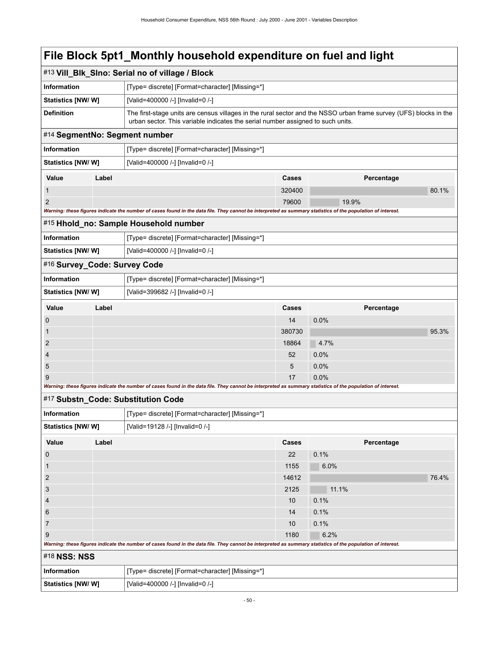|                                                                                                                                                             |                                                       | #13 Vill_Blk_SIno: Serial no of village / Block                                                                                                                                                      |        |            |       |  |
|-------------------------------------------------------------------------------------------------------------------------------------------------------------|-------------------------------------------------------|------------------------------------------------------------------------------------------------------------------------------------------------------------------------------------------------------|--------|------------|-------|--|
| <b>Information</b>                                                                                                                                          |                                                       | [Type= discrete] [Format=character] [Missing=*]                                                                                                                                                      |        |            |       |  |
| Statistics [NW/ W]                                                                                                                                          |                                                       | [Valid=400000 /-] [Invalid=0 /-]                                                                                                                                                                     |        |            |       |  |
| <b>Definition</b>                                                                                                                                           |                                                       | The first-stage units are census villages in the rural sector and the NSSO urban frame survey (UFS) blocks in the<br>urban sector. This variable indicates the serial number assigned to such units. |        |            |       |  |
| #14 SegmentNo: Segment number                                                                                                                               |                                                       |                                                                                                                                                                                                      |        |            |       |  |
| Information                                                                                                                                                 |                                                       | [Type= discrete] [Format=character] [Missing=*]                                                                                                                                                      |        |            |       |  |
| Statistics [NW/ W]                                                                                                                                          |                                                       | [Valid=400000 /-] [Invalid=0 /-]                                                                                                                                                                     |        |            |       |  |
| Value                                                                                                                                                       | Label                                                 |                                                                                                                                                                                                      | Cases  | Percentage |       |  |
| 1                                                                                                                                                           |                                                       |                                                                                                                                                                                                      | 320400 |            | 80.1% |  |
| 2                                                                                                                                                           |                                                       |                                                                                                                                                                                                      | 79600  | 19.9%      |       |  |
| Warning: these figures indicate the number of cases found in the data file. They cannot be interpreted as summary statistics of the population of interest. |                                                       |                                                                                                                                                                                                      |        |            |       |  |
|                                                                                                                                                             |                                                       | #15 Hhold_no: Sample Household number                                                                                                                                                                |        |            |       |  |
| Information                                                                                                                                                 |                                                       | [Type= discrete] [Format=character] [Missing=*]                                                                                                                                                      |        |            |       |  |
|                                                                                                                                                             | Statistics [NW/W]<br>[Valid=400000 /-] [Invalid=0 /-] |                                                                                                                                                                                                      |        |            |       |  |
| #16 Survey_Code: Survey Code                                                                                                                                |                                                       |                                                                                                                                                                                                      |        |            |       |  |
| <b>Information</b>                                                                                                                                          | [Type= discrete] [Format=character] [Missing=*]       |                                                                                                                                                                                                      |        |            |       |  |
| Statistics [NW/ W]<br>[Valid=399682 /-] [Invalid=0 /-]                                                                                                      |                                                       |                                                                                                                                                                                                      |        |            |       |  |
| Value                                                                                                                                                       | Label                                                 |                                                                                                                                                                                                      | Cases  | Percentage |       |  |
| 0                                                                                                                                                           |                                                       |                                                                                                                                                                                                      | 14     | 0.0%       |       |  |
| 1                                                                                                                                                           |                                                       |                                                                                                                                                                                                      | 380730 |            | 95.3% |  |
| 2                                                                                                                                                           |                                                       |                                                                                                                                                                                                      | 18864  | 4.7%       |       |  |
| 4                                                                                                                                                           |                                                       |                                                                                                                                                                                                      | 52     | 0.0%       |       |  |
| 5                                                                                                                                                           |                                                       |                                                                                                                                                                                                      | 5      | 0.0%       |       |  |
| 9                                                                                                                                                           |                                                       |                                                                                                                                                                                                      | 17     | 0.0%       |       |  |
|                                                                                                                                                             |                                                       | Warning: these figures indicate the number of cases found in the data file. They cannot be interpreted as summary statistics of the population of interest.<br>#17 Substn_Code: Substitution Code    |        |            |       |  |
| <b>Information</b>                                                                                                                                          |                                                       | [Type= discrete] [Format=character] [Missing=*]                                                                                                                                                      |        |            |       |  |
| <b>Statistics [NW/ W]</b>                                                                                                                                   |                                                       | [Valid=19128 /-] [Invalid=0 /-]                                                                                                                                                                      |        |            |       |  |
| Value                                                                                                                                                       | Label                                                 |                                                                                                                                                                                                      | Cases  | Percentage |       |  |
| 0                                                                                                                                                           |                                                       |                                                                                                                                                                                                      | 22     | 0.1%       |       |  |
| $\mathbf 1$                                                                                                                                                 |                                                       |                                                                                                                                                                                                      | 1155   | 6.0%       |       |  |
| $\overline{c}$                                                                                                                                              |                                                       |                                                                                                                                                                                                      | 14612  |            | 76.4% |  |
| 3                                                                                                                                                           |                                                       |                                                                                                                                                                                                      | 2125   | 11.1%      |       |  |
| 4                                                                                                                                                           |                                                       |                                                                                                                                                                                                      | 10     | 0.1%       |       |  |
| $\,6$                                                                                                                                                       |                                                       |                                                                                                                                                                                                      | 14     | 0.1%       |       |  |
| 7                                                                                                                                                           |                                                       |                                                                                                                                                                                                      | 10     | 0.1%       |       |  |
| 9                                                                                                                                                           |                                                       |                                                                                                                                                                                                      | 1180   | 6.2%       |       |  |
|                                                                                                                                                             |                                                       | Warning: these figures indicate the number of cases found in the data file. They cannot be interpreted as summary statistics of the population of interest.                                          |        |            |       |  |
| #18 NSS: NSS                                                                                                                                                |                                                       |                                                                                                                                                                                                      |        |            |       |  |
| Information                                                                                                                                                 |                                                       | [Type= discrete] [Format=character] [Missing=*]                                                                                                                                                      |        |            |       |  |
| Statistics [NW/W]<br>[Valid=400000 /-] [Invalid=0 /-]                                                                                                       |                                                       |                                                                                                                                                                                                      |        |            |       |  |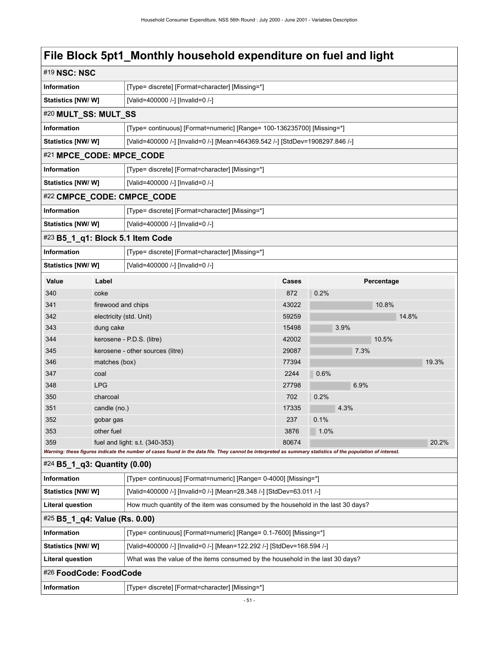| #19 NSC: NSC                                                   |                                                 |                                                                                                                                                             |       |         |            |       |
|----------------------------------------------------------------|-------------------------------------------------|-------------------------------------------------------------------------------------------------------------------------------------------------------------|-------|---------|------------|-------|
| Information                                                    |                                                 | [Type= discrete] [Format=character] [Missing=*]                                                                                                             |       |         |            |       |
| Statistics [NW/W]                                              |                                                 | [Valid=400000 /-] [Invalid=0 /-]                                                                                                                            |       |         |            |       |
|                                                                | #20 MULT_SS: MULT_SS                            |                                                                                                                                                             |       |         |            |       |
| Information                                                    |                                                 | [Type= continuous] [Format=numeric] [Range= 100-136235700] [Missing=*]                                                                                      |       |         |            |       |
| <b>Statistics [NW/W]</b>                                       |                                                 | [Valid=400000 /-] [Invalid=0 /-] [Mean=464369.542 /-] [StdDev=1908297.846 /-]                                                                               |       |         |            |       |
| #21 MPCE_CODE: MPCE_CODE                                       |                                                 |                                                                                                                                                             |       |         |            |       |
| Information                                                    | [Type= discrete] [Format=character] [Missing=*] |                                                                                                                                                             |       |         |            |       |
| Statistics [NW/W]                                              |                                                 | [Valid=400000 /-] [Invalid=0 /-]                                                                                                                            |       |         |            |       |
|                                                                |                                                 | #22 CMPCE_CODE: CMPCE_CODE                                                                                                                                  |       |         |            |       |
| Information                                                    |                                                 | [Type= discrete] [Format=character] [Missing=*]                                                                                                             |       |         |            |       |
| Statistics [NW/ W]                                             |                                                 | [Valid=400000 /-] [Invalid=0 /-]                                                                                                                            |       |         |            |       |
| #23 B5_1_q1: Block 5.1 Item Code                               |                                                 |                                                                                                                                                             |       |         |            |       |
| Information                                                    |                                                 | [Type= discrete] [Format=character] [Missing=*]                                                                                                             |       |         |            |       |
| Statistics [NW/ W]                                             |                                                 | [Valid=400000 /-] [Invalid=0 /-]                                                                                                                            |       |         |            |       |
| Value                                                          | Label                                           |                                                                                                                                                             | Cases |         | Percentage |       |
| 340                                                            | coke                                            |                                                                                                                                                             | 872   | 0.2%    |            |       |
| 341                                                            | firewood and chips                              |                                                                                                                                                             | 43022 |         | 10.8%      |       |
| 342                                                            | electricity (std. Unit)                         |                                                                                                                                                             | 59259 |         | 14.8%      |       |
| 343                                                            | dung cake                                       |                                                                                                                                                             | 15498 | 3.9%    |            |       |
| 344                                                            |                                                 | kerosene - P.D.S. (litre)                                                                                                                                   | 42002 |         | 10.5%      |       |
| 345                                                            |                                                 | kerosene - other sources (litre)                                                                                                                            | 29087 | 7.3%    |            |       |
| 346                                                            | matches (box)                                   |                                                                                                                                                             | 77394 |         |            | 19.3% |
| 347                                                            | coal                                            |                                                                                                                                                             | 2244  | 0.6%    |            |       |
| 348                                                            | <b>LPG</b>                                      |                                                                                                                                                             | 27798 | 6.9%    |            |       |
| 350                                                            | charcoal                                        |                                                                                                                                                             | 702   | 0.2%    |            |       |
| 351                                                            | candle (no.)                                    |                                                                                                                                                             | 17335 | 4.3%    |            |       |
| 352                                                            | gobar gas                                       |                                                                                                                                                             | 237   | 0.1%    |            |       |
| 353                                                            | other fuel                                      |                                                                                                                                                             | 3876  | $1.0\%$ |            |       |
| 359                                                            |                                                 | fuel and light: s.t. $(340-353)$                                                                                                                            | 80674 |         |            | 20.2% |
| $#24$ B5 1 q3: Quantity (0.00)                                 |                                                 | Warning: these figures indicate the number of cases found in the data file. They cannot be interpreted as summary statistics of the population of interest. |       |         |            |       |
| Information                                                    |                                                 | [Type= continuous] [Format=numeric] [Range= 0-4000] [Missing=*]                                                                                             |       |         |            |       |
| Statistics [NW/W]                                              |                                                 | [Valid=400000 /-] [Invalid=0 /-] [Mean=28.348 /-] [StdDev=63.011 /-]                                                                                        |       |         |            |       |
| <b>Literal question</b>                                        |                                                 | How much quantity of the item was consumed by the household in the last 30 days?                                                                            |       |         |            |       |
| #25 B5_1_q4: Value (Rs. 0.00)                                  |                                                 |                                                                                                                                                             |       |         |            |       |
| Information                                                    |                                                 | [Type= continuous] [Format=numeric] [Range= 0.1-7600] [Missing=*]                                                                                           |       |         |            |       |
| Statistics [NW/W]                                              |                                                 | [Valid=400000 /-] [Invalid=0 /-] [Mean=122.292 /-] [StdDev=168.594 /-]                                                                                      |       |         |            |       |
| <b>Literal question</b>                                        |                                                 | What was the value of the items consumed by the household in the last 30 days?                                                                              |       |         |            |       |
| #26 FoodCode: FoodCode                                         |                                                 |                                                                                                                                                             |       |         |            |       |
| Information<br>[Type= discrete] [Format=character] [Missing=*] |                                                 |                                                                                                                                                             |       |         |            |       |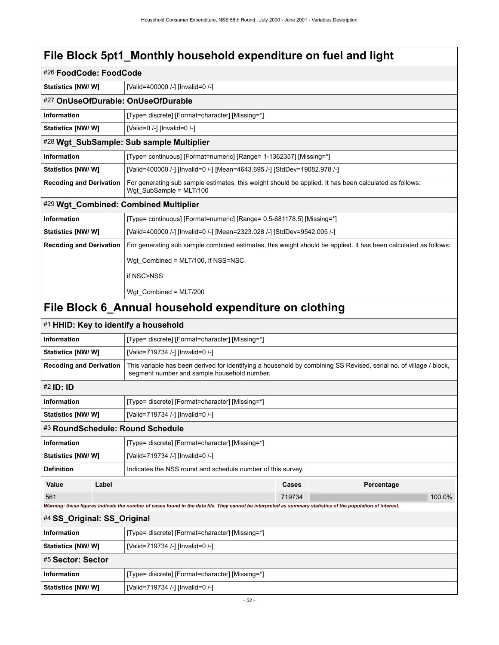| #26 FoodCode: FoodCode         |                                    |                                                                                                                                                                   |  |  |
|--------------------------------|------------------------------------|-------------------------------------------------------------------------------------------------------------------------------------------------------------------|--|--|
| <b>Statistics [NW/ W]</b>      |                                    | [Valid=400000 /-] [Invalid=0 /-]                                                                                                                                  |  |  |
|                                | #27 OnUseOfDurable: OnUseOfDurable |                                                                                                                                                                   |  |  |
| Information                    |                                    | [Type= discrete] [Format=character] [Missing=*]                                                                                                                   |  |  |
| <b>Statistics [NW/ W]</b>      |                                    | [Valid=0 /-] [Invalid=0 /-]                                                                                                                                       |  |  |
|                                |                                    | #28 Wgt_SubSample: Sub sample Multiplier                                                                                                                          |  |  |
| <b>Information</b>             |                                    | [Type= continuous] [Format=numeric] [Range= 1-1362357] [Missing=*]                                                                                                |  |  |
| Statistics [NW/ W]             |                                    | [Valid=400000 /-] [Invalid=0 /-] [Mean=4643.695 /-] [StdDev=19082.978 /-]                                                                                         |  |  |
| <b>Recoding and Derivation</b> |                                    | For generating sub sample estimates, this weight should be applied. It has been calculated as follows:<br>Wgt SubSample = MLT/100                                 |  |  |
|                                |                                    | #29 Wgt_Combined: Combined Multiplier                                                                                                                             |  |  |
| Information                    |                                    | [Type= continuous] [Format=numeric] [Range= 0.5-681178.5] [Missing=*]                                                                                             |  |  |
| <b>Statistics [NW/ W]</b>      |                                    | [Valid=400000 /-] [Invalid=0 /-] [Mean=2323.028 /-] [StdDev=9542.005 /-]                                                                                          |  |  |
| <b>Recoding and Derivation</b> |                                    | For generating sub sample combined estimates, this weight should be applied. It has been calculated as follows:                                                   |  |  |
|                                |                                    | Wgt_Combined = MLT/100, if NSS=NSC,                                                                                                                               |  |  |
|                                |                                    | if NSC>NSS                                                                                                                                                        |  |  |
|                                |                                    | Wgt_Combined = MLT/200                                                                                                                                            |  |  |
|                                |                                    | File Block 6_Annual household expenditure on clothing                                                                                                             |  |  |
|                                |                                    | #1 HHID: Key to identify a household                                                                                                                              |  |  |
| Information                    |                                    | [Type= discrete] [Format=character] [Missing=*]                                                                                                                   |  |  |
| <b>Statistics [NW/ W]</b>      |                                    | [Valid=719734 /-] [Invalid=0 /-]                                                                                                                                  |  |  |
| <b>Recoding and Derivation</b> |                                    | This variable has been derived for identifying a household by combining SS Revised, serial no. of village / block,<br>segment number and sample household number. |  |  |
| #2 <b>ID</b> : <b>ID</b>       |                                    |                                                                                                                                                                   |  |  |
| <b>Information</b>             |                                    | [Type= discrete] [Format=character] [Missing=*]                                                                                                                   |  |  |
| <b>Statistics [NW/ W]</b>      |                                    | [Valid=719734 /-] [Invalid=0 /-]                                                                                                                                  |  |  |
|                                |                                    | #3 RoundSchedule: Round Schedule                                                                                                                                  |  |  |
| Information                    |                                    | [Type= discrete] [Format=character] [Missing=*]                                                                                                                   |  |  |
| Statistics [NW/W]              |                                    | [Valid=719734 /-] [Invalid=0 /-]                                                                                                                                  |  |  |
| <b>Definition</b>              |                                    | Indicates the NSS round and schedule number of this survey.                                                                                                       |  |  |
| Value                          | Label                              | Cases<br>Percentage                                                                                                                                               |  |  |
| 561                            |                                    | 719734<br>100.0%                                                                                                                                                  |  |  |
|                                |                                    | Warning: these figures indicate the number of cases found in the data file. They cannot be interpreted as summary statistics of the population of interest.       |  |  |
| #4 SS Original: SS Original    |                                    |                                                                                                                                                                   |  |  |
| <b>Information</b>             |                                    | [Type= discrete] [Format=character] [Missing=*]                                                                                                                   |  |  |
| Statistics [NW/W]              |                                    | [Valid=719734 /-] [Invalid=0 /-]                                                                                                                                  |  |  |
| #5 Sector: Sector              |                                    |                                                                                                                                                                   |  |  |
| Information                    |                                    | [Type= discrete] [Format=character] [Missing=*]                                                                                                                   |  |  |
| <b>Statistics [NW/W]</b>       |                                    | [Valid=719734 /-] [Invalid=0 /-]                                                                                                                                  |  |  |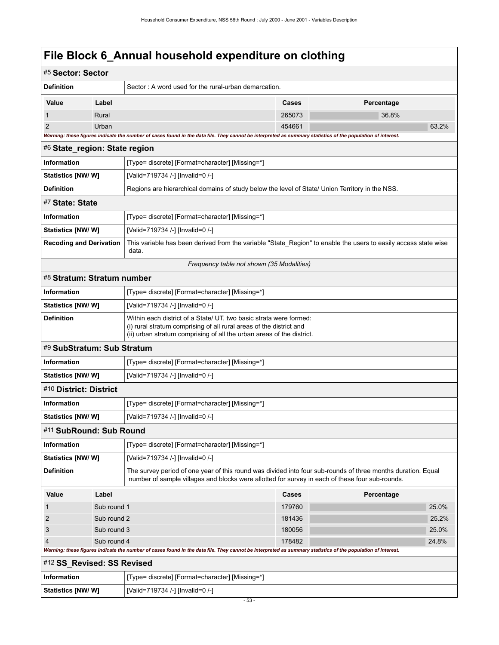| #5 Sector: Sector              |                                  |                                                                                                                                                                                                                    |        |            |       |
|--------------------------------|----------------------------------|--------------------------------------------------------------------------------------------------------------------------------------------------------------------------------------------------------------------|--------|------------|-------|
| <b>Definition</b>              |                                  | Sector: A word used for the rural-urban demarcation.                                                                                                                                                               |        |            |       |
| Value                          | Label                            |                                                                                                                                                                                                                    | Cases  | Percentage |       |
|                                | Rural                            |                                                                                                                                                                                                                    | 265073 | 36.8%      |       |
| 2                              | Urban                            |                                                                                                                                                                                                                    | 454661 |            | 63.2% |
|                                |                                  | Warning: these figures indicate the number of cases found in the data file. They cannot be interpreted as summary statistics of the population of interest.                                                        |        |            |       |
| #6 State_region: State region  |                                  |                                                                                                                                                                                                                    |        |            |       |
| <b>Information</b>             |                                  | [Type= discrete] [Format=character] [Missing=*]                                                                                                                                                                    |        |            |       |
| Statistics [NW/ W]             | [Valid=719734 /-] [Invalid=0 /-] |                                                                                                                                                                                                                    |        |            |       |
| <b>Definition</b>              |                                  | Regions are hierarchical domains of study below the level of State/ Union Territory in the NSS.                                                                                                                    |        |            |       |
| #7 State: State                |                                  |                                                                                                                                                                                                                    |        |            |       |
| Information                    |                                  | [Type= discrete] [Format=character] [Missing=*]                                                                                                                                                                    |        |            |       |
| Statistics [NW/W]              |                                  | [Valid=719734 /-] [Invalid=0 /-]                                                                                                                                                                                   |        |            |       |
| <b>Recoding and Derivation</b> |                                  | This variable has been derived from the variable "State_Region" to enable the users to easily access state wise<br>data.                                                                                           |        |            |       |
|                                |                                  | Frequency table not shown (35 Modalities)                                                                                                                                                                          |        |            |       |
| #8 Stratum: Stratum number     |                                  |                                                                                                                                                                                                                    |        |            |       |
| <b>Information</b>             |                                  | [Type= discrete] [Format=character] [Missing=*]                                                                                                                                                                    |        |            |       |
| Statistics [NW/ W]             |                                  | [Valid=719734 /-] [Invalid=0 /-]                                                                                                                                                                                   |        |            |       |
| <b>Definition</b>              |                                  | Within each district of a State/ UT, two basic strata were formed:<br>(i) rural stratum comprising of all rural areas of the district and<br>(ii) urban stratum comprising of all the urban areas of the district. |        |            |       |
| #9 SubStratum: Sub Stratum     |                                  |                                                                                                                                                                                                                    |        |            |       |
| <b>Information</b>             |                                  | [Type= discrete] [Format=character] [Missing=*]                                                                                                                                                                    |        |            |       |
| <b>Statistics [NW/W]</b>       |                                  | [Valid=719734 /-] [Invalid=0 /-]                                                                                                                                                                                   |        |            |       |
| #10 District: District         |                                  |                                                                                                                                                                                                                    |        |            |       |
| Information                    |                                  | [Type= discrete] [Format=character] [Missing=*]                                                                                                                                                                    |        |            |       |
| <b>Statistics [NW/ W]</b>      |                                  | [Valid=719734 /-] [Invalid=0 /-]                                                                                                                                                                                   |        |            |       |
| #11 SubRound: Sub Round        |                                  |                                                                                                                                                                                                                    |        |            |       |
| <b>Information</b>             |                                  | [Type= discrete] [Format=character] [Missing=*]                                                                                                                                                                    |        |            |       |
| Statistics [NW/ W]             |                                  | [Valid=719734 /-] [Invalid=0 /-]                                                                                                                                                                                   |        |            |       |
| <b>Definition</b>              |                                  | The survey period of one year of this round was divided into four sub-rounds of three months duration. Equal<br>number of sample villages and blocks were allotted for survey in each of these four sub-rounds.    |        |            |       |
| Value                          | Label                            |                                                                                                                                                                                                                    | Cases  | Percentage |       |
| 1                              | Sub round 1                      |                                                                                                                                                                                                                    | 179760 |            | 25.0% |
| $\overline{c}$                 | Sub round 2                      |                                                                                                                                                                                                                    | 181436 |            | 25.2% |
| 3<br>Sub round 3               |                                  |                                                                                                                                                                                                                    | 180056 |            | 25.0% |
| 4                              | Sub round 4                      |                                                                                                                                                                                                                    | 178482 |            | 24.8% |
|                                |                                  | Warning: these figures indicate the number of cases found in the data file. They cannot be interpreted as summary statistics of the population of interest.                                                        |        |            |       |
| #12 SS_Revised: SS Revised     |                                  |                                                                                                                                                                                                                    |        |            |       |
| <b>Information</b>             |                                  | [Type= discrete] [Format=character] [Missing=*]                                                                                                                                                                    |        |            |       |
| Statistics [NW/W]              |                                  | [Valid=719734 /-] [Invalid=0 /-]                                                                                                                                                                                   |        |            |       |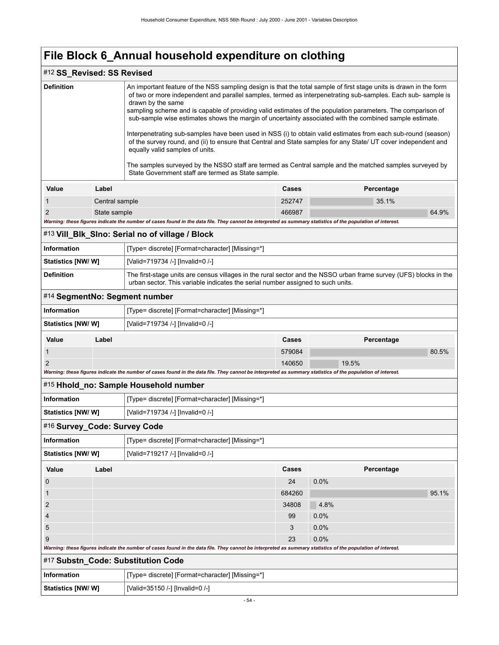### #12 **SS\_Revised: SS Revised**

| <b>Definition</b>            |                | An important feature of the NSS sampling design is that the total sample of first stage units is drawn in the form<br>drawn by the same<br>sampling scheme and is capable of providing valid estimates of the population parameters. The comparison of<br>sub-sample wise estimates shows the margin of uncertainty associated with the combined sample estimate.<br>of the survey round, and (ii) to ensure that Central and State samples for any State/ UT cover independent and<br>equally valid samples of units.<br>The samples surveyed by the NSSO staff are termed as Central sample and the matched samples surveyed by<br>State Government staff are termed as State sample. |              | of two or more independent and parallel samples, termed as interpenetrating sub-samples. Each sub-sample is<br>Interpenetrating sub-samples have been used in NSS (i) to obtain valid estimates from each sub-round (season) |  |
|------------------------------|----------------|-----------------------------------------------------------------------------------------------------------------------------------------------------------------------------------------------------------------------------------------------------------------------------------------------------------------------------------------------------------------------------------------------------------------------------------------------------------------------------------------------------------------------------------------------------------------------------------------------------------------------------------------------------------------------------------------|--------------|------------------------------------------------------------------------------------------------------------------------------------------------------------------------------------------------------------------------------|--|
| <b>Value</b>                 | Label          |                                                                                                                                                                                                                                                                                                                                                                                                                                                                                                                                                                                                                                                                                         |              | Percentage                                                                                                                                                                                                                   |  |
| 1                            | Central sample |                                                                                                                                                                                                                                                                                                                                                                                                                                                                                                                                                                                                                                                                                         | 252747       | 35.1%                                                                                                                                                                                                                        |  |
| 2                            | State sample   |                                                                                                                                                                                                                                                                                                                                                                                                                                                                                                                                                                                                                                                                                         | 466987       | 64.9%                                                                                                                                                                                                                        |  |
|                              |                | Warning: these figures indicate the number of cases found in the data file. They cannot be interpreted as summary statistics of the population of interest.                                                                                                                                                                                                                                                                                                                                                                                                                                                                                                                             |              |                                                                                                                                                                                                                              |  |
|                              |                | #13 Vill_BIk_SIno: Serial no of village / Block                                                                                                                                                                                                                                                                                                                                                                                                                                                                                                                                                                                                                                         |              |                                                                                                                                                                                                                              |  |
| Information                  |                | [Type= discrete] [Format=character] [Missing=*]                                                                                                                                                                                                                                                                                                                                                                                                                                                                                                                                                                                                                                         |              |                                                                                                                                                                                                                              |  |
| Statistics [NW/ W]           |                | [Valid=719734 /-] [Invalid=0 /-]                                                                                                                                                                                                                                                                                                                                                                                                                                                                                                                                                                                                                                                        |              |                                                                                                                                                                                                                              |  |
| <b>Definition</b>            |                | urban sector. This variable indicates the serial number assigned to such units.                                                                                                                                                                                                                                                                                                                                                                                                                                                                                                                                                                                                         |              | The first-stage units are census villages in the rural sector and the NSSO urban frame survey (UFS) blocks in the                                                                                                            |  |
|                              |                | #14 SegmentNo: Segment number                                                                                                                                                                                                                                                                                                                                                                                                                                                                                                                                                                                                                                                           |              |                                                                                                                                                                                                                              |  |
| <b>Information</b>           |                | [Type= discrete] [Format=character] [Missing=*]                                                                                                                                                                                                                                                                                                                                                                                                                                                                                                                                                                                                                                         |              |                                                                                                                                                                                                                              |  |
| <b>Statistics [NW/W]</b>     |                | [Valid=719734 /-] [Invalid=0 /-]                                                                                                                                                                                                                                                                                                                                                                                                                                                                                                                                                                                                                                                        |              |                                                                                                                                                                                                                              |  |
| Value                        | Label          |                                                                                                                                                                                                                                                                                                                                                                                                                                                                                                                                                                                                                                                                                         | Cases        | Percentage                                                                                                                                                                                                                   |  |
| 1                            |                |                                                                                                                                                                                                                                                                                                                                                                                                                                                                                                                                                                                                                                                                                         | 579084       | 80.5%                                                                                                                                                                                                                        |  |
| 2                            |                |                                                                                                                                                                                                                                                                                                                                                                                                                                                                                                                                                                                                                                                                                         | 140650       | 19.5%                                                                                                                                                                                                                        |  |
|                              |                | Warning: these figures indicate the number of cases found in the data file. They cannot be interpreted as summary statistics of the population of interest.                                                                                                                                                                                                                                                                                                                                                                                                                                                                                                                             |              |                                                                                                                                                                                                                              |  |
|                              |                | #15 Hhold_no: Sample Household number                                                                                                                                                                                                                                                                                                                                                                                                                                                                                                                                                                                                                                                   |              |                                                                                                                                                                                                                              |  |
| <b>Information</b>           |                | [Type= discrete] [Format=character] [Missing=*]                                                                                                                                                                                                                                                                                                                                                                                                                                                                                                                                                                                                                                         |              |                                                                                                                                                                                                                              |  |
| <b>Statistics [NW/W]</b>     |                | [Valid=719734 /-] [Invalid=0 /-]                                                                                                                                                                                                                                                                                                                                                                                                                                                                                                                                                                                                                                                        |              |                                                                                                                                                                                                                              |  |
| #16 Survey_Code: Survey Code |                |                                                                                                                                                                                                                                                                                                                                                                                                                                                                                                                                                                                                                                                                                         |              |                                                                                                                                                                                                                              |  |
| <b>Information</b>           |                | [Type= discrete] [Format=character] [Missing=*]                                                                                                                                                                                                                                                                                                                                                                                                                                                                                                                                                                                                                                         |              |                                                                                                                                                                                                                              |  |
| Statistics [NW/ W]           |                | [Valid=719217 /-] [Invalid=0 /-]                                                                                                                                                                                                                                                                                                                                                                                                                                                                                                                                                                                                                                                        |              |                                                                                                                                                                                                                              |  |
| Value                        | Label          |                                                                                                                                                                                                                                                                                                                                                                                                                                                                                                                                                                                                                                                                                         | <b>Cases</b> | Percentage                                                                                                                                                                                                                   |  |
| 0                            |                |                                                                                                                                                                                                                                                                                                                                                                                                                                                                                                                                                                                                                                                                                         | 24           | 0.0%                                                                                                                                                                                                                         |  |
| 1                            |                |                                                                                                                                                                                                                                                                                                                                                                                                                                                                                                                                                                                                                                                                                         | 684260       | 95.1%                                                                                                                                                                                                                        |  |
| 2                            |                |                                                                                                                                                                                                                                                                                                                                                                                                                                                                                                                                                                                                                                                                                         | 34808        | 4.8%                                                                                                                                                                                                                         |  |
| 4                            |                |                                                                                                                                                                                                                                                                                                                                                                                                                                                                                                                                                                                                                                                                                         | 99           | 0.0%                                                                                                                                                                                                                         |  |
| 5                            |                |                                                                                                                                                                                                                                                                                                                                                                                                                                                                                                                                                                                                                                                                                         | 3            | 0.0%                                                                                                                                                                                                                         |  |
| 9                            |                |                                                                                                                                                                                                                                                                                                                                                                                                                                                                                                                                                                                                                                                                                         | 23           | 0.0%                                                                                                                                                                                                                         |  |
|                              |                | Warning: these figures indicate the number of cases found in the data file. They cannot be interpreted as summary statistics of the population of interest.                                                                                                                                                                                                                                                                                                                                                                                                                                                                                                                             |              |                                                                                                                                                                                                                              |  |
|                              |                | #17 Substn_Code: Substitution Code                                                                                                                                                                                                                                                                                                                                                                                                                                                                                                                                                                                                                                                      |              |                                                                                                                                                                                                                              |  |
| Information                  |                | [Type= discrete] [Format=character] [Missing=*]                                                                                                                                                                                                                                                                                                                                                                                                                                                                                                                                                                                                                                         |              |                                                                                                                                                                                                                              |  |
| Statistics [NW/ W]           |                | [Valid=35150 /-] [Invalid=0 /-]                                                                                                                                                                                                                                                                                                                                                                                                                                                                                                                                                                                                                                                         |              |                                                                                                                                                                                                                              |  |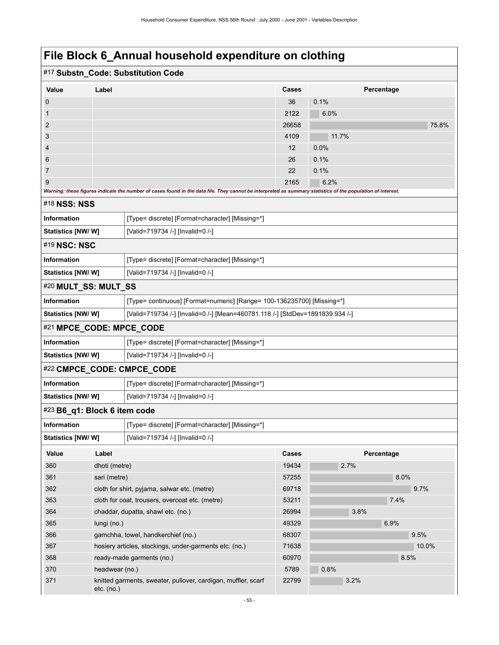|                                                                                              |                                                 | #17 Substn_Code: Substitution Code                                                                                                                          |              |            |       |
|----------------------------------------------------------------------------------------------|-------------------------------------------------|-------------------------------------------------------------------------------------------------------------------------------------------------------------|--------------|------------|-------|
| Value                                                                                        | Label                                           |                                                                                                                                                             | <b>Cases</b> | Percentage |       |
| 0                                                                                            |                                                 |                                                                                                                                                             | 36           | 0.1%       |       |
| 1                                                                                            |                                                 |                                                                                                                                                             | 2122         | 6.0%       |       |
| $\overline{2}$                                                                               |                                                 |                                                                                                                                                             | 26658        |            | 75.8% |
| 3                                                                                            |                                                 |                                                                                                                                                             | 4109         | 11.7%      |       |
| 4                                                                                            |                                                 |                                                                                                                                                             | 12           | 0.0%       |       |
| 6                                                                                            |                                                 |                                                                                                                                                             | 26           | 0.1%       |       |
| 7                                                                                            |                                                 |                                                                                                                                                             | 22           | 0.1%       |       |
| 9                                                                                            |                                                 |                                                                                                                                                             | 2165         | 6.2%       |       |
|                                                                                              |                                                 | Warning: these figures indicate the number of cases found in the data file. They cannot be interpreted as summary statistics of the population of interest. |              |            |       |
| #18 NSS: NSS                                                                                 |                                                 |                                                                                                                                                             |              |            |       |
| <b>Information</b>                                                                           |                                                 | [Type= discrete] [Format=character] [Missing=*]                                                                                                             |              |            |       |
| <b>Statistics [NW/W]</b>                                                                     |                                                 | [Valid=719734 /-] [Invalid=0 /-]                                                                                                                            |              |            |       |
| #19 NSC: NSC                                                                                 |                                                 |                                                                                                                                                             |              |            |       |
| Information                                                                                  |                                                 | [Type= discrete] [Format=character] [Missing=*]                                                                                                             |              |            |       |
| <b>Statistics [NW/W]</b>                                                                     |                                                 | [Valid=719734 /-] [Invalid=0 /-]                                                                                                                            |              |            |       |
| #20 MULT_SS: MULT_SS                                                                         |                                                 |                                                                                                                                                             |              |            |       |
| <b>Information</b><br>[Type= continuous] [Format=numeric] [Range= 100-136235700] [Missing=*] |                                                 |                                                                                                                                                             |              |            |       |
| <b>Statistics [NW/W]</b>                                                                     |                                                 | [Valid=719734 /-] [Invalid=0 /-] [Mean=460781.118 /-] [StdDev=1891839.934 /-]                                                                               |              |            |       |
| #21 MPCE_CODE: MPCE_CODE                                                                     |                                                 |                                                                                                                                                             |              |            |       |
| Information                                                                                  |                                                 | [Type= discrete] [Format=character] [Missing=*]                                                                                                             |              |            |       |
| <b>Statistics [NW/W]</b>                                                                     |                                                 | [Valid=719734 /-] [Invalid=0 /-]                                                                                                                            |              |            |       |
|                                                                                              |                                                 | #22 CMPCE_CODE: CMPCE_CODE                                                                                                                                  |              |            |       |
| Information                                                                                  |                                                 | [Type= discrete] [Format=character] [Missing=*]                                                                                                             |              |            |       |
| <b>Statistics [NW/ W]</b>                                                                    |                                                 | [Valid=719734 /-] [Invalid=0 /-]                                                                                                                            |              |            |       |
| #23 B6_q1: Block 6 item code                                                                 |                                                 |                                                                                                                                                             |              |            |       |
| <b>Information</b>                                                                           |                                                 | [Type= discrete] [Format=character] [Missing=*]                                                                                                             |              |            |       |
| Statistics [NW/W]                                                                            |                                                 | [Valid=719734 /-] [Invalid=0 /-]                                                                                                                            |              |            |       |
| Value                                                                                        | Label                                           |                                                                                                                                                             | Cases        | Percentage |       |
| 360                                                                                          | dhoti (metre)                                   |                                                                                                                                                             | 19434        | 2.7%       |       |
| 361                                                                                          | sari (metre)                                    |                                                                                                                                                             | 57255        |            | 8.0%  |
| 362                                                                                          |                                                 | cloth for shirt, pyjama, salwar etc. (metre)                                                                                                                | 69718        |            | 9.7%  |
| 363                                                                                          | cloth for coat, trousers, overcoat etc. (metre) |                                                                                                                                                             | 53211        |            | 7.4%  |
| 364                                                                                          |                                                 | chaddar, dupatta, shawl etc. (no.)                                                                                                                          | 26994        | 3.8%       |       |
| 365                                                                                          | lungi (no.)                                     |                                                                                                                                                             | 49329        |            | 6.9%  |
| 366                                                                                          |                                                 | gamchha, towel, handkerchief (no.)                                                                                                                          | 68307        |            | 9.5%  |
| 367                                                                                          |                                                 | hosiery articles, stockings, under-garments etc. (no.)                                                                                                      | 71638        |            | 10.0% |
| 368                                                                                          |                                                 | ready-made garments (no.)                                                                                                                                   | 60970        |            | 8.5%  |
| 370                                                                                          | headwear (no.)                                  |                                                                                                                                                             | 5789         | 0.8%       |       |
| 371                                                                                          | etc. (no.)                                      | knitted garments, sweater, pullover, cardigan, muffler, scarf                                                                                               | 22799        | 3.2%       |       |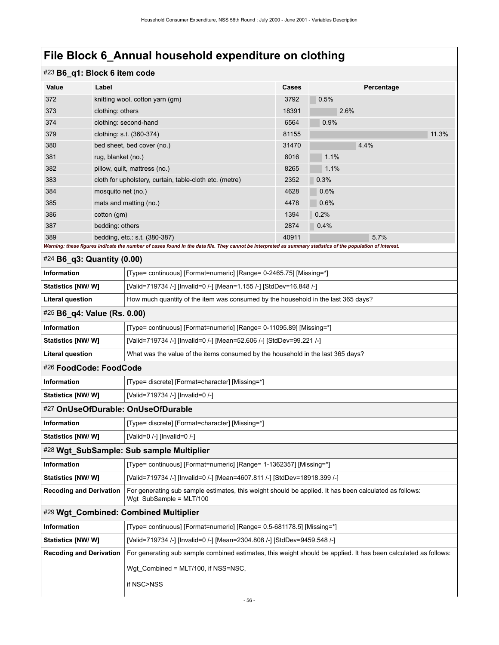# #23 **B6\_q1: Block 6 item code**

| #23 B6_q1: Block 6 item code   |                    |                                                                                                                                                                                                |              |              |       |
|--------------------------------|--------------------|------------------------------------------------------------------------------------------------------------------------------------------------------------------------------------------------|--------------|--------------|-------|
| Value                          | Label              |                                                                                                                                                                                                | Cases        | Percentage   |       |
| 372                            |                    | knitting wool, cotton yarn (gm)                                                                                                                                                                | 3792         | 0.5%         |       |
| 373                            | clothing: others   |                                                                                                                                                                                                | 18391        | 2.6%         |       |
| 374                            |                    | clothing: second-hand                                                                                                                                                                          | 6564         | 0.9%         |       |
| 379                            |                    | clothing: s.t. (360-374)                                                                                                                                                                       | 81155        |              | 11.3% |
| 380                            |                    | bed sheet, bed cover (no.)                                                                                                                                                                     | 31470        | 4.4%         |       |
| 381                            | rug, blanket (no.) |                                                                                                                                                                                                | 8016         | 1.1%         |       |
| 382                            |                    | pillow, quilt, mattress (no.)                                                                                                                                                                  | 8265         | 1.1%         |       |
| 383                            |                    | cloth for upholstery, curtain, table-cloth etc. (metre)                                                                                                                                        | 2352         | 0.3%         |       |
| 384                            | mosquito net (no.) |                                                                                                                                                                                                | 4628         | 0.6%         |       |
| 385                            |                    | mats and matting (no.)                                                                                                                                                                         | 4478         | 0.6%         |       |
| 386<br>387                     | cotton (gm)        |                                                                                                                                                                                                | 1394<br>2874 | 0.2%         |       |
| 389                            | bedding: others    |                                                                                                                                                                                                |              | 0.4%<br>5.7% |       |
|                                |                    | bedding, etc.: s.t. $(380-387)$<br>Warning: these figures indicate the number of cases found in the data file. They cannot be interpreted as summary statistics of the population of interest. | 40911        |              |       |
| $#24$ B6_q3: Quantity (0.00)   |                    |                                                                                                                                                                                                |              |              |       |
| <b>Information</b>             |                    | [Type= continuous] [Format=numeric] [Range= 0-2465.75] [Missing=*]                                                                                                                             |              |              |       |
| <b>Statistics [NW/W]</b>       |                    | [Valid=719734 /-] [Invalid=0 /-] [Mean=1.155 /-] [StdDev=16.848 /-]                                                                                                                            |              |              |       |
| <b>Literal question</b>        |                    | How much quantity of the item was consumed by the household in the last 365 days?                                                                                                              |              |              |       |
| #25 B6_q4: Value (Rs. 0.00)    |                    |                                                                                                                                                                                                |              |              |       |
| <b>Information</b>             |                    | [Type= continuous] [Format=numeric] [Range= 0-11095.89] [Missing=*]                                                                                                                            |              |              |       |
| <b>Statistics [NW/W]</b>       |                    | [Valid=719734 /-] [Invalid=0 /-] [Mean=52.606 /-] [StdDev=99.221 /-]                                                                                                                           |              |              |       |
| <b>Literal question</b>        |                    | What was the value of the items consumed by the household in the last 365 days?                                                                                                                |              |              |       |
| #26 FoodCode: FoodCode         |                    |                                                                                                                                                                                                |              |              |       |
| <b>Information</b>             |                    | [Type= discrete] [Format=character] [Missing=*]                                                                                                                                                |              |              |       |
| Statistics [NW/W]              |                    | [Valid=719734 /-] [Invalid=0 /-]                                                                                                                                                               |              |              |       |
|                                |                    | #27 OnUseOfDurable: OnUseOfDurable                                                                                                                                                             |              |              |       |
| <b>Information</b>             |                    | [Type= discrete] [Format=character] [Missing=*]                                                                                                                                                |              |              |       |
| Statistics [NW/W]              |                    | [Valid=0 /-] [Invalid=0 /-]                                                                                                                                                                    |              |              |       |
|                                |                    | #28 Wgt_SubSample: Sub sample Multiplier                                                                                                                                                       |              |              |       |
| Information                    |                    | [Type= continuous] [Format=numeric] [Range= 1-1362357] [Missing=*]                                                                                                                             |              |              |       |
| Statistics [NW/W]              |                    | [Valid=719734 /-] [Invalid=0 /-] [Mean=4607.811 /-] [StdDev=18918.399 /-]                                                                                                                      |              |              |       |
| <b>Recoding and Derivation</b> |                    | For generating sub sample estimates, this weight should be applied. It has been calculated as follows:<br>Wgt SubSample = MLT/100                                                              |              |              |       |
|                                |                    | #29 Wgt_Combined: Combined Multiplier                                                                                                                                                          |              |              |       |
| Information                    |                    | [Type= continuous] [Format=numeric] [Range= 0.5-681178.5] [Missing=*]                                                                                                                          |              |              |       |
| <b>Statistics [NW/W]</b>       |                    | [Valid=719734 /-] [Invalid=0 /-] [Mean=2304.808 /-] [StdDev=9459.548 /-]                                                                                                                       |              |              |       |
| <b>Recoding and Derivation</b> |                    | For generating sub sample combined estimates, this weight should be applied. It has been calculated as follows:                                                                                |              |              |       |
|                                |                    | Wgt_Combined = MLT/100, if NSS=NSC,                                                                                                                                                            |              |              |       |
|                                |                    | if NSC>NSS                                                                                                                                                                                     |              |              |       |
|                                |                    |                                                                                                                                                                                                |              |              |       |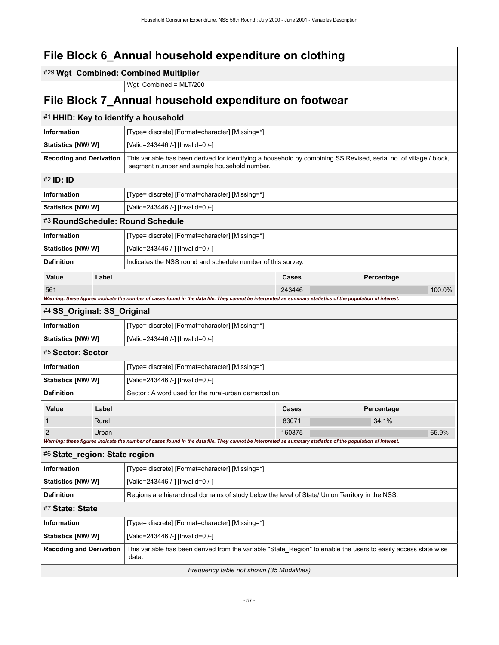### #29 **Wgt\_Combined: Combined Multiplier**

Wgt\_Combined = MLT/200

## **File Block 7\_Annual household expenditure on footwear**

|                                                       |                                                 | #1 HHID: Key to identify a household                                                                                                                              |        |            |  |  |  |
|-------------------------------------------------------|-------------------------------------------------|-------------------------------------------------------------------------------------------------------------------------------------------------------------------|--------|------------|--|--|--|
| Information                                           |                                                 | [Type= discrete] [Format=character] [Missing=*]                                                                                                                   |        |            |  |  |  |
| Statistics [NW/ W]                                    |                                                 | [Valid=243446 /-] [Invalid=0 /-]                                                                                                                                  |        |            |  |  |  |
| <b>Recoding and Derivation</b>                        |                                                 | This variable has been derived for identifying a household by combining SS Revised, serial no. of village / block,<br>segment number and sample household number. |        |            |  |  |  |
| #2 <b>ID: ID</b>                                      |                                                 |                                                                                                                                                                   |        |            |  |  |  |
| <b>Information</b>                                    | [Type= discrete] [Format=character] [Missing=*] |                                                                                                                                                                   |        |            |  |  |  |
| Statistics [NW/W]<br>[Valid=243446 /-] [Invalid=0 /-] |                                                 |                                                                                                                                                                   |        |            |  |  |  |
|                                                       |                                                 | #3 RoundSchedule: Round Schedule                                                                                                                                  |        |            |  |  |  |
| <b>Information</b>                                    |                                                 | [Type= discrete] [Format=character] [Missing=*]                                                                                                                   |        |            |  |  |  |
| Statistics [NW/W]                                     |                                                 | [Valid=243446 /-] [Invalid=0 /-]                                                                                                                                  |        |            |  |  |  |
| <b>Definition</b>                                     |                                                 | Indicates the NSS round and schedule number of this survey.                                                                                                       |        |            |  |  |  |
| Value                                                 | Label                                           |                                                                                                                                                                   | Cases  | Percentage |  |  |  |
| 561                                                   |                                                 |                                                                                                                                                                   | 243446 | 100.0%     |  |  |  |
|                                                       |                                                 | Warning: these figures indicate the number of cases found in the data file. They cannot be interpreted as summary statistics of the population of interest.       |        |            |  |  |  |
| #4 SS_Original: SS_Original                           |                                                 |                                                                                                                                                                   |        |            |  |  |  |
| <b>Information</b>                                    |                                                 | [Type= discrete] [Format=character] [Missing=*]                                                                                                                   |        |            |  |  |  |
| Statistics [NW/ W]                                    |                                                 | [Valid=243446 /-] [Invalid=0 /-]                                                                                                                                  |        |            |  |  |  |
| #5 Sector: Sector                                     |                                                 |                                                                                                                                                                   |        |            |  |  |  |
| <b>Information</b>                                    |                                                 | [Type= discrete] [Format=character] [Missing=*]                                                                                                                   |        |            |  |  |  |
| Statistics [NW/W]                                     |                                                 | [Valid=243446 /-] [Invalid=0 /-]                                                                                                                                  |        |            |  |  |  |
| <b>Definition</b>                                     |                                                 | Sector: A word used for the rural-urban demarcation.                                                                                                              |        |            |  |  |  |
| Value                                                 | Label                                           |                                                                                                                                                                   | Cases  | Percentage |  |  |  |
| 1                                                     | Rural                                           |                                                                                                                                                                   | 83071  | 34.1%      |  |  |  |
| 2                                                     | Urban                                           | Warning: these figures indicate the number of cases found in the data file. They cannot be interpreted as summary statistics of the population of interest.       | 160375 | 65.9%      |  |  |  |
| #6 State_region: State region                         |                                                 |                                                                                                                                                                   |        |            |  |  |  |
| <b>Information</b>                                    |                                                 | [Type= discrete] [Format=character] [Missing=*]                                                                                                                   |        |            |  |  |  |
| Statistics [NW/W]                                     |                                                 | [Valid=243446 /-] [Invalid=0 /-]                                                                                                                                  |        |            |  |  |  |
| <b>Definition</b>                                     |                                                 | Regions are hierarchical domains of study below the level of State/ Union Territory in the NSS.                                                                   |        |            |  |  |  |
| #7 State: State                                       |                                                 |                                                                                                                                                                   |        |            |  |  |  |
| Information                                           |                                                 | [Type= discrete] [Format=character] [Missing=*]                                                                                                                   |        |            |  |  |  |
| Statistics [NW/W]                                     |                                                 | [Valid=243446 /-] [Invalid=0 /-]                                                                                                                                  |        |            |  |  |  |
| <b>Recoding and Derivation</b>                        |                                                 | This variable has been derived from the variable "State_Region" to enable the users to easily access state wise<br>data.                                          |        |            |  |  |  |
| Frequency table not shown (35 Modalities)             |                                                 |                                                                                                                                                                   |        |            |  |  |  |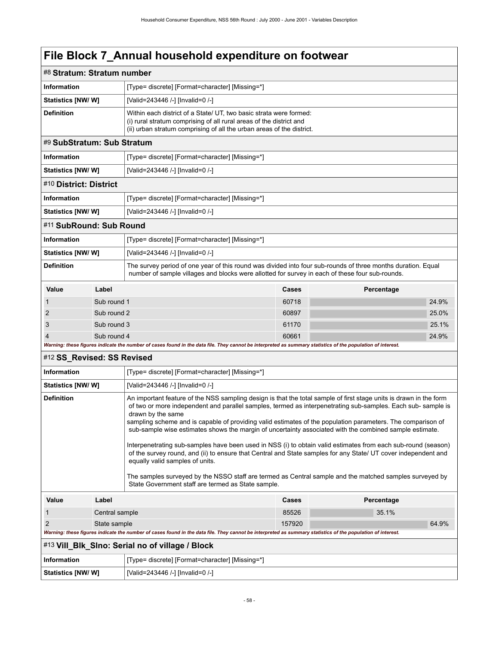| #8 Stratum: Stratum number                                                                                                                                                                                                                                                                                                                                                                                                                                                                                                                                                                                                                                                                                                                                                                                                                                                                                                                   |                |                                                                                                                                                                                                                    |        |            |       |  |
|----------------------------------------------------------------------------------------------------------------------------------------------------------------------------------------------------------------------------------------------------------------------------------------------------------------------------------------------------------------------------------------------------------------------------------------------------------------------------------------------------------------------------------------------------------------------------------------------------------------------------------------------------------------------------------------------------------------------------------------------------------------------------------------------------------------------------------------------------------------------------------------------------------------------------------------------|----------------|--------------------------------------------------------------------------------------------------------------------------------------------------------------------------------------------------------------------|--------|------------|-------|--|
| <b>Information</b>                                                                                                                                                                                                                                                                                                                                                                                                                                                                                                                                                                                                                                                                                                                                                                                                                                                                                                                           |                | [Type= discrete] [Format=character] [Missing=*]                                                                                                                                                                    |        |            |       |  |
| Statistics [NW/W]                                                                                                                                                                                                                                                                                                                                                                                                                                                                                                                                                                                                                                                                                                                                                                                                                                                                                                                            |                | [Valid=243446 /-] [Invalid=0 /-]                                                                                                                                                                                   |        |            |       |  |
| <b>Definition</b>                                                                                                                                                                                                                                                                                                                                                                                                                                                                                                                                                                                                                                                                                                                                                                                                                                                                                                                            |                | Within each district of a State/ UT, two basic strata were formed:<br>(i) rural stratum comprising of all rural areas of the district and<br>(ii) urban stratum comprising of all the urban areas of the district. |        |            |       |  |
| #9 SubStratum: Sub Stratum                                                                                                                                                                                                                                                                                                                                                                                                                                                                                                                                                                                                                                                                                                                                                                                                                                                                                                                   |                |                                                                                                                                                                                                                    |        |            |       |  |
| <b>Information</b>                                                                                                                                                                                                                                                                                                                                                                                                                                                                                                                                                                                                                                                                                                                                                                                                                                                                                                                           |                | [Type= discrete] [Format=character] [Missing=*]                                                                                                                                                                    |        |            |       |  |
| Statistics [NW/ W]                                                                                                                                                                                                                                                                                                                                                                                                                                                                                                                                                                                                                                                                                                                                                                                                                                                                                                                           |                | [Valid=243446 /-] [Invalid=0 /-]                                                                                                                                                                                   |        |            |       |  |
| #10 District: District                                                                                                                                                                                                                                                                                                                                                                                                                                                                                                                                                                                                                                                                                                                                                                                                                                                                                                                       |                |                                                                                                                                                                                                                    |        |            |       |  |
| <b>Information</b>                                                                                                                                                                                                                                                                                                                                                                                                                                                                                                                                                                                                                                                                                                                                                                                                                                                                                                                           |                | [Type= discrete] [Format=character] [Missing=*]                                                                                                                                                                    |        |            |       |  |
| Statistics [NW/W]                                                                                                                                                                                                                                                                                                                                                                                                                                                                                                                                                                                                                                                                                                                                                                                                                                                                                                                            |                | [Valid=243446 /-] [Invalid=0 /-]                                                                                                                                                                                   |        |            |       |  |
| #11 SubRound: Sub Round                                                                                                                                                                                                                                                                                                                                                                                                                                                                                                                                                                                                                                                                                                                                                                                                                                                                                                                      |                |                                                                                                                                                                                                                    |        |            |       |  |
| <b>Information</b>                                                                                                                                                                                                                                                                                                                                                                                                                                                                                                                                                                                                                                                                                                                                                                                                                                                                                                                           |                | [Type= discrete] [Format=character] [Missing=*]                                                                                                                                                                    |        |            |       |  |
| Statistics [NW/ W]                                                                                                                                                                                                                                                                                                                                                                                                                                                                                                                                                                                                                                                                                                                                                                                                                                                                                                                           |                | [Valid=243446 /-] [Invalid=0 /-]                                                                                                                                                                                   |        |            |       |  |
| <b>Definition</b>                                                                                                                                                                                                                                                                                                                                                                                                                                                                                                                                                                                                                                                                                                                                                                                                                                                                                                                            |                | The survey period of one year of this round was divided into four sub-rounds of three months duration. Equal<br>number of sample villages and blocks were allotted for survey in each of these four sub-rounds.    |        |            |       |  |
| Value                                                                                                                                                                                                                                                                                                                                                                                                                                                                                                                                                                                                                                                                                                                                                                                                                                                                                                                                        | Label          |                                                                                                                                                                                                                    | Cases  | Percentage |       |  |
| 1                                                                                                                                                                                                                                                                                                                                                                                                                                                                                                                                                                                                                                                                                                                                                                                                                                                                                                                                            | Sub round 1    |                                                                                                                                                                                                                    | 60718  |            | 24.9% |  |
| 2                                                                                                                                                                                                                                                                                                                                                                                                                                                                                                                                                                                                                                                                                                                                                                                                                                                                                                                                            | Sub round 2    |                                                                                                                                                                                                                    | 60897  |            | 25.0% |  |
| 3                                                                                                                                                                                                                                                                                                                                                                                                                                                                                                                                                                                                                                                                                                                                                                                                                                                                                                                                            | Sub round 3    |                                                                                                                                                                                                                    | 61170  |            | 25.1% |  |
| 4                                                                                                                                                                                                                                                                                                                                                                                                                                                                                                                                                                                                                                                                                                                                                                                                                                                                                                                                            | Sub round 4    |                                                                                                                                                                                                                    | 60661  |            | 24.9% |  |
|                                                                                                                                                                                                                                                                                                                                                                                                                                                                                                                                                                                                                                                                                                                                                                                                                                                                                                                                              |                | Warning: these figures indicate the number of cases found in the data file. They cannot be interpreted as summary statistics of the population of interest.                                                        |        |            |       |  |
| #12 SS_Revised: SS Revised                                                                                                                                                                                                                                                                                                                                                                                                                                                                                                                                                                                                                                                                                                                                                                                                                                                                                                                   |                |                                                                                                                                                                                                                    |        |            |       |  |
| <b>Information</b>                                                                                                                                                                                                                                                                                                                                                                                                                                                                                                                                                                                                                                                                                                                                                                                                                                                                                                                           |                | [Type= discrete] [Format=character] [Missing=*]                                                                                                                                                                    |        |            |       |  |
| Statistics [NW/W]                                                                                                                                                                                                                                                                                                                                                                                                                                                                                                                                                                                                                                                                                                                                                                                                                                                                                                                            |                | [Valid=243446 /-] [Invalid=0 /-]                                                                                                                                                                                   |        |            |       |  |
| <b>Definition</b><br>An important feature of the NSS sampling design is that the total sample of first stage units is drawn in the form<br>of two or more independent and parallel samples, termed as interpenetrating sub-samples. Each sub-sample is<br>drawn by the same<br>sampling scheme and is capable of providing valid estimates of the population parameters. The comparison of<br>sub-sample wise estimates shows the margin of uncertainty associated with the combined sample estimate.<br>Interpenetrating sub-samples have been used in NSS (i) to obtain valid estimates from each sub-round (season)<br>of the survey round, and (ii) to ensure that Central and State samples for any State/ UT cover independent and<br>equally valid samples of units.<br>The samples surveyed by the NSSO staff are termed as Central sample and the matched samples surveyed by<br>State Government staff are termed as State sample. |                |                                                                                                                                                                                                                    |        |            |       |  |
| Value                                                                                                                                                                                                                                                                                                                                                                                                                                                                                                                                                                                                                                                                                                                                                                                                                                                                                                                                        | Label          |                                                                                                                                                                                                                    | Cases  | Percentage |       |  |
| 1                                                                                                                                                                                                                                                                                                                                                                                                                                                                                                                                                                                                                                                                                                                                                                                                                                                                                                                                            | Central sample |                                                                                                                                                                                                                    | 85526  | 35.1%      |       |  |
| 2                                                                                                                                                                                                                                                                                                                                                                                                                                                                                                                                                                                                                                                                                                                                                                                                                                                                                                                                            | State sample   |                                                                                                                                                                                                                    | 157920 |            | 64.9% |  |
|                                                                                                                                                                                                                                                                                                                                                                                                                                                                                                                                                                                                                                                                                                                                                                                                                                                                                                                                              |                | Warning: these figures indicate the number of cases found in the data file. They cannot be interpreted as summary statistics of the population of interest.                                                        |        |            |       |  |
|                                                                                                                                                                                                                                                                                                                                                                                                                                                                                                                                                                                                                                                                                                                                                                                                                                                                                                                                              |                | #13 Vill_Blk_SIno: Serial no of village / Block                                                                                                                                                                    |        |            |       |  |
| <b>Information</b>                                                                                                                                                                                                                                                                                                                                                                                                                                                                                                                                                                                                                                                                                                                                                                                                                                                                                                                           |                | [Type= discrete] [Format=character] [Missing=*]                                                                                                                                                                    |        |            |       |  |
| <b>Statistics [NW/W]</b>                                                                                                                                                                                                                                                                                                                                                                                                                                                                                                                                                                                                                                                                                                                                                                                                                                                                                                                     |                | [Valid=243446 /-] [Invalid=0 /-]                                                                                                                                                                                   |        |            |       |  |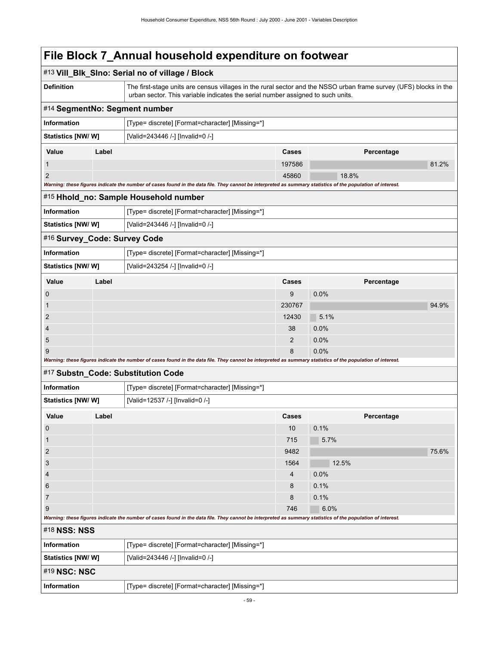|                                                                |                                                                                                                                                                                 | #13 Vill_Blk_Slno: Serial no of village / Block                                                                                                                                                      |        |       |            |       |
|----------------------------------------------------------------|---------------------------------------------------------------------------------------------------------------------------------------------------------------------------------|------------------------------------------------------------------------------------------------------------------------------------------------------------------------------------------------------|--------|-------|------------|-------|
| <b>Definition</b>                                              |                                                                                                                                                                                 | The first-stage units are census villages in the rural sector and the NSSO urban frame survey (UFS) blocks in the<br>urban sector. This variable indicates the serial number assigned to such units. |        |       |            |       |
| #14 SegmentNo: Segment number                                  |                                                                                                                                                                                 |                                                                                                                                                                                                      |        |       |            |       |
| <b>Information</b>                                             |                                                                                                                                                                                 | [Type= discrete] [Format=character] [Missing=*]                                                                                                                                                      |        |       |            |       |
| Statistics [NW/W]                                              |                                                                                                                                                                                 | [Valid=243446 /-] [Invalid=0 /-]                                                                                                                                                                     |        |       |            |       |
| Value                                                          | Label                                                                                                                                                                           |                                                                                                                                                                                                      | Cases  |       | Percentage |       |
| $\mathbf{1}$                                                   |                                                                                                                                                                                 |                                                                                                                                                                                                      | 197586 |       |            | 81.2% |
| $\overline{2}$                                                 |                                                                                                                                                                                 |                                                                                                                                                                                                      | 45860  | 18.8% |            |       |
|                                                                |                                                                                                                                                                                 | Warning: these figures indicate the number of cases found in the data file. They cannot be interpreted as summary statistics of the population of interest.                                          |        |       |            |       |
|                                                                |                                                                                                                                                                                 | #15 Hhold_no: Sample Household number                                                                                                                                                                |        |       |            |       |
| Information                                                    |                                                                                                                                                                                 | [Type= discrete] [Format=character] [Missing=*]                                                                                                                                                      |        |       |            |       |
| <b>Statistics [NW/ W]</b>                                      |                                                                                                                                                                                 | [Valid=243446 /-] [Invalid=0 /-]                                                                                                                                                                     |        |       |            |       |
| #16 Survey_Code: Survey Code                                   |                                                                                                                                                                                 |                                                                                                                                                                                                      |        |       |            |       |
| Information                                                    |                                                                                                                                                                                 | [Type= discrete] [Format=character] [Missing=*]                                                                                                                                                      |        |       |            |       |
| <b>Statistics [NW/ W]</b>                                      |                                                                                                                                                                                 | [Valid=243254 /-] [Invalid=0 /-]                                                                                                                                                                     |        |       |            |       |
| Value                                                          | Label                                                                                                                                                                           |                                                                                                                                                                                                      | Cases  |       | Percentage |       |
| 0                                                              |                                                                                                                                                                                 |                                                                                                                                                                                                      | 9      | 0.0%  |            |       |
| 1                                                              |                                                                                                                                                                                 |                                                                                                                                                                                                      | 230767 |       |            | 94.9% |
| $\overline{2}$                                                 |                                                                                                                                                                                 |                                                                                                                                                                                                      | 12430  | 5.1%  |            |       |
| $\overline{4}$                                                 |                                                                                                                                                                                 |                                                                                                                                                                                                      | 38     | 0.0%  |            |       |
| 5                                                              |                                                                                                                                                                                 |                                                                                                                                                                                                      | 2      | 0.0%  |            |       |
| 9                                                              |                                                                                                                                                                                 | Warning: these figures indicate the number of cases found in the data file. They cannot be interpreted as summary statistics of the population of interest.                                          | 8      | 0.0%  |            |       |
|                                                                |                                                                                                                                                                                 | #17 Substn_Code: Substitution Code                                                                                                                                                                   |        |       |            |       |
| Information                                                    |                                                                                                                                                                                 | [Type= discrete] [Format=character] [Missing=*]                                                                                                                                                      |        |       |            |       |
| <b>Statistics [NW/ W]</b>                                      |                                                                                                                                                                                 | [Valid=12537 /-] [Invalid=0 /-]                                                                                                                                                                      |        |       |            |       |
| Value                                                          | Label                                                                                                                                                                           |                                                                                                                                                                                                      | Cases  |       | Percentage |       |
| $\mathbf 0$                                                    |                                                                                                                                                                                 |                                                                                                                                                                                                      | 10     | 0.1%  |            |       |
| $\mathbf{1}$                                                   |                                                                                                                                                                                 |                                                                                                                                                                                                      | 715    | 5.7%  |            |       |
| $\overline{\mathbf{c}}$                                        |                                                                                                                                                                                 |                                                                                                                                                                                                      | 9482   |       |            | 75.6% |
| 3                                                              |                                                                                                                                                                                 |                                                                                                                                                                                                      | 1564   | 12.5% |            |       |
| 4                                                              |                                                                                                                                                                                 |                                                                                                                                                                                                      | 4      | 0.0%  |            |       |
| 6                                                              |                                                                                                                                                                                 |                                                                                                                                                                                                      | 8      | 0.1%  |            |       |
| $\overline{7}$                                                 |                                                                                                                                                                                 |                                                                                                                                                                                                      | 8      | 0.1%  |            |       |
|                                                                | 9<br>6.0%<br>746<br>Warning: these figures indicate the number of cases found in the data file. They cannot be interpreted as summary statistics of the population of interest. |                                                                                                                                                                                                      |        |       |            |       |
| #18 NSS: NSS                                                   |                                                                                                                                                                                 |                                                                                                                                                                                                      |        |       |            |       |
| Information                                                    |                                                                                                                                                                                 | [Type= discrete] [Format=character] [Missing=*]                                                                                                                                                      |        |       |            |       |
| Statistics [NW/W]                                              |                                                                                                                                                                                 | [Valid=243446 /-] [Invalid=0 /-]                                                                                                                                                                     |        |       |            |       |
| #19 NSC: NSC                                                   |                                                                                                                                                                                 |                                                                                                                                                                                                      |        |       |            |       |
| Information<br>[Type= discrete] [Format=character] [Missing=*] |                                                                                                                                                                                 |                                                                                                                                                                                                      |        |       |            |       |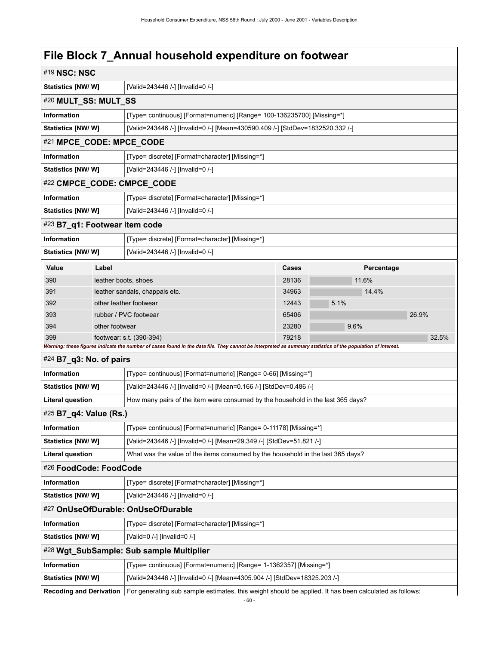| #19 NSC: NSC                  |                                                                                                                                          |                                                                                                                                                             |       |      |            |       |
|-------------------------------|------------------------------------------------------------------------------------------------------------------------------------------|-------------------------------------------------------------------------------------------------------------------------------------------------------------|-------|------|------------|-------|
|                               | Statistics [NW/W]<br>[Valid=243446 /-] [Invalid=0 /-]                                                                                    |                                                                                                                                                             |       |      |            |       |
| #20 MULT_SS: MULT_SS          |                                                                                                                                          |                                                                                                                                                             |       |      |            |       |
| Information                   | [Type= continuous] [Format=numeric] [Range= 100-136235700] [Missing=*]                                                                   |                                                                                                                                                             |       |      |            |       |
|                               | [Valid=243446 /-] [Invalid=0 /-] [Mean=430590.409 /-] [StdDev=1832520.332 /-]<br><b>Statistics [NW/ W]</b>                               |                                                                                                                                                             |       |      |            |       |
| #21 MPCE_CODE: MPCE_CODE      |                                                                                                                                          |                                                                                                                                                             |       |      |            |       |
| Information                   |                                                                                                                                          | [Type= discrete] [Format=character] [Missing=*]                                                                                                             |       |      |            |       |
| <b>Statistics [NW/ W]</b>     |                                                                                                                                          | [Valid=243446 /-] [Invalid=0 /-]                                                                                                                            |       |      |            |       |
|                               |                                                                                                                                          | #22 CMPCE_CODE: CMPCE_CODE                                                                                                                                  |       |      |            |       |
| Information                   |                                                                                                                                          | [Type= discrete] [Format=character] [Missing=*]                                                                                                             |       |      |            |       |
| Statistics [NW/W]             |                                                                                                                                          | [Valid=243446 /-] [Invalid=0 /-]                                                                                                                            |       |      |            |       |
| #23 B7_q1: Footwear item code |                                                                                                                                          |                                                                                                                                                             |       |      |            |       |
| Information                   |                                                                                                                                          | [Type= discrete] [Format=character] [Missing=*]                                                                                                             |       |      |            |       |
| Statistics [NW/W]             |                                                                                                                                          | [Valid=243446 /-] [Invalid=0 /-]                                                                                                                            |       |      |            |       |
| Value                         | Label                                                                                                                                    |                                                                                                                                                             | Cases |      | Percentage |       |
| 390                           | leather boots, shoes                                                                                                                     |                                                                                                                                                             | 28136 |      | 11.6%      |       |
| 391                           |                                                                                                                                          | leather sandals, chappals etc.                                                                                                                              | 34963 |      | 14.4%      |       |
| 392                           |                                                                                                                                          | other leather footwear                                                                                                                                      | 12443 | 5.1% |            |       |
| 393                           |                                                                                                                                          | rubber / PVC footwear                                                                                                                                       | 65406 |      |            | 26.9% |
| 394                           | other footwear                                                                                                                           |                                                                                                                                                             | 23280 | 9.6% |            |       |
| 399                           |                                                                                                                                          | footwear: s.t. (390-394)                                                                                                                                    | 79218 |      |            | 32.5% |
|                               |                                                                                                                                          | Warning: these figures indicate the number of cases found in the data file. They cannot be interpreted as summary statistics of the population of interest. |       |      |            |       |
| #24 B7_q3: No. of pairs       |                                                                                                                                          |                                                                                                                                                             |       |      |            |       |
| <b>Information</b>            |                                                                                                                                          | [Type= continuous] [Format=numeric] [Range= 0-66] [Missing=*]                                                                                               |       |      |            |       |
| <b>Statistics [NW/ W]</b>     |                                                                                                                                          | [Valid=243446 /-] [Invalid=0 /-] [Mean=0.166 /-] [StdDev=0.486 /-]                                                                                          |       |      |            |       |
| <b>Literal question</b>       |                                                                                                                                          | How many pairs of the item were consumed by the household in the last 365 days?                                                                             |       |      |            |       |
| #25 B7_q4: Value (Rs.)        |                                                                                                                                          |                                                                                                                                                             |       |      |            |       |
| <b>Information</b>            |                                                                                                                                          | [Type= continuous] [Format=numeric] [Range= 0-11178] [Missing=*]                                                                                            |       |      |            |       |
| <b>Statistics [NW/ W]</b>     |                                                                                                                                          | [Valid=243446 /-] [Invalid=0 /-] [Mean=29.349 /-] [StdDev=51.821 /-]                                                                                        |       |      |            |       |
| <b>Literal question</b>       |                                                                                                                                          | What was the value of the items consumed by the household in the last 365 days?                                                                             |       |      |            |       |
| #26 FoodCode: FoodCode        |                                                                                                                                          |                                                                                                                                                             |       |      |            |       |
| Information                   |                                                                                                                                          | [Type= discrete] [Format=character] [Missing=*]                                                                                                             |       |      |            |       |
| <b>Statistics [NW/ W]</b>     |                                                                                                                                          | [Valid=243446 /-] [Invalid=0 /-]                                                                                                                            |       |      |            |       |
|                               |                                                                                                                                          | #27 OnUseOfDurable: OnUseOfDurable                                                                                                                          |       |      |            |       |
| Information                   |                                                                                                                                          | [Type= discrete] [Format=character] [Missing=*]                                                                                                             |       |      |            |       |
|                               | Statistics [NW/W]<br>[Valid=0 /-] [Invalid=0 /-]                                                                                         |                                                                                                                                                             |       |      |            |       |
|                               |                                                                                                                                          | #28 Wgt_SubSample: Sub sample Multiplier                                                                                                                    |       |      |            |       |
| Information                   |                                                                                                                                          | [Type= continuous] [Format=numeric] [Range= 1-1362357] [Missing=*]                                                                                          |       |      |            |       |
| <b>Statistics [NW/ W]</b>     |                                                                                                                                          | [Valid=243446 /-] [Invalid=0 /-] [Mean=4305.904 /-] [StdDev=18325.203 /-]                                                                                   |       |      |            |       |
|                               | <b>Recoding and Derivation</b><br>For generating sub sample estimates, this weight should be applied. It has been calculated as follows: |                                                                                                                                                             |       |      |            |       |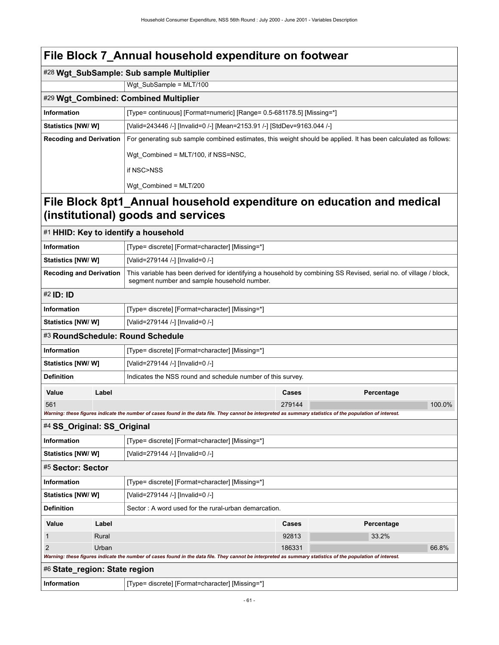|                                                                                                             | #28 Wgt_SubSample: Sub sample Multiplier                                                                                                                          |  |  |  |  |
|-------------------------------------------------------------------------------------------------------------|-------------------------------------------------------------------------------------------------------------------------------------------------------------------|--|--|--|--|
|                                                                                                             | Wgt SubSample = $MLT/100$                                                                                                                                         |  |  |  |  |
|                                                                                                             | #29 Wgt_Combined: Combined Multiplier                                                                                                                             |  |  |  |  |
| Information                                                                                                 | [Type= continuous] [Format=numeric] [Range= 0.5-681178.5] [Missing=*]                                                                                             |  |  |  |  |
| Statistics [NW/ W]                                                                                          | [Valid=243446 /-] [Invalid=0 /-] [Mean=2153.91 /-] [StdDev=9163.044 /-]                                                                                           |  |  |  |  |
| <b>Recoding and Derivation</b>                                                                              | For generating sub sample combined estimates, this weight should be applied. It has been calculated as follows:                                                   |  |  |  |  |
|                                                                                                             | Wgt Combined = MLT/100, if NSS=NSC,                                                                                                                               |  |  |  |  |
|                                                                                                             | if NSC>NSS                                                                                                                                                        |  |  |  |  |
|                                                                                                             | Wgt Combined = $MLT/200$                                                                                                                                          |  |  |  |  |
| File Block 8pt1_Annual household expenditure on education and medical<br>(institutional) goods and services |                                                                                                                                                                   |  |  |  |  |
| #1 HHID: Key to identify a household                                                                        |                                                                                                                                                                   |  |  |  |  |
| Information                                                                                                 | [Type= discrete] [Format=character] [Missing=*]                                                                                                                   |  |  |  |  |
| <b>Statistics [NW/ W]</b>                                                                                   | [Valid=279144 /-] [Invalid=0 /-]                                                                                                                                  |  |  |  |  |
| <b>Recoding and Derivation</b>                                                                              | This variable has been derived for identifying a household by combining SS Revised, serial no. of village / block,<br>segment number and sample household number. |  |  |  |  |

| #2 ID: ID                        |       |                                                             |       |            |  |
|----------------------------------|-------|-------------------------------------------------------------|-------|------------|--|
| Information                      |       | [Type= discrete] [Format=character] [Missing=*]             |       |            |  |
| Statistics [NW/W]                |       | [Valid=279144 /-] [Invalid=0 /-]                            |       |            |  |
| #3 RoundSchedule: Round Schedule |       |                                                             |       |            |  |
| Information                      |       | [Type= discrete] [Format=character] [Missing=*]             |       |            |  |
| <b>Statistics [NW/ W]</b>        |       | [Valid=279144 /-] [Invalid=0 /-]                            |       |            |  |
| <b>Definition</b>                |       | Indicates the NSS round and schedule number of this survey. |       |            |  |
| Value                            | Label |                                                             | Cases | Percentage |  |

561 279144 100.0% *Warning: these figures indicate the number of cases found in the data file. They cannot be interpreted as summary statistics of the population of interest.* #4 **SS\_Original: SS\_Original**

| <b>Information</b>                                                                                                                                          |                                                               | [Type= discrete] [Format=character] [Missing=*] |        |            |       |  |
|-------------------------------------------------------------------------------------------------------------------------------------------------------------|---------------------------------------------------------------|-------------------------------------------------|--------|------------|-------|--|
| <b>Statistics [NW/ W]</b>                                                                                                                                   |                                                               | [Valid=279144 /-] [Invalid=0 /-]                |        |            |       |  |
| #5 Sector: Sector                                                                                                                                           |                                                               |                                                 |        |            |       |  |
| <b>Information</b>                                                                                                                                          |                                                               | [Type= discrete] [Format=character] [Missing=*] |        |            |       |  |
|                                                                                                                                                             | <b>Statistics [NW/ W]</b><br>[Valid=279144 /-] [Invalid=0 /-] |                                                 |        |            |       |  |
| <b>Definition</b><br>Sector: A word used for the rural-urban demarcation.                                                                                   |                                                               |                                                 |        |            |       |  |
| Value                                                                                                                                                       | Label                                                         |                                                 | Cases  | Percentage |       |  |
|                                                                                                                                                             | Rural                                                         |                                                 | 92813  | 33.2%      |       |  |
| 2                                                                                                                                                           | Urban                                                         |                                                 | 186331 |            | 66.8% |  |
| Warning: these figures indicate the number of cases found in the data file. They cannot be interpreted as summary statistics of the population of interest. |                                                               |                                                 |        |            |       |  |
| #6 State_region: State region                                                                                                                               |                                                               |                                                 |        |            |       |  |

**Information information** [Type= discrete] [Format=character] [Missing=\*]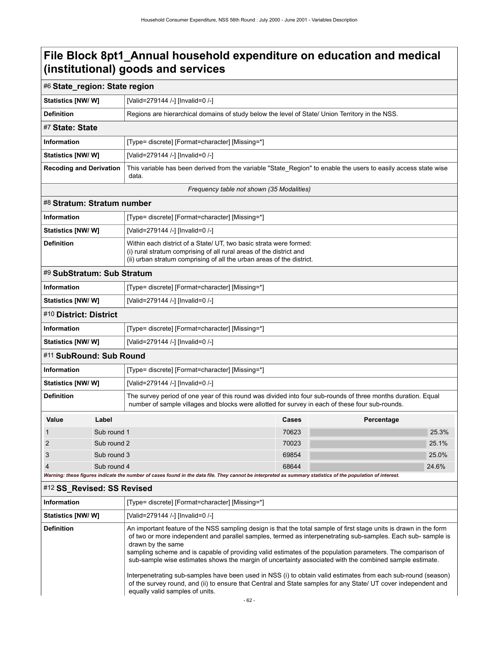| #6 State_region: State region                                                                                                                                                                            |             |                                                                                                                                                                                                                    |       |            |       |  |
|----------------------------------------------------------------------------------------------------------------------------------------------------------------------------------------------------------|-------------|--------------------------------------------------------------------------------------------------------------------------------------------------------------------------------------------------------------------|-------|------------|-------|--|
| Statistics [NW/W]                                                                                                                                                                                        |             | [Valid=279144 /-] [Invalid=0 /-]                                                                                                                                                                                   |       |            |       |  |
| <b>Definition</b>                                                                                                                                                                                        |             | Regions are hierarchical domains of study below the level of State/ Union Territory in the NSS.                                                                                                                    |       |            |       |  |
| #7 State: State                                                                                                                                                                                          |             |                                                                                                                                                                                                                    |       |            |       |  |
| <b>Information</b>                                                                                                                                                                                       |             | [Type= discrete] [Format=character] [Missing=*]                                                                                                                                                                    |       |            |       |  |
| Statistics [NW/W]                                                                                                                                                                                        |             | [Valid=279144 /-] [Invalid=0 /-]                                                                                                                                                                                   |       |            |       |  |
| <b>Recoding and Derivation</b>                                                                                                                                                                           |             | This variable has been derived from the variable "State_Region" to enable the users to easily access state wise<br>data.                                                                                           |       |            |       |  |
|                                                                                                                                                                                                          |             | Frequency table not shown (35 Modalities)                                                                                                                                                                          |       |            |       |  |
| #8 Stratum: Stratum number                                                                                                                                                                               |             |                                                                                                                                                                                                                    |       |            |       |  |
| <b>Information</b>                                                                                                                                                                                       |             | [Type= discrete] [Format=character] [Missing=*]                                                                                                                                                                    |       |            |       |  |
| Statistics [NW/W]                                                                                                                                                                                        |             | [Valid=279144 /-] [Invalid=0 /-]                                                                                                                                                                                   |       |            |       |  |
| <b>Definition</b>                                                                                                                                                                                        |             | Within each district of a State/ UT, two basic strata were formed:<br>(i) rural stratum comprising of all rural areas of the district and<br>(ii) urban stratum comprising of all the urban areas of the district. |       |            |       |  |
| #9 SubStratum: Sub Stratum                                                                                                                                                                               |             |                                                                                                                                                                                                                    |       |            |       |  |
| <b>Information</b>                                                                                                                                                                                       |             | [Type= discrete] [Format=character] [Missing=*]                                                                                                                                                                    |       |            |       |  |
| Statistics [NW/W]                                                                                                                                                                                        |             | [Valid=279144 /-] [Invalid=0 /-]                                                                                                                                                                                   |       |            |       |  |
| #10 District: District                                                                                                                                                                                   |             |                                                                                                                                                                                                                    |       |            |       |  |
| <b>Information</b>                                                                                                                                                                                       |             | [Type= discrete] [Format=character] [Missing=*]                                                                                                                                                                    |       |            |       |  |
| Statistics [NW/W]                                                                                                                                                                                        |             | [Valid=279144 /-] [Invalid=0 /-]                                                                                                                                                                                   |       |            |       |  |
| #11 SubRound: Sub Round                                                                                                                                                                                  |             |                                                                                                                                                                                                                    |       |            |       |  |
| <b>Information</b>                                                                                                                                                                                       |             | [Type= discrete] [Format=character] [Missing=*]                                                                                                                                                                    |       |            |       |  |
| Statistics [NW/W]                                                                                                                                                                                        |             | [Valid=279144 /-] [Invalid=0 /-]                                                                                                                                                                                   |       |            |       |  |
| <b>Definition</b>                                                                                                                                                                                        |             | The survey period of one year of this round was divided into four sub-rounds of three months duration. Equal<br>number of sample villages and blocks were allotted for survey in each of these four sub-rounds.    |       |            |       |  |
| Value                                                                                                                                                                                                    | Label       |                                                                                                                                                                                                                    | Cases | Percentage |       |  |
| 1                                                                                                                                                                                                        | Sub round 1 |                                                                                                                                                                                                                    | 70623 |            | 25.3% |  |
| $\overline{2}$                                                                                                                                                                                           | Sub round 2 |                                                                                                                                                                                                                    | 70023 |            | 25.1% |  |
| 3                                                                                                                                                                                                        | Sub round 3 |                                                                                                                                                                                                                    | 69854 |            | 25.0% |  |
| 4                                                                                                                                                                                                        | Sub round 4 |                                                                                                                                                                                                                    | 68644 |            | 24.6% |  |
| Warning: these figures indicate the number of cases found in the data file. They cannot be interpreted as summary statistics of the population of interest.<br>$\sim$ $\sim$ $\sim$ $\sim$ $\sim$ $\sim$ |             |                                                                                                                                                                                                                    |       |            |       |  |

#### #12 **SS\_Revised: SS Revised**

| <b>Information</b> | [Type= discrete] [Format=character] [Missing=*]                                                                                                                                                                                                                                                                                                                                                                                                                                                                                                                                                                                                                                                                                                        |
|--------------------|--------------------------------------------------------------------------------------------------------------------------------------------------------------------------------------------------------------------------------------------------------------------------------------------------------------------------------------------------------------------------------------------------------------------------------------------------------------------------------------------------------------------------------------------------------------------------------------------------------------------------------------------------------------------------------------------------------------------------------------------------------|
| Statistics [NW/W]  | [Valid=279144 /-] [Invalid=0 /-]                                                                                                                                                                                                                                                                                                                                                                                                                                                                                                                                                                                                                                                                                                                       |
| <b>Definition</b>  | An important feature of the NSS sampling design is that the total sample of first stage units is drawn in the form<br>of two or more independent and parallel samples, termed as interpenetrating sub-samples. Each sub-sample is<br>drawn by the same<br>sampling scheme and is capable of providing valid estimates of the population parameters. The comparison of<br>sub-sample wise estimates shows the margin of uncertainty associated with the combined sample estimate.<br>Interpenetrating sub-samples have been used in NSS (i) to obtain valid estimates from each sub-round (season)<br>of the survey round, and (ii) to ensure that Central and State samples for any State/ UT cover independent and<br>equally valid samples of units. |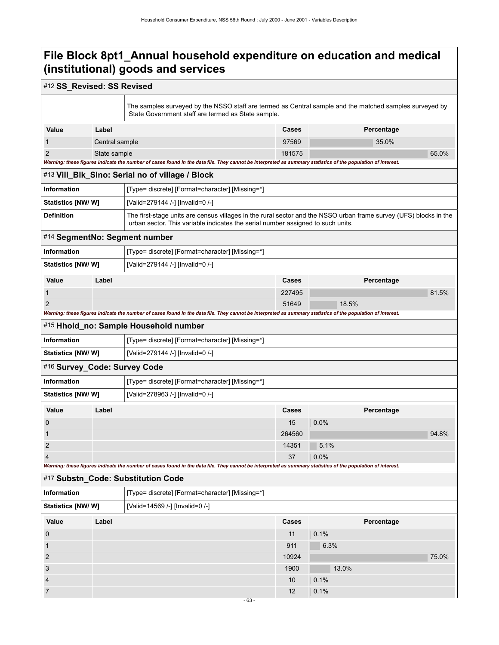### #12 **SS\_Revised: SS Revised**

|                                                               |                                                              | The samples surveyed by the NSSO staff are termed as Central sample and the matched samples surveyed by<br>State Government staff are termed as State sample.                                        |              |            |  |  |
|---------------------------------------------------------------|--------------------------------------------------------------|------------------------------------------------------------------------------------------------------------------------------------------------------------------------------------------------------|--------------|------------|--|--|
| Value                                                         | Label                                                        |                                                                                                                                                                                                      | Cases        | Percentage |  |  |
| 1                                                             | Central sample                                               |                                                                                                                                                                                                      | 97569        | 35.0%      |  |  |
| 2                                                             | State sample                                                 |                                                                                                                                                                                                      | 181575       | 65.0%      |  |  |
|                                                               |                                                              | Warning: these figures indicate the number of cases found in the data file. They cannot be interpreted as summary statistics of the population of interest.                                          |              |            |  |  |
|                                                               |                                                              | #13 Vill_BIk_SIno: Serial no of village / Block                                                                                                                                                      |              |            |  |  |
| Information                                                   |                                                              | [Type= discrete] [Format=character] [Missing=*]                                                                                                                                                      |              |            |  |  |
| <b>Statistics [NW/W]</b>                                      |                                                              | [Valid=279144 /-] [Invalid=0 /-]                                                                                                                                                                     |              |            |  |  |
| <b>Definition</b>                                             |                                                              | The first-stage units are census villages in the rural sector and the NSSO urban frame survey (UFS) blocks in the<br>urban sector. This variable indicates the serial number assigned to such units. |              |            |  |  |
| #14 SegmentNo: Segment number                                 |                                                              |                                                                                                                                                                                                      |              |            |  |  |
| <b>Information</b>                                            |                                                              | [Type= discrete] [Format=character] [Missing=*]                                                                                                                                                      |              |            |  |  |
| <b>Statistics [NW/ W]</b><br>[Valid=279144 /-] [Invalid=0 /-] |                                                              |                                                                                                                                                                                                      |              |            |  |  |
| Value                                                         | Label                                                        |                                                                                                                                                                                                      | Cases        | Percentage |  |  |
| 1                                                             |                                                              |                                                                                                                                                                                                      | 227495       | 81.5%      |  |  |
| $\overline{2}$                                                |                                                              |                                                                                                                                                                                                      | 51649        | 18.5%      |  |  |
|                                                               |                                                              | Warning: these figures indicate the number of cases found in the data file. They cannot be interpreted as summary statistics of the population of interest.                                          |              |            |  |  |
| #15 Hhold_no: Sample Household number                         |                                                              |                                                                                                                                                                                                      |              |            |  |  |
| <b>Information</b>                                            | [Type= discrete] [Format=character] [Missing=*]              |                                                                                                                                                                                                      |              |            |  |  |
| <b>Statistics [NW/ W]</b>                                     |                                                              | [Valid=279144 /-] [Invalid=0 /-]                                                                                                                                                                     |              |            |  |  |
| #16 Survey_Code: Survey Code                                  |                                                              |                                                                                                                                                                                                      |              |            |  |  |
| <b>Information</b>                                            |                                                              | [Type= discrete] [Format=character] [Missing=*]                                                                                                                                                      |              |            |  |  |
| <b>Statistics [NW/ W]</b>                                     |                                                              | [Valid=278963 /-] [Invalid=0 /-]                                                                                                                                                                     |              |            |  |  |
| Value                                                         | Label                                                        |                                                                                                                                                                                                      | <b>Cases</b> | Percentage |  |  |
| 0                                                             |                                                              |                                                                                                                                                                                                      | 15           | 0.0%       |  |  |
|                                                               |                                                              |                                                                                                                                                                                                      | 264560       | 94.8%      |  |  |
| 2                                                             |                                                              |                                                                                                                                                                                                      | 14351        | 5.1%       |  |  |
| 4                                                             |                                                              |                                                                                                                                                                                                      | 37           | 0.0%       |  |  |
|                                                               |                                                              | Warning: these figures indicate the number of cases found in the data file. They cannot be interpreted as summary statistics of the population of interest.                                          |              |            |  |  |
|                                                               |                                                              | #17 Substn_Code: Substitution Code                                                                                                                                                                   |              |            |  |  |
| Information                                                   |                                                              | [Type= discrete] [Format=character] [Missing=*]                                                                                                                                                      |              |            |  |  |
|                                                               | <b>Statistics [NW/ W]</b><br>[Valid=14569 /-] [Invalid=0 /-] |                                                                                                                                                                                                      |              |            |  |  |
| Value                                                         | Label                                                        |                                                                                                                                                                                                      | Cases        | Percentage |  |  |
| $\boldsymbol{0}$                                              |                                                              |                                                                                                                                                                                                      | 11           | 0.1%       |  |  |
| $\mathbf{1}$                                                  |                                                              |                                                                                                                                                                                                      | 911          | 6.3%       |  |  |
| $\overline{2}$                                                |                                                              |                                                                                                                                                                                                      | 10924        | 75.0%      |  |  |
| 3                                                             |                                                              |                                                                                                                                                                                                      | 1900         | 13.0%      |  |  |
| 4                                                             |                                                              |                                                                                                                                                                                                      | 10           | 0.1%       |  |  |
| 7                                                             |                                                              |                                                                                                                                                                                                      | 12           | 0.1%       |  |  |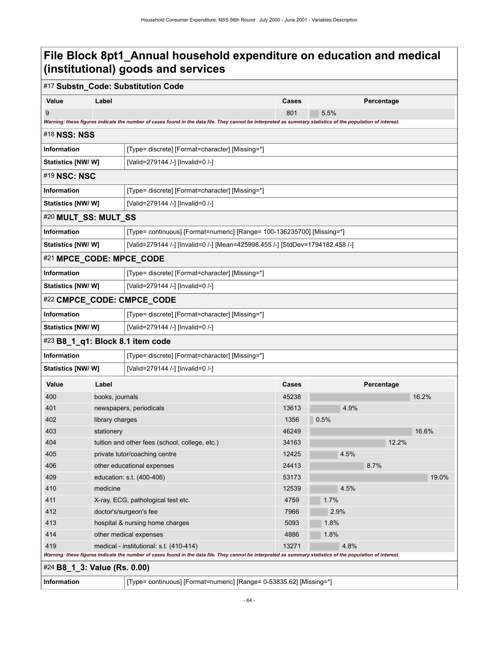#### #17 **Substn\_Code: Substitution Code**

|                                  |                                                                                                                                                                                             | #17 Substn_Code: Substitution Code                                                                                                                          |       |      |            |       |  |
|----------------------------------|---------------------------------------------------------------------------------------------------------------------------------------------------------------------------------------------|-------------------------------------------------------------------------------------------------------------------------------------------------------------|-------|------|------------|-------|--|
| Value                            | Label                                                                                                                                                                                       |                                                                                                                                                             | Cases |      | Percentage |       |  |
| 9                                |                                                                                                                                                                                             |                                                                                                                                                             | 801   | 5.5% |            |       |  |
|                                  |                                                                                                                                                                                             | Warning: these figures indicate the number of cases found in the data file. They cannot be interpreted as summary statistics of the population of interest. |       |      |            |       |  |
| #18 NSS: NSS                     |                                                                                                                                                                                             |                                                                                                                                                             |       |      |            |       |  |
| Information                      |                                                                                                                                                                                             | [Type= discrete] [Format=character] [Missing=*]                                                                                                             |       |      |            |       |  |
| <b>Statistics [NW/ W]</b>        |                                                                                                                                                                                             | [Valid=279144 /-] [Invalid=0 /-]                                                                                                                            |       |      |            |       |  |
| #19 NSC: NSC                     |                                                                                                                                                                                             |                                                                                                                                                             |       |      |            |       |  |
| Information                      |                                                                                                                                                                                             | [Type= discrete] [Format=character] [Missing=*]                                                                                                             |       |      |            |       |  |
| Statistics [NW/W]                |                                                                                                                                                                                             | [Valid=279144 /-] [Invalid=0 /-]                                                                                                                            |       |      |            |       |  |
| #20 MULT_SS: MULT_SS             |                                                                                                                                                                                             |                                                                                                                                                             |       |      |            |       |  |
| Information                      |                                                                                                                                                                                             | [Type= continuous] [Format=numeric] [Range= 100-136235700] [Missing=*]                                                                                      |       |      |            |       |  |
| <b>Statistics [NW/ W]</b>        |                                                                                                                                                                                             | [Valid=279144 /-] [Invalid=0 /-] [Mean=425998.455 /-] [StdDev=1794182.458 /-]                                                                               |       |      |            |       |  |
| #21 MPCE_CODE: MPCE_CODE         |                                                                                                                                                                                             |                                                                                                                                                             |       |      |            |       |  |
| Information                      |                                                                                                                                                                                             | [Type= discrete] [Format=character] [Missing=*]                                                                                                             |       |      |            |       |  |
| <b>Statistics [NW/ W]</b>        |                                                                                                                                                                                             | [Valid=279144 /-] [Invalid=0 /-]                                                                                                                            |       |      |            |       |  |
|                                  |                                                                                                                                                                                             | #22 CMPCE_CODE: CMPCE_CODE                                                                                                                                  |       |      |            |       |  |
| Information                      |                                                                                                                                                                                             | [Type= discrete] [Format=character] [Missing=*]                                                                                                             |       |      |            |       |  |
| <b>Statistics [NW/ W]</b>        |                                                                                                                                                                                             | [Valid=279144 /-] [Invalid=0 /-]                                                                                                                            |       |      |            |       |  |
| #23 B8_1_q1: Block 8.1 item code |                                                                                                                                                                                             |                                                                                                                                                             |       |      |            |       |  |
| Information                      |                                                                                                                                                                                             | [Type= discrete] [Format=character] [Missing=*]                                                                                                             |       |      |            |       |  |
| Statistics [NW/ W]               |                                                                                                                                                                                             | [Valid=279144 /-] [Invalid=0 /-]                                                                                                                            |       |      |            |       |  |
| Value                            | Label                                                                                                                                                                                       |                                                                                                                                                             | Cases |      | Percentage |       |  |
| 400                              | books, journals                                                                                                                                                                             |                                                                                                                                                             | 45238 |      |            | 16.2% |  |
| 401                              |                                                                                                                                                                                             | newspapers, periodicals                                                                                                                                     | 13613 | 4.9% |            |       |  |
| 402                              | library charges                                                                                                                                                                             |                                                                                                                                                             | 1356  | 0.5% |            |       |  |
| 403                              | stationery                                                                                                                                                                                  |                                                                                                                                                             | 46249 |      |            | 16.6% |  |
| 404                              |                                                                                                                                                                                             | tuition and other fees (school, college, etc.)                                                                                                              | 34163 |      | 12.2%      |       |  |
| 405                              |                                                                                                                                                                                             | private tutor/coaching centre                                                                                                                               | 12425 | 4.5% |            |       |  |
| 406                              |                                                                                                                                                                                             | other educational expenses                                                                                                                                  | 24413 |      | 8.7%       |       |  |
| 409                              |                                                                                                                                                                                             | education: s.t. (400-406)                                                                                                                                   | 53173 |      |            | 19.0% |  |
| 410                              | medicine                                                                                                                                                                                    |                                                                                                                                                             | 12539 | 4.5% |            |       |  |
| 411                              | X-ray, ECG, pathological test etc.                                                                                                                                                          |                                                                                                                                                             | 4759  | 1.7% |            |       |  |
| 412                              | doctor's/surgeon's fee                                                                                                                                                                      |                                                                                                                                                             | 7966  | 2.9% |            |       |  |
| 413                              |                                                                                                                                                                                             | hospital & nursing home charges                                                                                                                             | 5093  | 1.8% |            |       |  |
| 414                              |                                                                                                                                                                                             | other medical expenses                                                                                                                                      | 4886  | 1.8% |            |       |  |
| 419                              |                                                                                                                                                                                             | medical - institutional: s.t. (410-414)                                                                                                                     | 13271 | 4.8% |            |       |  |
|                                  | Warning: these figures indicate the number of cases found in the data file. They cannot be interpreted as summary statistics of the population of interest.<br>#24 B8_1_3: Value (Rs. 0.00) |                                                                                                                                                             |       |      |            |       |  |
|                                  |                                                                                                                                                                                             |                                                                                                                                                             |       |      |            |       |  |

**Information** [Type= continuous] [Format=numeric] [Range= 0-53835.62] [Missing=\*]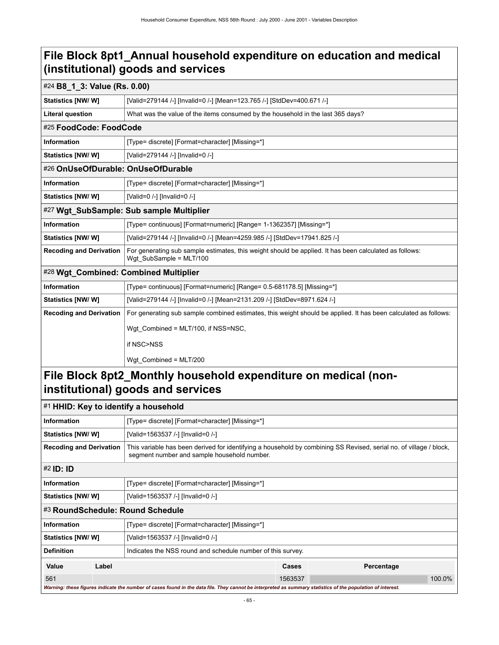|                                       | #24 B8_1_3: Value (Rs. 0.00)                                                                                                      |  |  |
|---------------------------------------|-----------------------------------------------------------------------------------------------------------------------------------|--|--|
| Statistics [NW/W]                     | [Valid=279144 /-] [Invalid=0 /-] [Mean=123.765 /-] [StdDev=400.671 /-]                                                            |  |  |
| <b>Literal question</b>               | What was the value of the items consumed by the household in the last 365 days?                                                   |  |  |
| #25 FoodCode: FoodCode                |                                                                                                                                   |  |  |
| <b>Information</b>                    | [Type= discrete] [Format=character] [Missing=*]                                                                                   |  |  |
| Statistics [NW/W]                     | [Valid=279144 /-] [Invalid=0 /-]                                                                                                  |  |  |
| #26 OnUseOfDurable: OnUseOfDurable    |                                                                                                                                   |  |  |
| <b>Information</b>                    | [Type= discrete] [Format=character] [Missing=*]                                                                                   |  |  |
| Statistics [NW/W]                     | [Valid=0 /-] [Invalid=0 /-]                                                                                                       |  |  |
|                                       | #27 Wgt_SubSample: Sub sample Multiplier                                                                                          |  |  |
| <b>Information</b>                    | [Type= continuous] [Format=numeric] [Range= 1-1362357] [Missing=*]                                                                |  |  |
| Statistics [NW/ W]                    | [Valid=279144 /-] [Invalid=0 /-] [Mean=4259.985 /-] [StdDev=17941.825 /-]                                                         |  |  |
| <b>Recoding and Derivation</b>        | For generating sub sample estimates, this weight should be applied. It has been calculated as follows:<br>Wgt SubSample = MLT/100 |  |  |
| #28 Wgt_Combined: Combined Multiplier |                                                                                                                                   |  |  |
| <b>Information</b>                    | [Type= continuous] [Format=numeric] [Range= 0.5-681178.5] [Missing=*]                                                             |  |  |
| Statistics [NW/ W]                    | [Valid=279144 /-] [Invalid=0 /-] [Mean=2131.209 /-] [StdDev=8971.624 /-]                                                          |  |  |
| <b>Recoding and Derivation</b>        | For generating sub sample combined estimates, this weight should be applied. It has been calculated as follows:                   |  |  |
|                                       | Wgt Combined = MLT/100, if NSS=NSC,                                                                                               |  |  |
|                                       | if NSC>NSS                                                                                                                        |  |  |
|                                       | Wqt Combined = MLT/200                                                                                                            |  |  |
|                                       | Eile Dleek Ont? Manthly heuseheld evnenditure en medical (nen                                                                     |  |  |

### **File Block 8pt2\_Monthly household expenditure on medical (noninstitutional) goods and services**

| $\neq$ HHID: Key to identify a household                                                                                                                                                            |                                                 |                                                                                                                                                             |         |            |        |  |  |
|-----------------------------------------------------------------------------------------------------------------------------------------------------------------------------------------------------|-------------------------------------------------|-------------------------------------------------------------------------------------------------------------------------------------------------------------|---------|------------|--------|--|--|
| Information                                                                                                                                                                                         | [Type= discrete] [Format=character] [Missing=*] |                                                                                                                                                             |         |            |        |  |  |
| Statistics [NW/W]                                                                                                                                                                                   |                                                 | [Valid=1563537 /-] [Invalid=0 /-]                                                                                                                           |         |            |        |  |  |
| <b>Recoding and Derivation</b><br>This variable has been derived for identifying a household by combining SS Revised, serial no. of village / block,<br>segment number and sample household number. |                                                 |                                                                                                                                                             |         |            |        |  |  |
| #2 <b>ID: ID</b>                                                                                                                                                                                    |                                                 |                                                                                                                                                             |         |            |        |  |  |
| <b>Information</b>                                                                                                                                                                                  |                                                 | [Type= discrete] [Format=character] [Missing=*]                                                                                                             |         |            |        |  |  |
| Statistics [NW/W]                                                                                                                                                                                   |                                                 | [Valid=1563537 /-] [Invalid=0 /-]                                                                                                                           |         |            |        |  |  |
|                                                                                                                                                                                                     |                                                 | #3 RoundSchedule: Round Schedule                                                                                                                            |         |            |        |  |  |
| Information                                                                                                                                                                                         |                                                 | [Type= discrete] [Format=character] [Missing=*]                                                                                                             |         |            |        |  |  |
| <b>Statistics [NW/ W]</b>                                                                                                                                                                           |                                                 | [Valid=1563537 /-] [Invalid=0 /-]                                                                                                                           |         |            |        |  |  |
| <b>Definition</b>                                                                                                                                                                                   |                                                 | Indicates the NSS round and schedule number of this survey.                                                                                                 |         |            |        |  |  |
| Value                                                                                                                                                                                               | Label                                           |                                                                                                                                                             | Cases   | Percentage |        |  |  |
| 561                                                                                                                                                                                                 |                                                 |                                                                                                                                                             | 1563537 |            | 100.0% |  |  |
|                                                                                                                                                                                                     |                                                 | Warning: these figures indicate the number of cases found in the data file. They cannot be interpreted as summary statistics of the population of interest. |         |            |        |  |  |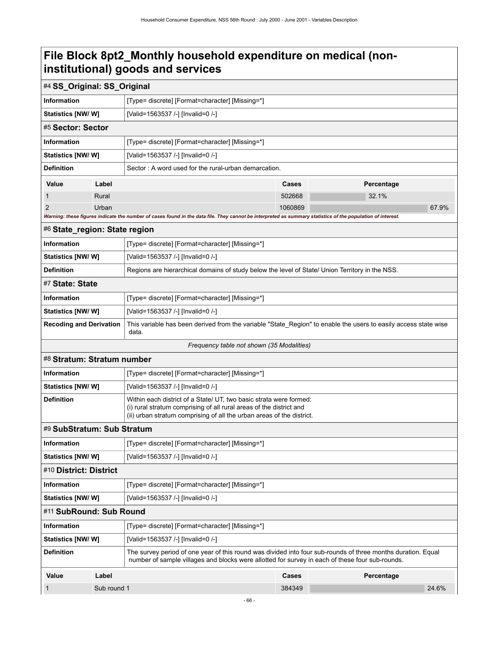### **File Block 8pt2\_Monthly household expenditure on medical (noninstitutional) goods and services**

| #4 SS_Original: SS_Original                                                                                                                                                                                                             |                                                                                                                                                            |                                                                                                                                                                                                                 |         |            |       |  |
|-----------------------------------------------------------------------------------------------------------------------------------------------------------------------------------------------------------------------------------------|------------------------------------------------------------------------------------------------------------------------------------------------------------|-----------------------------------------------------------------------------------------------------------------------------------------------------------------------------------------------------------------|---------|------------|-------|--|
| <b>Information</b>                                                                                                                                                                                                                      |                                                                                                                                                            | [Type= discrete] [Format=character] [Missing=*]                                                                                                                                                                 |         |            |       |  |
| Statistics [NW/ W]                                                                                                                                                                                                                      |                                                                                                                                                            | [Valid=1563537 /-] [Invalid=0 /-]                                                                                                                                                                               |         |            |       |  |
| #5 Sector: Sector                                                                                                                                                                                                                       |                                                                                                                                                            |                                                                                                                                                                                                                 |         |            |       |  |
| <b>Information</b>                                                                                                                                                                                                                      |                                                                                                                                                            | [Type= discrete] [Format=character] [Missing=*]                                                                                                                                                                 |         |            |       |  |
| <b>Statistics [NW/W]</b>                                                                                                                                                                                                                |                                                                                                                                                            | [Valid=1563537 /-] [Invalid=0 /-]                                                                                                                                                                               |         |            |       |  |
| <b>Definition</b><br>Sector: A word used for the rural-urban demarcation.                                                                                                                                                               |                                                                                                                                                            |                                                                                                                                                                                                                 |         |            |       |  |
| Value                                                                                                                                                                                                                                   | Label                                                                                                                                                      |                                                                                                                                                                                                                 | Cases   | Percentage |       |  |
|                                                                                                                                                                                                                                         | Rural                                                                                                                                                      |                                                                                                                                                                                                                 | 502668  | 32.1%      |       |  |
| 2                                                                                                                                                                                                                                       | Urban                                                                                                                                                      |                                                                                                                                                                                                                 | 1060869 |            | 67.9% |  |
|                                                                                                                                                                                                                                         |                                                                                                                                                            | Warning: these figures indicate the number of cases found in the data file. They cannot be interpreted as summary statistics of the population of interest.                                                     |         |            |       |  |
| #6 State_region: State region                                                                                                                                                                                                           |                                                                                                                                                            |                                                                                                                                                                                                                 |         |            |       |  |
| <b>Information</b>                                                                                                                                                                                                                      |                                                                                                                                                            | [Type= discrete] [Format=character] [Missing=*]                                                                                                                                                                 |         |            |       |  |
| Statistics [NW/ W]                                                                                                                                                                                                                      |                                                                                                                                                            | [Valid=1563537 /-] [Invalid=0 /-]                                                                                                                                                                               |         |            |       |  |
| <b>Definition</b>                                                                                                                                                                                                                       |                                                                                                                                                            | Regions are hierarchical domains of study below the level of State/ Union Territory in the NSS.                                                                                                                 |         |            |       |  |
| #7 State: State                                                                                                                                                                                                                         |                                                                                                                                                            |                                                                                                                                                                                                                 |         |            |       |  |
| <b>Information</b>                                                                                                                                                                                                                      |                                                                                                                                                            | [Type= discrete] [Format=character] [Missing=*]                                                                                                                                                                 |         |            |       |  |
| <b>Statistics [NW/ W]</b>                                                                                                                                                                                                               |                                                                                                                                                            | [Valid=1563537 /-] [Invalid=0 /-]                                                                                                                                                                               |         |            |       |  |
|                                                                                                                                                                                                                                         | <b>Recoding and Derivation</b><br>This variable has been derived from the variable "State_Region" to enable the users to easily access state wise<br>data. |                                                                                                                                                                                                                 |         |            |       |  |
|                                                                                                                                                                                                                                         |                                                                                                                                                            | Frequency table not shown (35 Modalities)                                                                                                                                                                       |         |            |       |  |
| #8 Stratum: Stratum number                                                                                                                                                                                                              |                                                                                                                                                            |                                                                                                                                                                                                                 |         |            |       |  |
| <b>Information</b>                                                                                                                                                                                                                      |                                                                                                                                                            | [Type= discrete] [Format=character] [Missing=*]                                                                                                                                                                 |         |            |       |  |
| Statistics [NW/W]                                                                                                                                                                                                                       |                                                                                                                                                            | [Valid=1563537 /-] [Invalid=0 /-]                                                                                                                                                                               |         |            |       |  |
| <b>Definition</b><br>Within each district of a State/ UT, two basic strata were formed:<br>(i) rural stratum comprising of all rural areas of the district and<br>(ii) urban stratum comprising of all the urban areas of the district. |                                                                                                                                                            |                                                                                                                                                                                                                 |         |            |       |  |
| #9 SubStratum: Sub Stratum                                                                                                                                                                                                              |                                                                                                                                                            |                                                                                                                                                                                                                 |         |            |       |  |
| Information                                                                                                                                                                                                                             |                                                                                                                                                            | [Type= discrete] [Format=character] [Missing=*]                                                                                                                                                                 |         |            |       |  |
| <b>Statistics [NW/ W]</b>                                                                                                                                                                                                               |                                                                                                                                                            | [Valid=1563537 /-] [Invalid=0 /-]                                                                                                                                                                               |         |            |       |  |
| #10 District: District                                                                                                                                                                                                                  |                                                                                                                                                            |                                                                                                                                                                                                                 |         |            |       |  |
| <b>Information</b>                                                                                                                                                                                                                      |                                                                                                                                                            | [Type= discrete] [Format=character] [Missing=*]                                                                                                                                                                 |         |            |       |  |
| Statistics [NW/W]                                                                                                                                                                                                                       |                                                                                                                                                            | [Valid=1563537 /-] [Invalid=0 /-]                                                                                                                                                                               |         |            |       |  |
| #11 SubRound: Sub Round                                                                                                                                                                                                                 |                                                                                                                                                            |                                                                                                                                                                                                                 |         |            |       |  |
| <b>Information</b>                                                                                                                                                                                                                      |                                                                                                                                                            | [Type= discrete] [Format=character] [Missing=*]                                                                                                                                                                 |         |            |       |  |
| Statistics [NW/ W]                                                                                                                                                                                                                      |                                                                                                                                                            | [Valid=1563537 /-] [Invalid=0 /-]                                                                                                                                                                               |         |            |       |  |
| <b>Definition</b>                                                                                                                                                                                                                       |                                                                                                                                                            | The survey period of one year of this round was divided into four sub-rounds of three months duration. Equal<br>number of sample villages and blocks were allotted for survey in each of these four sub-rounds. |         |            |       |  |
| Value                                                                                                                                                                                                                                   | Label                                                                                                                                                      |                                                                                                                                                                                                                 | Cases   | Percentage |       |  |
|                                                                                                                                                                                                                                         | Sub round 1                                                                                                                                                |                                                                                                                                                                                                                 | 384349  |            | 24.6% |  |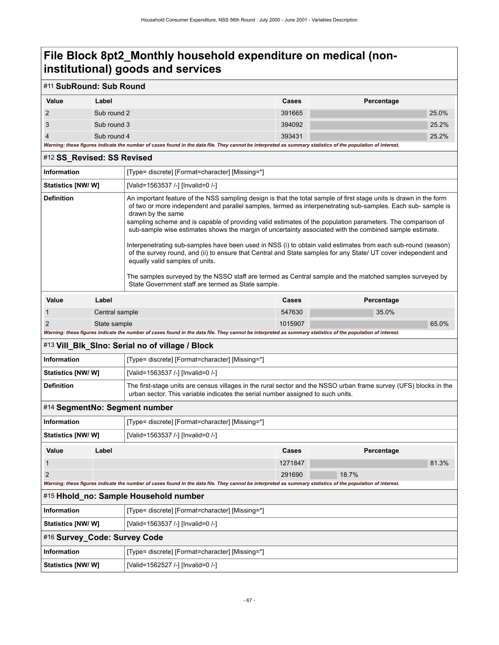## **File Block 8pt2\_Monthly household expenditure on medical (noninstitutional) goods and services**

### #11 **SubRound: Sub Round**

| Value                                                                                                                                                       | Label       | <b>Cases</b> | Percentage |
|-------------------------------------------------------------------------------------------------------------------------------------------------------------|-------------|--------------|------------|
|                                                                                                                                                             | Sub round 2 | 391665       | 25.0%      |
|                                                                                                                                                             | Sub round 3 | 394092       | 25.2%      |
|                                                                                                                                                             | Sub round 4 | 393431       | 25.2%      |
| Warning: these figures indicate the number of cases found in the data file. They cannot be interpreted as summary statistics of the population of interest. |             |              |            |

| #12 SS_Revised: SS Revised   |                                                                                                                                                                                                                           |                                                                                                                                                                                                                                                                                                                                                                                                                                                                                                                                                                                                                                                                                                                                                                                                                                                                                                                         |         |            |  |
|------------------------------|---------------------------------------------------------------------------------------------------------------------------------------------------------------------------------------------------------------------------|-------------------------------------------------------------------------------------------------------------------------------------------------------------------------------------------------------------------------------------------------------------------------------------------------------------------------------------------------------------------------------------------------------------------------------------------------------------------------------------------------------------------------------------------------------------------------------------------------------------------------------------------------------------------------------------------------------------------------------------------------------------------------------------------------------------------------------------------------------------------------------------------------------------------------|---------|------------|--|
| <b>Information</b>           |                                                                                                                                                                                                                           | [Type= discrete] [Format=character] [Missing=*]                                                                                                                                                                                                                                                                                                                                                                                                                                                                                                                                                                                                                                                                                                                                                                                                                                                                         |         |            |  |
| Statistics [NW/W]            |                                                                                                                                                                                                                           | [Valid=1563537 /-] [Invalid=0 /-]                                                                                                                                                                                                                                                                                                                                                                                                                                                                                                                                                                                                                                                                                                                                                                                                                                                                                       |         |            |  |
| <b>Definition</b>            |                                                                                                                                                                                                                           | An important feature of the NSS sampling design is that the total sample of first stage units is drawn in the form<br>of two or more independent and parallel samples, termed as interpenetrating sub-samples. Each sub-sample is<br>drawn by the same<br>sampling scheme and is capable of providing valid estimates of the population parameters. The comparison of<br>sub-sample wise estimates shows the margin of uncertainty associated with the combined sample estimate.<br>Interpenetrating sub-samples have been used in NSS (i) to obtain valid estimates from each sub-round (season)<br>of the survey round, and (ii) to ensure that Central and State samples for any State/ UT cover independent and<br>equally valid samples of units.<br>The samples surveyed by the NSSO staff are termed as Central sample and the matched samples surveyed by<br>State Government staff are termed as State sample. |         |            |  |
| Value                        | Label                                                                                                                                                                                                                     |                                                                                                                                                                                                                                                                                                                                                                                                                                                                                                                                                                                                                                                                                                                                                                                                                                                                                                                         | Cases   | Percentage |  |
| 1                            | Central sample                                                                                                                                                                                                            |                                                                                                                                                                                                                                                                                                                                                                                                                                                                                                                                                                                                                                                                                                                                                                                                                                                                                                                         | 547630  | 35.0%      |  |
| $\overline{2}$               | State sample                                                                                                                                                                                                              | Warning: these figures indicate the number of cases found in the data file. They cannot be interpreted as summary statistics of the population of interest.                                                                                                                                                                                                                                                                                                                                                                                                                                                                                                                                                                                                                                                                                                                                                             | 1015907 | 65.0%      |  |
|                              |                                                                                                                                                                                                                           | #13 Vill_Blk_Slno: Serial no of village / Block                                                                                                                                                                                                                                                                                                                                                                                                                                                                                                                                                                                                                                                                                                                                                                                                                                                                         |         |            |  |
|                              |                                                                                                                                                                                                                           | [Type= discrete] [Format=character] [Missing=*]                                                                                                                                                                                                                                                                                                                                                                                                                                                                                                                                                                                                                                                                                                                                                                                                                                                                         |         |            |  |
| <b>Information</b>           |                                                                                                                                                                                                                           | [Valid=1563537 /-] [Invalid=0 /-]                                                                                                                                                                                                                                                                                                                                                                                                                                                                                                                                                                                                                                                                                                                                                                                                                                                                                       |         |            |  |
| Statistics [NW/W]            |                                                                                                                                                                                                                           |                                                                                                                                                                                                                                                                                                                                                                                                                                                                                                                                                                                                                                                                                                                                                                                                                                                                                                                         |         |            |  |
|                              | <b>Definition</b><br>The first-stage units are census villages in the rural sector and the NSSO urban frame survey (UFS) blocks in the<br>urban sector. This variable indicates the serial number assigned to such units. |                                                                                                                                                                                                                                                                                                                                                                                                                                                                                                                                                                                                                                                                                                                                                                                                                                                                                                                         |         |            |  |
|                              |                                                                                                                                                                                                                           | #14 SegmentNo: Segment number                                                                                                                                                                                                                                                                                                                                                                                                                                                                                                                                                                                                                                                                                                                                                                                                                                                                                           |         |            |  |
| <b>Information</b>           |                                                                                                                                                                                                                           | [Type= discrete] [Format=character] [Missing=*]                                                                                                                                                                                                                                                                                                                                                                                                                                                                                                                                                                                                                                                                                                                                                                                                                                                                         |         |            |  |
| Statistics [NW/ W]           |                                                                                                                                                                                                                           | [Valid=1563537 /-] [Invalid=0 /-]                                                                                                                                                                                                                                                                                                                                                                                                                                                                                                                                                                                                                                                                                                                                                                                                                                                                                       |         |            |  |
| <b>Value</b>                 | Label                                                                                                                                                                                                                     |                                                                                                                                                                                                                                                                                                                                                                                                                                                                                                                                                                                                                                                                                                                                                                                                                                                                                                                         | Cases   | Percentage |  |
| $\mathbf{1}$                 |                                                                                                                                                                                                                           |                                                                                                                                                                                                                                                                                                                                                                                                                                                                                                                                                                                                                                                                                                                                                                                                                                                                                                                         | 1271847 | 81.3%      |  |
| $\overline{2}$               |                                                                                                                                                                                                                           |                                                                                                                                                                                                                                                                                                                                                                                                                                                                                                                                                                                                                                                                                                                                                                                                                                                                                                                         | 291690  | 18.7%      |  |
|                              |                                                                                                                                                                                                                           | Warning: these figures indicate the number of cases found in the data file. They cannot be interpreted as summary statistics of the population of interest.                                                                                                                                                                                                                                                                                                                                                                                                                                                                                                                                                                                                                                                                                                                                                             |         |            |  |
|                              |                                                                                                                                                                                                                           | #15 Hhold_no: Sample Household number                                                                                                                                                                                                                                                                                                                                                                                                                                                                                                                                                                                                                                                                                                                                                                                                                                                                                   |         |            |  |
| <b>Information</b>           |                                                                                                                                                                                                                           | [Type= discrete] [Format=character] [Missing=*]                                                                                                                                                                                                                                                                                                                                                                                                                                                                                                                                                                                                                                                                                                                                                                                                                                                                         |         |            |  |
|                              | [Valid=1563537 /-] [Invalid=0 /-]<br><b>Statistics [NW/ W]</b>                                                                                                                                                            |                                                                                                                                                                                                                                                                                                                                                                                                                                                                                                                                                                                                                                                                                                                                                                                                                                                                                                                         |         |            |  |
| #16 Survey_Code: Survey Code |                                                                                                                                                                                                                           |                                                                                                                                                                                                                                                                                                                                                                                                                                                                                                                                                                                                                                                                                                                                                                                                                                                                                                                         |         |            |  |

| #16 Survey Code: Survey Code |                                                 |  |
|------------------------------|-------------------------------------------------|--|
| <b>Information</b>           | [Type= discrete] [Format=character] [Missing=*] |  |
| Statistics [NW/W]            | [Valid=1562527 /-] [Invalid=0 /-]               |  |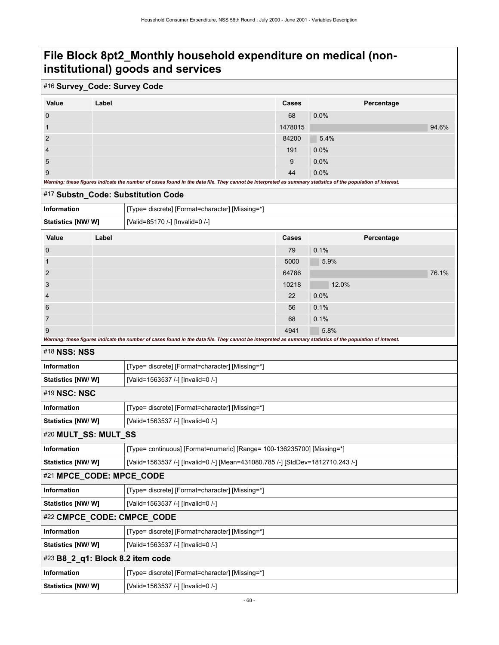## **File Block 8pt2\_Monthly household expenditure on medical (noninstitutional) goods and services**

### #16 **Survey\_Code: Survey Code**

| Value                                                                                                                                                       | Label | Cases   | Percentage |       |
|-------------------------------------------------------------------------------------------------------------------------------------------------------------|-------|---------|------------|-------|
| $\overline{0}$                                                                                                                                              |       | 68      | $0.0\%$    |       |
|                                                                                                                                                             |       | 1478015 |            | 94.6% |
| $\overline{2}$                                                                                                                                              |       | 84200   | 5.4%       |       |
| $\overline{4}$                                                                                                                                              |       | 191     | $0.0\%$    |       |
| 5                                                                                                                                                           |       | 9       | $0.0\%$    |       |
| 9                                                                                                                                                           |       | 44      | $0.0\%$    |       |
| Warning: these figures indicate the number of cases found in the data file. They cannot be interpreted as summary statistics of the population of interest. |       |         |            |       |

#### #17 **Substn\_Code: Substitution Code**

**Statistics [NW/ W]** [Valid=1563537 /-] [Invalid=0 /-]

| <b>Information</b> |       | [Type= discrete] [Format=character] [Missing=*] |              |       |            |       |
|--------------------|-------|-------------------------------------------------|--------------|-------|------------|-------|
| Statistics [NW/ W] |       | [Valid=85170 /-] [Invalid=0 /-]                 |              |       |            |       |
| Value              | Label |                                                 | <b>Cases</b> |       | Percentage |       |
| $\mathbf{0}$       |       |                                                 | 79           | 0.1%  |            |       |
| 1                  |       |                                                 | 5000         | 5.9%  |            |       |
| 2                  |       |                                                 | 64786        |       |            | 76.1% |
| 3                  |       |                                                 | 10218        | 12.0% |            |       |

### 4 22 0.0% من المساحة المستخدم المستخدم المستخدم المستخدم المستخدم المستخدم المستخدم المستخدم المستخدم المستخدم المستخدم المستخدم المستخدم المستخدم المستخدم المستخدم المستخدم المستخدم المستخدم المستخدم المستخدم المستخدم الم 6 56  $\,$  0.1%  $\,$  56  $\,$  0.1%  $\,$  56  $\,$  0.1%  $\,$  56  $\,$  0.1%  $\,$ 7 68 0.1% and  $\sim$  68 0.1% and  $\sim$  68 0.1%

9 5.8% and 5.8% and 5.8% and 5.8% and 5.8% and 5.8% and 5.8% and 5.8% and 5.8% and 5.8% and 5.8% and 5.8% and *Warning: these figures indicate the number of cases found in the data file. They cannot be interpreted as summary statistics of the population of interest.*

#### #18 **NSS: NSS**

| <b>Information</b>         | [Type= discrete] [Format=character] [Missing=*]                                |  |  |
|----------------------------|--------------------------------------------------------------------------------|--|--|
| Statistics [NW/W]          | [Valid=1563537 /-] [Invalid=0 /-]                                              |  |  |
| #19 NSC: NSC               |                                                                                |  |  |
| <b>Information</b>         | [Type= discrete] [Format=character] [Missing=*]                                |  |  |
| Statistics [NW/W]          | [Valid=1563537 /-] [Invalid=0 /-]                                              |  |  |
| #20 MULT_SS: MULT_SS       |                                                                                |  |  |
| <b>Information</b>         | [Type= continuous] [Format=numeric] [Range= 100-136235700] [Missing=*]         |  |  |
| Statistics [NW/W]          | [Valid=1563537 /-] [Invalid=0 /-] [Mean=431080.785 /-] [StdDev=1812710.243 /-] |  |  |
| #21 MPCE_CODE: MPCE_CODE   |                                                                                |  |  |
| <b>Information</b>         | [Type= discrete] [Format=character] [Missing=*]                                |  |  |
| Statistics [NW/W]          | [Valid=1563537 /-] [Invalid=0 /-]                                              |  |  |
| #22 CMPCE_CODE: CMPCE_CODE |                                                                                |  |  |
| <b>Information</b>         | [Type= discrete] [Format=character] [Missing=*]                                |  |  |
| Statistics [NW/W]          | [Valid=1563537 /-] [Invalid=0 /-]                                              |  |  |
|                            | $#23$ B8_2_q1: Block 8.2 item code                                             |  |  |
| <b>Information</b>         | [Type= discrete] [Format=character] [Missing=*]                                |  |  |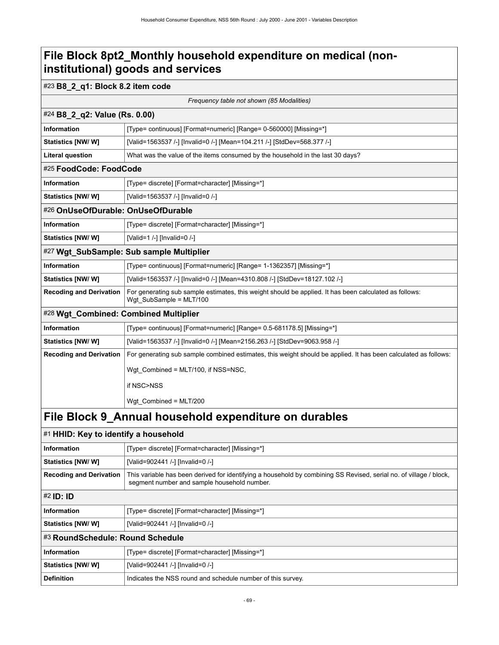## **File Block 8pt2\_Monthly household expenditure on medical (noninstitutional) goods and services**

## #23 **B8\_2\_q1: Block 8.2 item code**

*Frequency table not shown (85 Modalities)*

| #24 B8_2_q2: Value (Rs. 0.00)                         |                                                                                                                                   |  |  |  |
|-------------------------------------------------------|-----------------------------------------------------------------------------------------------------------------------------------|--|--|--|
| <b>Information</b>                                    | [Type= continuous] [Format=numeric] [Range= 0-560000] [Missing=*]                                                                 |  |  |  |
| Statistics [NW/W]                                     | [Valid=1563537 /-] [Invalid=0 /-] [Mean=104.211 /-] [StdDev=568.377 /-]                                                           |  |  |  |
| <b>Literal question</b>                               | What was the value of the items consumed by the household in the last 30 days?                                                    |  |  |  |
| #25 FoodCode: FoodCode                                |                                                                                                                                   |  |  |  |
| <b>Information</b>                                    | [Type= discrete] [Format=character] [Missing=*]                                                                                   |  |  |  |
| Statistics [NW/W]                                     | [Valid=1563537 /-] [Invalid=0 /-]                                                                                                 |  |  |  |
| #26 OnUseOfDurable: OnUseOfDurable                    |                                                                                                                                   |  |  |  |
| <b>Information</b>                                    | [Type= discrete] [Format=character] [Missing=*]                                                                                   |  |  |  |
| Statistics [NW/W]                                     | [Valid=1 /-] [Invalid=0 /-]                                                                                                       |  |  |  |
|                                                       | #27 Wgt_SubSample: Sub sample Multiplier                                                                                          |  |  |  |
| <b>Information</b>                                    | [Type= continuous] [Format=numeric] [Range= 1-1362357] [Missing=*]                                                                |  |  |  |
| <b>Statistics [NW/ W]</b>                             | [Valid=1563537 /-] [Invalid=0 /-] [Mean=4310.808 /-] [StdDev=18127.102 /-]                                                        |  |  |  |
| <b>Recoding and Derivation</b>                        | For generating sub sample estimates, this weight should be applied. It has been calculated as follows:<br>Wgt SubSample = MLT/100 |  |  |  |
| #28 Wgt_Combined: Combined Multiplier                 |                                                                                                                                   |  |  |  |
| Information                                           | [Type= continuous] [Format=numeric] [Range= 0.5-681178.5] [Missing=*]                                                             |  |  |  |
| Statistics [NW/W]                                     | [Valid=1563537 /-] [Invalid=0 /-] [Mean=2156.263 /-] [StdDev=9063.958 /-]                                                         |  |  |  |
| <b>Recoding and Derivation</b>                        | For generating sub sample combined estimates, this weight should be applied. It has been calculated as follows:                   |  |  |  |
|                                                       | Wgt Combined = MLT/100, if NSS=NSC,                                                                                               |  |  |  |
|                                                       | if NSC>NSS                                                                                                                        |  |  |  |
|                                                       | Wgt_Combined = MLT/200                                                                                                            |  |  |  |
| File Block 9_Annual household expenditure on durables |                                                                                                                                   |  |  |  |
| #1 HHID: Key to identify a household                  |                                                                                                                                   |  |  |  |
|                                                       |                                                                                                                                   |  |  |  |

|                                  | $\sim$ . The state to receive a household                                                                                                                         |  |  |
|----------------------------------|-------------------------------------------------------------------------------------------------------------------------------------------------------------------|--|--|
| <b>Information</b>               | [Type= discrete] [Format=character] [Missing=*]                                                                                                                   |  |  |
| Statistics [NW/W]                | [Valid=902441 /-] [Invalid=0 /-]                                                                                                                                  |  |  |
| <b>Recoding and Derivation</b>   | This variable has been derived for identifying a household by combining SS Revised, serial no. of village / block,<br>segment number and sample household number. |  |  |
| #2 ID: ID                        |                                                                                                                                                                   |  |  |
| Information                      | [Type= discrete] [Format=character] [Missing=*]                                                                                                                   |  |  |
| <b>Statistics [NW/ W]</b>        | [Valid=902441 /-] [Invalid=0 /-]                                                                                                                                  |  |  |
| #3 RoundSchedule: Round Schedule |                                                                                                                                                                   |  |  |
| Information                      | [Type= discrete] [Format=character] [Missing=*]                                                                                                                   |  |  |
| <b>Statistics [NW/ W]</b>        | [Valid=902441 /-] [Invalid=0 /-]                                                                                                                                  |  |  |
| <b>Definition</b>                | Indicates the NSS round and schedule number of this survey.                                                                                                       |  |  |
|                                  |                                                                                                                                                                   |  |  |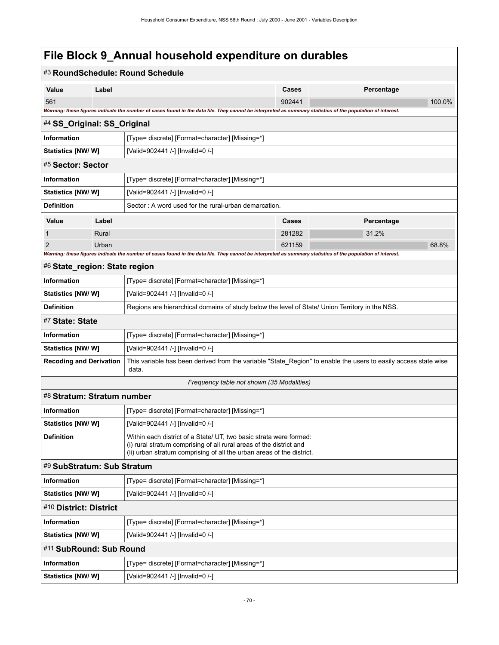| #3 RoundSchedule: Round Schedule                                                                                     |                                                                                                                                           |                                                                                                                                                             |        |            |        |  |
|----------------------------------------------------------------------------------------------------------------------|-------------------------------------------------------------------------------------------------------------------------------------------|-------------------------------------------------------------------------------------------------------------------------------------------------------------|--------|------------|--------|--|
| Value                                                                                                                | Label                                                                                                                                     |                                                                                                                                                             | Cases  | Percentage |        |  |
| 561                                                                                                                  |                                                                                                                                           |                                                                                                                                                             | 902441 |            | 100.0% |  |
|                                                                                                                      |                                                                                                                                           | Warning: these figures indicate the number of cases found in the data file. They cannot be interpreted as summary statistics of the population of interest. |        |            |        |  |
| #4 SS_Original: SS_Original                                                                                          |                                                                                                                                           |                                                                                                                                                             |        |            |        |  |
| Information                                                                                                          |                                                                                                                                           | [Type= discrete] [Format=character] [Missing=*]                                                                                                             |        |            |        |  |
| Statistics [NW/W]<br>[Valid=902441 /-] [Invalid=0 /-]                                                                |                                                                                                                                           |                                                                                                                                                             |        |            |        |  |
| #5 Sector: Sector                                                                                                    |                                                                                                                                           |                                                                                                                                                             |        |            |        |  |
| <b>Information</b>                                                                                                   |                                                                                                                                           | [Type= discrete] [Format=character] [Missing=*]                                                                                                             |        |            |        |  |
| <b>Statistics [NW/ W]</b>                                                                                            |                                                                                                                                           | [Valid=902441 /-] [Invalid=0 /-]                                                                                                                            |        |            |        |  |
| <b>Definition</b>                                                                                                    |                                                                                                                                           | Sector: A word used for the rural-urban demarcation.                                                                                                        |        |            |        |  |
| Value                                                                                                                | Label                                                                                                                                     |                                                                                                                                                             | Cases  | Percentage |        |  |
| 1                                                                                                                    | Rural                                                                                                                                     |                                                                                                                                                             | 281282 | 31.2%      |        |  |
| 2                                                                                                                    | Urban                                                                                                                                     |                                                                                                                                                             | 621159 |            | 68.8%  |  |
| #6 State_region: State region                                                                                        |                                                                                                                                           | Warning: these figures indicate the number of cases found in the data file. They cannot be interpreted as summary statistics of the population of interest. |        |            |        |  |
| Information                                                                                                          |                                                                                                                                           |                                                                                                                                                             |        |            |        |  |
|                                                                                                                      |                                                                                                                                           | [Type= discrete] [Format=character] [Missing=*]                                                                                                             |        |            |        |  |
| <b>Statistics [NW/ W]</b>                                                                                            |                                                                                                                                           | [Valid=902441 /-] [Invalid=0 /-]                                                                                                                            |        |            |        |  |
| <b>Definition</b><br>Regions are hierarchical domains of study below the level of State/ Union Territory in the NSS. |                                                                                                                                           |                                                                                                                                                             |        |            |        |  |
| #7 State: State                                                                                                      |                                                                                                                                           |                                                                                                                                                             |        |            |        |  |
| Information                                                                                                          | [Type= discrete] [Format=character] [Missing=*]                                                                                           |                                                                                                                                                             |        |            |        |  |
| [Valid=902441 /-] [Invalid=0 /-]<br><b>Statistics [NW/ W]</b><br><b>Recoding and Derivation</b>                      |                                                                                                                                           |                                                                                                                                                             |        |            |        |  |
|                                                                                                                      |                                                                                                                                           | This variable has been derived from the variable "State_Region" to enable the users to easily access state wise<br>data.                                    |        |            |        |  |
| Frequency table not shown (35 Modalities)                                                                            |                                                                                                                                           |                                                                                                                                                             |        |            |        |  |
| #8 Stratum: Stratum number                                                                                           |                                                                                                                                           |                                                                                                                                                             |        |            |        |  |
| <b>Information</b><br>[Type= discrete] [Format=character] [Missing=*]                                                |                                                                                                                                           |                                                                                                                                                             |        |            |        |  |
| <b>Statistics [NW/ W]</b>                                                                                            |                                                                                                                                           | [Valid=902441 /-] [Invalid=0 /-]                                                                                                                            |        |            |        |  |
| <b>Definition</b>                                                                                                    | Within each district of a State/ UT, two basic strata were formed:<br>(i) rural stratum comprising of all rural areas of the district and |                                                                                                                                                             |        |            |        |  |
|                                                                                                                      |                                                                                                                                           | (ii) urban stratum comprising of all the urban areas of the district.                                                                                       |        |            |        |  |
| #9 SubStratum: Sub Stratum                                                                                           |                                                                                                                                           |                                                                                                                                                             |        |            |        |  |
| <b>Information</b>                                                                                                   |                                                                                                                                           | [Type= discrete] [Format=character] [Missing=*]                                                                                                             |        |            |        |  |
| <b>Statistics [NW/W]</b>                                                                                             |                                                                                                                                           | [Valid=902441 /-] [Invalid=0 /-]                                                                                                                            |        |            |        |  |
| #10 District: District                                                                                               |                                                                                                                                           |                                                                                                                                                             |        |            |        |  |
| Information                                                                                                          | [Type= discrete] [Format=character] [Missing=*]                                                                                           |                                                                                                                                                             |        |            |        |  |
| <b>Statistics [NW/ W]</b>                                                                                            |                                                                                                                                           | [Valid=902441 /-] [Invalid=0 /-]                                                                                                                            |        |            |        |  |
| #11 SubRound: Sub Round                                                                                              |                                                                                                                                           |                                                                                                                                                             |        |            |        |  |
| Information                                                                                                          |                                                                                                                                           | [Type= discrete] [Format=character] [Missing=*]                                                                                                             |        |            |        |  |
| Statistics [NW/W]                                                                                                    |                                                                                                                                           | [Valid=902441 /-] [Invalid=0 /-]                                                                                                                            |        |            |        |  |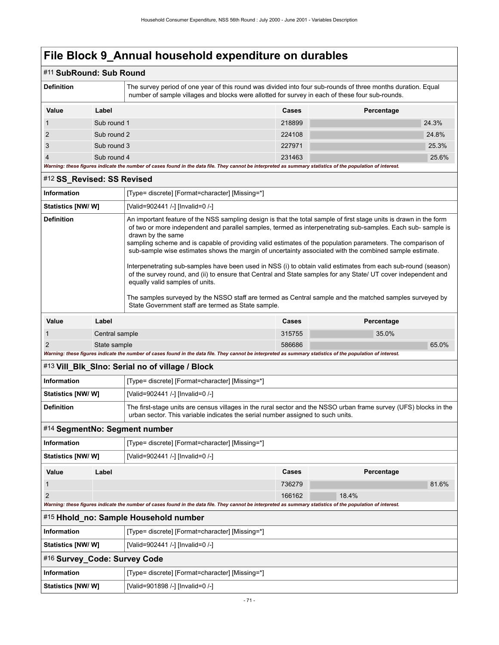### #11 **SubRound: Sub Round**

| The survey period of one year of this round was divided into four sub-rounds of three months duration. Equal<br><b>Definition</b><br>number of sample villages and blocks were allotted for survey in each of these four sub-rounds. |             |  |        |            |       |
|--------------------------------------------------------------------------------------------------------------------------------------------------------------------------------------------------------------------------------------|-------------|--|--------|------------|-------|
| Value                                                                                                                                                                                                                                | Label       |  | Cases  | Percentage |       |
|                                                                                                                                                                                                                                      | Sub round 1 |  | 218899 |            | 24.3% |
| 2                                                                                                                                                                                                                                    | Sub round 2 |  | 224108 |            | 24.8% |
| 3                                                                                                                                                                                                                                    | Sub round 3 |  | 227971 |            | 25.3% |
| 4                                                                                                                                                                                                                                    | Sub round 4 |  | 231463 |            | 25.6% |
| Warning: these figures indicate the number of cases found in the data file. They cannot be interpreted as summary statistics of the population of interest.                                                                          |             |  |        |            |       |

#### #12 **SS\_Revised: SS Revised**

| <b>Information</b>        | [Type= discrete] [Format=character] [Missing=*]                                                                                                                                                                                                                                                                                                                                                                                                                                                                                                                                                                                                                                                                                                                                                                                                                                                                         |
|---------------------------|-------------------------------------------------------------------------------------------------------------------------------------------------------------------------------------------------------------------------------------------------------------------------------------------------------------------------------------------------------------------------------------------------------------------------------------------------------------------------------------------------------------------------------------------------------------------------------------------------------------------------------------------------------------------------------------------------------------------------------------------------------------------------------------------------------------------------------------------------------------------------------------------------------------------------|
| <b>Statistics [NW/ W]</b> | [Valid=902441 /-] [Invalid=0 /-]                                                                                                                                                                                                                                                                                                                                                                                                                                                                                                                                                                                                                                                                                                                                                                                                                                                                                        |
| <b>Definition</b>         | An important feature of the NSS sampling design is that the total sample of first stage units is drawn in the form<br>of two or more independent and parallel samples, termed as interpenetrating sub-samples. Each sub-sample is<br>drawn by the same<br>sampling scheme and is capable of providing valid estimates of the population parameters. The comparison of<br>sub-sample wise estimates shows the margin of uncertainty associated with the combined sample estimate.<br>Interpenetrating sub-samples have been used in NSS (i) to obtain valid estimates from each sub-round (season)<br>of the survey round, and (ii) to ensure that Central and State samples for any State/ UT cover independent and<br>equally valid samples of units.<br>The samples surveyed by the NSSO staff are termed as Central sample and the matched samples surveyed by<br>State Government staff are termed as State sample. |
|                           |                                                                                                                                                                                                                                                                                                                                                                                                                                                                                                                                                                                                                                                                                                                                                                                                                                                                                                                         |

| Value                                                                                                                                                       | Label          | Cases  | Percentage |
|-------------------------------------------------------------------------------------------------------------------------------------------------------------|----------------|--------|------------|
|                                                                                                                                                             | Central sample | 315755 | 35.0%      |
|                                                                                                                                                             | State sample   | 586686 | 65.0%      |
| Warning: these figures indicate the number of cases found in the data file. They cannot be interpreted as summary statistics of the population of interest. |                |        |            |

### #13 **Vill\_Blk\_Slno: Serial no of village / Block**

| Information               | [Type= discrete] [Format=character] [Missing=*]                                                                                                                                                      |
|---------------------------|------------------------------------------------------------------------------------------------------------------------------------------------------------------------------------------------------|
| <b>Statistics [NW/ W]</b> | [Valid=902441 /-] [Invalid=0 /-]                                                                                                                                                                     |
| Definition                | The first-stage units are census villages in the rural sector and the NSSO urban frame survey (UFS) blocks in the<br>urban sector. This variable indicates the serial number assigned to such units. |

#### #14 **SegmentNo: Segment number**

| [Type= discrete] [Format=character] [Missing=*]<br>Information |       |                                  |        |            |       |
|----------------------------------------------------------------|-------|----------------------------------|--------|------------|-------|
| Statistics [NW/W]                                              |       | [Valid=902441 /-] [Invalid=0 /-] |        |            |       |
| Value                                                          | Label |                                  | Cases  | Percentage |       |
|                                                                |       |                                  | 736279 |            | 81.6% |
| 2                                                              |       |                                  | 166162 | 18.4%      |       |

*Warning: these figures indicate the number of cases found in the data file. They cannot be interpreted as summary statistics of the population of interest.*

#### #15 **Hhold\_no: Sample Household number**

| Information                  | [Type= discrete] [Format=character] [Missing=*] |  |
|------------------------------|-------------------------------------------------|--|
| Statistics [NW/W]            | [Valid=902441 /-] [Invalid=0 /-]                |  |
| #16 Survey_Code: Survey Code |                                                 |  |
| Information                  | [Type= discrete] [Format=character] [Missing=*] |  |
| Statistics [NW/ W]           | [Valid=901898 /-] [Invalid=0 /-]                |  |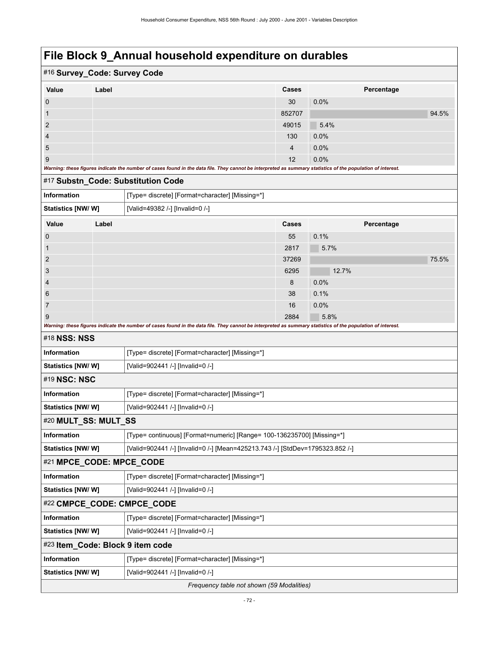| #16 Survey_Code: Survey Code                                                 |                                                          |                                                                                                                                                             |        |            |       |
|------------------------------------------------------------------------------|----------------------------------------------------------|-------------------------------------------------------------------------------------------------------------------------------------------------------------|--------|------------|-------|
| Value                                                                        | Label                                                    |                                                                                                                                                             | Cases  | Percentage |       |
| $\boldsymbol{0}$                                                             |                                                          |                                                                                                                                                             | 30     | 0.0%       |       |
| 1                                                                            |                                                          |                                                                                                                                                             | 852707 |            | 94.5% |
| 2                                                                            |                                                          |                                                                                                                                                             | 49015  | 5.4%       |       |
| 4                                                                            |                                                          |                                                                                                                                                             | 130    | 0.0%       |       |
| 5                                                                            |                                                          |                                                                                                                                                             | 4      | 0.0%       |       |
| 9                                                                            |                                                          |                                                                                                                                                             | 12     | 0.0%       |       |
|                                                                              |                                                          | Warning: these figures indicate the number of cases found in the data file. They cannot be interpreted as summary statistics of the population of interest. |        |            |       |
|                                                                              |                                                          | #17 Substn_Code: Substitution Code                                                                                                                          |        |            |       |
| <b>Information</b>                                                           |                                                          | [Type= discrete] [Format=character] [Missing=*]                                                                                                             |        |            |       |
| Statistics [NW/W]                                                            |                                                          | [Valid=49382 /-] [Invalid=0 /-]                                                                                                                             |        |            |       |
| Value                                                                        | Label                                                    |                                                                                                                                                             | Cases  | Percentage |       |
| $\mathbf 0$                                                                  |                                                          |                                                                                                                                                             | 55     | 0.1%       |       |
| $\mathbf{1}$                                                                 |                                                          |                                                                                                                                                             | 2817   | 5.7%       |       |
| 2                                                                            |                                                          |                                                                                                                                                             | 37269  |            | 75.5% |
| 3                                                                            |                                                          |                                                                                                                                                             | 6295   | 12.7%      |       |
| 4                                                                            |                                                          |                                                                                                                                                             | 8      | 0.0%       |       |
| 6                                                                            |                                                          |                                                                                                                                                             | 38     | 0.1%       |       |
| 7                                                                            |                                                          |                                                                                                                                                             | 16     | 0.0%       |       |
| 9                                                                            |                                                          | Warning: these figures indicate the number of cases found in the data file. They cannot be interpreted as summary statistics of the population of interest. | 2884   | 5.8%       |       |
| #18 NSS: NSS                                                                 |                                                          |                                                                                                                                                             |        |            |       |
| <b>Information</b>                                                           |                                                          |                                                                                                                                                             |        |            |       |
|                                                                              |                                                          | [Type= discrete] [Format=character] [Missing=*]                                                                                                             |        |            |       |
| <b>Statistics [NW/W]</b><br>[Valid=902441 /-] [Invalid=0 /-]<br>#19 NSC: NSC |                                                          |                                                                                                                                                             |        |            |       |
| <b>Information</b>                                                           |                                                          |                                                                                                                                                             |        |            |       |
| Statistics [NW/ W]                                                           |                                                          | [Type= discrete] [Format=character] [Missing=*]                                                                                                             |        |            |       |
|                                                                              | [Valid=902441 /-] [Invalid=0 /-]<br>#20 MULT_SS: MULT_SS |                                                                                                                                                             |        |            |       |
| Information                                                                  |                                                          | [Type= continuous] [Format=numeric] [Range= 100-136235700] [Missing=*]                                                                                      |        |            |       |
| Statistics [NW/W]                                                            |                                                          | [Valid=902441 /-] [Invalid=0 /-] [Mean=425213.743 /-] [StdDev=1795323.852 /-]                                                                               |        |            |       |
| #21 MPCE_CODE: MPCE_CODE                                                     |                                                          |                                                                                                                                                             |        |            |       |
| Information                                                                  |                                                          | [Type= discrete] [Format=character] [Missing=*]                                                                                                             |        |            |       |
| Statistics [NW/W]                                                            |                                                          | [Valid=902441 /-] [Invalid=0 /-]                                                                                                                            |        |            |       |
|                                                                              |                                                          | #22 CMPCE_CODE: CMPCE_CODE                                                                                                                                  |        |            |       |
| Information                                                                  |                                                          | [Type= discrete] [Format=character] [Missing=*]                                                                                                             |        |            |       |
| Statistics [NW/W]                                                            |                                                          | [Valid=902441 /-] [Invalid=0 /-]                                                                                                                            |        |            |       |
| #23 Item_Code: Block 9 item code                                             |                                                          |                                                                                                                                                             |        |            |       |
| Information                                                                  |                                                          | [Type= discrete] [Format=character] [Missing=*]                                                                                                             |        |            |       |
| Statistics [NW/W]                                                            |                                                          | [Valid=902441 /-] [Invalid=0 /-]                                                                                                                            |        |            |       |
|                                                                              |                                                          | Frequency table not shown (59 Modalities)                                                                                                                   |        |            |       |